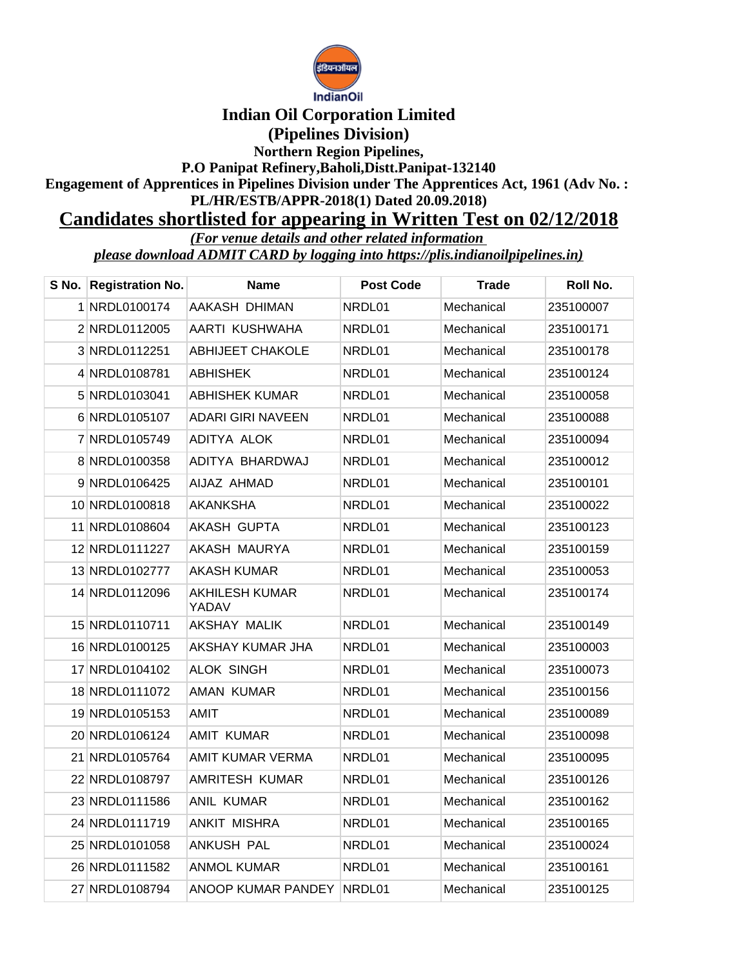

## **Indian Oil Corporation Limited (Pipelines Division)**

**Northern Region Pipelines,**

**P.O Panipat Refinery,Baholi,Distt.Panipat-132140**

**Engagement of Apprentices in Pipelines Division under The Apprentices Act, 1961 (Adv No. : PL/HR/ESTB/APPR-2018(1) Dated 20.09.2018)**

## **Candidates shortlisted for appearing in Written Test on 02/12/2018**

*(For venue details and other related information* 

*please download ADMIT CARD by logging into https://plis.indianoilpipelines.in)*

| S No. Registration No. | <b>Name</b>                    | <b>Post Code</b> | <b>Trade</b> | Roll No.  |
|------------------------|--------------------------------|------------------|--------------|-----------|
| 1 NRDL0100174          | AAKASH DHIMAN                  | NRDL01           | Mechanical   | 235100007 |
| 2 NRDL0112005          | AARTI KUSHWAHA                 | NRDL01           | Mechanical   | 235100171 |
| 3 NRDL0112251          | <b>ABHIJEET CHAKOLE</b>        | NRDL01           | Mechanical   | 235100178 |
| 4 NRDL0108781          | <b>ABHISHEK</b>                | NRDL01           | Mechanical   | 235100124 |
| 5 NRDL0103041          | ABHISHEK KUMAR                 | NRDL01           | Mechanical   | 235100058 |
| 6 NRDL0105107          | <b>ADARI GIRI NAVEEN</b>       | NRDL01           | Mechanical   | 235100088 |
| 7 NRDL0105749          | ADITYA ALOK                    | NRDL01           | Mechanical   | 235100094 |
| 8 NRDL0100358          | ADITYA BHARDWAJ                | NRDL01           | Mechanical   | 235100012 |
| 9 NRDL0106425          | AIJAZ AHMAD                    | NRDL01           | Mechanical   | 235100101 |
| 10 NRDL0100818         | AKANKSHA                       | NRDL01           | Mechanical   | 235100022 |
| 11 NRDL0108604         | AKASH GUPTA                    | NRDL01           | Mechanical   | 235100123 |
| 12 NRDL0111227         | AKASH MAURYA                   | NRDL01           | Mechanical   | 235100159 |
| 13 NRDL0102777         | AKASH KUMAR                    | NRDL01           | Mechanical   | 235100053 |
| 14 NRDL0112096         | <b>AKHILESH KUMAR</b><br>YADAV | NRDL01           | Mechanical   | 235100174 |
| 15 NRDL0110711         | AKSHAY MALIK                   | NRDL01           | Mechanical   | 235100149 |
| 16 NRDL0100125         | AKSHAY KUMAR JHA               | NRDL01           | Mechanical   | 235100003 |
| 17 NRDL0104102         | <b>ALOK SINGH</b>              | NRDL01           | Mechanical   | 235100073 |
| 18 NRDL0111072         | AMAN KUMAR                     | NRDL01           | Mechanical   | 235100156 |
| 19 NRDL0105153         | AMIT                           | NRDL01           | Mechanical   | 235100089 |
| 20 NRDL0106124         | <b>AMIT KUMAR</b>              | NRDL01           | Mechanical   | 235100098 |
| 21 NRDL0105764         | AMIT KUMAR VERMA               | NRDL01           | Mechanical   | 235100095 |
| 22 NRDL0108797         | <b>AMRITESH KUMAR</b>          | NRDL01           | Mechanical   | 235100126 |
| 23 NRDL0111586         | <b>ANIL KUMAR</b>              | NRDL01           | Mechanical   | 235100162 |
| 24 NRDL0111719         | <b>ANKIT MISHRA</b>            | NRDL01           | Mechanical   | 235100165 |
| 25 NRDL0101058         | <b>ANKUSH PAL</b>              | NRDL01           | Mechanical   | 235100024 |
| 26 NRDL0111582         | ANMOL KUMAR                    | NRDL01           | Mechanical   | 235100161 |
| 27 NRDL0108794         | ANOOP KUMAR PANDEY             | NRDL01           | Mechanical   | 235100125 |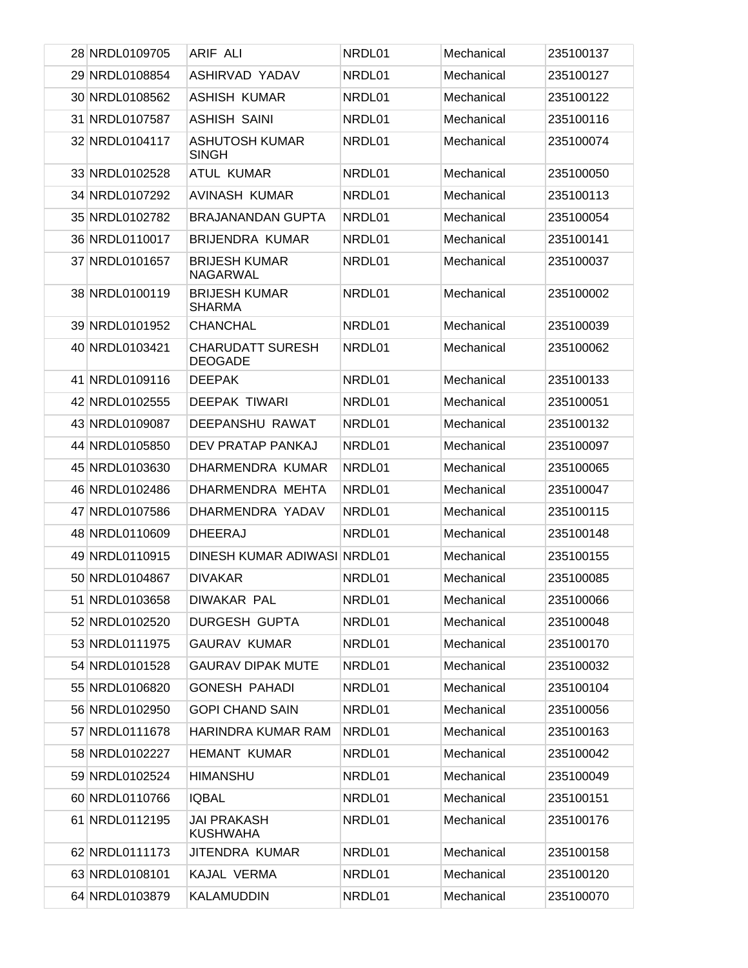| 28 NRDL0109705 | ARIF ALI                                  | NRDL01 | Mechanical | 235100137 |
|----------------|-------------------------------------------|--------|------------|-----------|
| 29 NRDL0108854 | <b>ASHIRVAD YADAV</b>                     | NRDL01 | Mechanical | 235100127 |
| 30 NRDL0108562 | <b>ASHISH KUMAR</b>                       | NRDL01 | Mechanical | 235100122 |
| 31 NRDL0107587 | <b>ASHISH SAINI</b>                       | NRDL01 | Mechanical | 235100116 |
| 32 NRDL0104117 | <b>ASHUTOSH KUMAR</b><br><b>SINGH</b>     | NRDL01 | Mechanical | 235100074 |
| 33 NRDL0102528 | <b>ATUL KUMAR</b>                         | NRDL01 | Mechanical | 235100050 |
| 34 NRDL0107292 | <b>AVINASH KUMAR</b>                      | NRDL01 | Mechanical | 235100113 |
| 35 NRDL0102782 | <b>BRAJANANDAN GUPTA</b>                  | NRDL01 | Mechanical | 235100054 |
| 36 NRDL0110017 | <b>BRIJENDRA KUMAR</b>                    | NRDL01 | Mechanical | 235100141 |
| 37 NRDL0101657 | <b>BRIJESH KUMAR</b><br>NAGARWAL          | NRDL01 | Mechanical | 235100037 |
| 38 NRDL0100119 | <b>BRIJESH KUMAR</b><br><b>SHARMA</b>     | NRDL01 | Mechanical | 235100002 |
| 39 NRDL0101952 | <b>CHANCHAL</b>                           | NRDL01 | Mechanical | 235100039 |
| 40 NRDL0103421 | <b>CHARUDATT SURESH</b><br><b>DEOGADE</b> | NRDL01 | Mechanical | 235100062 |
| 41 NRDL0109116 | <b>DEEPAK</b>                             | NRDL01 | Mechanical | 235100133 |
| 42 NRDL0102555 | <b>DEEPAK TIWARI</b>                      | NRDL01 | Mechanical | 235100051 |
| 43 NRDL0109087 | DEEPANSHU RAWAT                           | NRDL01 | Mechanical | 235100132 |
| 44 NRDL0105850 | DEV PRATAP PANKAJ                         | NRDL01 | Mechanical | 235100097 |
| 45 NRDL0103630 | DHARMENDRA KUMAR                          | NRDL01 | Mechanical | 235100065 |
| 46 NRDL0102486 | DHARMENDRA MEHTA                          | NRDL01 | Mechanical | 235100047 |
| 47 NRDL0107586 | DHARMENDRA YADAV                          | NRDL01 | Mechanical | 235100115 |
| 48 NRDL0110609 | <b>DHEERAJ</b>                            | NRDL01 | Mechanical | 235100148 |
| 49 NRDL0110915 | DINESH KUMAR ADIWASI NRDL01               |        | Mechanical | 235100155 |
| 50 NRDL0104867 | <b>DIVAKAR</b>                            | NRDL01 | Mechanical | 235100085 |
| 51 NRDL0103658 | <b>DIWAKAR PAL</b>                        | NRDL01 | Mechanical | 235100066 |
| 52 NRDL0102520 | <b>DURGESH GUPTA</b>                      | NRDL01 | Mechanical | 235100048 |
| 53 NRDL0111975 | <b>GAURAV KUMAR</b>                       | NRDL01 | Mechanical | 235100170 |
| 54 NRDL0101528 | <b>GAURAV DIPAK MUTE</b>                  | NRDL01 | Mechanical | 235100032 |
| 55 NRDL0106820 | <b>GONESH PAHADI</b>                      | NRDL01 | Mechanical | 235100104 |
| 56 NRDL0102950 | <b>GOPI CHAND SAIN</b>                    | NRDL01 | Mechanical | 235100056 |
| 57 NRDL0111678 | HARINDRA KUMAR RAM                        | NRDL01 | Mechanical | 235100163 |
| 58 NRDL0102227 | <b>HEMANT KUMAR</b>                       | NRDL01 | Mechanical | 235100042 |
| 59 NRDL0102524 | <b>HIMANSHU</b>                           | NRDL01 | Mechanical | 235100049 |
| 60 NRDL0110766 | <b>IQBAL</b>                              | NRDL01 | Mechanical | 235100151 |
| 61 NRDL0112195 | <b>JAI PRAKASH</b><br><b>KUSHWAHA</b>     | NRDL01 | Mechanical | 235100176 |
| 62 NRDL0111173 | JITENDRA KUMAR                            | NRDL01 | Mechanical | 235100158 |
| 63 NRDL0108101 | KAJAL VERMA                               | NRDL01 | Mechanical | 235100120 |
| 64 NRDL0103879 | KALAMUDDIN                                | NRDL01 | Mechanical | 235100070 |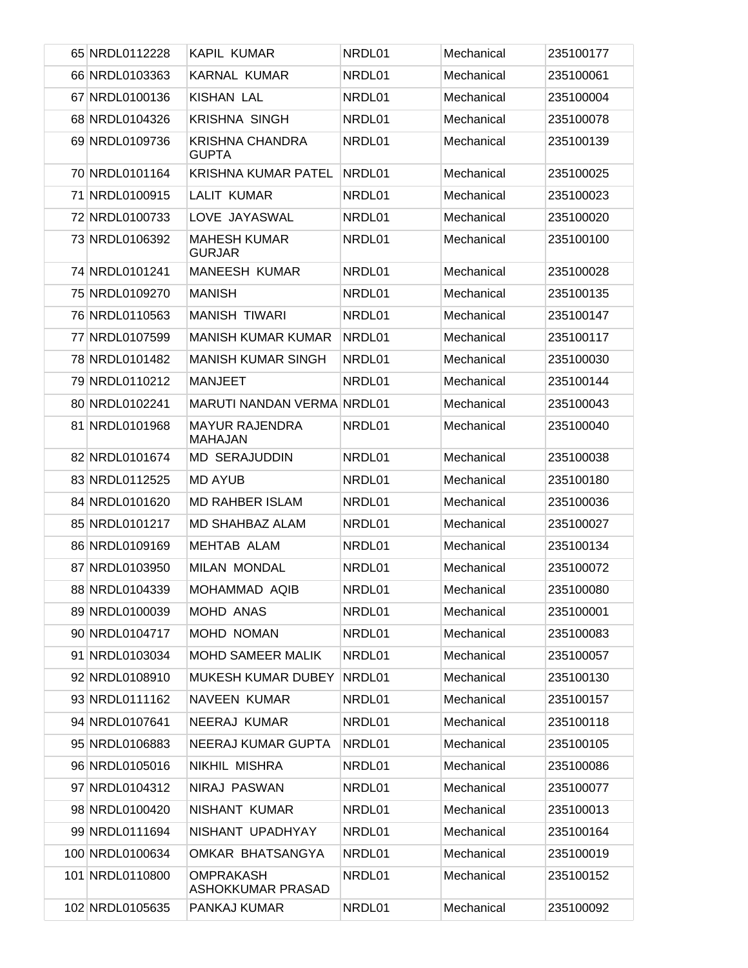| 65 NRDL0112228  | KAPIL KUMAR                            | NRDL01 | Mechanical | 235100177 |
|-----------------|----------------------------------------|--------|------------|-----------|
| 66 NRDL0103363  | <b>KARNAL KUMAR</b>                    | NRDL01 | Mechanical | 235100061 |
| 67 NRDL0100136  | KISHAN LAL                             | NRDL01 | Mechanical | 235100004 |
| 68 NRDL0104326  | <b>KRISHNA SINGH</b>                   | NRDL01 | Mechanical | 235100078 |
| 69 NRDL0109736  | <b>KRISHNA CHANDRA</b><br><b>GUPTA</b> | NRDL01 | Mechanical | 235100139 |
| 70 NRDL0101164  | <b>KRISHNA KUMAR PATEL</b>             | NRDL01 | Mechanical | 235100025 |
| 71 NRDL0100915  | <b>LALIT KUMAR</b>                     | NRDL01 | Mechanical | 235100023 |
| 72 NRDL0100733  | LOVE JAYASWAL                          | NRDL01 | Mechanical | 235100020 |
| 73 NRDL0106392  | <b>MAHESH KUMAR</b><br><b>GURJAR</b>   | NRDL01 | Mechanical | 235100100 |
| 74 NRDL0101241  | <b>MANEESH KUMAR</b>                   | NRDL01 | Mechanical | 235100028 |
| 75 NRDL0109270  | <b>MANISH</b>                          | NRDL01 | Mechanical | 235100135 |
| 76 NRDL0110563  | <b>MANISH TIWARI</b>                   | NRDL01 | Mechanical | 235100147 |
| 77 NRDL0107599  | <b>MANISH KUMAR KUMAR</b>              | NRDL01 | Mechanical | 235100117 |
| 78 NRDL0101482  | <b>MANISH KUMAR SINGH</b>              | NRDL01 | Mechanical | 235100030 |
| 79 NRDL0110212  | <b>MANJEET</b>                         | NRDL01 | Mechanical | 235100144 |
| 80 NRDL0102241  | <b>MARUTI NANDAN VERMA NRDL01</b>      |        | Mechanical | 235100043 |
| 81 NRDL0101968  | <b>MAYUR RAJENDRA</b><br>MAHAJAN       | NRDL01 | Mechanical | 235100040 |
| 82 NRDL0101674  | <b>MD SERAJUDDIN</b>                   | NRDL01 | Mechanical | 235100038 |
| 83 NRDL0112525  | <b>MD AYUB</b>                         | NRDL01 | Mechanical | 235100180 |
| 84 NRDL0101620  | <b>MD RAHBER ISLAM</b>                 | NRDL01 | Mechanical | 235100036 |
| 85 NRDL0101217  | <b>MD SHAHBAZ ALAM</b>                 | NRDL01 | Mechanical | 235100027 |
| 86 NRDL0109169  | <b>MEHTAB ALAM</b>                     | NRDL01 | Mechanical | 235100134 |
| 87 NRDL0103950  | <b>MILAN MONDAL</b>                    | NRDL01 | Mechanical | 235100072 |
| 88 NRDL0104339  | MOHAMMAD AQIB                          | NRDL01 | Mechanical | 235100080 |
| 89 NRDL0100039  | MOHD ANAS                              | NRDL01 | Mechanical | 235100001 |
| 90 NRDL0104717  | MOHD NOMAN                             | NRDL01 | Mechanical | 235100083 |
| 91 NRDL0103034  | <b>MOHD SAMEER MALIK</b>               | NRDL01 | Mechanical | 235100057 |
| 92 NRDL0108910  | <b>MUKESH KUMAR DUBEY</b>              | NRDL01 | Mechanical | 235100130 |
| 93 NRDL0111162  | NAVEEN KUMAR                           | NRDL01 | Mechanical | 235100157 |
| 94 NRDL0107641  | NEERAJ KUMAR                           | NRDL01 | Mechanical | 235100118 |
| 95 NRDL0106883  | NEERAJ KUMAR GUPTA                     | NRDL01 | Mechanical | 235100105 |
| 96 NRDL0105016  | NIKHIL MISHRA                          | NRDL01 | Mechanical | 235100086 |
| 97 NRDL0104312  | NIRAJ PASWAN                           | NRDL01 | Mechanical | 235100077 |
| 98 NRDL0100420  | NISHANT KUMAR                          | NRDL01 | Mechanical | 235100013 |
| 99 NRDL0111694  | NISHANT UPADHYAY                       | NRDL01 | Mechanical | 235100164 |
| 100 NRDL0100634 | OMKAR BHATSANGYA                       | NRDL01 | Mechanical | 235100019 |
| 101 NRDL0110800 | <b>OMPRAKASH</b><br>ASHOKKUMAR PRASAD  | NRDL01 | Mechanical | 235100152 |
| 102 NRDL0105635 | PANKAJ KUMAR                           | NRDL01 | Mechanical | 235100092 |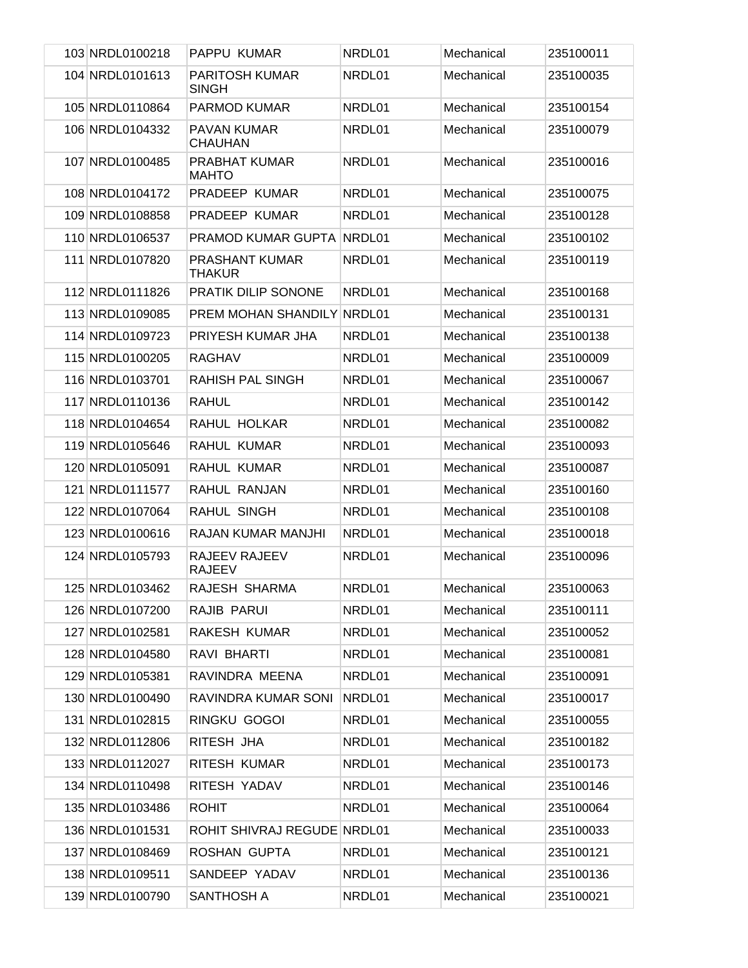| 103 NRDL0100218 | PAPPU KUMAR                           | NRDL01 | Mechanical | 235100011 |
|-----------------|---------------------------------------|--------|------------|-----------|
| 104 NRDL0101613 | <b>PARITOSH KUMAR</b><br><b>SINGH</b> | NRDL01 | Mechanical | 235100035 |
| 105 NRDL0110864 | PARMOD KUMAR                          | NRDL01 | Mechanical | 235100154 |
| 106 NRDL0104332 | <b>PAVAN KUMAR</b><br><b>CHAUHAN</b>  | NRDL01 | Mechanical | 235100079 |
| 107 NRDL0100485 | <b>PRABHAT KUMAR</b><br><b>MAHTO</b>  | NRDL01 | Mechanical | 235100016 |
| 108 NRDL0104172 | PRADEEP KUMAR                         | NRDL01 | Mechanical | 235100075 |
| 109 NRDL0108858 | PRADEEP KUMAR                         | NRDL01 | Mechanical | 235100128 |
| 110 NRDL0106537 | <b>PRAMOD KUMAR GUPTA</b>             | NRDL01 | Mechanical | 235100102 |
| 111 NRDL0107820 | PRASHANT KUMAR<br><b>THAKUR</b>       | NRDL01 | Mechanical | 235100119 |
| 112 NRDL0111826 | <b>PRATIK DILIP SONONE</b>            | NRDL01 | Mechanical | 235100168 |
| 113 NRDL0109085 | <b>PREM MOHAN SHANDILY NRDL01</b>     |        | Mechanical | 235100131 |
| 114 NRDL0109723 | PRIYESH KUMAR JHA                     | NRDL01 | Mechanical | 235100138 |
| 115 NRDL0100205 | <b>RAGHAV</b>                         | NRDL01 | Mechanical | 235100009 |
| 116 NRDL0103701 | <b>RAHISH PAL SINGH</b>               | NRDL01 | Mechanical | 235100067 |
| 117 NRDL0110136 | <b>RAHUL</b>                          | NRDL01 | Mechanical | 235100142 |
| 118 NRDL0104654 | RAHUL HOLKAR                          | NRDL01 | Mechanical | 235100082 |
| 119 NRDL0105646 | RAHUL KUMAR                           | NRDL01 | Mechanical | 235100093 |
| 120 NRDL0105091 | RAHUL KUMAR                           | NRDL01 | Mechanical | 235100087 |
| 121 NRDL0111577 | RAHUL RANJAN                          | NRDL01 | Mechanical | 235100160 |
| 122 NRDL0107064 | RAHUL SINGH                           | NRDL01 | Mechanical | 235100108 |
| 123 NRDL0100616 | RAJAN KUMAR MANJHI                    | NRDL01 | Mechanical | 235100018 |
| 124 NRDL0105793 | RAJEEV RAJEEV<br><b>RAJEEV</b>        | NRDL01 | Mechanical | 235100096 |
| 125 NRDL0103462 | RAJESH SHARMA                         | NRDL01 | Mechanical | 235100063 |
| 126 NRDL0107200 | RAJIB PARUI                           | NRDL01 | Mechanical | 235100111 |
| 127 NRDL0102581 | <b>RAKESH KUMAR</b>                   | NRDL01 | Mechanical | 235100052 |
| 128 NRDL0104580 | RAVI BHARTI                           | NRDL01 | Mechanical | 235100081 |
| 129 NRDL0105381 | RAVINDRA MEENA                        | NRDL01 | Mechanical | 235100091 |
| 130 NRDL0100490 | RAVINDRA KUMAR SONI                   | NRDL01 | Mechanical | 235100017 |
| 131 NRDL0102815 | RINGKU GOGOI                          | NRDL01 | Mechanical | 235100055 |
| 132 NRDL0112806 | RITESH JHA                            | NRDL01 | Mechanical | 235100182 |
| 133 NRDL0112027 | RITESH KUMAR                          | NRDL01 | Mechanical | 235100173 |
| 134 NRDL0110498 | RITESH YADAV                          | NRDL01 | Mechanical | 235100146 |
| 135 NRDL0103486 | <b>ROHIT</b>                          | NRDL01 | Mechanical | 235100064 |
| 136 NRDL0101531 | ROHIT SHIVRAJ REGUDE NRDL01           |        | Mechanical | 235100033 |
| 137 NRDL0108469 | ROSHAN GUPTA                          | NRDL01 | Mechanical | 235100121 |
| 138 NRDL0109511 | SANDEEP YADAV                         | NRDL01 | Mechanical | 235100136 |
| 139 NRDL0100790 | SANTHOSH A                            | NRDL01 | Mechanical | 235100021 |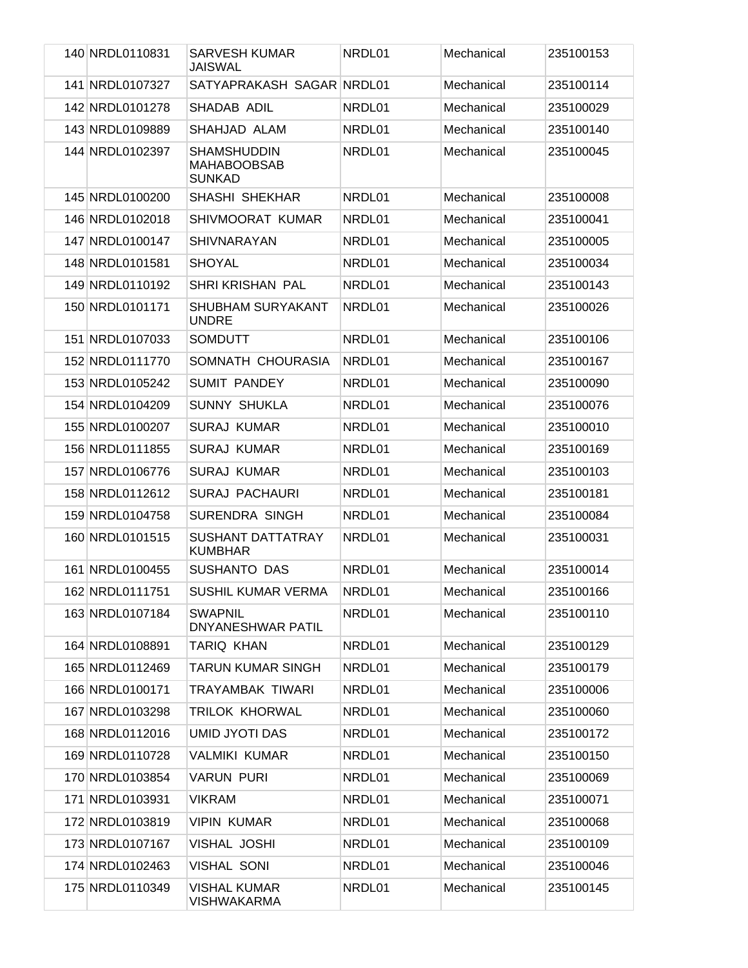| 140 NRDL0110831 | <b>SARVESH KUMAR</b><br><b>JAISWAL</b>                    | NRDL01 | Mechanical | 235100153 |
|-----------------|-----------------------------------------------------------|--------|------------|-----------|
| 141 NRDL0107327 | SATYAPRAKASH SAGAR NRDL01                                 |        | Mechanical | 235100114 |
| 142 NRDL0101278 | SHADAB ADIL                                               | NRDL01 | Mechanical | 235100029 |
| 143 NRDL0109889 | SHAHJAD ALAM                                              | NRDL01 | Mechanical | 235100140 |
| 144 NRDL0102397 | <b>SHAMSHUDDIN</b><br><b>MAHABOOBSAB</b><br><b>SUNKAD</b> | NRDL01 | Mechanical | 235100045 |
| 145 NRDL0100200 | <b>SHASHI SHEKHAR</b>                                     | NRDL01 | Mechanical | 235100008 |
| 146 NRDL0102018 | SHIVMOORAT KUMAR                                          | NRDL01 | Mechanical | 235100041 |
| 147 NRDL0100147 | <b>SHIVNARAYAN</b>                                        | NRDL01 | Mechanical | 235100005 |
| 148 NRDL0101581 | <b>SHOYAL</b>                                             | NRDL01 | Mechanical | 235100034 |
| 149 NRDL0110192 | SHRI KRISHAN PAL                                          | NRDL01 | Mechanical | 235100143 |
| 150 NRDL0101171 | <b>SHUBHAM SURYAKANT</b><br><b>UNDRE</b>                  | NRDL01 | Mechanical | 235100026 |
| 151 NRDL0107033 | <b>SOMDUTT</b>                                            | NRDL01 | Mechanical | 235100106 |
| 152 NRDL0111770 | SOMNATH CHOURASIA                                         | NRDL01 | Mechanical | 235100167 |
| 153 NRDL0105242 | <b>SUMIT PANDEY</b>                                       | NRDL01 | Mechanical | 235100090 |
| 154 NRDL0104209 | <b>SUNNY SHUKLA</b>                                       | NRDL01 | Mechanical | 235100076 |
| 155 NRDL0100207 | <b>SURAJ KUMAR</b>                                        | NRDL01 | Mechanical | 235100010 |
| 156 NRDL0111855 | <b>SURAJ KUMAR</b>                                        | NRDL01 | Mechanical | 235100169 |
| 157 NRDL0106776 | <b>SURAJ KUMAR</b>                                        | NRDL01 | Mechanical | 235100103 |
| 158 NRDL0112612 | <b>SURAJ PACHAURI</b>                                     | NRDL01 | Mechanical | 235100181 |
| 159 NRDL0104758 | <b>SURENDRA SINGH</b>                                     | NRDL01 | Mechanical | 235100084 |
| 160 NRDL0101515 | <b>SUSHANT DATTATRAY</b><br><b>KUMBHAR</b>                | NRDL01 | Mechanical | 235100031 |
| 161 NRDL0100455 | SUSHANTO DAS                                              | NRDL01 | Mechanical | 235100014 |
| 162 NRDL0111751 | SUSHIL KUMAR VERMA                                        | NRDL01 | Mechanical | 235100166 |
| 163 NRDL0107184 | <b>SWAPNIL</b><br>DNYANESHWAR PATIL                       | NRDL01 | Mechanical | 235100110 |
| 164 NRDL0108891 | TARIQ KHAN                                                | NRDL01 | Mechanical | 235100129 |
| 165 NRDL0112469 | TARUN KUMAR SINGH                                         | NRDL01 | Mechanical | 235100179 |
| 166 NRDL0100171 | <b>TRAYAMBAK TIWARI</b>                                   | NRDL01 | Mechanical | 235100006 |
| 167 NRDL0103298 | <b>TRILOK KHORWAL</b>                                     | NRDL01 | Mechanical | 235100060 |
| 168 NRDL0112016 | UMID JYOTI DAS                                            | NRDL01 | Mechanical | 235100172 |
| 169 NRDL0110728 | <b>VALMIKI KUMAR</b>                                      | NRDL01 | Mechanical | 235100150 |
| 170 NRDL0103854 | <b>VARUN PURI</b>                                         | NRDL01 | Mechanical | 235100069 |
| 171 NRDL0103931 | <b>VIKRAM</b>                                             | NRDL01 | Mechanical | 235100071 |
| 172 NRDL0103819 | <b>VIPIN KUMAR</b>                                        | NRDL01 | Mechanical | 235100068 |
| 173 NRDL0107167 | <b>VISHAL JOSHI</b>                                       | NRDL01 | Mechanical | 235100109 |
| 174 NRDL0102463 | <b>VISHAL SONI</b>                                        | NRDL01 | Mechanical | 235100046 |
| 175 NRDL0110349 | <b>VISHAL KUMAR</b><br><b>VISHWAKARMA</b>                 | NRDL01 | Mechanical | 235100145 |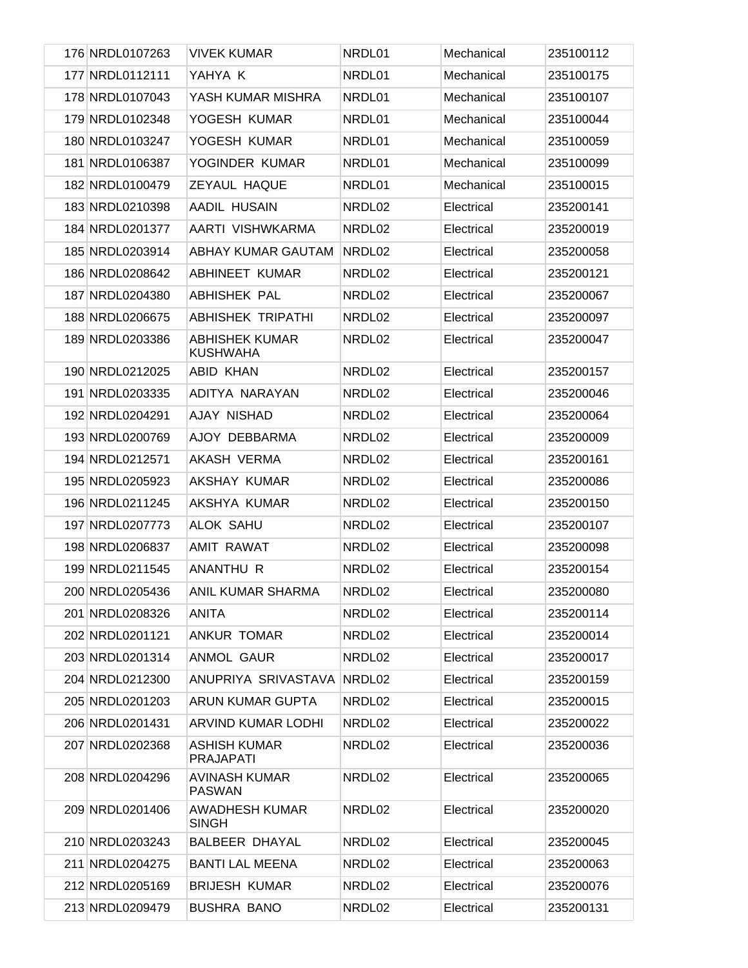| 176 NRDL0107263 | <b>VIVEK KUMAR</b>                       | NRDL01 | Mechanical | 235100112 |
|-----------------|------------------------------------------|--------|------------|-----------|
| 177 NRDL0112111 | YAHYA K                                  | NRDL01 | Mechanical | 235100175 |
| 178 NRDL0107043 | YASH KUMAR MISHRA                        | NRDL01 | Mechanical | 235100107 |
| 179 NRDL0102348 | YOGESH KUMAR                             | NRDL01 | Mechanical | 235100044 |
| 180 NRDL0103247 | YOGESH KUMAR                             | NRDL01 | Mechanical | 235100059 |
| 181 NRDL0106387 | YOGINDER KUMAR                           | NRDL01 | Mechanical | 235100099 |
| 182 NRDL0100479 | ZEYAUL HAQUE                             | NRDL01 | Mechanical | 235100015 |
| 183 NRDL0210398 | AADIL HUSAIN                             | NRDL02 | Electrical | 235200141 |
| 184 NRDL0201377 | AARTI VISHWKARMA                         | NRDL02 | Electrical | 235200019 |
| 185 NRDL0203914 | ABHAY KUMAR GAUTAM                       | NRDL02 | Electrical | 235200058 |
| 186 NRDL0208642 | <b>ABHINEET KUMAR</b>                    | NRDL02 | Electrical | 235200121 |
| 187 NRDL0204380 | <b>ABHISHEK PAL</b>                      | NRDL02 | Electrical | 235200067 |
| 188 NRDL0206675 | <b>ABHISHEK TRIPATHI</b>                 | NRDL02 | Electrical | 235200097 |
| 189 NRDL0203386 | <b>ABHISHEK KUMAR</b><br><b>KUSHWAHA</b> | NRDL02 | Electrical | 235200047 |
| 190 NRDL0212025 | ABID KHAN                                | NRDL02 | Electrical | 235200157 |
| 191 NRDL0203335 | ADITYA NARAYAN                           | NRDL02 | Electrical | 235200046 |
| 192 NRDL0204291 | AJAY NISHAD                              | NRDL02 | Electrical | 235200064 |
| 193 NRDL0200769 | AJOY DEBBARMA                            | NRDL02 | Electrical | 235200009 |
| 194 NRDL0212571 | AKASH VERMA                              | NRDL02 | Electrical | 235200161 |
| 195 NRDL0205923 | AKSHAY KUMAR                             | NRDL02 | Electrical | 235200086 |
| 196 NRDL0211245 | AKSHYA KUMAR                             | NRDL02 | Electrical | 235200150 |
| 197 NRDL0207773 | <b>ALOK SAHU</b>                         | NRDL02 | Electrical | 235200107 |
| 198 NRDL0206837 | <b>AMIT RAWAT</b>                        | NRDL02 | Electrical | 235200098 |
| 199 NRDL0211545 | ANANTHU R                                | NRDL02 | Electrical | 235200154 |
| 200 NRDL0205436 | ANIL KUMAR SHARMA                        | NRDL02 | Electrical | 235200080 |
| 201 NRDL0208326 | ANITA                                    | NRDL02 | Electrical | 235200114 |
| 202 NRDL0201121 | ANKUR TOMAR                              | NRDL02 | Electrical | 235200014 |
| 203 NRDL0201314 | ANMOL GAUR                               | NRDL02 | Electrical | 235200017 |
| 204 NRDL0212300 | ANUPRIYA SRIVASTAVA                      | NRDL02 | Electrical | 235200159 |
| 205 NRDL0201203 | ARUN KUMAR GUPTA                         | NRDL02 | Electrical | 235200015 |
| 206 NRDL0201431 | <b>ARVIND KUMAR LODHI</b>                | NRDL02 | Electrical | 235200022 |
| 207 NRDL0202368 | <b>ASHISH KUMAR</b><br><b>PRAJAPATI</b>  | NRDL02 | Electrical | 235200036 |
| 208 NRDL0204296 | <b>AVINASH KUMAR</b><br><b>PASWAN</b>    | NRDL02 | Electrical | 235200065 |
| 209 NRDL0201406 | <b>AWADHESH KUMAR</b><br><b>SINGH</b>    | NRDL02 | Electrical | 235200020 |
| 210 NRDL0203243 | <b>BALBEER DHAYAL</b>                    | NRDL02 | Electrical | 235200045 |
| 211 NRDL0204275 | <b>BANTI LAL MEENA</b>                   | NRDL02 | Electrical | 235200063 |
| 212 NRDL0205169 | <b>BRIJESH KUMAR</b>                     | NRDL02 | Electrical | 235200076 |
| 213 NRDL0209479 | <b>BUSHRA BANO</b>                       | NRDL02 | Electrical | 235200131 |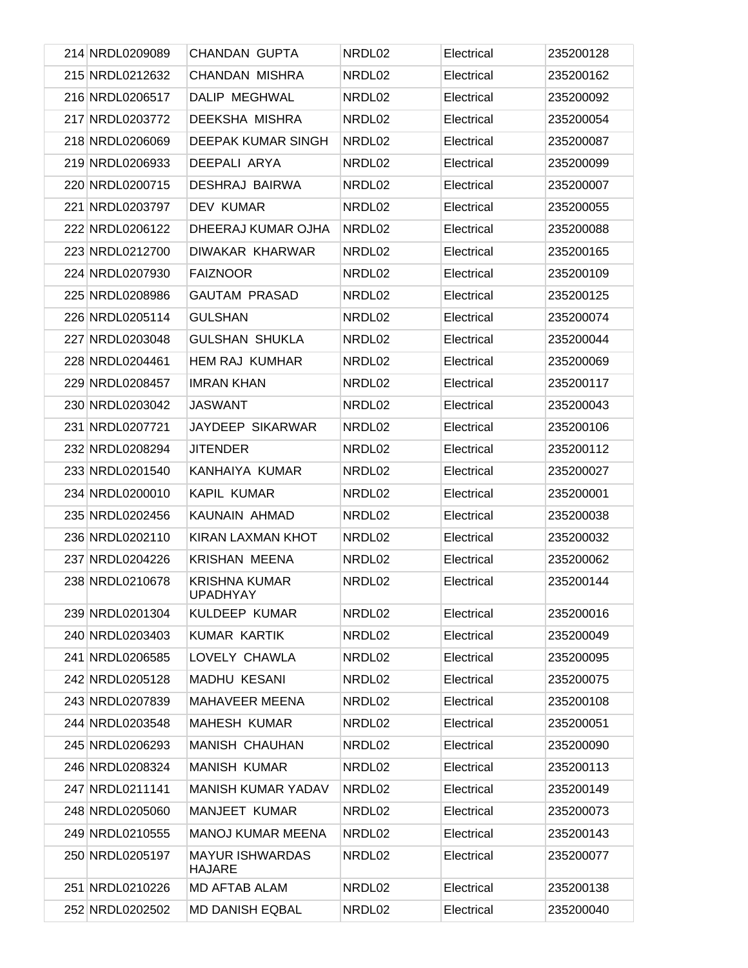| 214 NRDL0209089 | <b>CHANDAN GUPTA</b>             | NRDL02 | Electrical | 235200128 |
|-----------------|----------------------------------|--------|------------|-----------|
| 215 NRDL0212632 | CHANDAN MISHRA                   | NRDL02 | Electrical | 235200162 |
| 216 NRDL0206517 | DALIP MEGHWAL                    | NRDL02 | Electrical | 235200092 |
| 217 NRDL0203772 | <b>DEEKSHA MISHRA</b>            | NRDL02 | Electrical | 235200054 |
| 218 NRDL0206069 | DEEPAK KUMAR SINGH               | NRDL02 | Electrical | 235200087 |
| 219 NRDL0206933 | DEEPALI ARYA                     | NRDL02 | Electrical | 235200099 |
| 220 NRDL0200715 | <b>DESHRAJ BAIRWA</b>            | NRDL02 | Electrical | 235200007 |
| 221 NRDL0203797 | <b>DEV KUMAR</b>                 | NRDL02 | Electrical | 235200055 |
| 222 NRDL0206122 | DHEERAJ KUMAR OJHA               | NRDL02 | Electrical | 235200088 |
| 223 NRDL0212700 | DIWAKAR KHARWAR                  | NRDL02 | Electrical | 235200165 |
| 224 NRDL0207930 | <b>FAIZNOOR</b>                  | NRDL02 | Electrical | 235200109 |
| 225 NRDL0208986 | <b>GAUTAM PRASAD</b>             | NRDL02 | Electrical | 235200125 |
| 226 NRDL0205114 | <b>GULSHAN</b>                   | NRDL02 | Electrical | 235200074 |
| 227 NRDL0203048 | <b>GULSHAN SHUKLA</b>            | NRDL02 | Electrical | 235200044 |
| 228 NRDL0204461 | <b>HEM RAJ KUMHAR</b>            | NRDL02 | Electrical | 235200069 |
| 229 NRDL0208457 | <b>IMRAN KHAN</b>                | NRDL02 | Electrical | 235200117 |
| 230 NRDL0203042 | <b>JASWANT</b>                   | NRDL02 | Electrical | 235200043 |
| 231 NRDL0207721 | JAYDEEP SIKARWAR                 | NRDL02 | Electrical | 235200106 |
| 232 NRDL0208294 | <b>JITENDER</b>                  | NRDL02 | Electrical | 235200112 |
| 233 NRDL0201540 | KANHAIYA KUMAR                   | NRDL02 | Electrical | 235200027 |
| 234 NRDL0200010 | KAPIL KUMAR                      | NRDL02 | Electrical | 235200001 |
| 235 NRDL0202456 | KAUNAIN AHMAD                    | NRDL02 | Electrical | 235200038 |
| 236 NRDL0202110 | <b>KIRAN LAXMAN KHOT</b>         | NRDL02 | Electrical | 235200032 |
| 237 NRDL0204226 | <b>KRISHAN MEENA</b>             | NRDL02 | Electrical | 235200062 |
| 238 NRDL0210678 | <b>KRISHNA KUMAR</b><br>UPADHYAY | NRDL02 | Electrical | 235200144 |
| 239 NRDL0201304 | KULDEEP KUMAR                    | NRDL02 | Electrical | 235200016 |
| 240 NRDL0203403 | <b>KUMAR KARTIK</b>              | NRDL02 | Electrical | 235200049 |
| 241 NRDL0206585 | LOVELY CHAWLA                    | NRDL02 | Electrical | 235200095 |
| 242 NRDL0205128 | <b>MADHU KESANI</b>              | NRDL02 | Electrical | 235200075 |
| 243 NRDL0207839 | MAHAVEER MEENA                   | NRDL02 | Electrical | 235200108 |
| 244 NRDL0203548 | <b>MAHESH KUMAR</b>              | NRDL02 | Electrical | 235200051 |
| 245 NRDL0206293 | <b>MANISH CHAUHAN</b>            | NRDL02 | Electrical | 235200090 |
| 246 NRDL0208324 | <b>MANISH KUMAR</b>              | NRDL02 | Electrical | 235200113 |
| 247 NRDL0211141 | <b>MANISH KUMAR YADAV</b>        | NRDL02 | Electrical | 235200149 |
| 248 NRDL0205060 | MANJEET KUMAR                    | NRDL02 | Electrical | 235200073 |
| 249 NRDL0210555 | <b>MANOJ KUMAR MEENA</b>         | NRDL02 | Electrical | 235200143 |
| 250 NRDL0205197 | <b>MAYUR ISHWARDAS</b><br>HAJARE | NRDL02 | Electrical | 235200077 |
| 251 NRDL0210226 | <b>MD AFTAB ALAM</b>             | NRDL02 | Electrical | 235200138 |
| 252 NRDL0202502 | <b>MD DANISH EQBAL</b>           | NRDL02 | Electrical | 235200040 |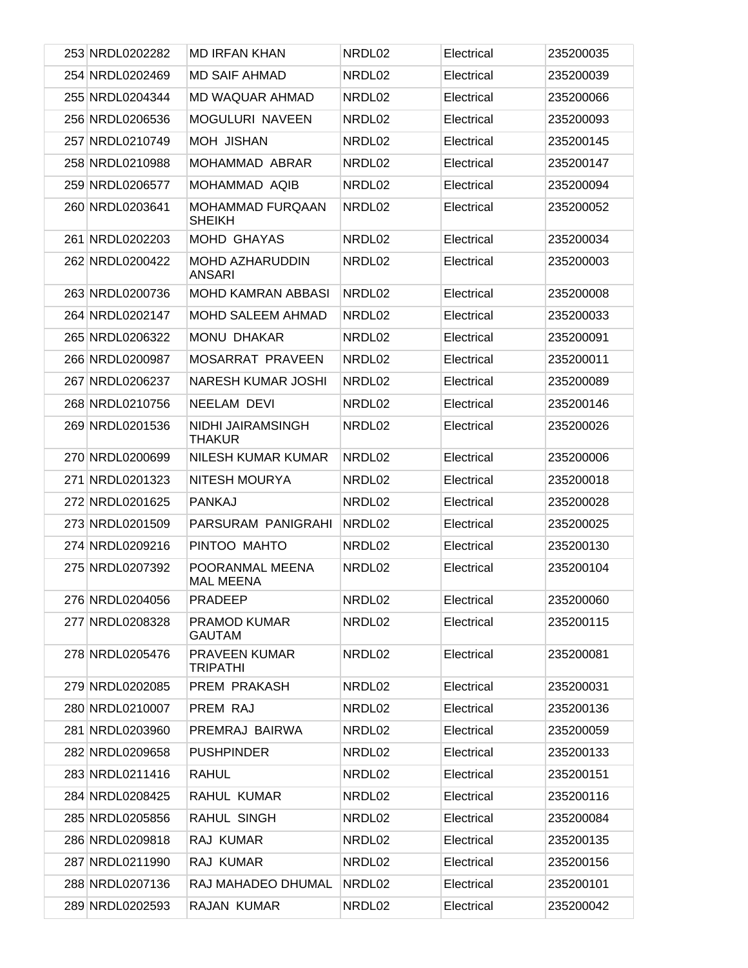| 253 NRDL0202282 | <b>MD IRFAN KHAN</b>                    | NRDL02 | Electrical | 235200035 |
|-----------------|-----------------------------------------|--------|------------|-----------|
| 254 NRDL0202469 | <b>MD SAIF AHMAD</b>                    | NRDL02 | Electrical | 235200039 |
| 255 NRDL0204344 | MD WAQUAR AHMAD                         | NRDL02 | Electrical | 235200066 |
| 256 NRDL0206536 | MOGULURI NAVEEN                         | NRDL02 | Electrical | 235200093 |
| 257 NRDL0210749 | MOH JISHAN                              | NRDL02 | Electrical | 235200145 |
| 258 NRDL0210988 | MOHAMMAD ABRAR                          | NRDL02 | Electrical | 235200147 |
| 259 NRDL0206577 | MOHAMMAD AQIB                           | NRDL02 | Electrical | 235200094 |
| 260 NRDL0203641 | <b>MOHAMMAD FURQAAN</b><br>SHEIKH       | NRDL02 | Electrical | 235200052 |
| 261 NRDL0202203 | MOHD GHAYAS                             | NRDL02 | Electrical | 235200034 |
| 262 NRDL0200422 | <b>MOHD AZHARUDDIN</b><br><b>ANSARI</b> | NRDL02 | Electrical | 235200003 |
| 263 NRDL0200736 | <b>MOHD KAMRAN ABBASI</b>               | NRDL02 | Electrical | 235200008 |
| 264 NRDL0202147 | MOHD SALEEM AHMAD                       | NRDL02 | Electrical | 235200033 |
| 265 NRDL0206322 | MONU DHAKAR                             | NRDL02 | Electrical | 235200091 |
| 266 NRDL0200987 | MOSARRAT PRAVEEN                        | NRDL02 | Electrical | 235200011 |
| 267 NRDL0206237 | <b>NARESH KUMAR JOSHI</b>               | NRDL02 | Electrical | 235200089 |
| 268 NRDL0210756 | NEELAM DEVI                             | NRDL02 | Electrical | 235200146 |
| 269 NRDL0201536 | NIDHI JAIRAMSINGH<br><b>THAKUR</b>      | NRDL02 | Electrical | 235200026 |
| 270 NRDL0200699 | NILESH KUMAR KUMAR                      | NRDL02 | Electrical | 235200006 |
| 271 NRDL0201323 | NITESH MOURYA                           | NRDL02 | Electrical | 235200018 |
| 272 NRDL0201625 | <b>PANKAJ</b>                           | NRDL02 | Electrical | 235200028 |
| 273 NRDL0201509 | PARSURAM PANIGRAHI                      | NRDL02 | Electrical | 235200025 |
| 274 NRDL0209216 | PINTOO MAHTO                            | NRDL02 | Electrical | 235200130 |
| 275 NRDL0207392 | POORANMAL MEENA<br>MAL MEENA            | NRDL02 | Electrical | 235200104 |
| 276 NRDL0204056 | PRADEEP                                 | NRDL02 | Electrical | 235200060 |
| 277 NRDL0208328 | PRAMOD KUMAR<br><b>GAUTAM</b>           | NRDL02 | Electrical | 235200115 |
| 278 NRDL0205476 | <b>PRAVEEN KUMAR</b><br><b>TRIPATHI</b> | NRDL02 | Electrical | 235200081 |
| 279 NRDL0202085 | PREM PRAKASH                            | NRDL02 | Electrical | 235200031 |
| 280 NRDL0210007 | PREM RAJ                                | NRDL02 | Electrical | 235200136 |
| 281 NRDL0203960 | PREMRAJ BAIRWA                          | NRDL02 | Electrical | 235200059 |
| 282 NRDL0209658 | <b>PUSHPINDER</b>                       | NRDL02 | Electrical | 235200133 |
| 283 NRDL0211416 | RAHUL                                   | NRDL02 | Electrical | 235200151 |
| 284 NRDL0208425 | RAHUL KUMAR                             | NRDL02 | Electrical | 235200116 |
| 285 NRDL0205856 | RAHUL SINGH                             | NRDL02 | Electrical | 235200084 |
| 286 NRDL0209818 | RAJ KUMAR                               | NRDL02 | Electrical | 235200135 |
| 287 NRDL0211990 | RAJ KUMAR                               | NRDL02 | Electrical | 235200156 |
| 288 NRDL0207136 | RAJ MAHADEO DHUMAL                      | NRDL02 | Electrical | 235200101 |
| 289 NRDL0202593 | RAJAN KUMAR                             | NRDL02 | Electrical | 235200042 |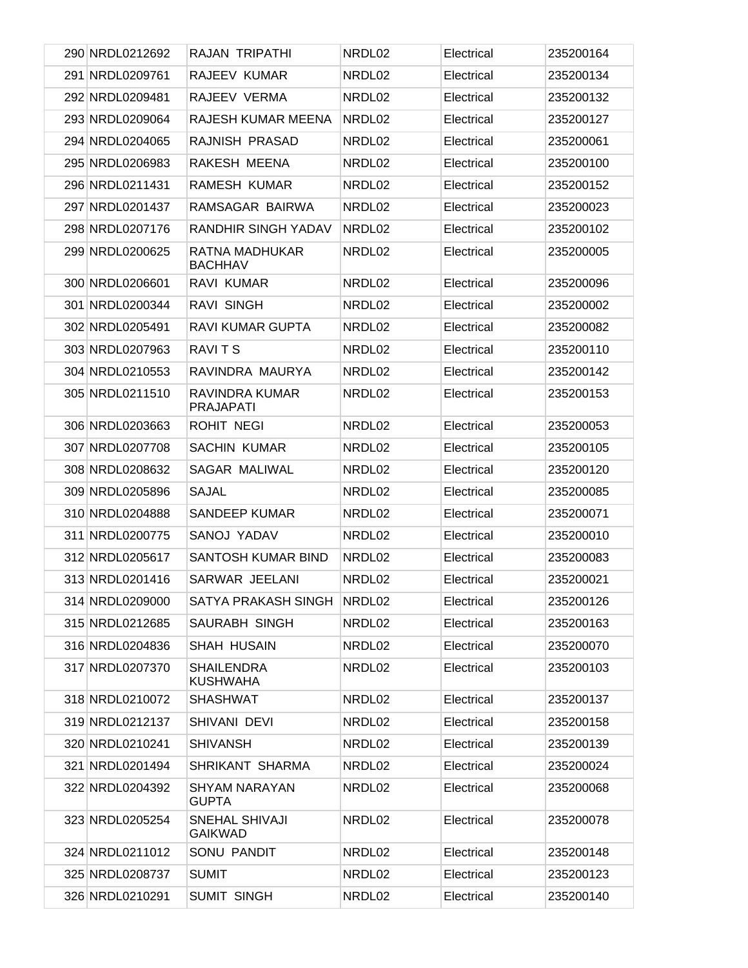| 290 NRDL0212692 | RAJAN TRIPATHI                       | NRDL02 | Electrical | 235200164 |
|-----------------|--------------------------------------|--------|------------|-----------|
| 291 NRDL0209761 | RAJEEV KUMAR                         | NRDL02 | Electrical | 235200134 |
| 292 NRDL0209481 | RAJEEV VERMA                         | NRDL02 | Electrical | 235200132 |
| 293 NRDL0209064 | RAJESH KUMAR MEENA                   | NRDL02 | Electrical | 235200127 |
| 294 NRDL0204065 | RAJNISH PRASAD                       | NRDL02 | Electrical | 235200061 |
| 295 NRDL0206983 | RAKESH MEENA                         | NRDL02 | Electrical | 235200100 |
| 296 NRDL0211431 | RAMESH KUMAR                         | NRDL02 | Electrical | 235200152 |
| 297 NRDL0201437 | RAMSAGAR BAIRWA                      | NRDL02 | Electrical | 235200023 |
| 298 NRDL0207176 | <b>RANDHIR SINGH YADAV</b>           | NRDL02 | Electrical | 235200102 |
| 299 NRDL0200625 | RATNA MADHUKAR<br><b>BACHHAV</b>     | NRDL02 | Electrical | 235200005 |
| 300 NRDL0206601 | RAVI KUMAR                           | NRDL02 | Electrical | 235200096 |
| 301 NRDL0200344 | <b>RAVI SINGH</b>                    | NRDL02 | Electrical | 235200002 |
| 302 NRDL0205491 | <b>RAVI KUMAR GUPTA</b>              | NRDL02 | Electrical | 235200082 |
| 303 NRDL0207963 | <b>RAVITS</b>                        | NRDL02 | Electrical | 235200110 |
| 304 NRDL0210553 | RAVINDRA MAURYA                      | NRDL02 | Electrical | 235200142 |
| 305 NRDL0211510 | RAVINDRA KUMAR<br><b>PRAJAPATI</b>   | NRDL02 | Electrical | 235200153 |
| 306 NRDL0203663 | ROHIT NEGI                           | NRDL02 | Electrical | 235200053 |
| 307 NRDL0207708 | SACHIN KUMAR                         | NRDL02 | Electrical | 235200105 |
| 308 NRDL0208632 | SAGAR MALIWAL                        | NRDL02 | Electrical | 235200120 |
| 309 NRDL0205896 | <b>SAJAL</b>                         | NRDL02 | Electrical | 235200085 |
| 310 NRDL0204888 | <b>SANDEEP KUMAR</b>                 | NRDL02 | Electrical | 235200071 |
| 311 NRDL0200775 | <b>SANOJ YADAV</b>                   | NRDL02 | Electrical | 235200010 |
| 312 NRDL0205617 | <b>SANTOSH KUMAR BIND</b>            | NRDL02 | Electrical | 235200083 |
| 313 NRDL0201416 | <b>SARWAR JEELANI</b>                | NRDL02 | Electrical | 235200021 |
| 314 NRDL0209000 | SATYA PRAKASH SINGH                  | NRDL02 | Electrical | 235200126 |
| 315 NRDL0212685 | <b>SAURABH SINGH</b>                 | NRDL02 | Electrical | 235200163 |
| 316 NRDL0204836 | SHAH HUSAIN                          | NRDL02 | Electrical | 235200070 |
| 317 NRDL0207370 | <b>SHAILENDRA</b><br><b>KUSHWAHA</b> | NRDL02 | Electrical | 235200103 |
| 318 NRDL0210072 | <b>SHASHWAT</b>                      | NRDL02 | Electrical | 235200137 |
| 319 NRDL0212137 | SHIVANI DEVI                         | NRDL02 | Electrical | 235200158 |
| 320 NRDL0210241 | <b>SHIVANSH</b>                      | NRDL02 | Electrical | 235200139 |
| 321 NRDL0201494 | SHRIKANT SHARMA                      | NRDL02 | Electrical | 235200024 |
| 322 NRDL0204392 | SHYAM NARAYAN<br><b>GUPTA</b>        | NRDL02 | Electrical | 235200068 |
| 323 NRDL0205254 | SNEHAL SHIVAJI<br><b>GAIKWAD</b>     | NRDL02 | Electrical | 235200078 |
| 324 NRDL0211012 | SONU PANDIT                          | NRDL02 | Electrical | 235200148 |
| 325 NRDL0208737 | <b>SUMIT</b>                         | NRDL02 | Electrical | 235200123 |
| 326 NRDL0210291 | <b>SUMIT SINGH</b>                   | NRDL02 | Electrical | 235200140 |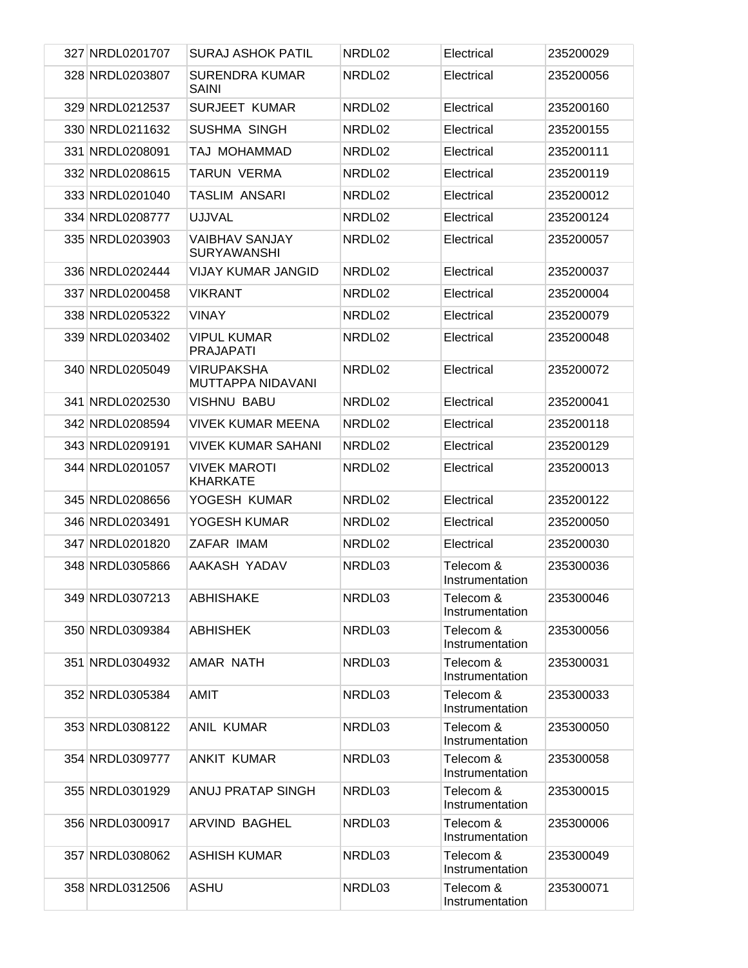| 327 NRDL0201707 | <b>SURAJ ASHOK PATIL</b>                    | NRDL02 | Electrical                   | 235200029 |
|-----------------|---------------------------------------------|--------|------------------------------|-----------|
| 328 NRDL0203807 | <b>SURENDRA KUMAR</b><br><b>SAINI</b>       | NRDL02 | Electrical                   | 235200056 |
| 329 NRDL0212537 | <b>SURJEET KUMAR</b>                        | NRDL02 | Electrical                   | 235200160 |
| 330 NRDL0211632 | <b>SUSHMA SINGH</b>                         | NRDL02 | Electrical                   | 235200155 |
| 331 NRDL0208091 | TAJ MOHAMMAD                                | NRDL02 | Electrical                   | 235200111 |
| 332 NRDL0208615 | TARUN VERMA                                 | NRDL02 | Electrical                   | 235200119 |
| 333 NRDL0201040 | <b>TASLIM ANSARI</b>                        | NRDL02 | Electrical                   | 235200012 |
| 334 NRDL0208777 | <b>UJJVAL</b>                               | NRDL02 | Electrical                   | 235200124 |
| 335 NRDL0203903 | <b>VAIBHAV SANJAY</b><br><b>SURYAWANSHI</b> | NRDL02 | Electrical                   | 235200057 |
| 336 NRDL0202444 | <b>VIJAY KUMAR JANGID</b>                   | NRDL02 | Electrical                   | 235200037 |
| 337 NRDL0200458 | <b>VIKRANT</b>                              | NRDL02 | Electrical                   | 235200004 |
| 338 NRDL0205322 | <b>VINAY</b>                                | NRDL02 | Electrical                   | 235200079 |
| 339 NRDL0203402 | <b>VIPUL KUMAR</b><br><b>PRAJAPATI</b>      | NRDL02 | Electrical                   | 235200048 |
| 340 NRDL0205049 | <b>VIRUPAKSHA</b><br>MUTTAPPA NIDAVANI      | NRDL02 | Electrical                   | 235200072 |
| 341 NRDL0202530 | <b>VISHNU BABU</b>                          | NRDL02 | Electrical                   | 235200041 |
| 342 NRDL0208594 | <b>VIVEK KUMAR MEENA</b>                    | NRDL02 | Electrical                   | 235200118 |
| 343 NRDL0209191 | VIVEK KUMAR SAHANI                          | NRDL02 | Electrical                   | 235200129 |
| 344 NRDL0201057 | <b>VIVEK MAROTI</b><br><b>KHARKATE</b>      | NRDL02 | Electrical                   | 235200013 |
| 345 NRDL0208656 | YOGESH KUMAR                                | NRDL02 | Electrical                   | 235200122 |
| 346 NRDL0203491 | YOGESH KUMAR                                | NRDL02 | Electrical                   | 235200050 |
| 347 NRDL0201820 | ZAFAR IMAM                                  | NRDL02 | Electrical                   | 235200030 |
| 348 NRDL0305866 | AAKASH YADAV                                | NRDL03 | Telecom &<br>Instrumentation | 235300036 |
| 349 NRDL0307213 | <b>ABHISHAKE</b>                            | NRDL03 | Telecom &<br>Instrumentation | 235300046 |
| 350 NRDL0309384 | <b>ABHISHEK</b>                             | NRDL03 | Telecom &<br>Instrumentation | 235300056 |
| 351 NRDL0304932 | AMAR NATH                                   | NRDL03 | Telecom &<br>Instrumentation | 235300031 |
| 352 NRDL0305384 | AMIT                                        | NRDL03 | Telecom &<br>Instrumentation | 235300033 |
| 353 NRDL0308122 | <b>ANIL KUMAR</b>                           | NRDL03 | Telecom &<br>Instrumentation | 235300050 |
| 354 NRDL0309777 | <b>ANKIT KUMAR</b>                          | NRDL03 | Telecom &<br>Instrumentation | 235300058 |
| 355 NRDL0301929 | ANUJ PRATAP SINGH                           | NRDL03 | Telecom &<br>Instrumentation | 235300015 |
| 356 NRDL0300917 | ARVIND BAGHEL                               | NRDL03 | Telecom &<br>Instrumentation | 235300006 |
| 357 NRDL0308062 | <b>ASHISH KUMAR</b>                         | NRDL03 | Telecom &<br>Instrumentation | 235300049 |
| 358 NRDL0312506 | <b>ASHU</b>                                 | NRDL03 | Telecom &<br>Instrumentation | 235300071 |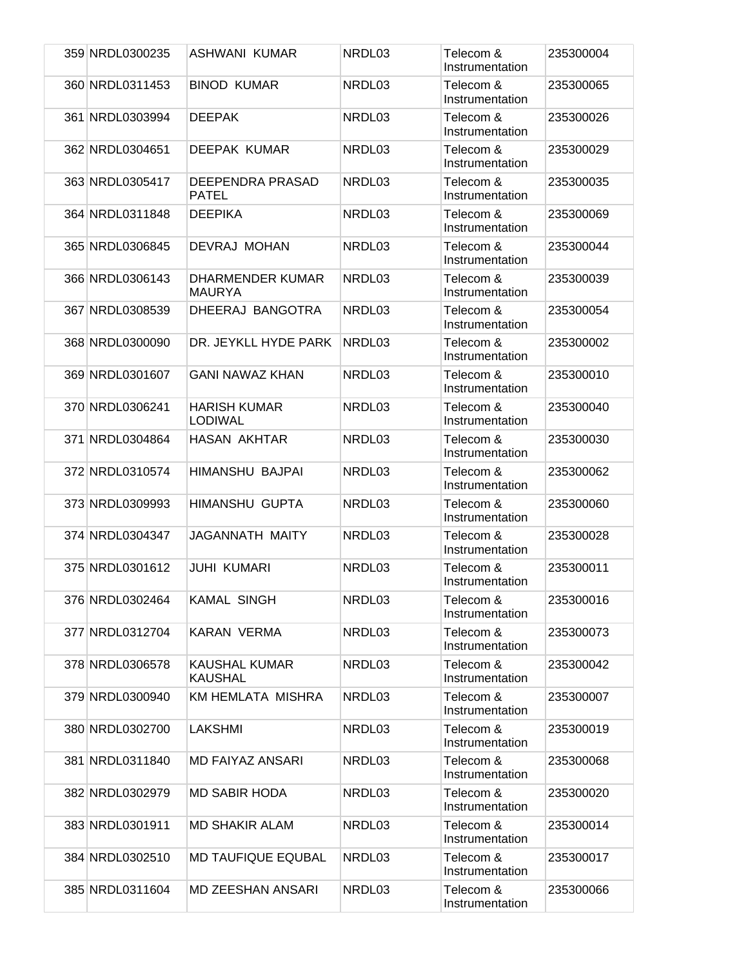| 359 NRDL0300235 | ASHWANI KUMAR                          | NRDL03 | Telecom &<br>Instrumentation | 235300004 |
|-----------------|----------------------------------------|--------|------------------------------|-----------|
| 360 NRDL0311453 | <b>BINOD KUMAR</b>                     | NRDL03 | Telecom &<br>Instrumentation | 235300065 |
| 361 NRDL0303994 | <b>DEEPAK</b>                          | NRDL03 | Telecom &<br>Instrumentation | 235300026 |
| 362 NRDL0304651 | <b>DEEPAK KUMAR</b>                    | NRDL03 | Telecom &<br>Instrumentation | 235300029 |
| 363 NRDL0305417 | DEEPENDRA PRASAD<br><b>PATEL</b>       | NRDL03 | Telecom &<br>Instrumentation | 235300035 |
| 364 NRDL0311848 | <b>DEEPIKA</b>                         | NRDL03 | Telecom &<br>Instrumentation | 235300069 |
| 365 NRDL0306845 | DEVRAJ MOHAN                           | NRDL03 | Telecom &<br>Instrumentation | 235300044 |
| 366 NRDL0306143 | DHARMENDER KUMAR<br><b>MAURYA</b>      | NRDL03 | Telecom &<br>Instrumentation | 235300039 |
| 367 NRDL0308539 | DHEERAJ BANGOTRA                       | NRDL03 | Telecom &<br>Instrumentation | 235300054 |
| 368 NRDL0300090 | DR. JEYKLL HYDE PARK                   | NRDL03 | Telecom &<br>Instrumentation | 235300002 |
| 369 NRDL0301607 | <b>GANI NAWAZ KHAN</b>                 | NRDL03 | Telecom &<br>Instrumentation | 235300010 |
| 370 NRDL0306241 | <b>HARISH KUMAR</b><br><b>LODIWAL</b>  | NRDL03 | Telecom &<br>Instrumentation | 235300040 |
| 371 NRDL0304864 | <b>HASAN AKHTAR</b>                    | NRDL03 | Telecom &<br>Instrumentation | 235300030 |
| 372 NRDL0310574 | HIMANSHU BAJPAI                        | NRDL03 | Telecom &<br>Instrumentation | 235300062 |
| 373 NRDL0309993 | <b>HIMANSHU GUPTA</b>                  | NRDL03 | Telecom &<br>Instrumentation | 235300060 |
| 374 NRDL0304347 | <b>JAGANNATH MAITY</b>                 | NRDL03 | Telecom &<br>Instrumentation | 235300028 |
| 375 NRDL0301612 | <b>JUHI KUMARI</b>                     | NRDL03 | Telecom &<br>Instrumentation | 235300011 |
| 376 NRDL0302464 | <b>KAMAL SINGH</b>                     | NRDL03 | Telecom &<br>Instrumentation | 235300016 |
| 377 NRDL0312704 | <b>KARAN VERMA</b>                     | NRDL03 | Telecom &<br>Instrumentation | 235300073 |
| 378 NRDL0306578 | <b>KAUSHAL KUMAR</b><br><b>KAUSHAL</b> | NRDL03 | Telecom &<br>Instrumentation | 235300042 |
| 379 NRDL0300940 | KM HEMLATA MISHRA                      | NRDL03 | Telecom &<br>Instrumentation | 235300007 |
| 380 NRDL0302700 | <b>LAKSHMI</b>                         | NRDL03 | Telecom &<br>Instrumentation | 235300019 |
| 381 NRDL0311840 | MD FAIYAZ ANSARI                       | NRDL03 | Telecom &<br>Instrumentation | 235300068 |
| 382 NRDL0302979 | <b>MD SABIR HODA</b>                   | NRDL03 | Telecom &<br>Instrumentation | 235300020 |
| 383 NRDL0301911 | <b>MD SHAKIR ALAM</b>                  | NRDL03 | Telecom &<br>Instrumentation | 235300014 |
| 384 NRDL0302510 | <b>MD TAUFIQUE EQUBAL</b>              | NRDL03 | Telecom &<br>Instrumentation | 235300017 |
| 385 NRDL0311604 | <b>MD ZEESHAN ANSARI</b>               | NRDL03 | Telecom &<br>Instrumentation | 235300066 |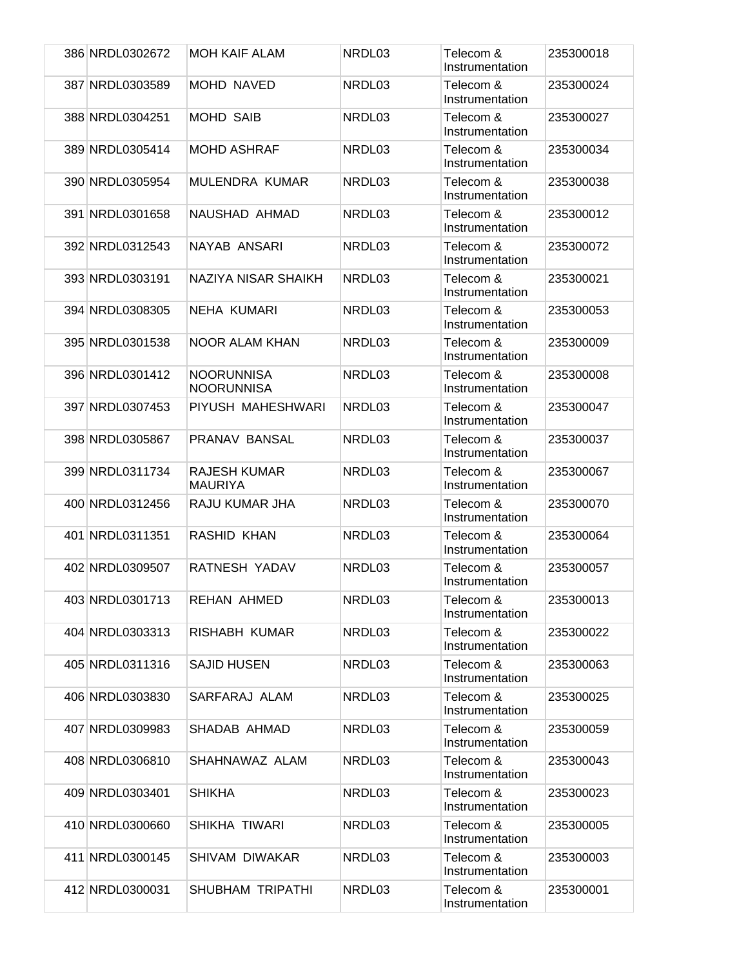| 386 NRDL0302672 | <b>MOH KAIF ALAM</b>                   | NRDL03 | Telecom &<br>Instrumentation | 235300018 |
|-----------------|----------------------------------------|--------|------------------------------|-----------|
| 387 NRDL0303589 | <b>MOHD NAVED</b>                      | NRDL03 | Telecom &<br>Instrumentation | 235300024 |
| 388 NRDL0304251 | <b>MOHD SAIB</b>                       | NRDL03 | Telecom &<br>Instrumentation | 235300027 |
| 389 NRDL0305414 | <b>MOHD ASHRAF</b>                     | NRDL03 | Telecom &<br>Instrumentation | 235300034 |
| 390 NRDL0305954 | MULENDRA KUMAR                         | NRDL03 | Telecom &<br>Instrumentation | 235300038 |
| 391 NRDL0301658 | NAUSHAD AHMAD                          | NRDL03 | Telecom &<br>Instrumentation | 235300012 |
| 392 NRDL0312543 | NAYAB ANSARI                           | NRDL03 | Telecom &<br>Instrumentation | 235300072 |
| 393 NRDL0303191 | NAZIYA NISAR SHAIKH                    | NRDL03 | Telecom &<br>Instrumentation | 235300021 |
| 394 NRDL0308305 | <b>NEHA KUMARI</b>                     | NRDL03 | Telecom &<br>Instrumentation | 235300053 |
| 395 NRDL0301538 | <b>NOOR ALAM KHAN</b>                  | NRDL03 | Telecom &<br>Instrumentation | 235300009 |
| 396 NRDL0301412 | <b>NOORUNNISA</b><br><b>NOORUNNISA</b> | NRDL03 | Telecom &<br>Instrumentation | 235300008 |
| 397 NRDL0307453 | PIYUSH MAHESHWARI                      | NRDL03 | Telecom &<br>Instrumentation | 235300047 |
| 398 NRDL0305867 | PRANAV BANSAL                          | NRDL03 | Telecom &<br>Instrumentation | 235300037 |
| 399 NRDL0311734 | <b>RAJESH KUMAR</b><br><b>MAURIYA</b>  | NRDL03 | Telecom &<br>Instrumentation | 235300067 |
| 400 NRDL0312456 | RAJU KUMAR JHA                         | NRDL03 | Telecom &<br>Instrumentation | 235300070 |
| 401 NRDL0311351 | <b>RASHID KHAN</b>                     | NRDL03 | Telecom &<br>Instrumentation | 235300064 |
| 402 NRDL0309507 | RATNESH YADAV                          | NRDL03 | Telecom &<br>Instrumentation | 235300057 |
| 403 NRDL0301713 | REHAN AHMED                            | NRDL03 | Telecom &<br>Instrumentation | 235300013 |
| 404 NRDL0303313 | RISHABH KUMAR                          | NRDL03 | Telecom &<br>Instrumentation | 235300022 |
| 405 NRDL0311316 | <b>SAJID HUSEN</b>                     | NRDL03 | Telecom &<br>Instrumentation | 235300063 |
| 406 NRDL0303830 | SARFARAJ ALAM                          | NRDL03 | Telecom &<br>Instrumentation | 235300025 |
| 407 NRDL0309983 | SHADAB AHMAD                           | NRDL03 | Telecom &<br>Instrumentation | 235300059 |
| 408 NRDL0306810 | SHAHNAWAZ ALAM                         | NRDL03 | Telecom &<br>Instrumentation | 235300043 |
| 409 NRDL0303401 | <b>SHIKHA</b>                          | NRDL03 | Telecom &<br>Instrumentation | 235300023 |
| 410 NRDL0300660 | SHIKHA TIWARI                          | NRDL03 | Telecom &<br>Instrumentation | 235300005 |
| 411 NRDL0300145 | SHIVAM DIWAKAR                         | NRDL03 | Telecom &<br>Instrumentation | 235300003 |
| 412 NRDL0300031 | SHUBHAM TRIPATHI                       | NRDL03 | Telecom &<br>Instrumentation | 235300001 |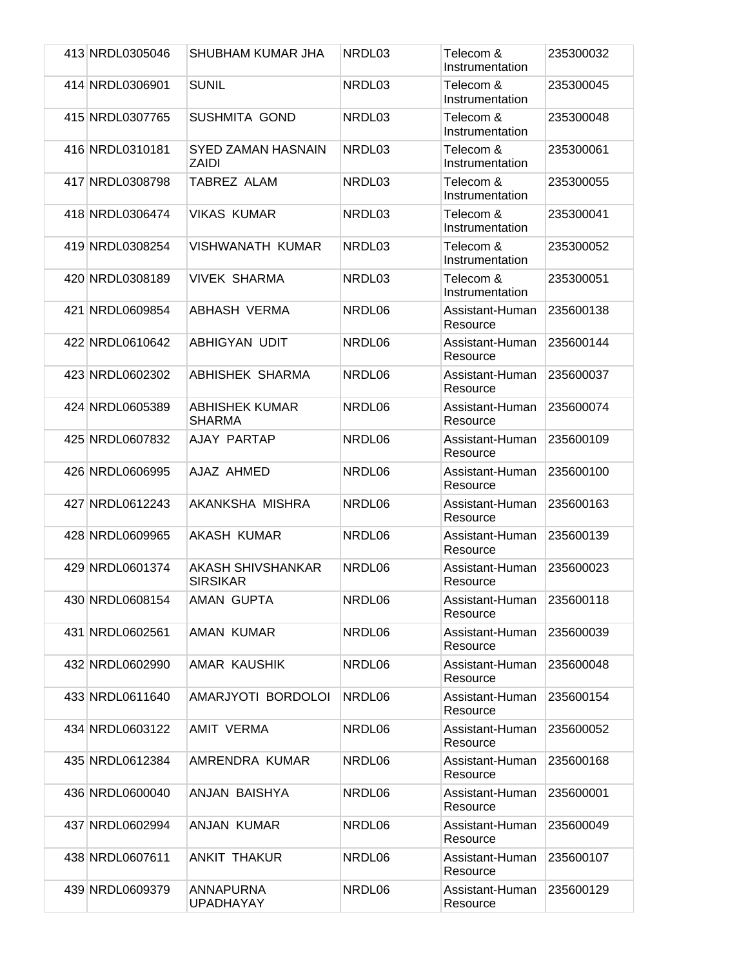| 413 NRDL0305046 | SHUBHAM KUMAR JHA                      | NRDL03 | Telecom &<br>Instrumentation | 235300032 |
|-----------------|----------------------------------------|--------|------------------------------|-----------|
| 414 NRDL0306901 | <b>SUNIL</b>                           | NRDL03 | Telecom &<br>Instrumentation | 235300045 |
| 415 NRDL0307765 | <b>SUSHMITA GOND</b>                   | NRDL03 | Telecom &<br>Instrumentation | 235300048 |
| 416 NRDL0310181 | <b>SYED ZAMAN HASNAIN</b><br>ZAIDI     | NRDL03 | Telecom &<br>Instrumentation | 235300061 |
| 417 NRDL0308798 | TABREZ ALAM                            | NRDL03 | Telecom &<br>Instrumentation | 235300055 |
| 418 NRDL0306474 | <b>VIKAS KUMAR</b>                     | NRDL03 | Telecom &<br>Instrumentation | 235300041 |
| 419 NRDL0308254 | <b>VISHWANATH KUMAR</b>                | NRDL03 | Telecom &<br>Instrumentation | 235300052 |
| 420 NRDL0308189 | <b>VIVEK SHARMA</b>                    | NRDL03 | Telecom &<br>Instrumentation | 235300051 |
| 421 NRDL0609854 | <b>ABHASH VERMA</b>                    | NRDL06 | Assistant-Human<br>Resource  | 235600138 |
| 422 NRDL0610642 | ABHIGYAN UDIT                          | NRDL06 | Assistant-Human<br>Resource  | 235600144 |
| 423 NRDL0602302 | ABHISHEK SHARMA                        | NRDL06 | Assistant-Human<br>Resource  | 235600037 |
| 424 NRDL0605389 | <b>ABHISHEK KUMAR</b><br><b>SHARMA</b> | NRDL06 | Assistant-Human<br>Resource  | 235600074 |
| 425 NRDL0607832 | AJAY PARTAP                            | NRDL06 | Assistant-Human<br>Resource  | 235600109 |
| 426 NRDL0606995 | AJAZ AHMED                             | NRDL06 | Assistant-Human<br>Resource  | 235600100 |
| 427 NRDL0612243 | AKANKSHA MISHRA                        | NRDL06 | Assistant-Human<br>Resource  | 235600163 |
| 428 NRDL0609965 | AKASH KUMAR                            | NRDL06 | Assistant-Human<br>Resource  | 235600139 |
| 429 NRDL0601374 | AKASH SHIVSHANKAR<br><b>SIRSIKAR</b>   | NRDL06 | Assistant-Human<br>Resource  | 235600023 |
| 430 NRDL0608154 | AMAN GUPTA                             | NRDL06 | Assistant-Human<br>Resource  | 235600118 |
| 431 NRDL0602561 | <b>AMAN KUMAR</b>                      | NRDL06 | Assistant-Human<br>Resource  | 235600039 |
| 432 NRDL0602990 | AMAR KAUSHIK                           | NRDL06 | Assistant-Human<br>Resource  | 235600048 |
| 433 NRDL0611640 | AMARJYOTI BORDOLOI                     | NRDL06 | Assistant-Human<br>Resource  | 235600154 |
| 434 NRDL0603122 | <b>AMIT VERMA</b>                      | NRDL06 | Assistant-Human<br>Resource  | 235600052 |
| 435 NRDL0612384 | AMRENDRA KUMAR                         | NRDL06 | Assistant-Human<br>Resource  | 235600168 |
| 436 NRDL0600040 | ANJAN BAISHYA                          | NRDL06 | Assistant-Human<br>Resource  | 235600001 |
| 437 NRDL0602994 | ANJAN KUMAR                            | NRDL06 | Assistant-Human<br>Resource  | 235600049 |
| 438 NRDL0607611 | <b>ANKIT THAKUR</b>                    | NRDL06 | Assistant-Human<br>Resource  | 235600107 |
| 439 NRDL0609379 | ANNAPURNA<br><b>UPADHAYAY</b>          | NRDL06 | Assistant-Human<br>Resource  | 235600129 |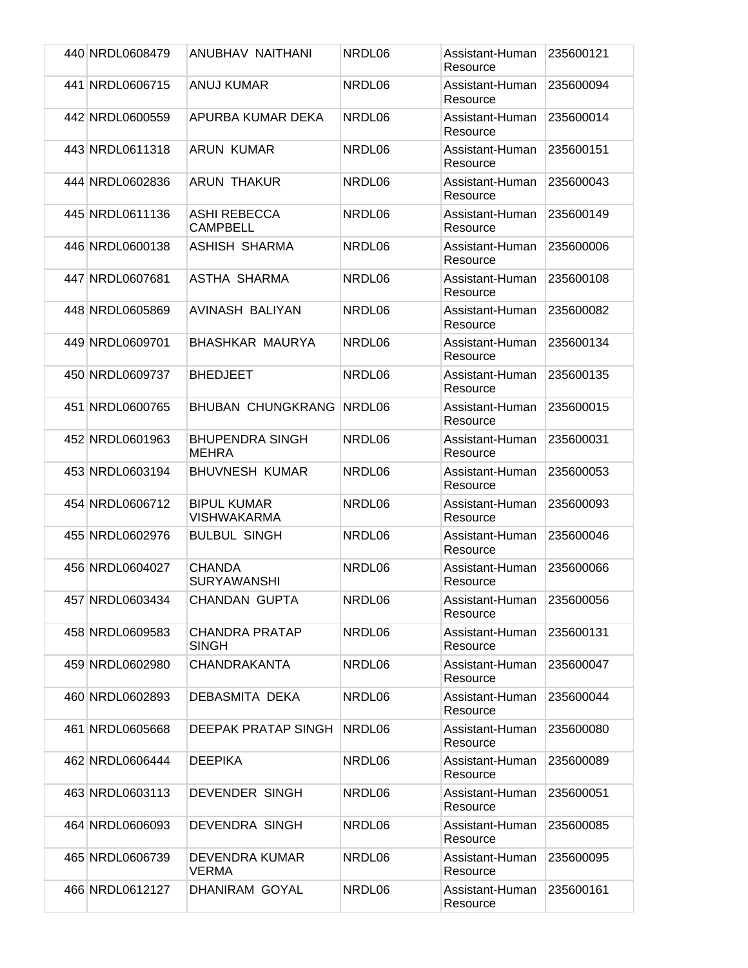| 440 NRDL0608479 | ANUBHAV NAITHANI                         | NRDL06 | Assistant-Human<br>Resource | 235600121 |
|-----------------|------------------------------------------|--------|-----------------------------|-----------|
| 441 NRDL0606715 | <b>ANUJ KUMAR</b>                        | NRDL06 | Assistant-Human<br>Resource | 235600094 |
| 442 NRDL0600559 | APURBA KUMAR DEKA                        | NRDL06 | Assistant-Human<br>Resource | 235600014 |
| 443 NRDL0611318 | ARUN KUMAR                               | NRDL06 | Assistant-Human<br>Resource | 235600151 |
| 444 NRDL0602836 | ARUN THAKUR                              | NRDL06 | Assistant-Human<br>Resource | 235600043 |
| 445 NRDL0611136 | <b>ASHI REBECCA</b><br><b>CAMPBELL</b>   | NRDL06 | Assistant-Human<br>Resource | 235600149 |
| 446 NRDL0600138 | <b>ASHISH SHARMA</b>                     | NRDL06 | Assistant-Human<br>Resource | 235600006 |
| 447 NRDL0607681 | ASTHA SHARMA                             | NRDL06 | Assistant-Human<br>Resource | 235600108 |
| 448 NRDL0605869 | AVINASH BALIYAN                          | NRDL06 | Assistant-Human<br>Resource | 235600082 |
| 449 NRDL0609701 | <b>BHASHKAR MAURYA</b>                   | NRDL06 | Assistant-Human<br>Resource | 235600134 |
| 450 NRDL0609737 | <b>BHEDJEET</b>                          | NRDL06 | Assistant-Human<br>Resource | 235600135 |
| 451 NRDL0600765 | <b>BHUBAN CHUNGKRANG</b>                 | NRDL06 | Assistant-Human<br>Resource | 235600015 |
| 452 NRDL0601963 | <b>BHUPENDRA SINGH</b><br><b>MEHRA</b>   | NRDL06 | Assistant-Human<br>Resource | 235600031 |
| 453 NRDL0603194 | <b>BHUVNESH KUMAR</b>                    | NRDL06 | Assistant-Human<br>Resource | 235600053 |
| 454 NRDL0606712 | <b>BIPUL KUMAR</b><br><b>VISHWAKARMA</b> | NRDL06 | Assistant-Human<br>Resource | 235600093 |
| 455 NRDL0602976 | <b>BULBUL SINGH</b>                      | NRDL06 | Assistant-Human<br>Resource | 235600046 |
| 456 NRDL0604027 | <b>CHANDA</b><br><b>SURYAWANSHI</b>      | NRDL06 | Assistant-Human<br>Resource | 235600066 |
| 457 NRDL0603434 | <b>CHANDAN GUPTA</b>                     | NRDL06 | Assistant-Human<br>Resource | 235600056 |
| 458 NRDL0609583 | <b>CHANDRA PRATAP</b><br><b>SINGH</b>    | NRDL06 | Assistant-Human<br>Resource | 235600131 |
| 459 NRDL0602980 | CHANDRAKANTA                             | NRDL06 | Assistant-Human<br>Resource | 235600047 |
| 460 NRDL0602893 | DEBASMITA DEKA                           | NRDL06 | Assistant-Human<br>Resource | 235600044 |
| 461 NRDL0605668 | DEEPAK PRATAP SINGH                      | NRDL06 | Assistant-Human<br>Resource | 235600080 |
| 462 NRDL0606444 | <b>DEEPIKA</b>                           | NRDL06 | Assistant-Human<br>Resource | 235600089 |
| 463 NRDL0603113 | DEVENDER SINGH                           | NRDL06 | Assistant-Human<br>Resource | 235600051 |
| 464 NRDL0606093 | <b>DEVENDRA SINGH</b>                    | NRDL06 | Assistant-Human<br>Resource | 235600085 |
| 465 NRDL0606739 | DEVENDRA KUMAR<br><b>VERMA</b>           | NRDL06 | Assistant-Human<br>Resource | 235600095 |
| 466 NRDL0612127 | DHANIRAM GOYAL                           | NRDL06 | Assistant-Human<br>Resource | 235600161 |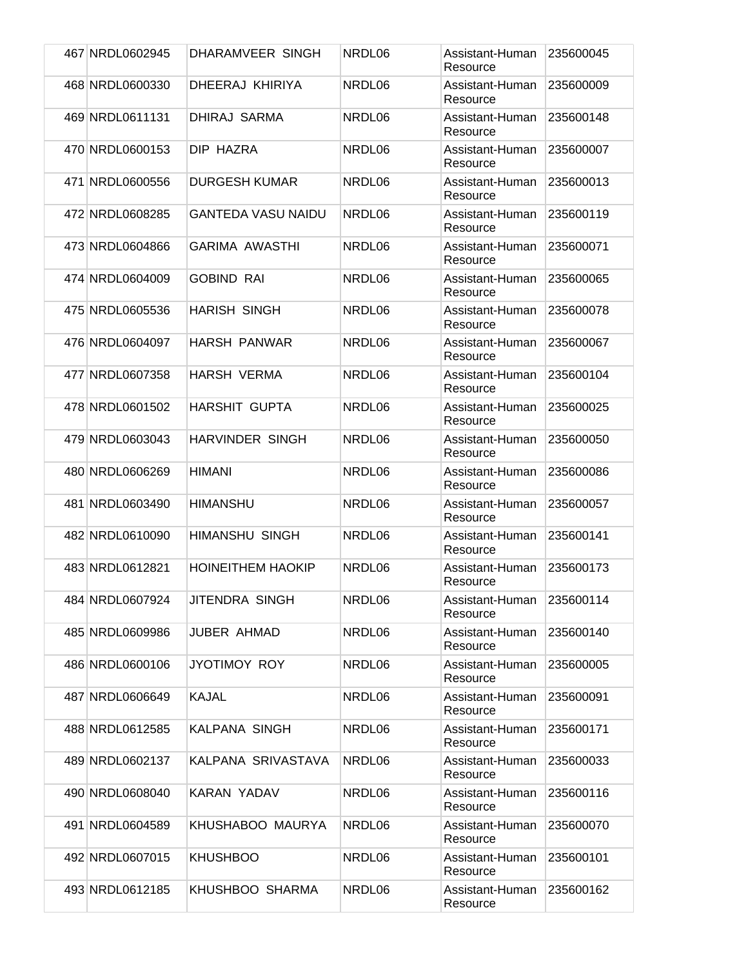| 467 NRDL0602945 | DHARAMVEER SINGH          | NRDL06 | Assistant-Human<br>Resource | 235600045 |
|-----------------|---------------------------|--------|-----------------------------|-----------|
| 468 NRDL0600330 | DHEERAJ KHIRIYA           | NRDL06 | Assistant-Human<br>Resource | 235600009 |
| 469 NRDL0611131 | DHIRAJ SARMA              | NRDL06 | Assistant-Human<br>Resource | 235600148 |
| 470 NRDL0600153 | DIP HAZRA                 | NRDL06 | Assistant-Human<br>Resource | 235600007 |
| 471 NRDL0600556 | <b>DURGESH KUMAR</b>      | NRDL06 | Assistant-Human<br>Resource | 235600013 |
| 472 NRDL0608285 | <b>GANTEDA VASU NAIDU</b> | NRDL06 | Assistant-Human<br>Resource | 235600119 |
| 473 NRDL0604866 | <b>GARIMA AWASTHI</b>     | NRDL06 | Assistant-Human<br>Resource | 235600071 |
| 474 NRDL0604009 | <b>GOBIND RAI</b>         | NRDL06 | Assistant-Human<br>Resource | 235600065 |
| 475 NRDL0605536 | <b>HARISH SINGH</b>       | NRDL06 | Assistant-Human<br>Resource | 235600078 |
| 476 NRDL0604097 | <b>HARSH PANWAR</b>       | NRDL06 | Assistant-Human<br>Resource | 235600067 |
| 477 NRDL0607358 | <b>HARSH VERMA</b>        | NRDL06 | Assistant-Human<br>Resource | 235600104 |
| 478 NRDL0601502 | <b>HARSHIT GUPTA</b>      | NRDL06 | Assistant-Human<br>Resource | 235600025 |
| 479 NRDL0603043 | <b>HARVINDER SINGH</b>    | NRDL06 | Assistant-Human<br>Resource | 235600050 |
| 480 NRDL0606269 | HIMANI                    | NRDL06 | Assistant-Human<br>Resource | 235600086 |
| 481 NRDL0603490 | <b>HIMANSHU</b>           | NRDL06 | Assistant-Human<br>Resource | 235600057 |
| 482 NRDL0610090 | <b>HIMANSHU SINGH</b>     | NRDL06 | Assistant-Human<br>Resource | 235600141 |
| 483 NRDL0612821 | <b>HOINEITHEM HAOKIP</b>  | NRDL06 | Assistant-Human<br>Resource | 235600173 |
| 484 NRDL0607924 | JITENDRA SINGH            | NRDL06 | Assistant-Human<br>Resource | 235600114 |
| 485 NRDL0609986 | JUBER AHMAD               | NRDL06 | Assistant-Human<br>Resource | 235600140 |
| 486 NRDL0600106 | JYOTIMOY ROY              | NRDL06 | Assistant-Human<br>Resource | 235600005 |
| 487 NRDL0606649 | <b>KAJAL</b>              | NRDL06 | Assistant-Human<br>Resource | 235600091 |
| 488 NRDL0612585 | KALPANA SINGH             | NRDL06 | Assistant-Human<br>Resource | 235600171 |
| 489 NRDL0602137 | KALPANA SRIVASTAVA        | NRDL06 | Assistant-Human<br>Resource | 235600033 |
| 490 NRDL0608040 | KARAN YADAV               | NRDL06 | Assistant-Human<br>Resource | 235600116 |
| 491 NRDL0604589 | KHUSHABOO MAURYA          | NRDL06 | Assistant-Human<br>Resource | 235600070 |
| 492 NRDL0607015 | <b>KHUSHBOO</b>           | NRDL06 | Assistant-Human<br>Resource | 235600101 |
| 493 NRDL0612185 | KHUSHBOO SHARMA           | NRDL06 | Assistant-Human<br>Resource | 235600162 |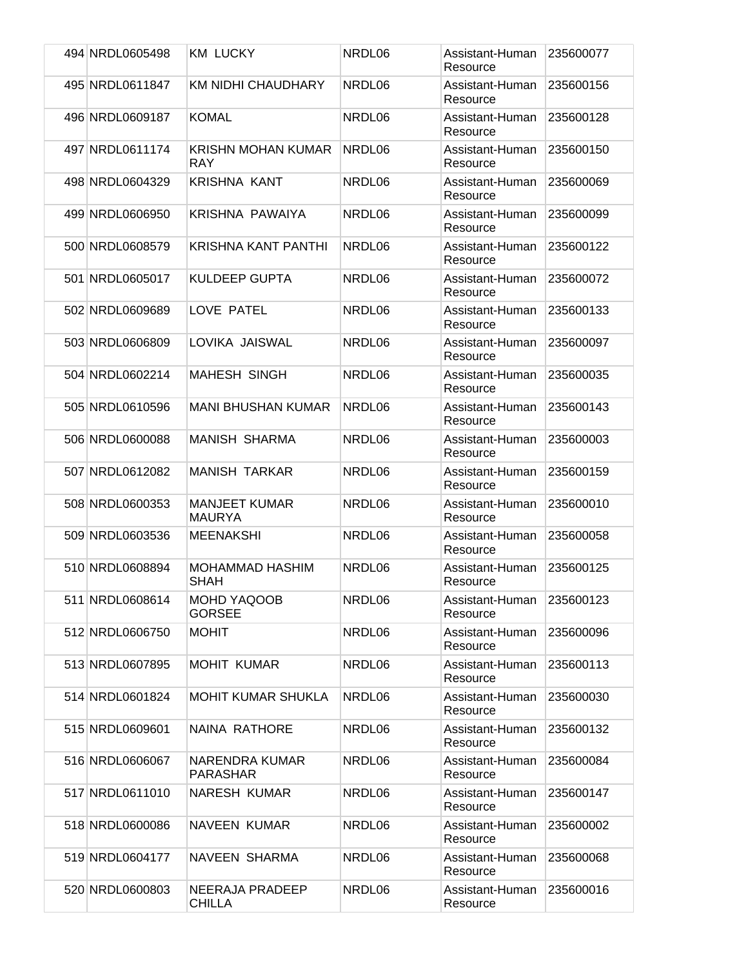| 494 NRDL0605498 | <b>KM LUCKY</b>                       | NRDL06 | Assistant-Human<br>Resource | 235600077 |
|-----------------|---------------------------------------|--------|-----------------------------|-----------|
| 495 NRDL0611847 | <b>KM NIDHI CHAUDHARY</b>             | NRDL06 | Assistant-Human<br>Resource | 235600156 |
| 496 NRDL0609187 | <b>KOMAL</b>                          | NRDL06 | Assistant-Human<br>Resource | 235600128 |
| 497 NRDL0611174 | <b>KRISHN MOHAN KUMAR</b><br>RAY      | NRDL06 | Assistant-Human<br>Resource | 235600150 |
| 498 NRDL0604329 | <b>KRISHNA KANT</b>                   | NRDL06 | Assistant-Human<br>Resource | 235600069 |
| 499 NRDL0606950 | KRISHNA PAWAIYA                       | NRDL06 | Assistant-Human<br>Resource | 235600099 |
| 500 NRDL0608579 | <b>KRISHNA KANT PANTHI</b>            | NRDL06 | Assistant-Human<br>Resource | 235600122 |
| 501 NRDL0605017 | <b>KULDEEP GUPTA</b>                  | NRDL06 | Assistant-Human<br>Resource | 235600072 |
| 502 NRDL0609689 | LOVE PATEL                            | NRDL06 | Assistant-Human<br>Resource | 235600133 |
| 503 NRDL0606809 | LOVIKA JAISWAL                        | NRDL06 | Assistant-Human<br>Resource | 235600097 |
| 504 NRDL0602214 | <b>MAHESH SINGH</b>                   | NRDL06 | Assistant-Human<br>Resource | 235600035 |
| 505 NRDL0610596 | <b>MANI BHUSHAN KUMAR</b>             | NRDL06 | Assistant-Human<br>Resource | 235600143 |
| 506 NRDL0600088 | <b>MANISH SHARMA</b>                  | NRDL06 | Assistant-Human<br>Resource | 235600003 |
| 507 NRDL0612082 | <b>MANISH TARKAR</b>                  | NRDL06 | Assistant-Human<br>Resource | 235600159 |
| 508 NRDL0600353 | <b>MANJEET KUMAR</b><br><b>MAURYA</b> | NRDL06 | Assistant-Human<br>Resource | 235600010 |
| 509 NRDL0603536 | <b>MEENAKSHI</b>                      | NRDL06 | Assistant-Human<br>Resource | 235600058 |
| 510 NRDL0608894 | MOHAMMAD HASHIM<br><b>SHAH</b>        | NRDL06 | Assistant-Human<br>Resource | 235600125 |
| 511 NRDL0608614 | MOHD YAQOOB<br><b>GORSEE</b>          | NRDL06 | Assistant-Human<br>Resource | 235600123 |
| 512 NRDL0606750 | <b>MOHIT</b>                          | NRDL06 | Assistant-Human<br>Resource | 235600096 |
| 513 NRDL0607895 | <b>MOHIT KUMAR</b>                    | NRDL06 | Assistant-Human<br>Resource | 235600113 |
| 514 NRDL0601824 | <b>MOHIT KUMAR SHUKLA</b>             | NRDL06 | Assistant-Human<br>Resource | 235600030 |
| 515 NRDL0609601 | NAINA RATHORE                         | NRDL06 | Assistant-Human<br>Resource | 235600132 |
| 516 NRDL0606067 | NARENDRA KUMAR<br><b>PARASHAR</b>     | NRDL06 | Assistant-Human<br>Resource | 235600084 |
| 517 NRDL0611010 | <b>NARESH KUMAR</b>                   | NRDL06 | Assistant-Human<br>Resource | 235600147 |
| 518 NRDL0600086 | <b>NAVEEN KUMAR</b>                   | NRDL06 | Assistant-Human<br>Resource | 235600002 |
| 519 NRDL0604177 | NAVEEN SHARMA                         | NRDL06 | Assistant-Human<br>Resource | 235600068 |
| 520 NRDL0600803 | NEERAJA PRADEEP<br><b>CHILLA</b>      | NRDL06 | Assistant-Human<br>Resource | 235600016 |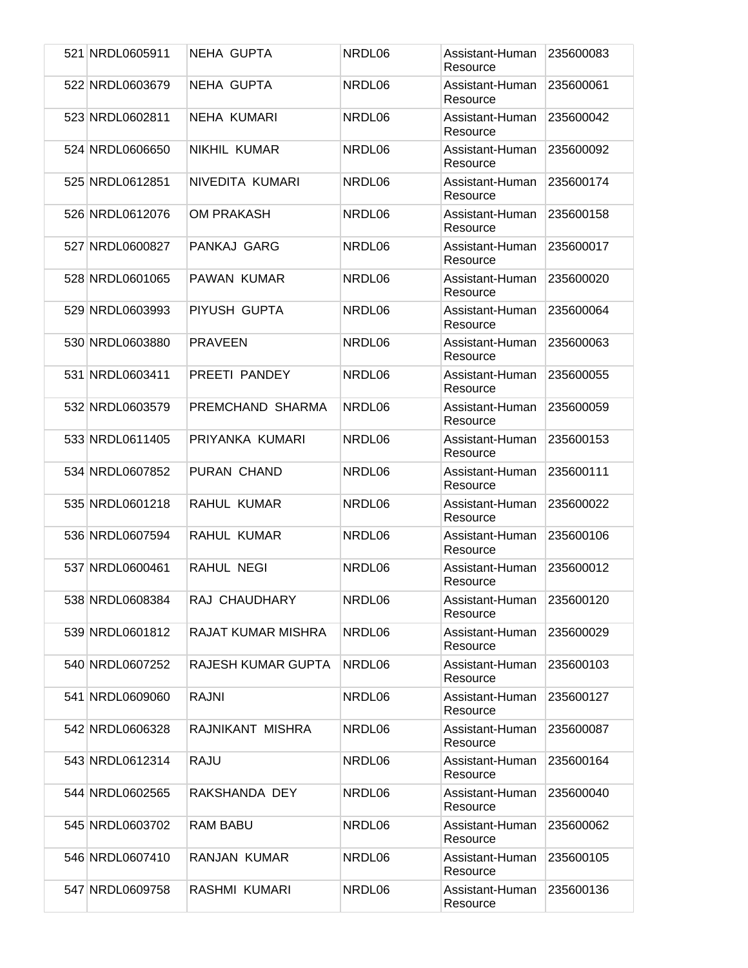| 521 NRDL0605911 | NEHA GUPTA          | NRDL06 | Assistant-Human<br>Resource | 235600083 |
|-----------------|---------------------|--------|-----------------------------|-----------|
| 522 NRDL0603679 | <b>NEHA GUPTA</b>   | NRDL06 | Assistant-Human<br>Resource | 235600061 |
| 523 NRDL0602811 | <b>NEHA KUMARI</b>  | NRDL06 | Assistant-Human<br>Resource | 235600042 |
| 524 NRDL0606650 | <b>NIKHIL KUMAR</b> | NRDL06 | Assistant-Human<br>Resource | 235600092 |
| 525 NRDL0612851 | NIVEDITA KUMARI     | NRDL06 | Assistant-Human<br>Resource | 235600174 |
| 526 NRDL0612076 | <b>OM PRAKASH</b>   | NRDL06 | Assistant-Human<br>Resource | 235600158 |
| 527 NRDL0600827 | PANKAJ GARG         | NRDL06 | Assistant-Human<br>Resource | 235600017 |
| 528 NRDL0601065 | PAWAN KUMAR         | NRDL06 | Assistant-Human<br>Resource | 235600020 |
| 529 NRDL0603993 | PIYUSH GUPTA        | NRDL06 | Assistant-Human<br>Resource | 235600064 |
| 530 NRDL0603880 | <b>PRAVEEN</b>      | NRDL06 | Assistant-Human<br>Resource | 235600063 |
| 531 NRDL0603411 | PREETI PANDEY       | NRDL06 | Assistant-Human<br>Resource | 235600055 |
| 532 NRDL0603579 | PREMCHAND SHARMA    | NRDL06 | Assistant-Human<br>Resource | 235600059 |
| 533 NRDL0611405 | PRIYANKA KUMARI     | NRDL06 | Assistant-Human<br>Resource | 235600153 |
| 534 NRDL0607852 | PURAN CHAND         | NRDL06 | Assistant-Human<br>Resource | 235600111 |
| 535 NRDL0601218 | RAHUL KUMAR         | NRDL06 | Assistant-Human<br>Resource | 235600022 |
| 536 NRDL0607594 | <b>RAHUL KUMAR</b>  | NRDL06 | Assistant-Human<br>Resource | 235600106 |
| 537 NRDL0600461 | RAHUL NEGI          | NRDL06 | Assistant-Human<br>Resource | 235600012 |
| 538 NRDL0608384 | RAJ CHAUDHARY       | NRDL06 | Assistant-Human<br>Resource | 235600120 |
| 539 NRDL0601812 | RAJAT KUMAR MISHRA  | NRDL06 | Assistant-Human<br>Resource | 235600029 |
| 540 NRDL0607252 | RAJESH KUMAR GUPTA  | NRDL06 | Assistant-Human<br>Resource | 235600103 |
| 541 NRDL0609060 | RAJNI               | NRDL06 | Assistant-Human<br>Resource | 235600127 |
| 542 NRDL0606328 | RAJNIKANT MISHRA    | NRDL06 | Assistant-Human<br>Resource | 235600087 |
| 543 NRDL0612314 | <b>RAJU</b>         | NRDL06 | Assistant-Human<br>Resource | 235600164 |
| 544 NRDL0602565 | RAKSHANDA DEY       | NRDL06 | Assistant-Human<br>Resource | 235600040 |
| 545 NRDL0603702 | <b>RAM BABU</b>     | NRDL06 | Assistant-Human<br>Resource | 235600062 |
| 546 NRDL0607410 | RANJAN KUMAR        | NRDL06 | Assistant-Human<br>Resource | 235600105 |
| 547 NRDL0609758 | RASHMI KUMARI       | NRDL06 | Assistant-Human<br>Resource | 235600136 |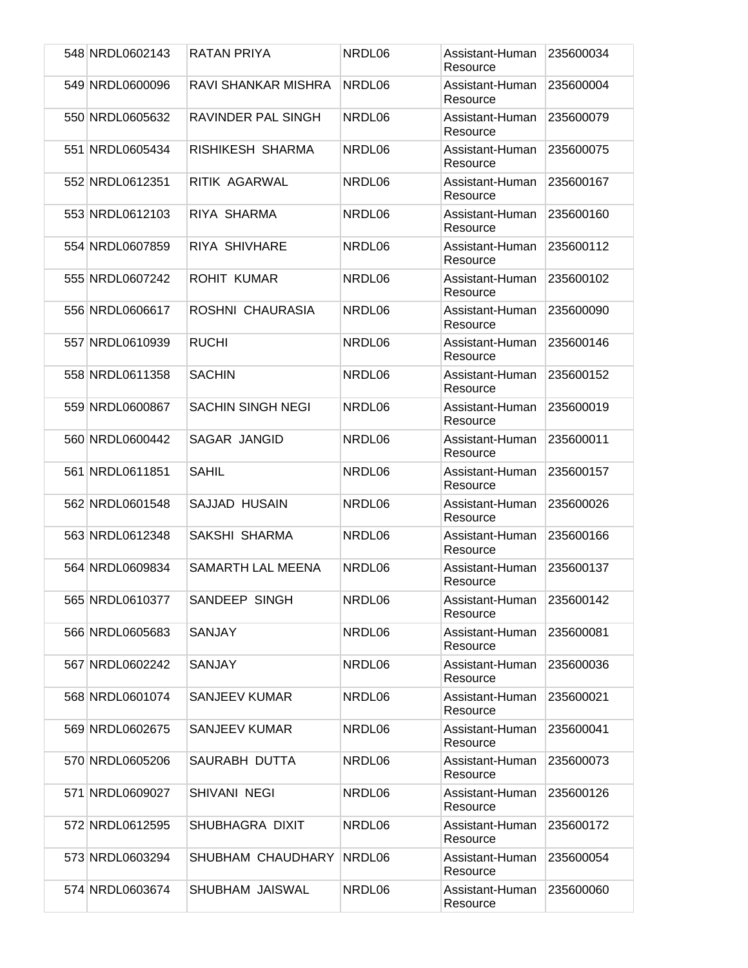| 548 NRDL0602143 | RATAN PRIYA              | NRDL06 | Assistant-Human<br>Resource | 235600034 |
|-----------------|--------------------------|--------|-----------------------------|-----------|
| 549 NRDL0600096 | RAVI SHANKAR MISHRA      | NRDL06 | Assistant-Human<br>Resource | 235600004 |
| 550 NRDL0605632 | RAVINDER PAL SINGH       | NRDL06 | Assistant-Human<br>Resource | 235600079 |
| 551 NRDL0605434 | RISHIKESH SHARMA         | NRDL06 | Assistant-Human<br>Resource | 235600075 |
| 552 NRDL0612351 | <b>RITIK AGARWAL</b>     | NRDL06 | Assistant-Human<br>Resource | 235600167 |
| 553 NRDL0612103 | RIYA SHARMA              | NRDL06 | Assistant-Human<br>Resource | 235600160 |
| 554 NRDL0607859 | <b>RIYA SHIVHARE</b>     | NRDL06 | Assistant-Human<br>Resource | 235600112 |
| 555 NRDL0607242 | <b>ROHIT KUMAR</b>       | NRDL06 | Assistant-Human<br>Resource | 235600102 |
| 556 NRDL0606617 | ROSHNI CHAURASIA         | NRDL06 | Assistant-Human<br>Resource | 235600090 |
| 557 NRDL0610939 | <b>RUCHI</b>             | NRDL06 | Assistant-Human<br>Resource | 235600146 |
| 558 NRDL0611358 | <b>SACHIN</b>            | NRDL06 | Assistant-Human<br>Resource | 235600152 |
| 559 NRDL0600867 | <b>SACHIN SINGH NEGI</b> | NRDL06 | Assistant-Human<br>Resource | 235600019 |
| 560 NRDL0600442 | SAGAR JANGID             | NRDL06 | Assistant-Human<br>Resource | 235600011 |
| 561 NRDL0611851 | <b>SAHIL</b>             | NRDL06 | Assistant-Human<br>Resource | 235600157 |
| 562 NRDL0601548 | SAJJAD HUSAIN            | NRDL06 | Assistant-Human<br>Resource | 235600026 |
| 563 NRDL0612348 | SAKSHI SHARMA            | NRDL06 | Assistant-Human<br>Resource | 235600166 |
| 564 NRDL0609834 | SAMARTH LAL MEENA        | NRDL06 | Assistant-Human<br>Resource | 235600137 |
| 565 NRDL0610377 | SANDEEP SINGH            | NRDL06 | Assistant-Human<br>Resource | 235600142 |
| 566 NRDL0605683 | <b>SANJAY</b>            | NRDL06 | Assistant-Human<br>Resource | 235600081 |
| 567 NRDL0602242 | <b>SANJAY</b>            | NRDL06 | Assistant-Human<br>Resource | 235600036 |
| 568 NRDL0601074 | SANJEEV KUMAR            | NRDL06 | Assistant-Human<br>Resource | 235600021 |
| 569 NRDL0602675 | <b>SANJEEV KUMAR</b>     | NRDL06 | Assistant-Human<br>Resource | 235600041 |
| 570 NRDL0605206 | SAURABH DUTTA            | NRDL06 | Assistant-Human<br>Resource | 235600073 |
| 571 NRDL0609027 | SHIVANI NEGI             | NRDL06 | Assistant-Human<br>Resource | 235600126 |
| 572 NRDL0612595 | SHUBHAGRA DIXIT          | NRDL06 | Assistant-Human<br>Resource | 235600172 |
| 573 NRDL0603294 | SHUBHAM CHAUDHARY        | NRDL06 | Assistant-Human<br>Resource | 235600054 |
| 574 NRDL0603674 | SHUBHAM JAISWAL          | NRDL06 | Assistant-Human<br>Resource | 235600060 |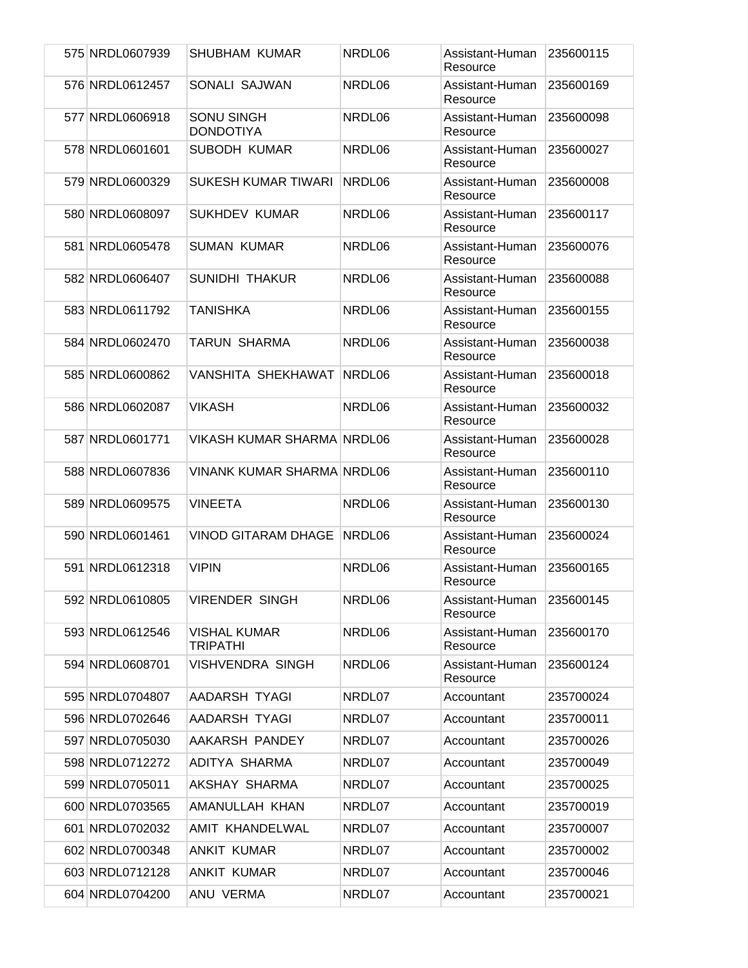| 575 NRDL0607939 | SHUBHAM KUMAR                          | NRDL06 | Assistant-Human<br>Resource | 235600115 |
|-----------------|----------------------------------------|--------|-----------------------------|-----------|
| 576 NRDL0612457 | SONALI SAJWAN                          | NRDL06 | Assistant-Human<br>Resource | 235600169 |
| 577 NRDL0606918 | <b>SONU SINGH</b><br><b>DONDOTIYA</b>  | NRDL06 | Assistant-Human<br>Resource | 235600098 |
| 578 NRDL0601601 | <b>SUBODH KUMAR</b>                    | NRDL06 | Assistant-Human<br>Resource | 235600027 |
| 579 NRDL0600329 | <b>SUKESH KUMAR TIWARI</b>             | NRDL06 | Assistant-Human<br>Resource | 235600008 |
| 580 NRDL0608097 | <b>SUKHDEV KUMAR</b>                   | NRDL06 | Assistant-Human<br>Resource | 235600117 |
| 581 NRDL0605478 | <b>SUMAN KUMAR</b>                     | NRDL06 | Assistant-Human<br>Resource | 235600076 |
| 582 NRDL0606407 | <b>SUNIDHI THAKUR</b>                  | NRDL06 | Assistant-Human<br>Resource | 235600088 |
| 583 NRDL0611792 | <b>TANISHKA</b>                        | NRDL06 | Assistant-Human<br>Resource | 235600155 |
| 584 NRDL0602470 | TARUN SHARMA                           | NRDL06 | Assistant-Human<br>Resource | 235600038 |
| 585 NRDL0600862 | VANSHITA SHEKHAWAT                     | NRDL06 | Assistant-Human<br>Resource | 235600018 |
| 586 NRDL0602087 | <b>VIKASH</b>                          | NRDL06 | Assistant-Human<br>Resource | 235600032 |
| 587 NRDL0601771 | <b>VIKASH KUMAR SHARMA NRDL06</b>      |        | Assistant-Human<br>Resource | 235600028 |
| 588 NRDL0607836 | <b>VINANK KUMAR SHARMA NRDL06</b>      |        | Assistant-Human<br>Resource | 235600110 |
| 589 NRDL0609575 | <b>VINEETA</b>                         | NRDL06 | Assistant-Human<br>Resource | 235600130 |
| 590 NRDL0601461 | <b>VINOD GITARAM DHAGE</b>             | NRDL06 | Assistant-Human<br>Resource | 235600024 |
| 591 NRDL0612318 | <b>VIPIN</b>                           | NRDL06 | Assistant-Human<br>Resource | 235600165 |
| 592 NRDL0610805 | <b>VIRENDER SINGH</b>                  | NRDL06 | Assistant-Human<br>Resource | 235600145 |
| 593 NRDL0612546 | <b>VISHAL KUMAR</b><br><b>TRIPATHI</b> | NRDL06 | Assistant-Human<br>Resource | 235600170 |
| 594 NRDL0608701 | <b>VISHVENDRA SINGH</b>                | NRDL06 | Assistant-Human<br>Resource | 235600124 |
| 595 NRDL0704807 | AADARSH TYAGI                          | NRDL07 | Accountant                  | 235700024 |
| 596 NRDL0702646 | AADARSH TYAGI                          | NRDL07 | Accountant                  | 235700011 |
| 597 NRDL0705030 | AAKARSH PANDEY                         | NRDL07 | Accountant                  | 235700026 |
| 598 NRDL0712272 | ADITYA SHARMA                          | NRDL07 | Accountant                  | 235700049 |
| 599 NRDL0705011 | AKSHAY SHARMA                          | NRDL07 | Accountant                  | 235700025 |
| 600 NRDL0703565 | AMANULLAH KHAN                         | NRDL07 | Accountant                  | 235700019 |
| 601 NRDL0702032 | AMIT KHANDELWAL                        | NRDL07 | Accountant                  | 235700007 |
| 602 NRDL0700348 | <b>ANKIT KUMAR</b>                     | NRDL07 | Accountant                  | 235700002 |
| 603 NRDL0712128 | <b>ANKIT KUMAR</b>                     | NRDL07 | Accountant                  | 235700046 |
| 604 NRDL0704200 | ANU VERMA                              | NRDL07 | Accountant                  | 235700021 |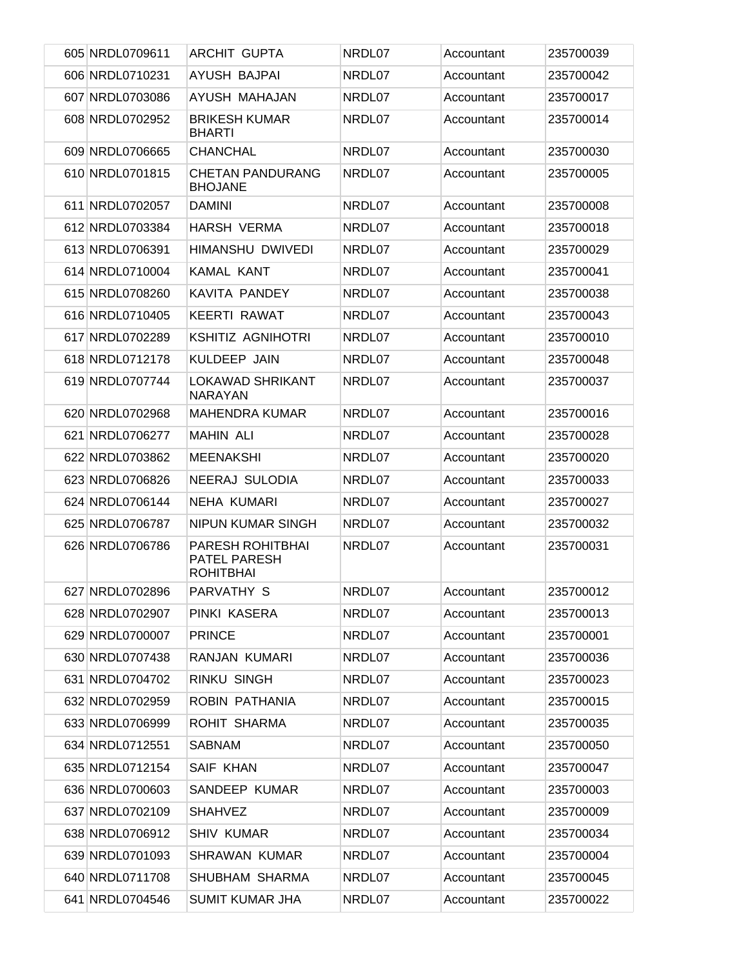| 605 NRDL0709611 | <b>ARCHIT GUPTA</b>                                  | NRDL07 | Accountant | 235700039 |
|-----------------|------------------------------------------------------|--------|------------|-----------|
| 606 NRDL0710231 | AYUSH BAJPAI                                         | NRDL07 | Accountant | 235700042 |
| 607 NRDL0703086 | AYUSH MAHAJAN                                        | NRDL07 | Accountant | 235700017 |
| 608 NRDL0702952 | <b>BRIKESH KUMAR</b><br><b>BHARTI</b>                | NRDL07 | Accountant | 235700014 |
| 609 NRDL0706665 | <b>CHANCHAL</b>                                      | NRDL07 | Accountant | 235700030 |
| 610 NRDL0701815 | <b>CHETAN PANDURANG</b><br><b>BHOJANE</b>            | NRDL07 | Accountant | 235700005 |
| 611 NRDL0702057 | <b>DAMINI</b>                                        | NRDL07 | Accountant | 235700008 |
| 612 NRDL0703384 | <b>HARSH VERMA</b>                                   | NRDL07 | Accountant | 235700018 |
| 613 NRDL0706391 | HIMANSHU DWIVEDI                                     | NRDL07 | Accountant | 235700029 |
| 614 NRDL0710004 | <b>KAMAL KANT</b>                                    | NRDL07 | Accountant | 235700041 |
| 615 NRDL0708260 | KAVITA PANDEY                                        | NRDL07 | Accountant | 235700038 |
| 616 NRDL0710405 | <b>KEERTI RAWAT</b>                                  | NRDL07 | Accountant | 235700043 |
| 617 NRDL0702289 | <b>KSHITIZ AGNIHOTRI</b>                             | NRDL07 | Accountant | 235700010 |
| 618 NRDL0712178 | KULDEEP JAIN                                         | NRDL07 | Accountant | 235700048 |
| 619 NRDL0707744 | <b>LOKAWAD SHRIKANT</b><br><b>NARAYAN</b>            | NRDL07 | Accountant | 235700037 |
| 620 NRDL0702968 | <b>MAHENDRA KUMAR</b>                                | NRDL07 | Accountant | 235700016 |
| 621 NRDL0706277 | <b>MAHIN ALI</b>                                     | NRDL07 | Accountant | 235700028 |
| 622 NRDL0703862 | <b>MEENAKSHI</b>                                     | NRDL07 | Accountant | 235700020 |
| 623 NRDL0706826 | NEERAJ SULODIA                                       | NRDL07 | Accountant | 235700033 |
| 624 NRDL0706144 | <b>NEHA KUMARI</b>                                   | NRDL07 | Accountant | 235700027 |
| 625 NRDL0706787 | NIPUN KUMAR SINGH                                    | NRDL07 | Accountant | 235700032 |
| 626 NRDL0706786 | PARESH ROHITBHAI<br>PATEL PARESH<br><b>ROHITBHAI</b> | NRDL07 | Accountant | 235700031 |
| 627 NRDL0702896 | PARVATHY S                                           | NRDL07 | Accountant | 235700012 |
| 628 NRDL0702907 | PINKI KASERA                                         | NRDL07 | Accountant | 235700013 |
| 629 NRDL0700007 | <b>PRINCE</b>                                        | NRDL07 | Accountant | 235700001 |
| 630 NRDL0707438 | RANJAN KUMARI                                        | NRDL07 | Accountant | 235700036 |
| 631 NRDL0704702 | <b>RINKU SINGH</b>                                   | NRDL07 | Accountant | 235700023 |
| 632 NRDL0702959 | ROBIN PATHANIA                                       | NRDL07 | Accountant | 235700015 |
| 633 NRDL0706999 | ROHIT SHARMA                                         | NRDL07 | Accountant | 235700035 |
| 634 NRDL0712551 | <b>SABNAM</b>                                        | NRDL07 | Accountant | 235700050 |
| 635 NRDL0712154 | SAIF KHAN                                            | NRDL07 | Accountant | 235700047 |
| 636 NRDL0700603 | SANDEEP KUMAR                                        | NRDL07 | Accountant | 235700003 |
| 637 NRDL0702109 | <b>SHAHVEZ</b>                                       | NRDL07 | Accountant | 235700009 |
| 638 NRDL0706912 | <b>SHIV KUMAR</b>                                    | NRDL07 | Accountant | 235700034 |
| 639 NRDL0701093 | <b>SHRAWAN KUMAR</b>                                 | NRDL07 | Accountant | 235700004 |
| 640 NRDL0711708 | SHUBHAM SHARMA                                       | NRDL07 | Accountant | 235700045 |
| 641 NRDL0704546 | <b>SUMIT KUMAR JHA</b>                               | NRDL07 | Accountant | 235700022 |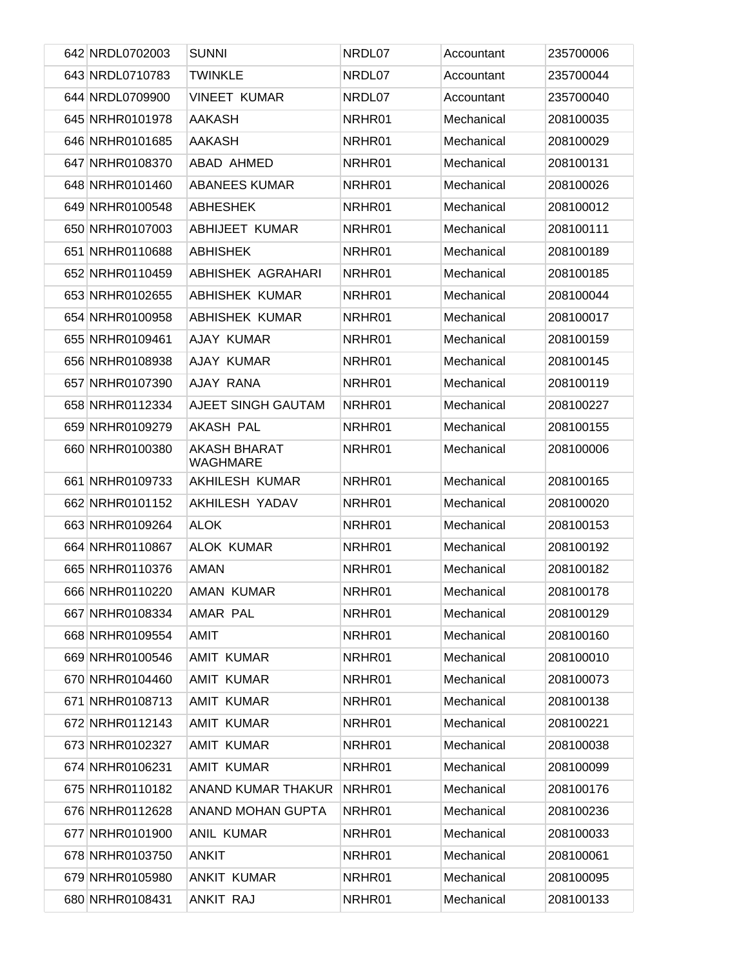| 642 NRDL0702003 | <b>SUNNI</b>                           | NRDL07 | Accountant | 235700006 |
|-----------------|----------------------------------------|--------|------------|-----------|
| 643 NRDL0710783 | <b>TWINKLE</b>                         | NRDL07 | Accountant | 235700044 |
| 644 NRDL0709900 | <b>VINEET KUMAR</b>                    | NRDL07 | Accountant | 235700040 |
| 645 NRHR0101978 | <b>AAKASH</b>                          | NRHR01 | Mechanical | 208100035 |
| 646 NRHR0101685 | <b>AAKASH</b>                          | NRHR01 | Mechanical | 208100029 |
| 647 NRHR0108370 | ABAD AHMED                             | NRHR01 | Mechanical | 208100131 |
| 648 NRHR0101460 | <b>ABANEES KUMAR</b>                   | NRHR01 | Mechanical | 208100026 |
| 649 NRHR0100548 | <b>ABHESHEK</b>                        | NRHR01 | Mechanical | 208100012 |
| 650 NRHR0107003 | ABHIJEET KUMAR                         | NRHR01 | Mechanical | 208100111 |
| 651 NRHR0110688 | <b>ABHISHEK</b>                        | NRHR01 | Mechanical | 208100189 |
| 652 NRHR0110459 | ABHISHEK AGRAHARI                      | NRHR01 | Mechanical | 208100185 |
| 653 NRHR0102655 | <b>ABHISHEK KUMAR</b>                  | NRHR01 | Mechanical | 208100044 |
| 654 NRHR0100958 | <b>ABHISHEK KUMAR</b>                  | NRHR01 | Mechanical | 208100017 |
| 655 NRHR0109461 | AJAY KUMAR                             | NRHR01 | Mechanical | 208100159 |
| 656 NRHR0108938 | AJAY KUMAR                             | NRHR01 | Mechanical | 208100145 |
| 657 NRHR0107390 | AJAY RANA                              | NRHR01 | Mechanical | 208100119 |
| 658 NRHR0112334 | AJEET SINGH GAUTAM                     | NRHR01 | Mechanical | 208100227 |
| 659 NRHR0109279 | AKASH PAL                              | NRHR01 | Mechanical | 208100155 |
| 660 NRHR0100380 | <b>AKASH BHARAT</b><br><b>WAGHMARE</b> | NRHR01 | Mechanical | 208100006 |
| 661 NRHR0109733 | AKHILESH KUMAR                         | NRHR01 | Mechanical | 208100165 |
| 662 NRHR0101152 | AKHILESH YADAV                         | NRHR01 | Mechanical | 208100020 |
| 663 NRHR0109264 | <b>ALOK</b>                            | NRHR01 | Mechanical | 208100153 |
| 664 NRHR0110867 | <b>ALOK KUMAR</b>                      | NRHR01 | Mechanical | 208100192 |
| 665 NRHR0110376 | <b>AMAN</b>                            | NRHR01 | Mechanical | 208100182 |
| 666 NRHR0110220 | <b>AMAN KUMAR</b>                      | NRHR01 | Mechanical | 208100178 |
| 667 NRHR0108334 | AMAR PAL                               | NRHR01 | Mechanical | 208100129 |
| 668 NRHR0109554 | AMIT                                   | NRHR01 | Mechanical | 208100160 |
| 669 NRHR0100546 | <b>AMIT KUMAR</b>                      | NRHR01 | Mechanical | 208100010 |
| 670 NRHR0104460 | <b>AMIT KUMAR</b>                      | NRHR01 | Mechanical | 208100073 |
| 671 NRHR0108713 | AMIT KUMAR                             | NRHR01 | Mechanical | 208100138 |
| 672 NRHR0112143 | AMIT KUMAR                             | NRHR01 | Mechanical | 208100221 |
| 673 NRHR0102327 | AMIT KUMAR                             | NRHR01 | Mechanical | 208100038 |
| 674 NRHR0106231 | AMIT KUMAR                             | NRHR01 | Mechanical | 208100099 |
| 675 NRHR0110182 | ANAND KUMAR THAKUR                     | NRHR01 | Mechanical | 208100176 |
| 676 NRHR0112628 | ANAND MOHAN GUPTA                      | NRHR01 | Mechanical | 208100236 |
| 677 NRHR0101900 | ANIL KUMAR                             | NRHR01 | Mechanical | 208100033 |
| 678 NRHR0103750 | <b>ANKIT</b>                           | NRHR01 | Mechanical | 208100061 |
| 679 NRHR0105980 | <b>ANKIT KUMAR</b>                     | NRHR01 | Mechanical | 208100095 |
| 680 NRHR0108431 | ANKIT RAJ                              | NRHR01 | Mechanical | 208100133 |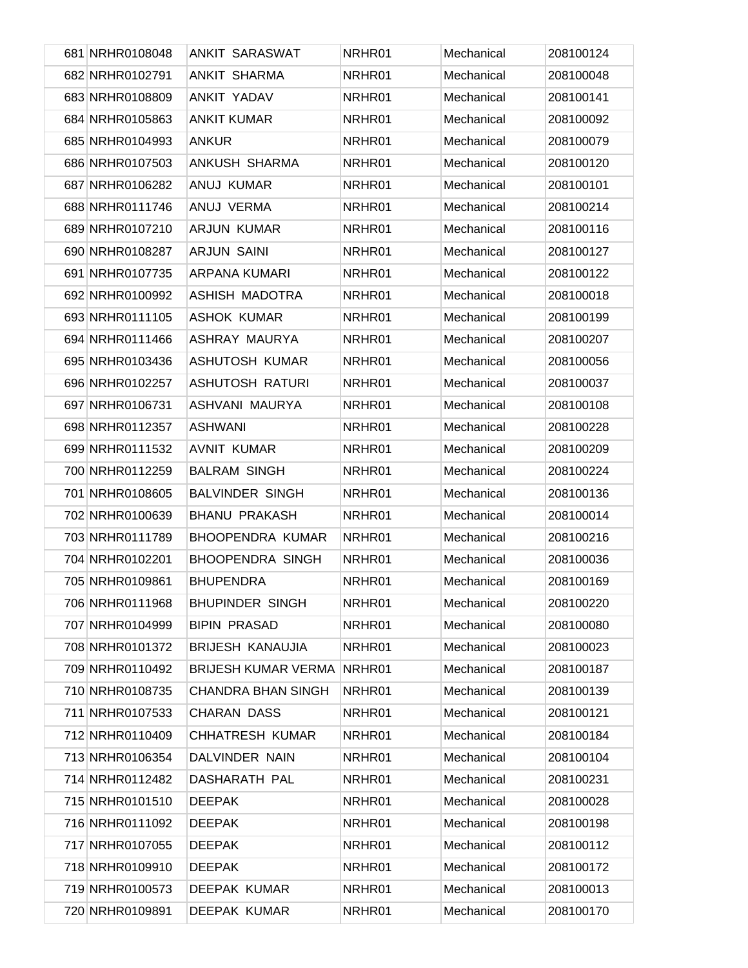| 681 NRHR0108048 | <b>ANKIT SARASWAT</b>      | NRHR01 | Mechanical | 208100124 |
|-----------------|----------------------------|--------|------------|-----------|
| 682 NRHR0102791 | <b>ANKIT SHARMA</b>        | NRHR01 | Mechanical | 208100048 |
| 683 NRHR0108809 | <b>ANKIT YADAV</b>         | NRHR01 | Mechanical | 208100141 |
| 684 NRHR0105863 | <b>ANKIT KUMAR</b>         | NRHR01 | Mechanical | 208100092 |
| 685 NRHR0104993 | <b>ANKUR</b>               | NRHR01 | Mechanical | 208100079 |
| 686 NRHR0107503 | ANKUSH SHARMA              | NRHR01 | Mechanical | 208100120 |
| 687 NRHR0106282 | ANUJ KUMAR                 | NRHR01 | Mechanical | 208100101 |
| 688 NRHR0111746 | ANUJ VERMA                 | NRHR01 | Mechanical | 208100214 |
| 689 NRHR0107210 | <b>ARJUN KUMAR</b>         | NRHR01 | Mechanical | 208100116 |
| 690 NRHR0108287 | <b>ARJUN SAINI</b>         | NRHR01 | Mechanical | 208100127 |
| 691 NRHR0107735 | ARPANA KUMARI              | NRHR01 | Mechanical | 208100122 |
| 692 NRHR0100992 | ASHISH MADOTRA             | NRHR01 | Mechanical | 208100018 |
| 693 NRHR0111105 | <b>ASHOK KUMAR</b>         | NRHR01 | Mechanical | 208100199 |
| 694 NRHR0111466 | ASHRAY MAURYA              | NRHR01 | Mechanical | 208100207 |
| 695 NRHR0103436 | <b>ASHUTOSH KUMAR</b>      | NRHR01 | Mechanical | 208100056 |
| 696 NRHR0102257 | <b>ASHUTOSH RATURI</b>     | NRHR01 | Mechanical | 208100037 |
| 697 NRHR0106731 | ASHVANI MAURYA             | NRHR01 | Mechanical | 208100108 |
| 698 NRHR0112357 | <b>ASHWANI</b>             | NRHR01 | Mechanical | 208100228 |
| 699 NRHR0111532 | <b>AVNIT KUMAR</b>         | NRHR01 | Mechanical | 208100209 |
| 700 NRHR0112259 | <b>BALRAM SINGH</b>        | NRHR01 | Mechanical | 208100224 |
| 701 NRHR0108605 | <b>BALVINDER SINGH</b>     | NRHR01 | Mechanical | 208100136 |
| 702 NRHR0100639 | <b>BHANU PRAKASH</b>       | NRHR01 | Mechanical | 208100014 |
| 703 NRHR0111789 | <b>BHOOPENDRA KUMAR</b>    | NRHR01 | Mechanical | 208100216 |
| 704 NRHR0102201 | <b>BHOOPENDRA SINGH</b>    | NRHR01 | Mechanical | 208100036 |
| 705 NRHR0109861 | <b>BHUPENDRA</b>           | NRHR01 | Mechanical | 208100169 |
| 706 NRHR0111968 | <b>BHUPINDER SINGH</b>     | NRHR01 | Mechanical | 208100220 |
| 707 NRHR0104999 | <b>BIPIN PRASAD</b>        | NRHR01 | Mechanical | 208100080 |
| 708 NRHR0101372 | <b>BRIJESH KANAUJIA</b>    | NRHR01 | Mechanical | 208100023 |
| 709 NRHR0110492 | <b>BRIJESH KUMAR VERMA</b> | NRHR01 | Mechanical | 208100187 |
| 710 NRHR0108735 | <b>CHANDRA BHAN SINGH</b>  | NRHR01 | Mechanical | 208100139 |
| 711 NRHR0107533 | <b>CHARAN DASS</b>         | NRHR01 | Mechanical | 208100121 |
| 712 NRHR0110409 | <b>CHHATRESH KUMAR</b>     | NRHR01 | Mechanical | 208100184 |
| 713 NRHR0106354 | DALVINDER NAIN             | NRHR01 | Mechanical | 208100104 |
| 714 NRHR0112482 | DASHARATH PAL              | NRHR01 | Mechanical | 208100231 |
| 715 NRHR0101510 | <b>DEEPAK</b>              | NRHR01 | Mechanical | 208100028 |
| 716 NRHR0111092 | <b>DEEPAK</b>              | NRHR01 | Mechanical | 208100198 |
| 717 NRHR0107055 | <b>DEEPAK</b>              | NRHR01 | Mechanical | 208100112 |
| 718 NRHR0109910 | <b>DEEPAK</b>              | NRHR01 | Mechanical | 208100172 |
| 719 NRHR0100573 | DEEPAK KUMAR               | NRHR01 | Mechanical | 208100013 |
| 720 NRHR0109891 | DEEPAK KUMAR               | NRHR01 | Mechanical | 208100170 |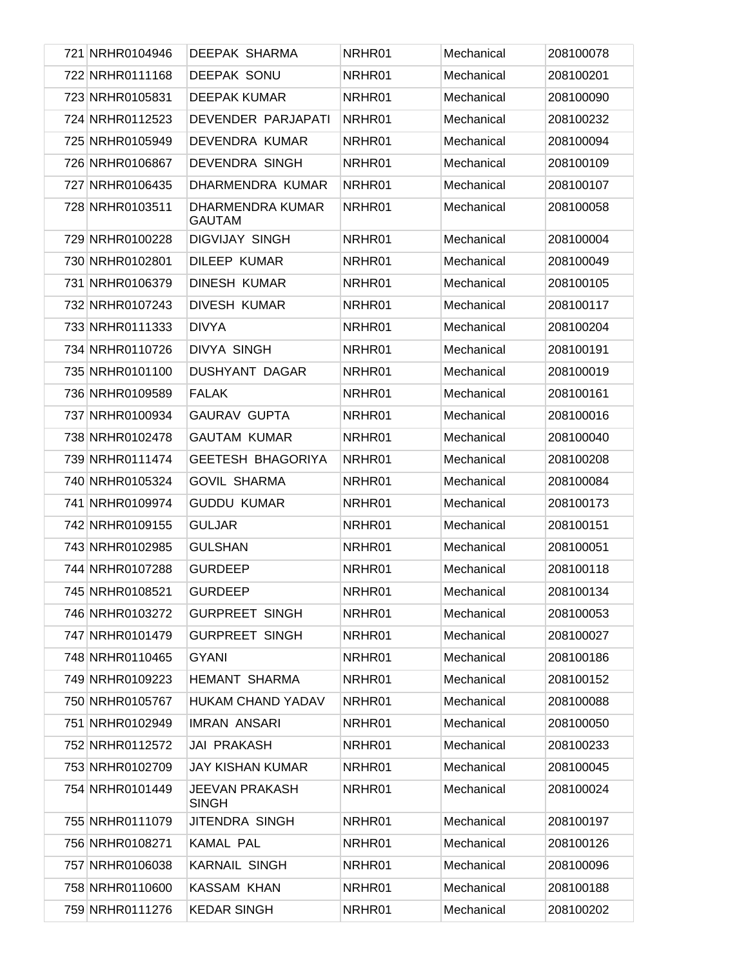| 721 NRHR0104946 | <b>DEEPAK SHARMA</b>              | NRHR01 | Mechanical | 208100078 |
|-----------------|-----------------------------------|--------|------------|-----------|
| 722 NRHR0111168 | <b>DEEPAK SONU</b>                | NRHR01 | Mechanical | 208100201 |
| 723 NRHR0105831 | <b>DEEPAK KUMAR</b>               | NRHR01 | Mechanical | 208100090 |
| 724 NRHR0112523 | DEVENDER PARJAPATI                | NRHR01 | Mechanical | 208100232 |
| 725 NRHR0105949 | DEVENDRA KUMAR                    | NRHR01 | Mechanical | 208100094 |
| 726 NRHR0106867 | <b>DEVENDRA SINGH</b>             | NRHR01 | Mechanical | 208100109 |
| 727 NRHR0106435 | DHARMENDRA KUMAR                  | NRHR01 | Mechanical | 208100107 |
| 728 NRHR0103511 | DHARMENDRA KUMAR<br><b>GAUTAM</b> | NRHR01 | Mechanical | 208100058 |
| 729 NRHR0100228 | <b>DIGVIJAY SINGH</b>             | NRHR01 | Mechanical | 208100004 |
| 730 NRHR0102801 | DILEEP KUMAR                      | NRHR01 | Mechanical | 208100049 |
| 731 NRHR0106379 | <b>DINESH KUMAR</b>               | NRHR01 | Mechanical | 208100105 |
| 732 NRHR0107243 | <b>DIVESH KUMAR</b>               | NRHR01 | Mechanical | 208100117 |
| 733 NRHR0111333 | <b>DIVYA</b>                      | NRHR01 | Mechanical | 208100204 |
| 734 NRHR0110726 | <b>DIVYA SINGH</b>                | NRHR01 | Mechanical | 208100191 |
| 735 NRHR0101100 | <b>DUSHYANT DAGAR</b>             | NRHR01 | Mechanical | 208100019 |
| 736 NRHR0109589 | <b>FALAK</b>                      | NRHR01 | Mechanical | 208100161 |
| 737 NRHR0100934 | <b>GAURAV GUPTA</b>               | NRHR01 | Mechanical | 208100016 |
| 738 NRHR0102478 | <b>GAUTAM KUMAR</b>               | NRHR01 | Mechanical | 208100040 |
| 739 NRHR0111474 | <b>GEETESH BHAGORIYA</b>          | NRHR01 | Mechanical | 208100208 |
| 740 NRHR0105324 | <b>GOVIL SHARMA</b>               | NRHR01 | Mechanical | 208100084 |
| 741 NRHR0109974 | <b>GUDDU KUMAR</b>                | NRHR01 | Mechanical | 208100173 |
| 742 NRHR0109155 | <b>GULJAR</b>                     | NRHR01 | Mechanical | 208100151 |
| 743 NRHR0102985 | <b>GULSHAN</b>                    | NRHR01 | Mechanical | 208100051 |
| 744 NRHR0107288 | <b>GURDEEP</b>                    | NRHR01 | Mechanical | 208100118 |
| 745 NRHR0108521 | <b>GURDEEP</b>                    | NRHR01 | Mechanical | 208100134 |
| 746 NRHR0103272 | <b>GURPREET SINGH</b>             | NRHR01 | Mechanical | 208100053 |
| 747 NRHR0101479 | <b>GURPREET SINGH</b>             | NRHR01 | Mechanical | 208100027 |
| 748 NRHR0110465 | <b>GYANI</b>                      | NRHR01 | Mechanical | 208100186 |
| 749 NRHR0109223 | HEMANT SHARMA                     | NRHR01 | Mechanical | 208100152 |
| 750 NRHR0105767 | HUKAM CHAND YADAV                 | NRHR01 | Mechanical | 208100088 |
| 751 NRHR0102949 | <b>IMRAN ANSARI</b>               | NRHR01 | Mechanical | 208100050 |
| 752 NRHR0112572 | <b>JAI PRAKASH</b>                | NRHR01 | Mechanical | 208100233 |
| 753 NRHR0102709 | JAY KISHAN KUMAR                  | NRHR01 | Mechanical | 208100045 |
| 754 NRHR0101449 | JEEVAN PRAKASH<br><b>SINGH</b>    | NRHR01 | Mechanical | 208100024 |
| 755 NRHR0111079 | JITENDRA SINGH                    | NRHR01 | Mechanical | 208100197 |
| 756 NRHR0108271 | <b>KAMAL PAL</b>                  | NRHR01 | Mechanical | 208100126 |
| 757 NRHR0106038 | <b>KARNAIL SINGH</b>              | NRHR01 | Mechanical | 208100096 |
| 758 NRHR0110600 | KASSAM KHAN                       | NRHR01 | Mechanical | 208100188 |
| 759 NRHR0111276 | <b>KEDAR SINGH</b>                | NRHR01 | Mechanical | 208100202 |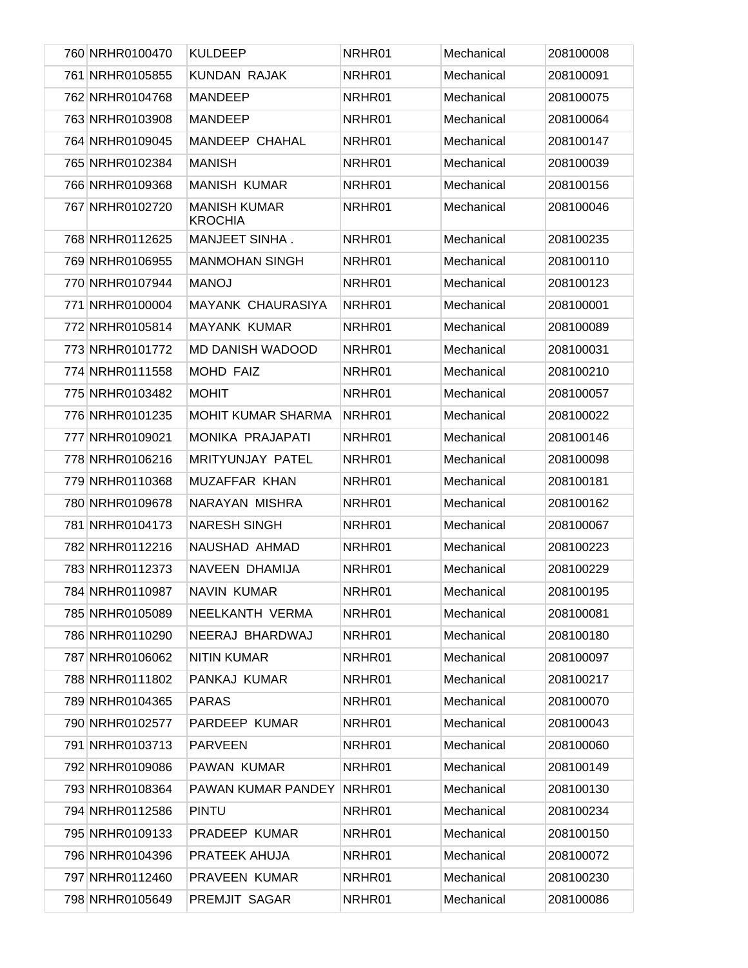| 760 NRHR0100470 | <b>KULDEEP</b>                        | NRHR01 | Mechanical | 208100008 |
|-----------------|---------------------------------------|--------|------------|-----------|
| 761 NRHR0105855 | <b>KUNDAN RAJAK</b>                   | NRHR01 | Mechanical | 208100091 |
| 762 NRHR0104768 | <b>MANDEEP</b>                        | NRHR01 | Mechanical | 208100075 |
| 763 NRHR0103908 | <b>MANDEEP</b>                        | NRHR01 | Mechanical | 208100064 |
| 764 NRHR0109045 | MANDEEP CHAHAL                        | NRHR01 | Mechanical | 208100147 |
| 765 NRHR0102384 | <b>MANISH</b>                         | NRHR01 | Mechanical | 208100039 |
| 766 NRHR0109368 | <b>MANISH KUMAR</b>                   | NRHR01 | Mechanical | 208100156 |
| 767 NRHR0102720 | <b>MANISH KUMAR</b><br><b>KROCHIA</b> | NRHR01 | Mechanical | 208100046 |
| 768 NRHR0112625 | MANJEET SINHA.                        | NRHR01 | Mechanical | 208100235 |
| 769 NRHR0106955 | <b>MANMOHAN SINGH</b>                 | NRHR01 | Mechanical | 208100110 |
| 770 NRHR0107944 | <b>MANOJ</b>                          | NRHR01 | Mechanical | 208100123 |
| 771 NRHR0100004 | MAYANK CHAURASIYA                     | NRHR01 | Mechanical | 208100001 |
| 772 NRHR0105814 | MAYANK KUMAR                          | NRHR01 | Mechanical | 208100089 |
| 773 NRHR0101772 | MD DANISH WADOOD                      | NRHR01 | Mechanical | 208100031 |
| 774 NRHR0111558 | <b>MOHD FAIZ</b>                      | NRHR01 | Mechanical | 208100210 |
| 775 NRHR0103482 | <b>MOHIT</b>                          | NRHR01 | Mechanical | 208100057 |
| 776 NRHR0101235 | <b>MOHIT KUMAR SHARMA</b>             | NRHR01 | Mechanical | 208100022 |
| 777 NRHR0109021 | MONIKA PRAJAPATI                      | NRHR01 | Mechanical | 208100146 |
| 778 NRHR0106216 | MRITYUNJAY PATEL                      | NRHR01 | Mechanical | 208100098 |
| 779 NRHR0110368 | MUZAFFAR KHAN                         | NRHR01 | Mechanical | 208100181 |
| 780 NRHR0109678 | NARAYAN MISHRA                        | NRHR01 | Mechanical | 208100162 |
| 781 NRHR0104173 | <b>NARESH SINGH</b>                   | NRHR01 | Mechanical | 208100067 |
| 782 NRHR0112216 | NAUSHAD AHMAD                         | NRHR01 | Mechanical | 208100223 |
| 783 NRHR0112373 | NAVEEN DHAMIJA                        | NRHR01 | Mechanical | 208100229 |
| 784 NRHR0110987 | <b>NAVIN KUMAR</b>                    | NRHR01 | Mechanical | 208100195 |
| 785 NRHR0105089 | NEELKANTH VERMA                       | NRHR01 | Mechanical | 208100081 |
| 786 NRHR0110290 | NEERAJ BHARDWAJ                       | NRHR01 | Mechanical | 208100180 |
| 787 NRHR0106062 | <b>NITIN KUMAR</b>                    | NRHR01 | Mechanical | 208100097 |
| 788 NRHR0111802 | PANKAJ KUMAR                          | NRHR01 | Mechanical | 208100217 |
| 789 NRHR0104365 | <b>PARAS</b>                          | NRHR01 | Mechanical | 208100070 |
| 790 NRHR0102577 | PARDEEP KUMAR                         | NRHR01 | Mechanical | 208100043 |
| 791 NRHR0103713 | <b>PARVEEN</b>                        | NRHR01 | Mechanical | 208100060 |
| 792 NRHR0109086 | PAWAN KUMAR                           | NRHR01 | Mechanical | 208100149 |
| 793 NRHR0108364 | PAWAN KUMAR PANDEY                    | NRHR01 | Mechanical | 208100130 |
| 794 NRHR0112586 | <b>PINTU</b>                          | NRHR01 | Mechanical | 208100234 |
| 795 NRHR0109133 | PRADEEP KUMAR                         | NRHR01 | Mechanical | 208100150 |
| 796 NRHR0104396 | PRATEEK AHUJA                         | NRHR01 | Mechanical | 208100072 |
| 797 NRHR0112460 | PRAVEEN KUMAR                         | NRHR01 | Mechanical | 208100230 |
| 798 NRHR0105649 | PREMJIT SAGAR                         | NRHR01 | Mechanical | 208100086 |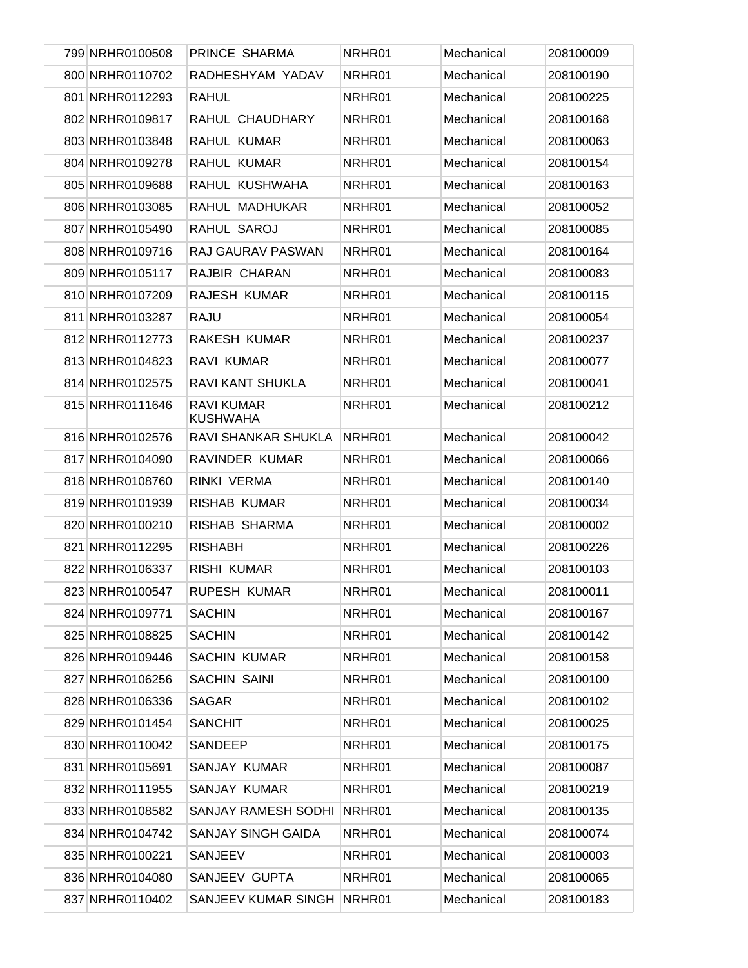| 799 NRHR0100508 | PRINCE SHARMA                        | NRHR01 | Mechanical | 208100009 |
|-----------------|--------------------------------------|--------|------------|-----------|
| 800 NRHR0110702 | RADHESHYAM YADAV                     | NRHR01 | Mechanical | 208100190 |
| 801 NRHR0112293 | <b>RAHUL</b>                         | NRHR01 | Mechanical | 208100225 |
| 802 NRHR0109817 | RAHUL CHAUDHARY                      | NRHR01 | Mechanical | 208100168 |
| 803 NRHR0103848 | RAHUL KUMAR                          | NRHR01 | Mechanical | 208100063 |
| 804 NRHR0109278 | RAHUL KUMAR                          | NRHR01 | Mechanical | 208100154 |
| 805 NRHR0109688 | RAHUL KUSHWAHA                       | NRHR01 | Mechanical | 208100163 |
| 806 NRHR0103085 | RAHUL MADHUKAR                       | NRHR01 | Mechanical | 208100052 |
| 807 NRHR0105490 | RAHUL SAROJ                          | NRHR01 | Mechanical | 208100085 |
| 808 NRHR0109716 | RAJ GAURAV PASWAN                    | NRHR01 | Mechanical | 208100164 |
| 809 NRHR0105117 | RAJBIR CHARAN                        | NRHR01 | Mechanical | 208100083 |
| 810 NRHR0107209 | RAJESH KUMAR                         | NRHR01 | Mechanical | 208100115 |
| 811 NRHR0103287 | <b>RAJU</b>                          | NRHR01 | Mechanical | 208100054 |
| 812 NRHR0112773 | RAKESH KUMAR                         | NRHR01 | Mechanical | 208100237 |
| 813 NRHR0104823 | RAVI KUMAR                           | NRHR01 | Mechanical | 208100077 |
| 814 NRHR0102575 | RAVI KANT SHUKLA                     | NRHR01 | Mechanical | 208100041 |
| 815 NRHR0111646 | <b>RAVI KUMAR</b><br><b>KUSHWAHA</b> | NRHR01 | Mechanical | 208100212 |
| 816 NRHR0102576 | RAVI SHANKAR SHUKLA                  | NRHR01 | Mechanical | 208100042 |
| 817 NRHR0104090 | RAVINDER KUMAR                       | NRHR01 | Mechanical | 208100066 |
| 818 NRHR0108760 | RINKI VERMA                          | NRHR01 | Mechanical | 208100140 |
| 819 NRHR0101939 | RISHAB KUMAR                         | NRHR01 | Mechanical | 208100034 |
| 820 NRHR0100210 | RISHAB SHARMA                        | NRHR01 | Mechanical | 208100002 |
| 821 NRHR0112295 | <b>RISHABH</b>                       | NRHR01 | Mechanical | 208100226 |
| 822 NRHR0106337 | <b>RISHI KUMAR</b>                   | NRHR01 | Mechanical | 208100103 |
| 823 NRHR0100547 | RUPESH KUMAR                         | NRHR01 | Mechanical | 208100011 |
| 824 NRHR0109771 | <b>SACHIN</b>                        | NRHR01 | Mechanical | 208100167 |
| 825 NRHR0108825 | <b>SACHIN</b>                        | NRHR01 | Mechanical | 208100142 |
| 826 NRHR0109446 | <b>SACHIN KUMAR</b>                  | NRHR01 | Mechanical | 208100158 |
| 827 NRHR0106256 | SACHIN SAINI                         | NRHR01 | Mechanical | 208100100 |
| 828 NRHR0106336 | <b>SAGAR</b>                         | NRHR01 | Mechanical | 208100102 |
| 829 NRHR0101454 | <b>SANCHIT</b>                       | NRHR01 | Mechanical | 208100025 |
| 830 NRHR0110042 | SANDEEP                              | NRHR01 | Mechanical | 208100175 |
| 831 NRHR0105691 | SANJAY KUMAR                         | NRHR01 | Mechanical | 208100087 |
| 832 NRHR0111955 | SANJAY KUMAR                         | NRHR01 | Mechanical | 208100219 |
| 833 NRHR0108582 | SANJAY RAMESH SODHI                  | NRHR01 | Mechanical | 208100135 |
| 834 NRHR0104742 | <b>SANJAY SINGH GAIDA</b>            | NRHR01 | Mechanical | 208100074 |
| 835 NRHR0100221 | SANJEEV                              | NRHR01 | Mechanical | 208100003 |
| 836 NRHR0104080 | SANJEEV GUPTA                        | NRHR01 | Mechanical | 208100065 |
| 837 NRHR0110402 | SANJEEV KUMAR SINGH NRHR01           |        | Mechanical | 208100183 |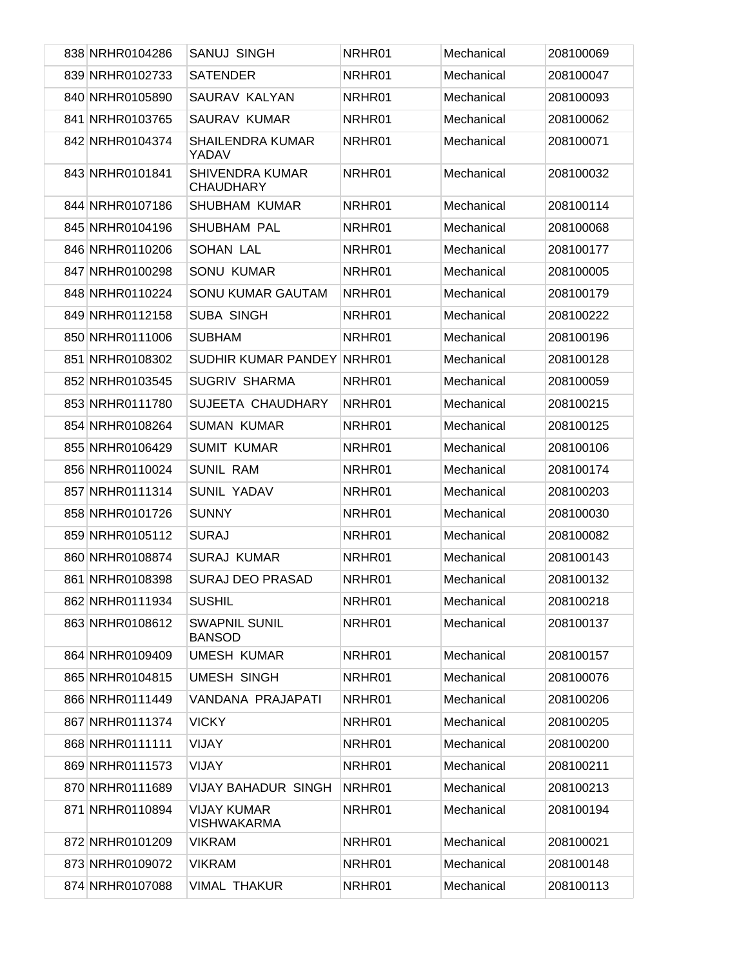| 838 NRHR0104286 | <b>SANUJ SINGH</b>                         | NRHR01 | Mechanical | 208100069 |
|-----------------|--------------------------------------------|--------|------------|-----------|
| 839 NRHR0102733 | <b>SATENDER</b>                            | NRHR01 | Mechanical | 208100047 |
| 840 NRHR0105890 | SAURAV KALYAN                              | NRHR01 | Mechanical | 208100093 |
| 841 NRHR0103765 | <b>SAURAV KUMAR</b>                        | NRHR01 | Mechanical | 208100062 |
| 842 NRHR0104374 | <b>SHAILENDRA KUMAR</b><br>YADAV           | NRHR01 | Mechanical | 208100071 |
| 843 NRHR0101841 | <b>SHIVENDRA KUMAR</b><br><b>CHAUDHARY</b> | NRHR01 | Mechanical | 208100032 |
| 844 NRHR0107186 | SHUBHAM KUMAR                              | NRHR01 | Mechanical | 208100114 |
| 845 NRHR0104196 | SHUBHAM PAL                                | NRHR01 | Mechanical | 208100068 |
| 846 NRHR0110206 | SOHAN LAL                                  | NRHR01 | Mechanical | 208100177 |
| 847 NRHR0100298 | <b>SONU KUMAR</b>                          | NRHR01 | Mechanical | 208100005 |
| 848 NRHR0110224 | SONU KUMAR GAUTAM                          | NRHR01 | Mechanical | 208100179 |
| 849 NRHR0112158 | <b>SUBA SINGH</b>                          | NRHR01 | Mechanical | 208100222 |
| 850 NRHR0111006 | <b>SUBHAM</b>                              | NRHR01 | Mechanical | 208100196 |
| 851 NRHR0108302 | SUDHIR KUMAR PANDEY NRHR01                 |        | Mechanical | 208100128 |
| 852 NRHR0103545 | <b>SUGRIV SHARMA</b>                       | NRHR01 | Mechanical | 208100059 |
| 853 NRHR0111780 | SUJEETA CHAUDHARY                          | NRHR01 | Mechanical | 208100215 |
| 854 NRHR0108264 | <b>SUMAN KUMAR</b>                         | NRHR01 | Mechanical | 208100125 |
| 855 NRHR0106429 | <b>SUMIT KUMAR</b>                         | NRHR01 | Mechanical | 208100106 |
| 856 NRHR0110024 | <b>SUNIL RAM</b>                           | NRHR01 | Mechanical | 208100174 |
| 857 NRHR0111314 | SUNIL YADAV                                | NRHR01 | Mechanical | 208100203 |
| 858 NRHR0101726 | <b>SUNNY</b>                               | NRHR01 | Mechanical | 208100030 |
| 859 NRHR0105112 | <b>SURAJ</b>                               | NRHR01 | Mechanical | 208100082 |
| 860 NRHR0108874 | <b>SURAJ KUMAR</b>                         | NRHR01 | Mechanical | 208100143 |
| 861 NRHR0108398 | <b>SURAJ DEO PRASAD</b>                    | NRHR01 | Mechanical | 208100132 |
| 862 NRHR0111934 | <b>SUSHIL</b>                              | NRHR01 | Mechanical | 208100218 |
| 863 NRHR0108612 | <b>SWAPNIL SUNIL</b><br><b>BANSOD</b>      | NRHR01 | Mechanical | 208100137 |
| 864 NRHR0109409 | <b>UMESH KUMAR</b>                         | NRHR01 | Mechanical | 208100157 |
| 865 NRHR0104815 | <b>UMESH SINGH</b>                         | NRHR01 | Mechanical | 208100076 |
| 866 NRHR0111449 | VANDANA PRAJAPATI                          | NRHR01 | Mechanical | 208100206 |
| 867 NRHR0111374 | <b>VICKY</b>                               | NRHR01 | Mechanical | 208100205 |
| 868 NRHR0111111 | VIJAY                                      | NRHR01 | Mechanical | 208100200 |
| 869 NRHR0111573 | VIJAY                                      | NRHR01 | Mechanical | 208100211 |
| 870 NRHR0111689 | <b>VIJAY BAHADUR SINGH</b>                 | NRHR01 | Mechanical | 208100213 |
| 871 NRHR0110894 | <b>VIJAY KUMAR</b><br><b>VISHWAKARMA</b>   | NRHR01 | Mechanical | 208100194 |
| 872 NRHR0101209 | <b>VIKRAM</b>                              | NRHR01 | Mechanical | 208100021 |
| 873 NRHR0109072 | <b>VIKRAM</b>                              | NRHR01 | Mechanical | 208100148 |
| 874 NRHR0107088 | <b>VIMAL THAKUR</b>                        | NRHR01 | Mechanical | 208100113 |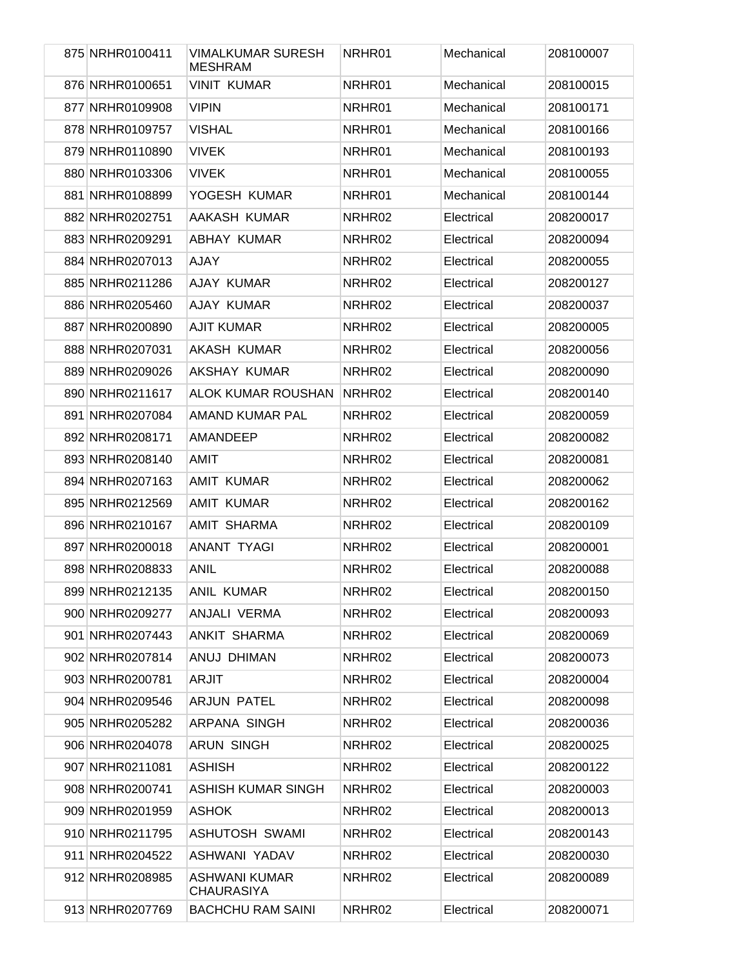| 875 NRHR0100411 | <b>VIMALKUMAR SURESH</b><br><b>MESHRAM</b> | NRHR01 | Mechanical | 208100007 |
|-----------------|--------------------------------------------|--------|------------|-----------|
| 876 NRHR0100651 | <b>VINIT KUMAR</b>                         | NRHR01 | Mechanical | 208100015 |
| 877 NRHR0109908 | <b>VIPIN</b>                               | NRHR01 | Mechanical | 208100171 |
| 878 NRHR0109757 | <b>VISHAL</b>                              | NRHR01 | Mechanical | 208100166 |
| 879 NRHR0110890 | <b>VIVEK</b>                               | NRHR01 | Mechanical | 208100193 |
| 880 NRHR0103306 | <b>VIVEK</b>                               | NRHR01 | Mechanical | 208100055 |
| 881 NRHR0108899 | YOGESH KUMAR                               | NRHR01 | Mechanical | 208100144 |
| 882 NRHR0202751 | AAKASH KUMAR                               | NRHR02 | Electrical | 208200017 |
| 883 NRHR0209291 | ABHAY KUMAR                                | NRHR02 | Electrical | 208200094 |
| 884 NRHR0207013 | AJAY                                       | NRHR02 | Electrical | 208200055 |
| 885 NRHR0211286 | AJAY KUMAR                                 | NRHR02 | Electrical | 208200127 |
| 886 NRHR0205460 | AJAY KUMAR                                 | NRHR02 | Electrical | 208200037 |
| 887 NRHR0200890 | <b>AJIT KUMAR</b>                          | NRHR02 | Electrical | 208200005 |
| 888 NRHR0207031 | AKASH KUMAR                                | NRHR02 | Electrical | 208200056 |
| 889 NRHR0209026 | AKSHAY KUMAR                               | NRHR02 | Electrical | 208200090 |
| 890 NRHR0211617 | ALOK KUMAR ROUSHAN                         | NRHR02 | Electrical | 208200140 |
| 891 NRHR0207084 | AMAND KUMAR PAL                            | NRHR02 | Electrical | 208200059 |
| 892 NRHR0208171 | AMANDEEP                                   | NRHR02 | Electrical | 208200082 |
| 893 NRHR0208140 | <b>AMIT</b>                                | NRHR02 | Electrical | 208200081 |
| 894 NRHR0207163 | <b>AMIT KUMAR</b>                          | NRHR02 | Electrical | 208200062 |
| 895 NRHR0212569 | AMIT KUMAR                                 | NRHR02 | Electrical | 208200162 |
| 896 NRHR0210167 | <b>AMIT SHARMA</b>                         | NRHR02 | Electrical | 208200109 |
| 897 NRHR0200018 | ANANT TYAGI                                | NRHR02 | Electrical | 208200001 |
| 898 NRHR0208833 | <b>ANIL</b>                                | NRHR02 | Electrical | 208200088 |
| 899 NRHR0212135 | ANIL KUMAR                                 | NRHR02 | Electrical | 208200150 |
| 900 NRHR0209277 | ANJALI VERMA                               | NRHR02 | Electrical | 208200093 |
| 901 NRHR0207443 | ANKIT SHARMA                               | NRHR02 | Electrical | 208200069 |
| 902 NRHR0207814 | ANUJ DHIMAN                                | NRHR02 | Electrical | 208200073 |
| 903 NRHR0200781 | ARJIT                                      | NRHR02 | Electrical | 208200004 |
| 904 NRHR0209546 | ARJUN PATEL                                | NRHR02 | Electrical | 208200098 |
| 905 NRHR0205282 | ARPANA SINGH                               | NRHR02 | Electrical | 208200036 |
| 906 NRHR0204078 | <b>ARUN SINGH</b>                          | NRHR02 | Electrical | 208200025 |
| 907 NRHR0211081 | <b>ASHISH</b>                              | NRHR02 | Electrical | 208200122 |
| 908 NRHR0200741 | ASHISH KUMAR SINGH                         | NRHR02 | Electrical | 208200003 |
| 909 NRHR0201959 | <b>ASHOK</b>                               | NRHR02 | Electrical | 208200013 |
| 910 NRHR0211795 | <b>ASHUTOSH SWAMI</b>                      | NRHR02 | Electrical | 208200143 |
| 911 NRHR0204522 | ASHWANI YADAV                              | NRHR02 | Electrical | 208200030 |
| 912 NRHR0208985 | ASHWANI KUMAR<br><b>CHAURASIYA</b>         | NRHR02 | Electrical | 208200089 |
| 913 NRHR0207769 | <b>BACHCHU RAM SAINI</b>                   | NRHR02 | Electrical | 208200071 |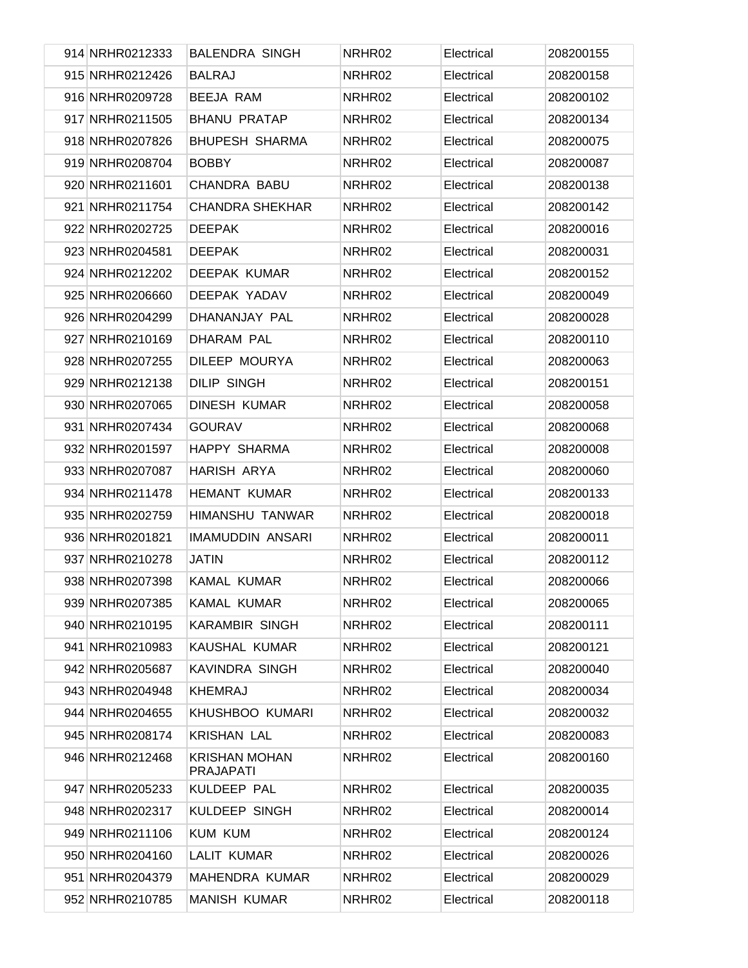| 914 NRHR0212333 | <b>BALENDRA SINGH</b>                    | NRHR02 | Electrical | 208200155 |
|-----------------|------------------------------------------|--------|------------|-----------|
| 915 NRHR0212426 | <b>BALRAJ</b>                            | NRHR02 | Electrical | 208200158 |
| 916 NRHR0209728 | <b>BEEJA RAM</b>                         | NRHR02 | Electrical | 208200102 |
| 917 NRHR0211505 | <b>BHANU PRATAP</b>                      | NRHR02 | Electrical | 208200134 |
| 918 NRHR0207826 | <b>BHUPESH SHARMA</b>                    | NRHR02 | Electrical | 208200075 |
| 919 NRHR0208704 | <b>BOBBY</b>                             | NRHR02 | Electrical | 208200087 |
| 920 NRHR0211601 | <b>CHANDRA BABU</b>                      | NRHR02 | Electrical | 208200138 |
| 921 NRHR0211754 | <b>CHANDRA SHEKHAR</b>                   | NRHR02 | Electrical | 208200142 |
| 922 NRHR0202725 | <b>DEEPAK</b>                            | NRHR02 | Electrical | 208200016 |
| 923 NRHR0204581 | <b>DEEPAK</b>                            | NRHR02 | Electrical | 208200031 |
| 924 NRHR0212202 | <b>DEEPAK KUMAR</b>                      | NRHR02 | Electrical | 208200152 |
| 925 NRHR0206660 | DEEPAK YADAV                             | NRHR02 | Electrical | 208200049 |
| 926 NRHR0204299 | DHANANJAY PAL                            | NRHR02 | Electrical | 208200028 |
| 927 NRHR0210169 | DHARAM PAL                               | NRHR02 | Electrical | 208200110 |
| 928 NRHR0207255 | DILEEP MOURYA                            | NRHR02 | Electrical | 208200063 |
| 929 NRHR0212138 | <b>DILIP SINGH</b>                       | NRHR02 | Electrical | 208200151 |
| 930 NRHR0207065 | DINESH KUMAR                             | NRHR02 | Electrical | 208200058 |
| 931 NRHR0207434 | <b>GOURAV</b>                            | NRHR02 | Electrical | 208200068 |
| 932 NRHR0201597 | <b>HAPPY SHARMA</b>                      | NRHR02 | Electrical | 208200008 |
| 933 NRHR0207087 | <b>HARISH ARYA</b>                       | NRHR02 | Electrical | 208200060 |
| 934 NRHR0211478 | <b>HEMANT KUMAR</b>                      | NRHR02 | Electrical | 208200133 |
| 935 NRHR0202759 | <b>HIMANSHU TANWAR</b>                   | NRHR02 | Electrical | 208200018 |
| 936 NRHR0201821 | <b>IMAMUDDIN ANSARI</b>                  | NRHR02 | Electrical | 208200011 |
| 937 NRHR0210278 | <b>JATIN</b>                             | NRHR02 | Electrical | 208200112 |
| 938 NRHR0207398 | <b>KAMAL KUMAR</b>                       | NRHR02 | Electrical | 208200066 |
| 939 NRHR0207385 | KAMAL KUMAR                              | NRHR02 | Electrical | 208200065 |
| 940 NRHR0210195 | <b>KARAMBIR SINGH</b>                    | NRHR02 | Electrical | 208200111 |
| 941 NRHR0210983 | KAUSHAL KUMAR                            | NRHR02 | Electrical | 208200121 |
| 942 NRHR0205687 | KAVINDRA SINGH                           | NRHR02 | Electrical | 208200040 |
| 943 NRHR0204948 | <b>KHEMRAJ</b>                           | NRHR02 | Electrical | 208200034 |
| 944 NRHR0204655 | KHUSHBOO KUMARI                          | NRHR02 | Electrical | 208200032 |
| 945 NRHR0208174 | <b>KRISHAN LAL</b>                       | NRHR02 | Electrical | 208200083 |
| 946 NRHR0212468 | <b>KRISHAN MOHAN</b><br><b>PRAJAPATI</b> | NRHR02 | Electrical | 208200160 |
| 947 NRHR0205233 | KULDEEP PAL                              | NRHR02 | Electrical | 208200035 |
| 948 NRHR0202317 | KULDEEP SINGH                            | NRHR02 | Electrical | 208200014 |
| 949 NRHR0211106 | <b>KUM KUM</b>                           | NRHR02 | Electrical | 208200124 |
| 950 NRHR0204160 | <b>LALIT KUMAR</b>                       | NRHR02 | Electrical | 208200026 |
| 951 NRHR0204379 | MAHENDRA KUMAR                           | NRHR02 | Electrical | 208200029 |
| 952 NRHR0210785 | <b>MANISH KUMAR</b>                      | NRHR02 | Electrical | 208200118 |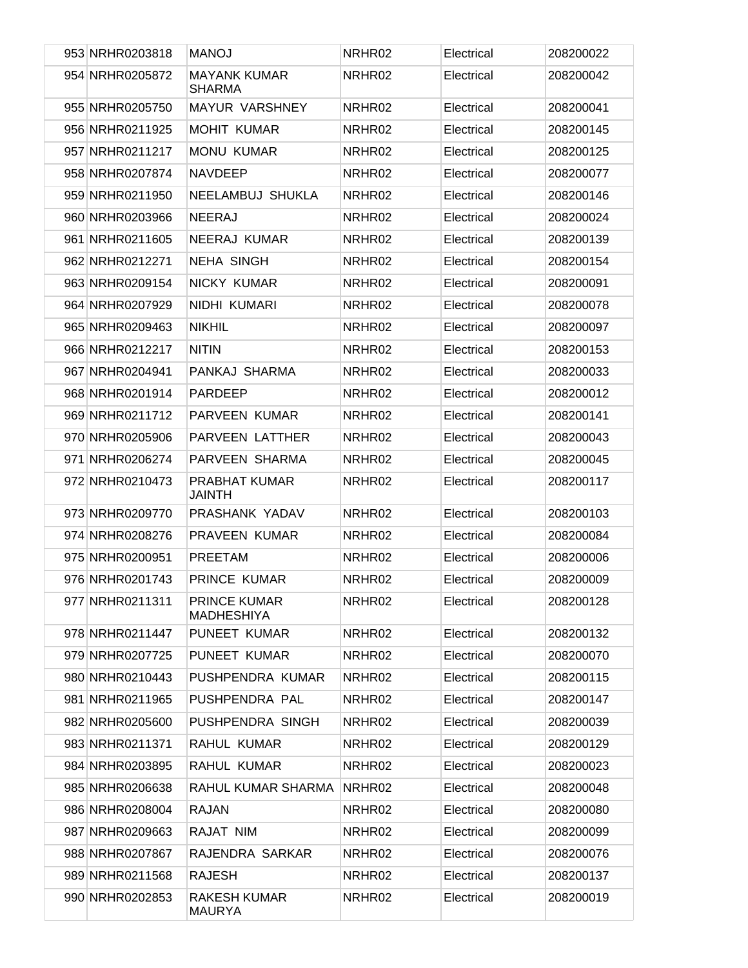| 953 NRHR0203818 | <b>MANOJ</b>                             | NRHR02 | Electrical | 208200022 |
|-----------------|------------------------------------------|--------|------------|-----------|
| 954 NRHR0205872 | <b>MAYANK KUMAR</b><br><b>SHARMA</b>     | NRHR02 | Electrical | 208200042 |
| 955 NRHR0205750 | MAYUR VARSHNEY                           | NRHR02 | Electrical | 208200041 |
| 956 NRHR0211925 | <b>MOHIT KUMAR</b>                       | NRHR02 | Electrical | 208200145 |
| 957 NRHR0211217 | <b>MONU KUMAR</b>                        | NRHR02 | Electrical | 208200125 |
| 958 NRHR0207874 | <b>NAVDEEP</b>                           | NRHR02 | Electrical | 208200077 |
| 959 NRHR0211950 | NEELAMBUJ SHUKLA                         | NRHR02 | Electrical | 208200146 |
| 960 NRHR0203966 | <b>NEERAJ</b>                            | NRHR02 | Electrical | 208200024 |
| 961 NRHR0211605 | NEERAJ KUMAR                             | NRHR02 | Electrical | 208200139 |
| 962 NRHR0212271 | <b>NEHA SINGH</b>                        | NRHR02 | Electrical | 208200154 |
| 963 NRHR0209154 | NICKY KUMAR                              | NRHR02 | Electrical | 208200091 |
| 964 NRHR0207929 | NIDHI KUMARI                             | NRHR02 | Electrical | 208200078 |
| 965 NRHR0209463 | <b>NIKHIL</b>                            | NRHR02 | Electrical | 208200097 |
| 966 NRHR0212217 | <b>NITIN</b>                             | NRHR02 | Electrical | 208200153 |
| 967 NRHR0204941 | PANKAJ SHARMA                            | NRHR02 | Electrical | 208200033 |
| 968 NRHR0201914 | <b>PARDEEP</b>                           | NRHR02 | Electrical | 208200012 |
| 969 NRHR0211712 | PARVEEN KUMAR                            | NRHR02 | Electrical | 208200141 |
| 970 NRHR0205906 | PARVEEN LATTHER                          | NRHR02 | Electrical | 208200043 |
| 971 NRHR0206274 | PARVEEN SHARMA                           | NRHR02 | Electrical | 208200045 |
| 972 NRHR0210473 | PRABHAT KUMAR<br><b>JAINTH</b>           | NRHR02 | Electrical | 208200117 |
| 973 NRHR0209770 | PRASHANK YADAV                           | NRHR02 | Electrical | 208200103 |
| 974 NRHR0208276 | PRAVEEN KUMAR                            | NRHR02 | Electrical | 208200084 |
| 975 NRHR0200951 | <b>PREETAM</b>                           | NRHR02 | Electrical | 208200006 |
| 976 NRHR0201743 | <b>PRINCE KUMAR</b>                      | NRHR02 | Electrical | 208200009 |
| 977 NRHR0211311 | <b>PRINCE KUMAR</b><br><b>MADHESHIYA</b> | NRHR02 | Electrical | 208200128 |
| 978 NRHR0211447 | PUNEET KUMAR                             | NRHR02 | Electrical | 208200132 |
| 979 NRHR0207725 | PUNEET KUMAR                             | NRHR02 | Electrical | 208200070 |
| 980 NRHR0210443 | PUSHPENDRA KUMAR                         | NRHR02 | Electrical | 208200115 |
| 981 NRHR0211965 | PUSHPENDRA PAL                           | NRHR02 | Electrical | 208200147 |
| 982 NRHR0205600 | PUSHPENDRA SINGH                         | NRHR02 | Electrical | 208200039 |
| 983 NRHR0211371 | RAHUL KUMAR                              | NRHR02 | Electrical | 208200129 |
| 984 NRHR0203895 | RAHUL KUMAR                              | NRHR02 | Electrical | 208200023 |
| 985 NRHR0206638 | RAHUL KUMAR SHARMA                       | NRHR02 | Electrical | 208200048 |
| 986 NRHR0208004 | RAJAN                                    | NRHR02 | Electrical | 208200080 |
| 987 NRHR0209663 | RAJAT NIM                                | NRHR02 | Electrical | 208200099 |
| 988 NRHR0207867 | RAJENDRA SARKAR                          | NRHR02 | Electrical | 208200076 |
| 989 NRHR0211568 | <b>RAJESH</b>                            | NRHR02 | Electrical | 208200137 |
| 990 NRHR0202853 | RAKESH KUMAR<br><b>MAURYA</b>            | NRHR02 | Electrical | 208200019 |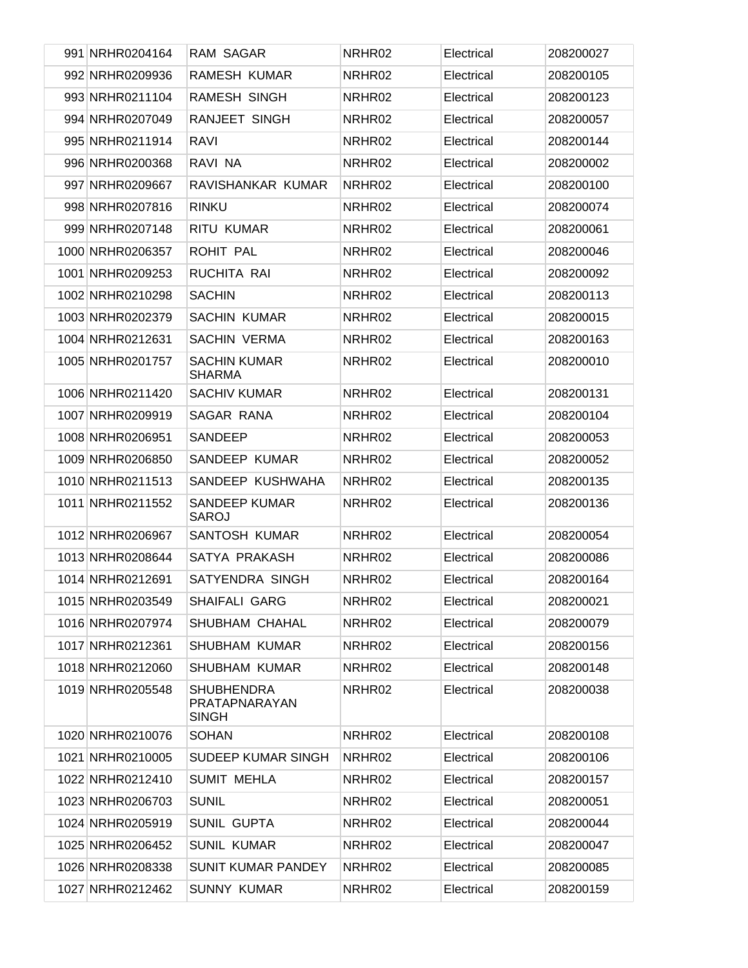| 991 NRHR0204164  | RAM SAGAR                                          | NRHR02 | Electrical | 208200027 |
|------------------|----------------------------------------------------|--------|------------|-----------|
| 992 NRHR0209936  | RAMESH KUMAR                                       | NRHR02 | Electrical | 208200105 |
| 993 NRHR0211104  | RAMESH SINGH                                       | NRHR02 | Electrical | 208200123 |
| 994 NRHR0207049  | RANJEET SINGH                                      | NRHR02 | Electrical | 208200057 |
| 995 NRHR0211914  | RAVI                                               | NRHR02 | Electrical | 208200144 |
| 996 NRHR0200368  | RAVI NA                                            | NRHR02 | Electrical | 208200002 |
| 997 NRHR0209667  | RAVISHANKAR KUMAR                                  | NRHR02 | Electrical | 208200100 |
| 998 NRHR0207816  | <b>RINKU</b>                                       | NRHR02 | Electrical | 208200074 |
| 999 NRHR0207148  | RITU KUMAR                                         | NRHR02 | Electrical | 208200061 |
| 1000 NRHR0206357 | ROHIT PAL                                          | NRHR02 | Electrical | 208200046 |
| 1001 NRHR0209253 | RUCHITA RAI                                        | NRHR02 | Electrical | 208200092 |
| 1002 NRHR0210298 | <b>SACHIN</b>                                      | NRHR02 | Electrical | 208200113 |
| 1003 NRHR0202379 | <b>SACHIN KUMAR</b>                                | NRHR02 | Electrical | 208200015 |
| 1004 NRHR0212631 | <b>SACHIN VERMA</b>                                | NRHR02 | Electrical | 208200163 |
| 1005 NRHR0201757 | <b>SACHIN KUMAR</b><br><b>SHARMA</b>               | NRHR02 | Electrical | 208200010 |
| 1006 NRHR0211420 | <b>SACHIV KUMAR</b>                                | NRHR02 | Electrical | 208200131 |
| 1007 NRHR0209919 | SAGAR RANA                                         | NRHR02 | Electrical | 208200104 |
| 1008 NRHR0206951 | <b>SANDEEP</b>                                     | NRHR02 | Electrical | 208200053 |
| 1009 NRHR0206850 | SANDEEP KUMAR                                      | NRHR02 | Electrical | 208200052 |
| 1010 NRHR0211513 | SANDEEP KUSHWAHA                                   | NRHR02 | Electrical | 208200135 |
| 1011 NRHR0211552 | <b>SANDEEP KUMAR</b><br>SAROJ                      | NRHR02 | Electrical | 208200136 |
| 1012 NRHR0206967 | SANTOSH KUMAR                                      | NRHR02 | Electrical | 208200054 |
| 1013 NRHR0208644 | SATYA PRAKASH                                      | NRHR02 | Electrical | 208200086 |
| 1014 NRHR0212691 | SATYENDRA SINGH                                    | NRHR02 | Electrical | 208200164 |
| 1015 NRHR0203549 | <b>SHAIFALI GARG</b>                               | NRHR02 | Electrical | 208200021 |
| 1016 NRHR0207974 | SHUBHAM CHAHAL                                     | NRHR02 | Electrical | 208200079 |
| 1017 NRHR0212361 | SHUBHAM KUMAR                                      | NRHR02 | Electrical | 208200156 |
| 1018 NRHR0212060 | SHUBHAM KUMAR                                      | NRHR02 | Electrical | 208200148 |
| 1019 NRHR0205548 | <b>SHUBHENDRA</b><br>PRATAPNARAYAN<br><b>SINGH</b> | NRHR02 | Electrical | 208200038 |
| 1020 NRHR0210076 | <b>SOHAN</b>                                       | NRHR02 | Electrical | 208200108 |
| 1021 NRHR0210005 | SUDEEP KUMAR SINGH                                 | NRHR02 | Electrical | 208200106 |
| 1022 NRHR0212410 | <b>SUMIT MEHLA</b>                                 | NRHR02 | Electrical | 208200157 |
| 1023 NRHR0206703 | <b>SUNIL</b>                                       | NRHR02 | Electrical | 208200051 |
| 1024 NRHR0205919 | <b>SUNIL GUPTA</b>                                 | NRHR02 | Electrical | 208200044 |
| 1025 NRHR0206452 | <b>SUNIL KUMAR</b>                                 | NRHR02 | Electrical | 208200047 |
| 1026 NRHR0208338 | <b>SUNIT KUMAR PANDEY</b>                          | NRHR02 | Electrical | 208200085 |
| 1027 NRHR0212462 | <b>SUNNY KUMAR</b>                                 | NRHR02 | Electrical | 208200159 |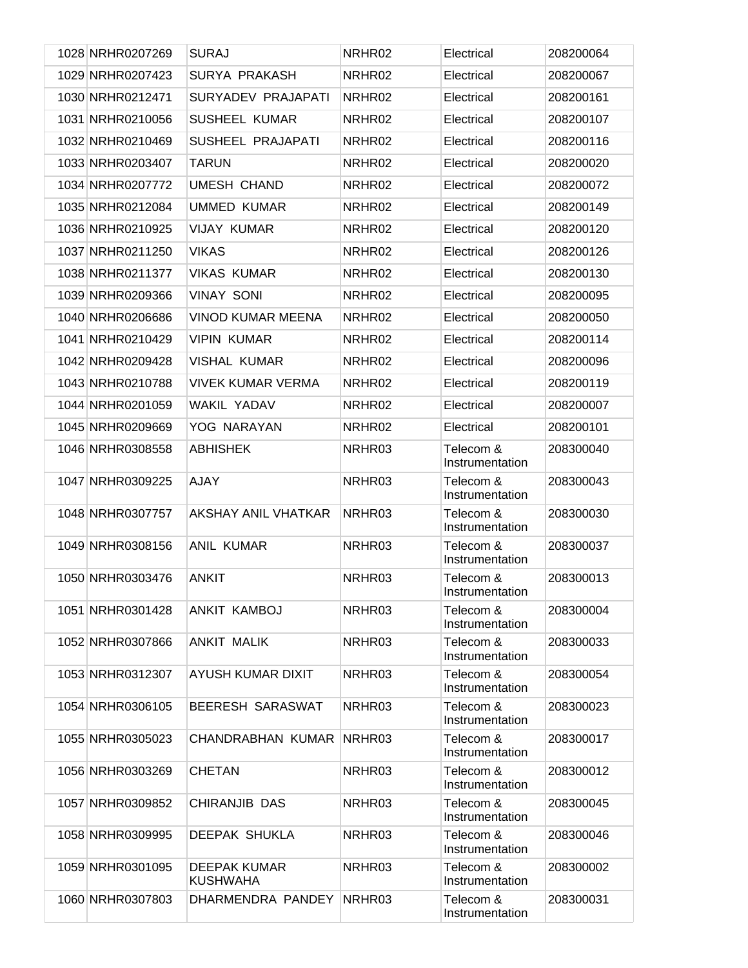| 1028 NRHR0207269 | <b>SURAJ</b>                           | NRHR02 | Electrical                   | 208200064 |
|------------------|----------------------------------------|--------|------------------------------|-----------|
| 1029 NRHR0207423 | SURYA PRAKASH                          | NRHR02 | Electrical                   | 208200067 |
| 1030 NRHR0212471 | SURYADEV PRAJAPATI                     | NRHR02 | Electrical                   | 208200161 |
| 1031 NRHR0210056 | <b>SUSHEEL KUMAR</b>                   | NRHR02 | Electrical                   | 208200107 |
| 1032 NRHR0210469 | SUSHEEL PRAJAPATI                      | NRHR02 | Electrical                   | 208200116 |
| 1033 NRHR0203407 | <b>TARUN</b>                           | NRHR02 | Electrical                   | 208200020 |
| 1034 NRHR0207772 | <b>UMESH CHAND</b>                     | NRHR02 | Electrical                   | 208200072 |
| 1035 NRHR0212084 | <b>UMMED KUMAR</b>                     | NRHR02 | Electrical                   | 208200149 |
| 1036 NRHR0210925 | <b>VIJAY KUMAR</b>                     | NRHR02 | Electrical                   | 208200120 |
| 1037 NRHR0211250 | <b>VIKAS</b>                           | NRHR02 | Electrical                   | 208200126 |
| 1038 NRHR0211377 | <b>VIKAS KUMAR</b>                     | NRHR02 | Electrical                   | 208200130 |
| 1039 NRHR0209366 | <b>VINAY SONI</b>                      | NRHR02 | Electrical                   | 208200095 |
| 1040 NRHR0206686 | <b>VINOD KUMAR MEENA</b>               | NRHR02 | Electrical                   | 208200050 |
| 1041 NRHR0210429 | <b>VIPIN KUMAR</b>                     | NRHR02 | Electrical                   | 208200114 |
| 1042 NRHR0209428 | <b>VISHAL KUMAR</b>                    | NRHR02 | Electrical                   | 208200096 |
| 1043 NRHR0210788 | <b>VIVEK KUMAR VERMA</b>               | NRHR02 | Electrical                   | 208200119 |
| 1044 NRHR0201059 | <b>WAKIL YADAV</b>                     | NRHR02 | Electrical                   | 208200007 |
| 1045 NRHR0209669 | YOG NARAYAN                            | NRHR02 | Electrical                   | 208200101 |
| 1046 NRHR0308558 | <b>ABHISHEK</b>                        | NRHR03 | Telecom &<br>Instrumentation | 208300040 |
| 1047 NRHR0309225 | <b>AJAY</b>                            | NRHR03 | Telecom &<br>Instrumentation | 208300043 |
| 1048 NRHR0307757 | <b>AKSHAY ANIL VHATKAR</b>             | NRHR03 | Telecom &<br>Instrumentation | 208300030 |
| 1049 NRHR0308156 | <b>ANIL KUMAR</b>                      | NRHR03 | Telecom &<br>Instrumentation | 208300037 |
| 1050 NRHR0303476 | <b>ANKIT</b>                           | NRHR03 | Telecom &<br>Instrumentation | 208300013 |
| 1051 NRHR0301428 | ANKIT KAMBOJ                           | NRHR03 | Telecom &<br>Instrumentation | 208300004 |
| 1052 NRHR0307866 | <b>ANKIT MALIK</b>                     | NRHR03 | Telecom &<br>Instrumentation | 208300033 |
| 1053 NRHR0312307 | AYUSH KUMAR DIXIT                      | NRHR03 | Telecom &<br>Instrumentation | 208300054 |
| 1054 NRHR0306105 | BEERESH SARASWAT                       | NRHR03 | Telecom &<br>Instrumentation | 208300023 |
| 1055 NRHR0305023 | CHANDRABHAN KUMAR                      | NRHR03 | Telecom &<br>Instrumentation | 208300017 |
| 1056 NRHR0303269 | <b>CHETAN</b>                          | NRHR03 | Telecom &<br>Instrumentation | 208300012 |
| 1057 NRHR0309852 | CHIRANJIB DAS                          | NRHR03 | Telecom &<br>Instrumentation | 208300045 |
| 1058 NRHR0309995 | <b>DEEPAK SHUKLA</b>                   | NRHR03 | Telecom &<br>Instrumentation | 208300046 |
| 1059 NRHR0301095 | <b>DEEPAK KUMAR</b><br><b>KUSHWAHA</b> | NRHR03 | Telecom &<br>Instrumentation | 208300002 |
| 1060 NRHR0307803 | DHARMENDRA PANDEY                      | NRHR03 | Telecom &<br>Instrumentation | 208300031 |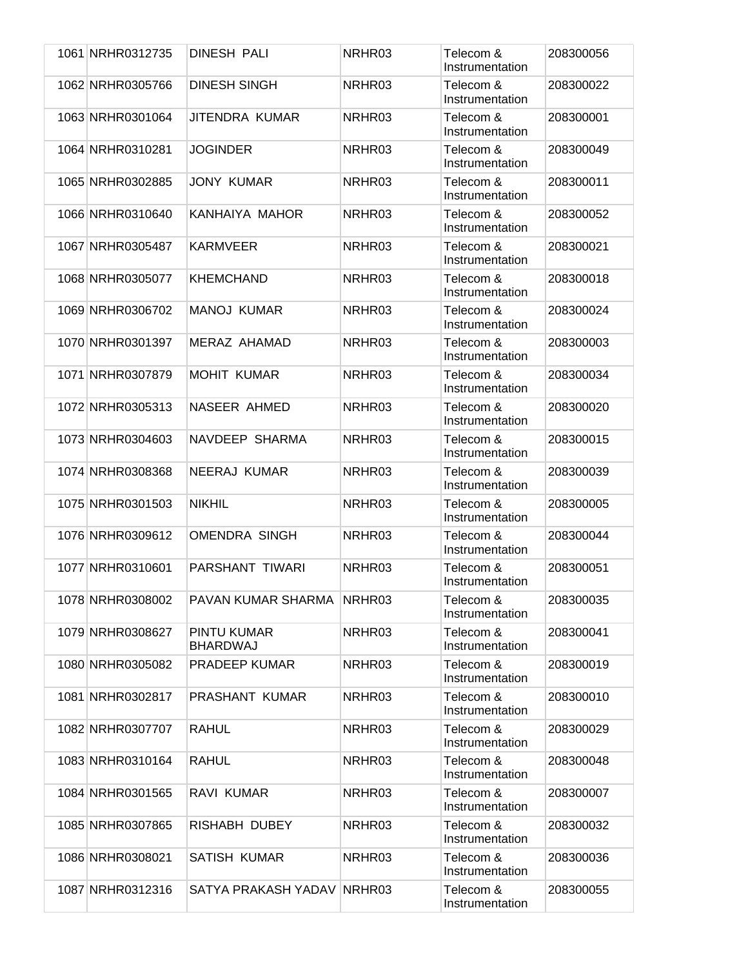| 1061 NRHR0312735 | DINESH PALI                    | NRHR03 | Telecom &<br>Instrumentation | 208300056 |
|------------------|--------------------------------|--------|------------------------------|-----------|
| 1062 NRHR0305766 | <b>DINESH SINGH</b>            | NRHR03 | Telecom &<br>Instrumentation | 208300022 |
| 1063 NRHR0301064 | JITENDRA KUMAR                 | NRHR03 | Telecom &<br>Instrumentation | 208300001 |
| 1064 NRHR0310281 | <b>JOGINDER</b>                | NRHR03 | Telecom &<br>Instrumentation | 208300049 |
| 1065 NRHR0302885 | <b>JONY KUMAR</b>              | NRHR03 | Telecom &<br>Instrumentation | 208300011 |
| 1066 NRHR0310640 | KANHAIYA MAHOR                 | NRHR03 | Telecom &<br>Instrumentation | 208300052 |
| 1067 NRHR0305487 | <b>KARMVEER</b>                | NRHR03 | Telecom &<br>Instrumentation | 208300021 |
| 1068 NRHR0305077 | <b>KHEMCHAND</b>               | NRHR03 | Telecom &<br>Instrumentation | 208300018 |
| 1069 NRHR0306702 | <b>MANOJ KUMAR</b>             | NRHR03 | Telecom &<br>Instrumentation | 208300024 |
| 1070 NRHR0301397 | MERAZ AHAMAD                   | NRHR03 | Telecom &<br>Instrumentation | 208300003 |
| 1071 NRHR0307879 | <b>MOHIT KUMAR</b>             | NRHR03 | Telecom &<br>Instrumentation | 208300034 |
| 1072 NRHR0305313 | NASEER AHMED                   | NRHR03 | Telecom &<br>Instrumentation | 208300020 |
| 1073 NRHR0304603 | NAVDEEP SHARMA                 | NRHR03 | Telecom &<br>Instrumentation | 208300015 |
| 1074 NRHR0308368 | NEERAJ KUMAR                   | NRHR03 | Telecom &<br>Instrumentation | 208300039 |
| 1075 NRHR0301503 | <b>NIKHIL</b>                  | NRHR03 | Telecom &<br>Instrumentation | 208300005 |
| 1076 NRHR0309612 | <b>OMENDRA SINGH</b>           | NRHR03 | Telecom &<br>Instrumentation | 208300044 |
| 1077 NRHR0310601 | PARSHANT TIWARI                | NRHR03 | Telecom &<br>Instrumentation | 208300051 |
| 1078 NRHR0308002 | PAVAN KUMAR SHARMA NRHR03      |        | Telecom &<br>Instrumentation | 208300035 |
| 1079 NRHR0308627 | PINTU KUMAR<br><b>BHARDWAJ</b> | NRHR03 | Telecom &<br>Instrumentation | 208300041 |
| 1080 NRHR0305082 | PRADEEP KUMAR                  | NRHR03 | Telecom &<br>Instrumentation | 208300019 |
| 1081 NRHR0302817 | PRASHANT KUMAR                 | NRHR03 | Telecom &<br>Instrumentation | 208300010 |
| 1082 NRHR0307707 | <b>RAHUL</b>                   | NRHR03 | Telecom &<br>Instrumentation | 208300029 |
| 1083 NRHR0310164 | <b>RAHUL</b>                   | NRHR03 | Telecom &<br>Instrumentation | 208300048 |
| 1084 NRHR0301565 | RAVI KUMAR                     | NRHR03 | Telecom &<br>Instrumentation | 208300007 |
| 1085 NRHR0307865 | RISHABH DUBEY                  | NRHR03 | Telecom &<br>Instrumentation | 208300032 |
| 1086 NRHR0308021 | <b>SATISH KUMAR</b>            | NRHR03 | Telecom &<br>Instrumentation | 208300036 |
| 1087 NRHR0312316 | SATYA PRAKASH YADAV            | NRHR03 | Telecom &<br>Instrumentation | 208300055 |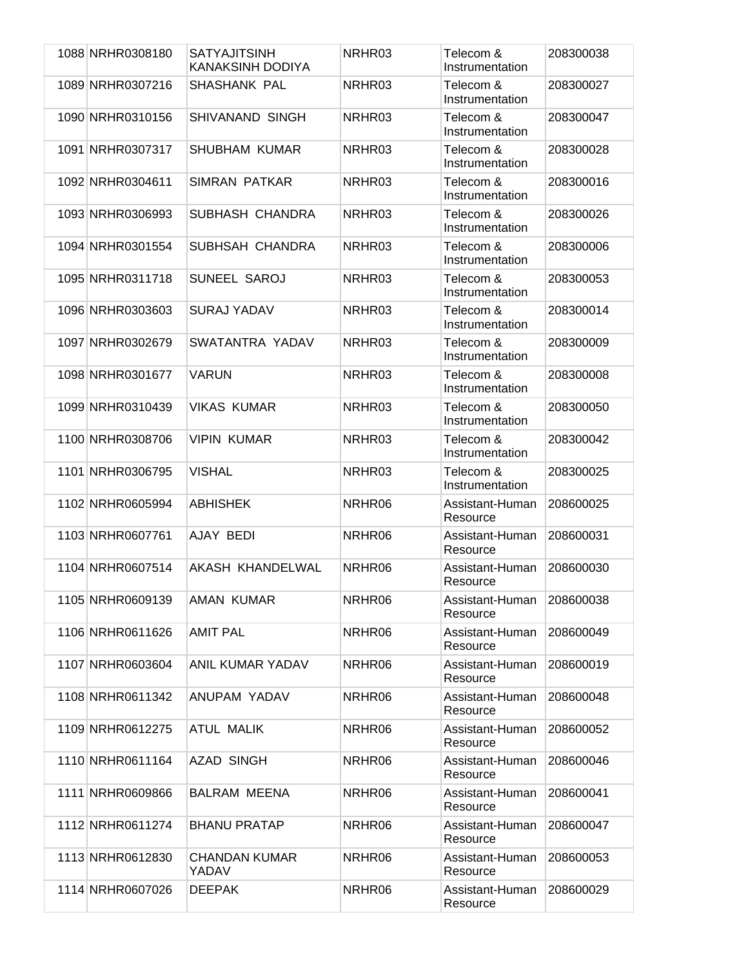| 1088 NRHR0308180 | <b>SATYAJITSINH</b><br>KANAKSINH DODIYA | NRHR03 | Telecom &<br>Instrumentation | 208300038 |
|------------------|-----------------------------------------|--------|------------------------------|-----------|
| 1089 NRHR0307216 | SHASHANK PAL                            | NRHR03 | Telecom &<br>Instrumentation | 208300027 |
| 1090 NRHR0310156 | SHIVANAND SINGH                         | NRHR03 | Telecom &<br>Instrumentation | 208300047 |
| 1091 NRHR0307317 | <b>SHUBHAM KUMAR</b>                    | NRHR03 | Telecom &<br>Instrumentation | 208300028 |
| 1092 NRHR0304611 | SIMRAN PATKAR                           | NRHR03 | Telecom &<br>Instrumentation | 208300016 |
| 1093 NRHR0306993 | SUBHASH CHANDRA                         | NRHR03 | Telecom &<br>Instrumentation | 208300026 |
| 1094 NRHR0301554 | SUBHSAH CHANDRA                         | NRHR03 | Telecom &<br>Instrumentation | 208300006 |
| 1095 NRHR0311718 | SUNEEL SAROJ                            | NRHR03 | Telecom &<br>Instrumentation | 208300053 |
| 1096 NRHR0303603 | <b>SURAJ YADAV</b>                      | NRHR03 | Telecom &<br>Instrumentation | 208300014 |
| 1097 NRHR0302679 | SWATANTRA YADAV                         | NRHR03 | Telecom &<br>Instrumentation | 208300009 |
| 1098 NRHR0301677 | <b>VARUN</b>                            | NRHR03 | Telecom &<br>Instrumentation | 208300008 |
| 1099 NRHR0310439 | <b>VIKAS KUMAR</b>                      | NRHR03 | Telecom &<br>Instrumentation | 208300050 |
| 1100 NRHR0308706 | <b>VIPIN KUMAR</b>                      | NRHR03 | Telecom &<br>Instrumentation | 208300042 |
| 1101 NRHR0306795 | <b>VISHAL</b>                           | NRHR03 | Telecom &<br>Instrumentation | 208300025 |
| 1102 NRHR0605994 | <b>ABHISHEK</b>                         | NRHR06 | Assistant-Human<br>Resource  | 208600025 |
| 1103 NRHR0607761 | AJAY BEDI                               | NRHR06 | Assistant-Human<br>Resource  | 208600031 |
| 1104 NRHR0607514 | AKASH KHANDELWAL                        | NRHR06 | Assistant-Human<br>Resource  | 208600030 |
| 1105 NRHR0609139 | <b>AMAN KUMAR</b>                       | NRHR06 | Assistant-Human<br>Resource  | 208600038 |
| 1106 NRHR0611626 | <b>AMIT PAL</b>                         | NRHR06 | Assistant-Human<br>Resource  | 208600049 |
| 1107 NRHR0603604 | <b>ANIL KUMAR YADAV</b>                 | NRHR06 | Assistant-Human<br>Resource  | 208600019 |
| 1108 NRHR0611342 | ANUPAM YADAV                            | NRHR06 | Assistant-Human<br>Resource  | 208600048 |
| 1109 NRHR0612275 | <b>ATUL MALIK</b>                       | NRHR06 | Assistant-Human<br>Resource  | 208600052 |
| 1110 NRHR0611164 | <b>AZAD SINGH</b>                       | NRHR06 | Assistant-Human<br>Resource  | 208600046 |
| 1111 NRHR0609866 | <b>BALRAM MEENA</b>                     | NRHR06 | Assistant-Human<br>Resource  | 208600041 |
| 1112 NRHR0611274 | <b>BHANU PRATAP</b>                     | NRHR06 | Assistant-Human<br>Resource  | 208600047 |
| 1113 NRHR0612830 | <b>CHANDAN KUMAR</b><br>YADAV           | NRHR06 | Assistant-Human<br>Resource  | 208600053 |
| 1114 NRHR0607026 | <b>DEEPAK</b>                           | NRHR06 | Assistant-Human<br>Resource  | 208600029 |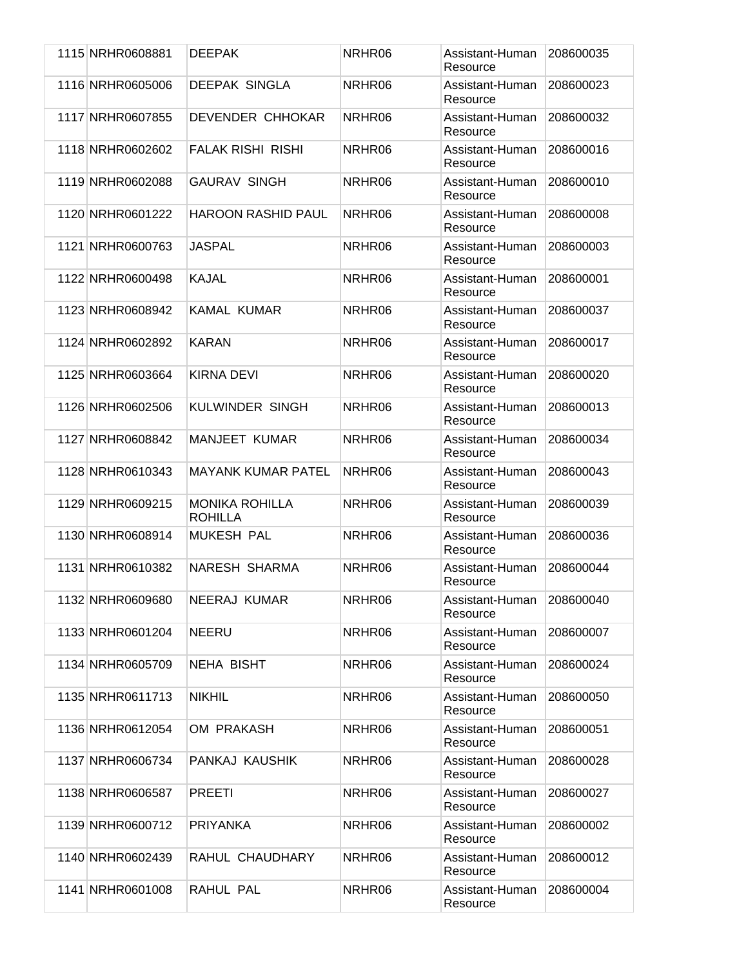| 1115 NRHR0608881 | <b>DEEPAK</b>                           | NRHR06 | Assistant-Human<br>Resource | 208600035 |
|------------------|-----------------------------------------|--------|-----------------------------|-----------|
| 1116 NRHR0605006 | <b>DEEPAK SINGLA</b>                    | NRHR06 | Assistant-Human<br>Resource | 208600023 |
| 1117 NRHR0607855 | DEVENDER CHHOKAR                        | NRHR06 | Assistant-Human<br>Resource | 208600032 |
| 1118 NRHR0602602 | <b>FALAK RISHI RISHI</b>                | NRHR06 | Assistant-Human<br>Resource | 208600016 |
| 1119 NRHR0602088 | <b>GAURAV SINGH</b>                     | NRHR06 | Assistant-Human<br>Resource | 208600010 |
| 1120 NRHR0601222 | <b>HAROON RASHID PAUL</b>               | NRHR06 | Assistant-Human<br>Resource | 208600008 |
| 1121 NRHR0600763 | <b>JASPAL</b>                           | NRHR06 | Assistant-Human<br>Resource | 208600003 |
| 1122 NRHR0600498 | KAJAL                                   | NRHR06 | Assistant-Human<br>Resource | 208600001 |
| 1123 NRHR0608942 | <b>KAMAL KUMAR</b>                      | NRHR06 | Assistant-Human<br>Resource | 208600037 |
| 1124 NRHR0602892 | <b>KARAN</b>                            | NRHR06 | Assistant-Human<br>Resource | 208600017 |
| 1125 NRHR0603664 | KIRNA DEVI                              | NRHR06 | Assistant-Human<br>Resource | 208600020 |
| 1126 NRHR0602506 | KULWINDER SINGH                         | NRHR06 | Assistant-Human<br>Resource | 208600013 |
| 1127 NRHR0608842 | <b>MANJEET KUMAR</b>                    | NRHR06 | Assistant-Human<br>Resource | 208600034 |
| 1128 NRHR0610343 | <b>MAYANK KUMAR PATEL</b>               | NRHR06 | Assistant-Human<br>Resource | 208600043 |
| 1129 NRHR0609215 | <b>MONIKA ROHILLA</b><br><b>ROHILLA</b> | NRHR06 | Assistant-Human<br>Resource | 208600039 |
| 1130 NRHR0608914 | <b>MUKESH PAL</b>                       | NRHR06 | Assistant-Human<br>Resource | 208600036 |
| 1131 NRHR0610382 | NARESH SHARMA                           | NRHR06 | Assistant-Human<br>Resource | 208600044 |
| 1132 NRHR0609680 | NEERAJ KUMAR                            | NRHR06 | Assistant-Human<br>Resource | 208600040 |
| 1133 NRHR0601204 | <b>NEERU</b>                            | NRHR06 | Assistant-Human<br>Resource | 208600007 |
| 1134 NRHR0605709 | <b>NEHA BISHT</b>                       | NRHR06 | Assistant-Human<br>Resource | 208600024 |
| 1135 NRHR0611713 | <b>NIKHIL</b>                           | NRHR06 | Assistant-Human<br>Resource | 208600050 |
| 1136 NRHR0612054 | OM PRAKASH                              | NRHR06 | Assistant-Human<br>Resource | 208600051 |
| 1137 NRHR0606734 | PANKAJ KAUSHIK                          | NRHR06 | Assistant-Human<br>Resource | 208600028 |
| 1138 NRHR0606587 | <b>PREETI</b>                           | NRHR06 | Assistant-Human<br>Resource | 208600027 |
| 1139 NRHR0600712 | PRIYANKA                                | NRHR06 | Assistant-Human<br>Resource | 208600002 |
| 1140 NRHR0602439 | RAHUL CHAUDHARY                         | NRHR06 | Assistant-Human<br>Resource | 208600012 |
| 1141 NRHR0601008 | RAHUL PAL                               | NRHR06 | Assistant-Human<br>Resource | 208600004 |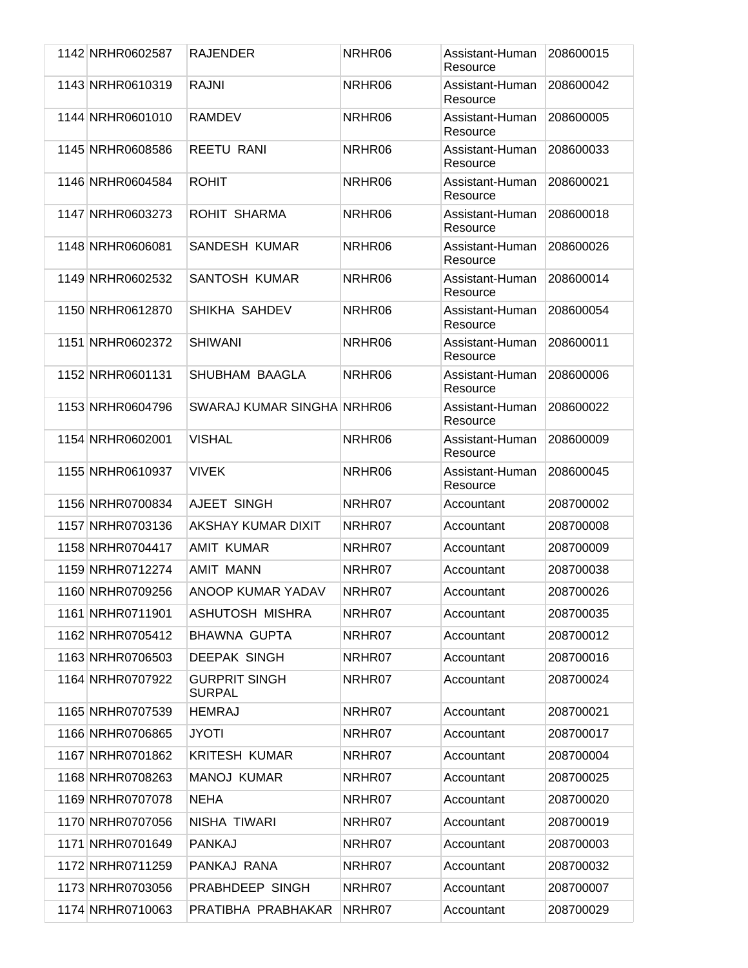| 1142 NRHR0602587 | <b>RAJENDER</b>                       | NRHR06 | Assistant-Human<br>Resource | 208600015 |
|------------------|---------------------------------------|--------|-----------------------------|-----------|
| 1143 NRHR0610319 | <b>RAJNI</b>                          | NRHR06 | Assistant-Human<br>Resource | 208600042 |
| 1144 NRHR0601010 | <b>RAMDEV</b>                         | NRHR06 | Assistant-Human<br>Resource | 208600005 |
| 1145 NRHR0608586 | <b>REETU RANI</b>                     | NRHR06 | Assistant-Human<br>Resource | 208600033 |
| 1146 NRHR0604584 | <b>ROHIT</b>                          | NRHR06 | Assistant-Human<br>Resource | 208600021 |
| 1147 NRHR0603273 | ROHIT SHARMA                          | NRHR06 | Assistant-Human<br>Resource | 208600018 |
| 1148 NRHR0606081 | SANDESH KUMAR                         | NRHR06 | Assistant-Human<br>Resource | 208600026 |
| 1149 NRHR0602532 | SANTOSH KUMAR                         | NRHR06 | Assistant-Human<br>Resource | 208600014 |
| 1150 NRHR0612870 | SHIKHA SAHDEV                         | NRHR06 | Assistant-Human<br>Resource | 208600054 |
| 1151 NRHR0602372 | <b>SHIWANI</b>                        | NRHR06 | Assistant-Human<br>Resource | 208600011 |
| 1152 NRHR0601131 | SHUBHAM BAAGLA                        | NRHR06 | Assistant-Human<br>Resource | 208600006 |
| 1153 NRHR0604796 | SWARAJ KUMAR SINGHA NRHR06            |        | Assistant-Human<br>Resource | 208600022 |
| 1154 NRHR0602001 | <b>VISHAL</b>                         | NRHR06 | Assistant-Human<br>Resource | 208600009 |
| 1155 NRHR0610937 | <b>VIVEK</b>                          | NRHR06 | Assistant-Human<br>Resource | 208600045 |
| 1156 NRHR0700834 | AJEET SINGH                           | NRHR07 | Accountant                  | 208700002 |
| 1157 NRHR0703136 | AKSHAY KUMAR DIXIT                    | NRHR07 | Accountant                  | 208700008 |
| 1158 NRHR0704417 | AMIT KUMAR                            | NRHR07 | Accountant                  | 208700009 |
| 1159 NRHR0712274 | <b>AMIT MANN</b>                      | NRHR07 | Accountant                  | 208700038 |
| 1160 NRHR0709256 | ANOOP KUMAR YADAV                     | NRHR07 | Accountant                  | 208700026 |
| 1161 NRHR0711901 | ASHUTOSH MISHRA                       | NRHR07 | Accountant                  | 208700035 |
| 1162 NRHR0705412 | <b>BHAWNA GUPTA</b>                   | NRHR07 | Accountant                  | 208700012 |
| 1163 NRHR0706503 | <b>DEEPAK SINGH</b>                   | NRHR07 | Accountant                  | 208700016 |
| 1164 NRHR0707922 | <b>GURPRIT SINGH</b><br><b>SURPAL</b> | NRHR07 | Accountant                  | 208700024 |
| 1165 NRHR0707539 | <b>HEMRAJ</b>                         | NRHR07 | Accountant                  | 208700021 |
| 1166 NRHR0706865 | <b>JYOTI</b>                          | NRHR07 | Accountant                  | 208700017 |
| 1167 NRHR0701862 | <b>KRITESH KUMAR</b>                  | NRHR07 | Accountant                  | 208700004 |
| 1168 NRHR0708263 | <b>MANOJ KUMAR</b>                    | NRHR07 | Accountant                  | 208700025 |
| 1169 NRHR0707078 | <b>NEHA</b>                           | NRHR07 | Accountant                  | 208700020 |
| 1170 NRHR0707056 | NISHA TIWARI                          | NRHR07 | Accountant                  | 208700019 |
| 1171 NRHR0701649 | <b>PANKAJ</b>                         | NRHR07 | Accountant                  | 208700003 |
| 1172 NRHR0711259 | PANKAJ RANA                           | NRHR07 | Accountant                  | 208700032 |
| 1173 NRHR0703056 | PRABHDEEP SINGH                       | NRHR07 | Accountant                  | 208700007 |
| 1174 NRHR0710063 | PRATIBHA PRABHAKAR                    | NRHR07 | Accountant                  | 208700029 |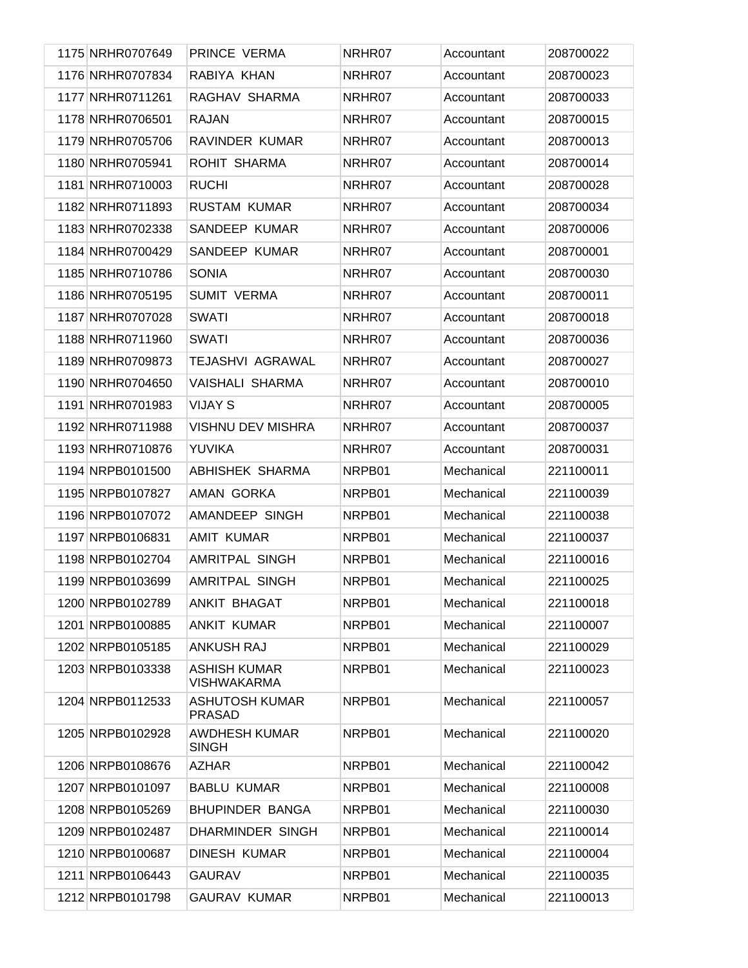| 1175 NRHR0707649 | PRINCE VERMA                              | NRHR07 | Accountant | 208700022 |
|------------------|-------------------------------------------|--------|------------|-----------|
| 1176 NRHR0707834 | RABIYA KHAN                               | NRHR07 | Accountant | 208700023 |
| 1177 NRHR0711261 | RAGHAV SHARMA                             | NRHR07 | Accountant | 208700033 |
| 1178 NRHR0706501 | <b>RAJAN</b>                              | NRHR07 | Accountant | 208700015 |
| 1179 NRHR0705706 | RAVINDER KUMAR                            | NRHR07 | Accountant | 208700013 |
| 1180 NRHR0705941 | ROHIT SHARMA                              | NRHR07 | Accountant | 208700014 |
| 1181 NRHR0710003 | <b>RUCHI</b>                              | NRHR07 | Accountant | 208700028 |
| 1182 NRHR0711893 | <b>RUSTAM KUMAR</b>                       | NRHR07 | Accountant | 208700034 |
| 1183 NRHR0702338 | SANDEEP KUMAR                             | NRHR07 | Accountant | 208700006 |
| 1184 NRHR0700429 | SANDEEP KUMAR                             | NRHR07 | Accountant | 208700001 |
| 1185 NRHR0710786 | <b>SONIA</b>                              | NRHR07 | Accountant | 208700030 |
| 1186 NRHR0705195 | <b>SUMIT VERMA</b>                        | NRHR07 | Accountant | 208700011 |
| 1187 NRHR0707028 | <b>SWATI</b>                              | NRHR07 | Accountant | 208700018 |
| 1188 NRHR0711960 | <b>SWATI</b>                              | NRHR07 | Accountant | 208700036 |
| 1189 NRHR0709873 | <b>TEJASHVI AGRAWAL</b>                   | NRHR07 | Accountant | 208700027 |
| 1190 NRHR0704650 | VAISHALI SHARMA                           | NRHR07 | Accountant | 208700010 |
| 1191 NRHR0701983 | <b>VIJAY S</b>                            | NRHR07 | Accountant | 208700005 |
| 1192 NRHR0711988 | <b>VISHNU DEV MISHRA</b>                  | NRHR07 | Accountant | 208700037 |
| 1193 NRHR0710876 | <b>YUVIKA</b>                             | NRHR07 | Accountant | 208700031 |
| 1194 NRPB0101500 | ABHISHEK SHARMA                           | NRPB01 | Mechanical | 221100011 |
| 1195 NRPB0107827 | AMAN GORKA                                | NRPB01 | Mechanical | 221100039 |
| 1196 NRPB0107072 | AMANDEEP SINGH                            | NRPB01 | Mechanical | 221100038 |
| 1197 NRPB0106831 | <b>AMIT KUMAR</b>                         | NRPB01 | Mechanical | 221100037 |
| 1198 NRPB0102704 | AMRITPAL SINGH                            | NRPB01 | Mechanical | 221100016 |
| 1199 NRPB0103699 | AMRITPAL SINGH                            | NRPB01 | Mechanical | 221100025 |
| 1200 NRPB0102789 | ANKIT BHAGAT                              | NRPB01 | Mechanical | 221100018 |
| 1201 NRPB0100885 | <b>ANKIT KUMAR</b>                        | NRPB01 | Mechanical | 221100007 |
| 1202 NRPB0105185 | <b>ANKUSH RAJ</b>                         | NRPB01 | Mechanical | 221100029 |
| 1203 NRPB0103338 | <b>ASHISH KUMAR</b><br><b>VISHWAKARMA</b> | NRPB01 | Mechanical | 221100023 |
| 1204 NRPB0112533 | <b>ASHUTOSH KUMAR</b><br><b>PRASAD</b>    | NRPB01 | Mechanical | 221100057 |
| 1205 NRPB0102928 | <b>AWDHESH KUMAR</b><br><b>SINGH</b>      | NRPB01 | Mechanical | 221100020 |
| 1206 NRPB0108676 | <b>AZHAR</b>                              | NRPB01 | Mechanical | 221100042 |
| 1207 NRPB0101097 | <b>BABLU KUMAR</b>                        | NRPB01 | Mechanical | 221100008 |
| 1208 NRPB0105269 | BHUPINDER BANGA                           | NRPB01 | Mechanical | 221100030 |
| 1209 NRPB0102487 | DHARMINDER SINGH                          | NRPB01 | Mechanical | 221100014 |
| 1210 NRPB0100687 | DINESH KUMAR                              | NRPB01 | Mechanical | 221100004 |
| 1211 NRPB0106443 | <b>GAURAV</b>                             | NRPB01 | Mechanical | 221100035 |
| 1212 NRPB0101798 | <b>GAURAV KUMAR</b>                       | NRPB01 | Mechanical | 221100013 |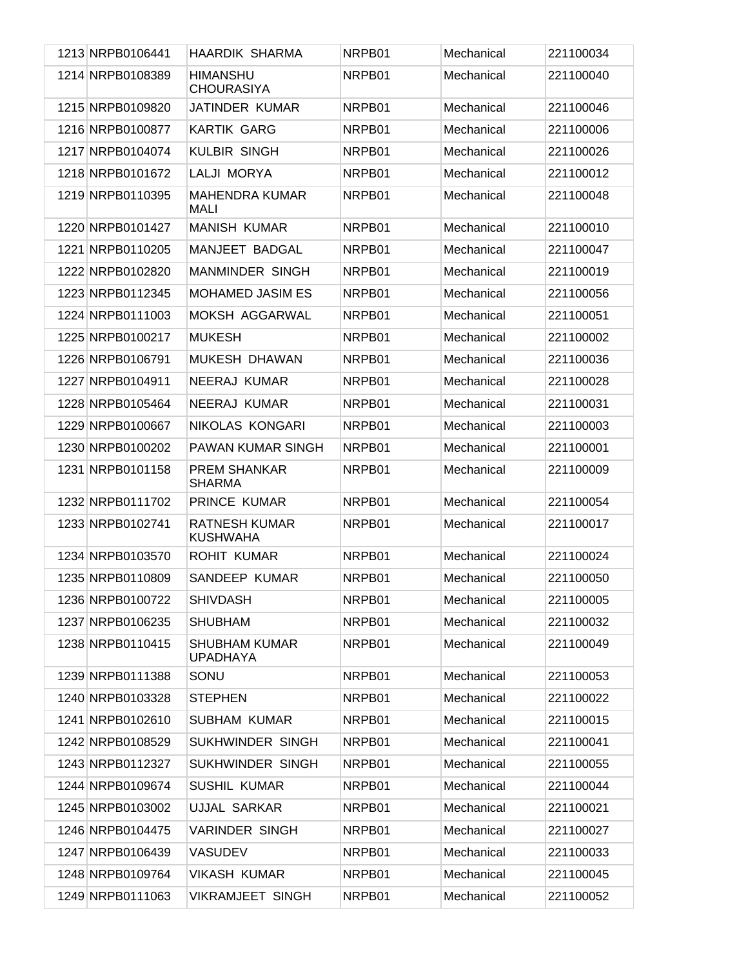| 1213 NRPB0106441 | HAARDIK SHARMA                          | NRPB01 | Mechanical | 221100034 |
|------------------|-----------------------------------------|--------|------------|-----------|
| 1214 NRPB0108389 | <b>HIMANSHU</b><br><b>CHOURASIYA</b>    | NRPB01 | Mechanical | 221100040 |
| 1215 NRPB0109820 | JATINDER KUMAR                          | NRPB01 | Mechanical | 221100046 |
| 1216 NRPB0100877 | <b>KARTIK GARG</b>                      | NRPB01 | Mechanical | 221100006 |
| 1217 NRPB0104074 | <b>KULBIR SINGH</b>                     | NRPB01 | Mechanical | 221100026 |
| 1218 NRPB0101672 | LALJI MORYA                             | NRPB01 | Mechanical | 221100012 |
| 1219 NRPB0110395 | <b>MAHENDRA KUMAR</b><br>MALI           | NRPB01 | Mechanical | 221100048 |
| 1220 NRPB0101427 | <b>MANISH KUMAR</b>                     | NRPB01 | Mechanical | 221100010 |
| 1221 NRPB0110205 | MANJEET BADGAL                          | NRPB01 | Mechanical | 221100047 |
| 1222 NRPB0102820 | <b>MANMINDER SINGH</b>                  | NRPB01 | Mechanical | 221100019 |
| 1223 NRPB0112345 | <b>MOHAMED JASIM ES</b>                 | NRPB01 | Mechanical | 221100056 |
| 1224 NRPB0111003 | MOKSH AGGARWAL                          | NRPB01 | Mechanical | 221100051 |
| 1225 NRPB0100217 | <b>MUKESH</b>                           | NRPB01 | Mechanical | 221100002 |
| 1226 NRPB0106791 | MUKESH DHAWAN                           | NRPB01 | Mechanical | 221100036 |
| 1227 NRPB0104911 | NEERAJ KUMAR                            | NRPB01 | Mechanical | 221100028 |
| 1228 NRPB0105464 | NEERAJ KUMAR                            | NRPB01 | Mechanical | 221100031 |
| 1229 NRPB0100667 | NIKOLAS KONGARI                         | NRPB01 | Mechanical | 221100003 |
| 1230 NRPB0100202 | PAWAN KUMAR SINGH                       | NRPB01 | Mechanical | 221100001 |
| 1231 NRPB0101158 | <b>PREM SHANKAR</b><br><b>SHARMA</b>    | NRPB01 | Mechanical | 221100009 |
| 1232 NRPB0111702 | PRINCE KUMAR                            | NRPB01 | Mechanical | 221100054 |
| 1233 NRPB0102741 | <b>RATNESH KUMAR</b><br><b>KUSHWAHA</b> | NRPB01 | Mechanical | 221100017 |
| 1234 NRPB0103570 | <b>ROHIT KUMAR</b>                      | NRPB01 | Mechanical | 221100024 |
| 1235 NRPB0110809 | SANDEEP KUMAR                           | NRPB01 | Mechanical | 221100050 |
| 1236 NRPB0100722 | <b>SHIVDASH</b>                         | NRPB01 | Mechanical | 221100005 |
| 1237 NRPB0106235 | <b>SHUBHAM</b>                          | NRPB01 | Mechanical | 221100032 |
| 1238 NRPB0110415 | <b>SHUBHAM KUMAR</b><br><b>UPADHAYA</b> | NRPB01 | Mechanical | 221100049 |
| 1239 NRPB0111388 | SONU                                    | NRPB01 | Mechanical | 221100053 |
| 1240 NRPB0103328 | <b>STEPHEN</b>                          | NRPB01 | Mechanical | 221100022 |
| 1241 NRPB0102610 | <b>SUBHAM KUMAR</b>                     | NRPB01 | Mechanical | 221100015 |
| 1242 NRPB0108529 | SUKHWINDER SINGH                        | NRPB01 | Mechanical | 221100041 |
| 1243 NRPB0112327 | SUKHWINDER SINGH                        | NRPB01 | Mechanical | 221100055 |
| 1244 NRPB0109674 | SUSHIL KUMAR                            | NRPB01 | Mechanical | 221100044 |
| 1245 NRPB0103002 | <b>UJJAL SARKAR</b>                     | NRPB01 | Mechanical | 221100021 |
| 1246 NRPB0104475 | <b>VARINDER SINGH</b>                   | NRPB01 | Mechanical | 221100027 |
| 1247 NRPB0106439 | <b>VASUDEV</b>                          | NRPB01 | Mechanical | 221100033 |
| 1248 NRPB0109764 | <b>VIKASH KUMAR</b>                     | NRPB01 | Mechanical | 221100045 |
| 1249 NRPB0111063 | <b>VIKRAMJEET SINGH</b>                 | NRPB01 | Mechanical | 221100052 |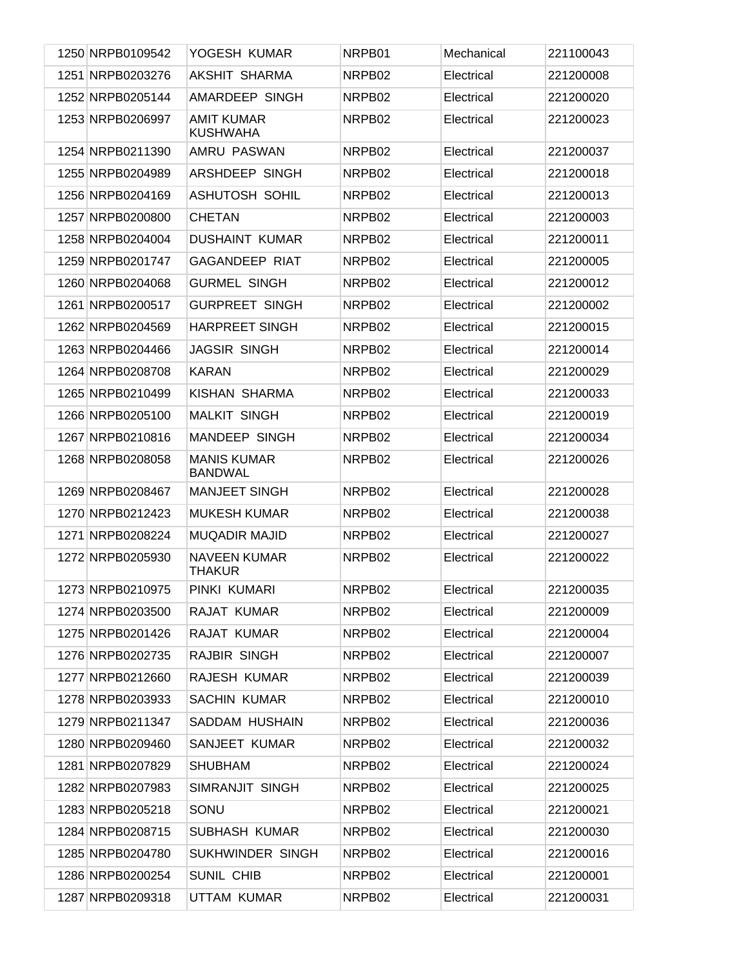| 1250 NRPB0109542 | YOGESH KUMAR                         | NRPB01             | Mechanical | 221100043 |
|------------------|--------------------------------------|--------------------|------------|-----------|
| 1251 NRPB0203276 | AKSHIT SHARMA                        | NRPB02             | Electrical | 221200008 |
| 1252 NRPB0205144 | AMARDEEP SINGH                       | NRPB02             | Electrical | 221200020 |
| 1253 NRPB0206997 | <b>AMIT KUMAR</b><br><b>KUSHWAHA</b> | NRPB02             | Electrical | 221200023 |
| 1254 NRPB0211390 | AMRU PASWAN                          | NRPB02             | Electrical | 221200037 |
| 1255 NRPB0204989 | ARSHDEEP SINGH                       | NRPB02             | Electrical | 221200018 |
| 1256 NRPB0204169 | <b>ASHUTOSH SOHIL</b>                | NRPB02             | Electrical | 221200013 |
| 1257 NRPB0200800 | <b>CHETAN</b>                        | NRPB02             | Electrical | 221200003 |
| 1258 NRPB0204004 | <b>DUSHAINT KUMAR</b>                | NRPB02             | Electrical | 221200011 |
| 1259 NRPB0201747 | <b>GAGANDEEP RIAT</b>                | NRPB02             | Electrical | 221200005 |
| 1260 NRPB0204068 | <b>GURMEL SINGH</b>                  | NRPB02             | Electrical | 221200012 |
| 1261 NRPB0200517 | <b>GURPREET SINGH</b>                | NRPB02             | Electrical | 221200002 |
| 1262 NRPB0204569 | <b>HARPREET SINGH</b>                | NRPB02             | Electrical | 221200015 |
| 1263 NRPB0204466 | <b>JAGSIR SINGH</b>                  | NRPB02             | Electrical | 221200014 |
| 1264 NRPB0208708 | <b>KARAN</b>                         | NRPB02             | Electrical | 221200029 |
| 1265 NRPB0210499 | KISHAN SHARMA                        | NRPB02             | Electrical | 221200033 |
| 1266 NRPB0205100 | <b>MALKIT SINGH</b>                  | NRPB02             | Electrical | 221200019 |
| 1267 NRPB0210816 | MANDEEP SINGH                        | NRPB02             | Electrical | 221200034 |
| 1268 NRPB0208058 | <b>MANIS KUMAR</b><br><b>BANDWAL</b> | NRPB02             | Electrical | 221200026 |
| 1269 NRPB0208467 | <b>MANJEET SINGH</b>                 | NRPB02             | Electrical | 221200028 |
| 1270 NRPB0212423 | <b>MUKESH KUMAR</b>                  | NRPB02             | Electrical | 221200038 |
| 1271 NRPB0208224 | <b>MUQADIR MAJID</b>                 | NRPB02             | Electrical | 221200027 |
| 1272 NRPB0205930 | <b>NAVEEN KUMAR</b><br><b>THAKUR</b> | NRPB <sub>02</sub> | Electrical | 221200022 |
| 1273 NRPB0210975 | PINKI KUMARI                         | NRPB02             | Electrical | 221200035 |
| 1274 NRPB0203500 | RAJAT KUMAR                          | NRPB02             | Electrical | 221200009 |
| 1275 NRPB0201426 | RAJAT KUMAR                          | NRPB02             | Electrical | 221200004 |
| 1276 NRPB0202735 | RAJBIR SINGH                         | NRPB02             | Electrical | 221200007 |
| 1277 NRPB0212660 | RAJESH KUMAR                         | NRPB02             | Electrical | 221200039 |
| 1278 NRPB0203933 | <b>SACHIN KUMAR</b>                  | NRPB02             | Electrical | 221200010 |
| 1279 NRPB0211347 | SADDAM HUSHAIN                       | NRPB02             | Electrical | 221200036 |
| 1280 NRPB0209460 | SANJEET KUMAR                        | NRPB02             | Electrical | 221200032 |
| 1281 NRPB0207829 | <b>SHUBHAM</b>                       | NRPB02             | Electrical | 221200024 |
| 1282 NRPB0207983 | SIMRANJIT SINGH                      | NRPB02             | Electrical | 221200025 |
| 1283 NRPB0205218 | SONU                                 | NRPB02             | Electrical | 221200021 |
| 1284 NRPB0208715 | SUBHASH KUMAR                        | NRPB02             | Electrical | 221200030 |
| 1285 NRPB0204780 | SUKHWINDER SINGH                     | NRPB02             | Electrical | 221200016 |
| 1286 NRPB0200254 | SUNIL CHIB                           | NRPB02             | Electrical | 221200001 |
| 1287 NRPB0209318 | UTTAM KUMAR                          | NRPB02             | Electrical | 221200031 |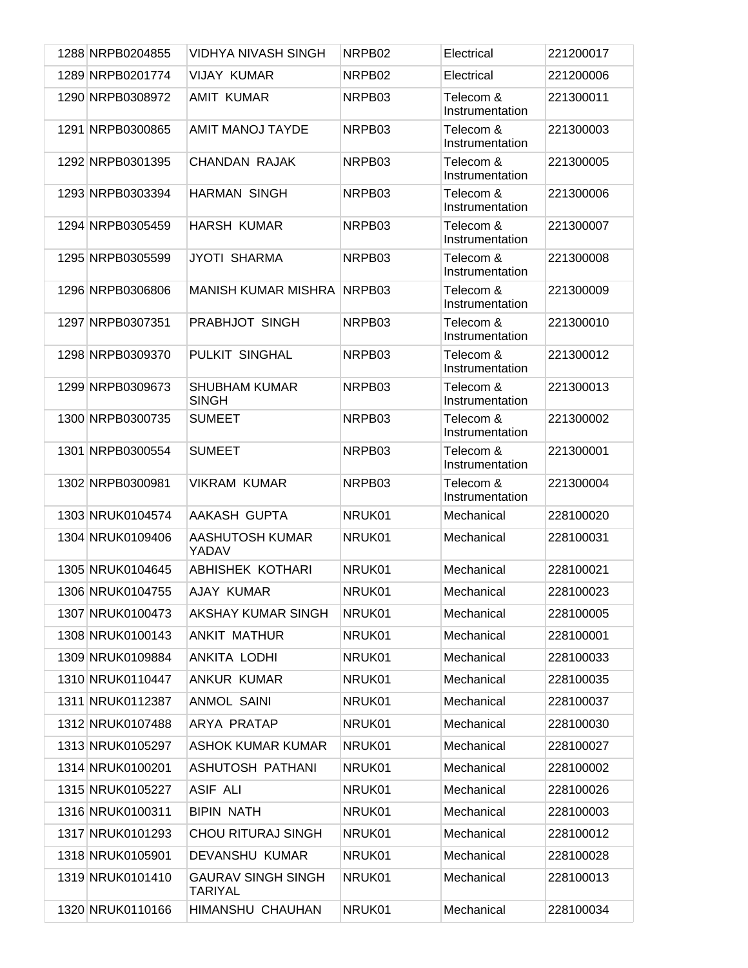| 1288 NRPB0204855 | <b>VIDHYA NIVASH SINGH</b>                  | NRPB02 | Electrical                   | 221200017 |
|------------------|---------------------------------------------|--------|------------------------------|-----------|
| 1289 NRPB0201774 | <b>VIJAY KUMAR</b>                          | NRPB02 | Electrical                   | 221200006 |
| 1290 NRPB0308972 | <b>AMIT KUMAR</b>                           | NRPB03 | Telecom &<br>Instrumentation | 221300011 |
| 1291 NRPB0300865 | <b>AMIT MANOJ TAYDE</b>                     | NRPB03 | Telecom &<br>Instrumentation | 221300003 |
| 1292 NRPB0301395 | <b>CHANDAN RAJAK</b>                        | NRPB03 | Telecom &<br>Instrumentation | 221300005 |
| 1293 NRPB0303394 | <b>HARMAN SINGH</b>                         | NRPB03 | Telecom &<br>Instrumentation | 221300006 |
| 1294 NRPB0305459 | <b>HARSH KUMAR</b>                          | NRPB03 | Telecom &<br>Instrumentation | 221300007 |
| 1295 NRPB0305599 | <b>JYOTI SHARMA</b>                         | NRPB03 | Telecom &<br>Instrumentation | 221300008 |
| 1296 NRPB0306806 | <b>MANISH KUMAR MISHRA</b>                  | NRPB03 | Telecom &<br>Instrumentation | 221300009 |
| 1297 NRPB0307351 | PRABHJOT SINGH                              | NRPB03 | Telecom &<br>Instrumentation | 221300010 |
| 1298 NRPB0309370 | PULKIT SINGHAL                              | NRPB03 | Telecom &<br>Instrumentation | 221300012 |
| 1299 NRPB0309673 | <b>SHUBHAM KUMAR</b><br><b>SINGH</b>        | NRPB03 | Telecom &<br>Instrumentation | 221300013 |
| 1300 NRPB0300735 | <b>SUMEET</b>                               | NRPB03 | Telecom &<br>Instrumentation | 221300002 |
| 1301 NRPB0300554 | <b>SUMEET</b>                               | NRPB03 | Telecom &<br>Instrumentation | 221300001 |
| 1302 NRPB0300981 | <b>VIKRAM KUMAR</b>                         | NRPB03 | Telecom &<br>Instrumentation | 221300004 |
| 1303 NRUK0104574 | AAKASH GUPTA                                | NRUK01 | Mechanical                   | 228100020 |
| 1304 NRUK0109406 | <b>AASHUTOSH KUMAR</b><br>YADAV             | NRUK01 | Mechanical                   | 228100031 |
| 1305 NRUK0104645 | <b>ABHISHEK KOTHARI</b>                     | NRUK01 | Mechanical                   | 228100021 |
| 1306 NRUK0104755 | AJAY KUMAR                                  | NRUK01 | Mechanical                   | 228100023 |
| 1307 NRUK0100473 | AKSHAY KUMAR SINGH                          | NRUK01 | Mechanical                   | 228100005 |
| 1308 NRUK0100143 | <b>ANKIT MATHUR</b>                         | NRUK01 | Mechanical                   | 228100001 |
| 1309 NRUK0109884 | ANKITA LODHI                                | NRUK01 | Mechanical                   | 228100033 |
| 1310 NRUK0110447 | ANKUR KUMAR                                 | NRUK01 | Mechanical                   | 228100035 |
| 1311 NRUK0112387 | <b>ANMOL SAINI</b>                          | NRUK01 | Mechanical                   | 228100037 |
| 1312 NRUK0107488 | ARYA PRATAP                                 | NRUK01 | Mechanical                   | 228100030 |
| 1313 NRUK0105297 | <b>ASHOK KUMAR KUMAR</b>                    | NRUK01 | Mechanical                   | 228100027 |
| 1314 NRUK0100201 | ASHUTOSH PATHANI                            | NRUK01 | Mechanical                   | 228100002 |
| 1315 NRUK0105227 | <b>ASIF ALI</b>                             | NRUK01 | Mechanical                   | 228100026 |
| 1316 NRUK0100311 | <b>BIPIN NATH</b>                           | NRUK01 | Mechanical                   | 228100003 |
| 1317 NRUK0101293 | <b>CHOU RITURAJ SINGH</b>                   | NRUK01 | Mechanical                   | 228100012 |
| 1318 NRUK0105901 | DEVANSHU KUMAR                              | NRUK01 | Mechanical                   | 228100028 |
| 1319 NRUK0101410 | <b>GAURAV SINGH SINGH</b><br><b>TARIYAL</b> | NRUK01 | Mechanical                   | 228100013 |
| 1320 NRUK0110166 | HIMANSHU CHAUHAN                            | NRUK01 | Mechanical                   | 228100034 |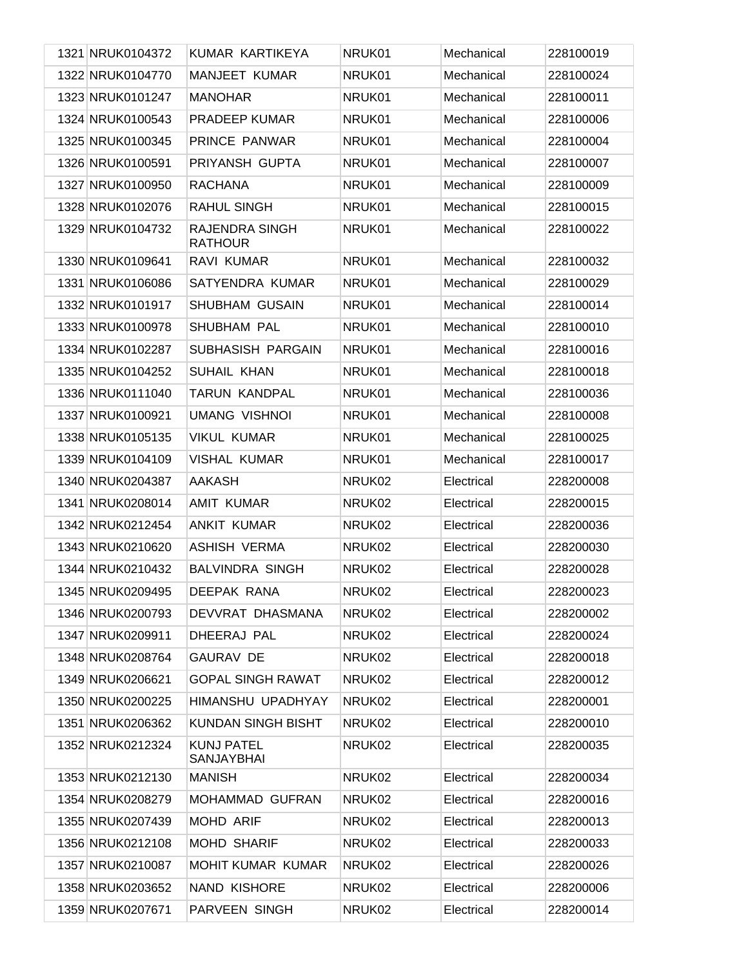| 1321 NRUK0104372 | KUMAR KARTIKEYA                        | NRUK01 | Mechanical | 228100019 |
|------------------|----------------------------------------|--------|------------|-----------|
| 1322 NRUK0104770 | <b>MANJEET KUMAR</b>                   | NRUK01 | Mechanical | 228100024 |
| 1323 NRUK0101247 | <b>MANOHAR</b>                         | NRUK01 | Mechanical | 228100011 |
| 1324 NRUK0100543 | <b>PRADEEP KUMAR</b>                   | NRUK01 | Mechanical | 228100006 |
| 1325 NRUK0100345 | PRINCE PANWAR                          | NRUK01 | Mechanical | 228100004 |
| 1326 NRUK0100591 | PRIYANSH GUPTA                         | NRUK01 | Mechanical | 228100007 |
| 1327 NRUK0100950 | <b>RACHANA</b>                         | NRUK01 | Mechanical | 228100009 |
| 1328 NRUK0102076 | <b>RAHUL SINGH</b>                     | NRUK01 | Mechanical | 228100015 |
| 1329 NRUK0104732 | RAJENDRA SINGH<br><b>RATHOUR</b>       | NRUK01 | Mechanical | 228100022 |
| 1330 NRUK0109641 | RAVI KUMAR                             | NRUK01 | Mechanical | 228100032 |
| 1331 NRUK0106086 | SATYENDRA KUMAR                        | NRUK01 | Mechanical | 228100029 |
| 1332 NRUK0101917 | <b>SHUBHAM GUSAIN</b>                  | NRUK01 | Mechanical | 228100014 |
| 1333 NRUK0100978 | <b>SHUBHAM PAL</b>                     | NRUK01 | Mechanical | 228100010 |
| 1334 NRUK0102287 | SUBHASISH PARGAIN                      | NRUK01 | Mechanical | 228100016 |
| 1335 NRUK0104252 | SUHAIL KHAN                            | NRUK01 | Mechanical | 228100018 |
| 1336 NRUK0111040 | <b>TARUN KANDPAL</b>                   | NRUK01 | Mechanical | 228100036 |
| 1337 NRUK0100921 | <b>UMANG VISHNOI</b>                   | NRUK01 | Mechanical | 228100008 |
| 1338 NRUK0105135 | <b>VIKUL KUMAR</b>                     | NRUK01 | Mechanical | 228100025 |
| 1339 NRUK0104109 | <b>VISHAL KUMAR</b>                    | NRUK01 | Mechanical | 228100017 |
| 1340 NRUK0204387 | <b>AAKASH</b>                          | NRUK02 | Electrical | 228200008 |
| 1341 NRUK0208014 | <b>AMIT KUMAR</b>                      | NRUK02 | Electrical | 228200015 |
| 1342 NRUK0212454 | <b>ANKIT KUMAR</b>                     | NRUK02 | Electrical | 228200036 |
| 1343 NRUK0210620 | <b>ASHISH VERMA</b>                    | NRUK02 | Electrical | 228200030 |
| 1344 NRUK0210432 | <b>BALVINDRA SINGH</b>                 | NRUK02 | Electrical | 228200028 |
| 1345 NRUK0209495 | DEEPAK RANA                            | NRUK02 | Electrical | 228200023 |
| 1346 NRUK0200793 | DEVVRAT DHASMANA                       | NRUK02 | Electrical | 228200002 |
| 1347 NRUK0209911 | DHEERAJ PAL                            | NRUK02 | Electrical | 228200024 |
| 1348 NRUK0208764 | <b>GAURAV DE</b>                       | NRUK02 | Electrical | 228200018 |
| 1349 NRUK0206621 | <b>GOPAL SINGH RAWAT</b>               | NRUK02 | Electrical | 228200012 |
| 1350 NRUK0200225 | HIMANSHU UPADHYAY                      | NRUK02 | Electrical | 228200001 |
| 1351 NRUK0206362 | <b>KUNDAN SINGH BISHT</b>              | NRUK02 | Electrical | 228200010 |
| 1352 NRUK0212324 | <b>KUNJ PATEL</b><br><b>SANJAYBHAI</b> | NRUK02 | Electrical | 228200035 |
| 1353 NRUK0212130 | <b>MANISH</b>                          | NRUK02 | Electrical | 228200034 |
| 1354 NRUK0208279 | MOHAMMAD GUFRAN                        | NRUK02 | Electrical | 228200016 |
| 1355 NRUK0207439 | MOHD ARIF                              | NRUK02 | Electrical | 228200013 |
| 1356 NRUK0212108 | <b>MOHD SHARIF</b>                     | NRUK02 | Electrical | 228200033 |
| 1357 NRUK0210087 | <b>MOHIT KUMAR KUMAR</b>               | NRUK02 | Electrical | 228200026 |
| 1358 NRUK0203652 | <b>NAND KISHORE</b>                    | NRUK02 | Electrical | 228200006 |
| 1359 NRUK0207671 | PARVEEN SINGH                          | NRUK02 | Electrical | 228200014 |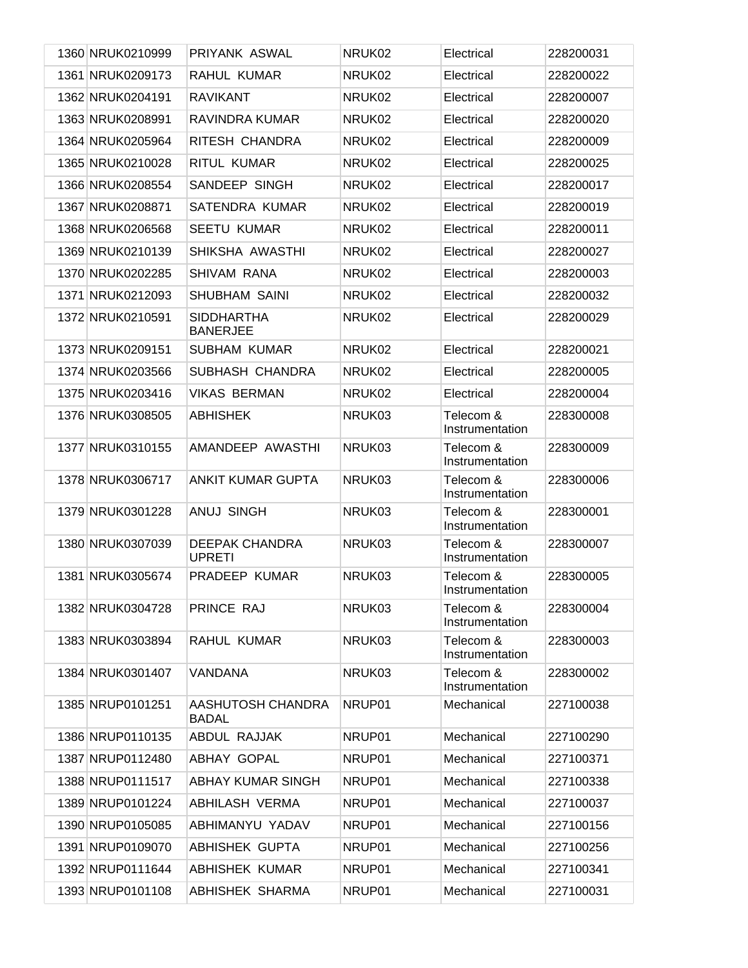| 1360 NRUK0210999 | PRIYANK ASWAL                          | NRUK02 | Electrical                   | 228200031 |
|------------------|----------------------------------------|--------|------------------------------|-----------|
| 1361 NRUK0209173 | RAHUL KUMAR                            | NRUK02 | Electrical                   | 228200022 |
| 1362 NRUK0204191 | <b>RAVIKANT</b>                        | NRUK02 | Electrical                   | 228200007 |
| 1363 NRUK0208991 | RAVINDRA KUMAR                         | NRUK02 | Electrical                   | 228200020 |
| 1364 NRUK0205964 | RITESH CHANDRA                         | NRUK02 | Electrical                   | 228200009 |
| 1365 NRUK0210028 | RITUL KUMAR                            | NRUK02 | Electrical                   | 228200025 |
| 1366 NRUK0208554 | SANDEEP SINGH                          | NRUK02 | Electrical                   | 228200017 |
| 1367 NRUK0208871 | SATENDRA KUMAR                         | NRUK02 | Electrical                   | 228200019 |
| 1368 NRUK0206568 | SEETU KUMAR                            | NRUK02 | Electrical                   | 228200011 |
| 1369 NRUK0210139 | SHIKSHA AWASTHI                        | NRUK02 | Electrical                   | 228200027 |
| 1370 NRUK0202285 | SHIVAM RANA                            | NRUK02 | Electrical                   | 228200003 |
| 1371 NRUK0212093 | <b>SHUBHAM SAINI</b>                   | NRUK02 | Electrical                   | 228200032 |
| 1372 NRUK0210591 | <b>SIDDHARTHA</b><br><b>BANERJEE</b>   | NRUK02 | Electrical                   | 228200029 |
| 1373 NRUK0209151 | <b>SUBHAM KUMAR</b>                    | NRUK02 | Electrical                   | 228200021 |
| 1374 NRUK0203566 | SUBHASH CHANDRA                        | NRUK02 | Electrical                   | 228200005 |
| 1375 NRUK0203416 | <b>VIKAS BERMAN</b>                    | NRUK02 | Electrical                   | 228200004 |
| 1376 NRUK0308505 | <b>ABHISHEK</b>                        | NRUK03 | Telecom &<br>Instrumentation | 228300008 |
| 1377 NRUK0310155 | AMANDEEP AWASTHI                       | NRUK03 | Telecom &<br>Instrumentation | 228300009 |
| 1378 NRUK0306717 | <b>ANKIT KUMAR GUPTA</b>               | NRUK03 | Telecom &<br>Instrumentation | 228300006 |
| 1379 NRUK0301228 | <b>ANUJ SINGH</b>                      | NRUK03 | Telecom &<br>Instrumentation | 228300001 |
| 1380 NRUK0307039 | <b>DEEPAK CHANDRA</b><br><b>UPRETI</b> | NRUK03 | Telecom &<br>Instrumentation | 228300007 |
| 1381 NRUK0305674 | PRADEEP KUMAR                          | NRUK03 | Telecom &<br>Instrumentation | 228300005 |
| 1382 NRUK0304728 | PRINCE RAJ                             | NRUK03 | Telecom &<br>Instrumentation | 228300004 |
| 1383 NRUK0303894 | RAHUL KUMAR                            | NRUK03 | Telecom &<br>Instrumentation | 228300003 |
| 1384 NRUK0301407 | VANDANA                                | NRUK03 | Telecom &<br>Instrumentation | 228300002 |
| 1385 NRUP0101251 | AASHUTOSH CHANDRA<br><b>BADAL</b>      | NRUP01 | Mechanical                   | 227100038 |
| 1386 NRUP0110135 | ABDUL RAJJAK                           | NRUP01 | Mechanical                   | 227100290 |
| 1387 NRUP0112480 | <b>ABHAY GOPAL</b>                     | NRUP01 | Mechanical                   | 227100371 |
| 1388 NRUP0111517 | <b>ABHAY KUMAR SINGH</b>               | NRUP01 | Mechanical                   | 227100338 |
| 1389 NRUP0101224 | <b>ABHILASH VERMA</b>                  | NRUP01 | Mechanical                   | 227100037 |
| 1390 NRUP0105085 | ABHIMANYU YADAV                        | NRUP01 | Mechanical                   | 227100156 |
| 1391 NRUP0109070 | ABHISHEK GUPTA                         | NRUP01 | Mechanical                   | 227100256 |
| 1392 NRUP0111644 | <b>ABHISHEK KUMAR</b>                  | NRUP01 | Mechanical                   | 227100341 |
| 1393 NRUP0101108 | ABHISHEK SHARMA                        | NRUP01 | Mechanical                   | 227100031 |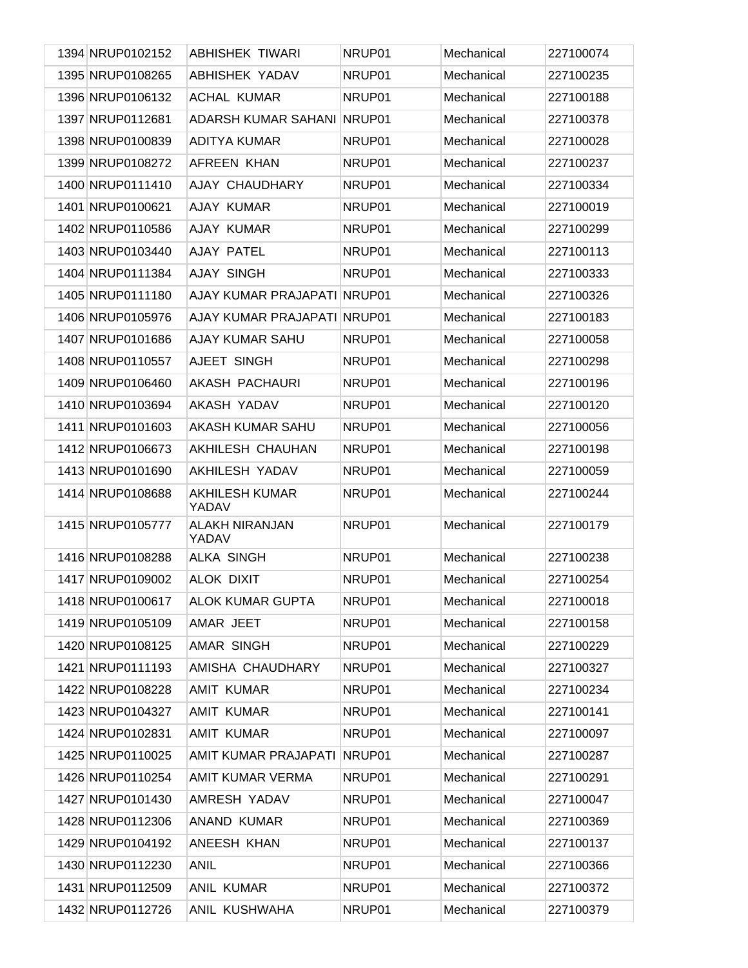| 1394 NRUP0102152 | <b>ABHISHEK TIWARI</b>         | NRUP01 | Mechanical | 227100074 |
|------------------|--------------------------------|--------|------------|-----------|
| 1395 NRUP0108265 | <b>ABHISHEK YADAV</b>          | NRUP01 | Mechanical | 227100235 |
| 1396 NRUP0106132 | <b>ACHAL KUMAR</b>             | NRUP01 | Mechanical | 227100188 |
| 1397 NRUP0112681 | ADARSH KUMAR SAHANI            | NRUP01 | Mechanical | 227100378 |
| 1398 NRUP0100839 | <b>ADITYA KUMAR</b>            | NRUP01 | Mechanical | 227100028 |
| 1399 NRUP0108272 | AFREEN KHAN                    | NRUP01 | Mechanical | 227100237 |
| 1400 NRUP0111410 | AJAY CHAUDHARY                 | NRUP01 | Mechanical | 227100334 |
| 1401 NRUP0100621 | AJAY KUMAR                     | NRUP01 | Mechanical | 227100019 |
| 1402 NRUP0110586 | AJAY KUMAR                     | NRUP01 | Mechanical | 227100299 |
| 1403 NRUP0103440 | AJAY PATEL                     | NRUP01 | Mechanical | 227100113 |
| 1404 NRUP0111384 | <b>AJAY SINGH</b>              | NRUP01 | Mechanical | 227100333 |
| 1405 NRUP0111180 | AJAY KUMAR PRAJAPATI           | NRUP01 | Mechanical | 227100326 |
| 1406 NRUP0105976 | AJAY KUMAR PRAJAPATI           | NRUP01 | Mechanical | 227100183 |
| 1407 NRUP0101686 | <b>AJAY KUMAR SAHU</b>         | NRUP01 | Mechanical | 227100058 |
| 1408 NRUP0110557 | AJEET SINGH                    | NRUP01 | Mechanical | 227100298 |
| 1409 NRUP0106460 | AKASH PACHAURI                 | NRUP01 | Mechanical | 227100196 |
| 1410 NRUP0103694 | AKASH YADAV                    | NRUP01 | Mechanical | 227100120 |
| 1411 NRUP0101603 | AKASH KUMAR SAHU               | NRUP01 | Mechanical | 227100056 |
| 1412 NRUP0106673 | AKHILESH CHAUHAN               | NRUP01 | Mechanical | 227100198 |
| 1413 NRUP0101690 | AKHILESH YADAV                 | NRUP01 | Mechanical | 227100059 |
| 1414 NRUP0108688 | <b>AKHILESH KUMAR</b><br>YADAV | NRUP01 | Mechanical | 227100244 |
| 1415 NRUP0105777 | <b>ALAKH NIRANJAN</b><br>YADAV | NRUP01 | Mechanical | 227100179 |
| 1416 NRUP0108288 | <b>ALKA SINGH</b>              | NRUP01 | Mechanical | 227100238 |
| 1417 NRUP0109002 | <b>ALOK DIXIT</b>              | NRUP01 | Mechanical | 227100254 |
| 1418 NRUP0100617 | <b>ALOK KUMAR GUPTA</b>        | NRUP01 | Mechanical | 227100018 |
| 1419 NRUP0105109 | AMAR JEET                      | NRUP01 | Mechanical | 227100158 |
| 1420 NRUP0108125 | AMAR SINGH                     | NRUP01 | Mechanical | 227100229 |
| 1421 NRUP0111193 | AMISHA CHAUDHARY               | NRUP01 | Mechanical | 227100327 |
| 1422 NRUP0108228 | <b>AMIT KUMAR</b>              | NRUP01 | Mechanical | 227100234 |
| 1423 NRUP0104327 | <b>AMIT KUMAR</b>              | NRUP01 | Mechanical | 227100141 |
| 1424 NRUP0102831 | <b>AMIT KUMAR</b>              | NRUP01 | Mechanical | 227100097 |
| 1425 NRUP0110025 | AMIT KUMAR PRAJAPATI           | NRUP01 | Mechanical | 227100287 |
| 1426 NRUP0110254 | AMIT KUMAR VERMA               | NRUP01 | Mechanical | 227100291 |
| 1427 NRUP0101430 | AMRESH YADAV                   | NRUP01 | Mechanical | 227100047 |
| 1428 NRUP0112306 | <b>ANAND KUMAR</b>             | NRUP01 | Mechanical | 227100369 |
| 1429 NRUP0104192 | ANEESH KHAN                    | NRUP01 | Mechanical | 227100137 |
| 1430 NRUP0112230 | <b>ANIL</b>                    | NRUP01 | Mechanical | 227100366 |
| 1431 NRUP0112509 | <b>ANIL KUMAR</b>              | NRUP01 | Mechanical | 227100372 |
| 1432 NRUP0112726 | ANIL KUSHWAHA                  | NRUP01 | Mechanical | 227100379 |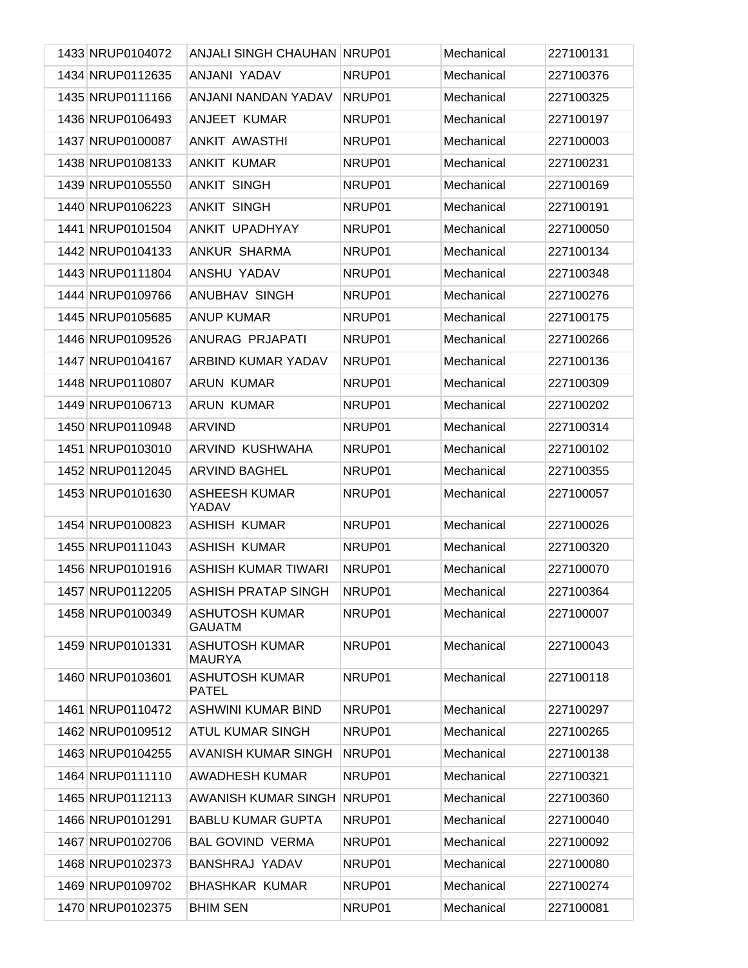| 1433 NRUP0104072 | <b>ANJALI SINGH CHAUHAN NRUP01</b>     |        | Mechanical | 227100131 |
|------------------|----------------------------------------|--------|------------|-----------|
| 1434 NRUP0112635 | ANJANI YADAV                           | NRUP01 | Mechanical | 227100376 |
| 1435 NRUP0111166 | ANJANI NANDAN YADAV                    | NRUP01 | Mechanical | 227100325 |
| 1436 NRUP0106493 | ANJEET KUMAR                           | NRUP01 | Mechanical | 227100197 |
| 1437 NRUP0100087 | ANKIT AWASTHI                          | NRUP01 | Mechanical | 227100003 |
| 1438 NRUP0108133 | <b>ANKIT KUMAR</b>                     | NRUP01 | Mechanical | 227100231 |
| 1439 NRUP0105550 | <b>ANKIT SINGH</b>                     | NRUP01 | Mechanical | 227100169 |
| 1440 NRUP0106223 | <b>ANKIT SINGH</b>                     | NRUP01 | Mechanical | 227100191 |
| 1441 NRUP0101504 | ANKIT UPADHYAY                         | NRUP01 | Mechanical | 227100050 |
| 1442 NRUP0104133 | ANKUR SHARMA                           | NRUP01 | Mechanical | 227100134 |
| 1443 NRUP0111804 | ANSHU YADAV                            | NRUP01 | Mechanical | 227100348 |
| 1444 NRUP0109766 | ANUBHAV SINGH                          | NRUP01 | Mechanical | 227100276 |
| 1445 NRUP0105685 | <b>ANUP KUMAR</b>                      | NRUP01 | Mechanical | 227100175 |
| 1446 NRUP0109526 | ANURAG PRJAPATI                        | NRUP01 | Mechanical | 227100266 |
| 1447 NRUP0104167 | ARBIND KUMAR YADAV                     | NRUP01 | Mechanical | 227100136 |
| 1448 NRUP0110807 | <b>ARUN KUMAR</b>                      | NRUP01 | Mechanical | 227100309 |
| 1449 NRUP0106713 | <b>ARUN KUMAR</b>                      | NRUP01 | Mechanical | 227100202 |
| 1450 NRUP0110948 | <b>ARVIND</b>                          | NRUP01 | Mechanical | 227100314 |
| 1451 NRUP0103010 | ARVIND KUSHWAHA                        | NRUP01 | Mechanical | 227100102 |
| 1452 NRUP0112045 | <b>ARVIND BAGHEL</b>                   | NRUP01 | Mechanical | 227100355 |
| 1453 NRUP0101630 | <b>ASHEESH KUMAR</b><br>YADAV          | NRUP01 | Mechanical | 227100057 |
| 1454 NRUP0100823 | <b>ASHISH KUMAR</b>                    | NRUP01 | Mechanical | 227100026 |
| 1455 NRUP0111043 | <b>ASHISH KUMAR</b>                    | NRUP01 | Mechanical | 227100320 |
| 1456 NRUP0101916 | <b>ASHISH KUMAR TIWARI</b>             | NRUP01 | Mechanical | 227100070 |
| 1457 NRUP0112205 | ASHISH PRATAP SINGH                    | NRUP01 | Mechanical | 227100364 |
| 1458 NRUP0100349 | <b>ASHUTOSH KUMAR</b><br><b>GAUATM</b> | NRUP01 | Mechanical | 227100007 |
| 1459 NRUP0101331 | <b>ASHUTOSH KUMAR</b><br><b>MAURYA</b> | NRUP01 | Mechanical | 227100043 |
| 1460 NRUP0103601 | ASHUTOSH KUMAR<br><b>PATEL</b>         | NRUP01 | Mechanical | 227100118 |
| 1461 NRUP0110472 | ASHWINI KUMAR BIND                     | NRUP01 | Mechanical | 227100297 |
| 1462 NRUP0109512 | <b>ATUL KUMAR SINGH</b>                | NRUP01 | Mechanical | 227100265 |
| 1463 NRUP0104255 | AVANISH KUMAR SINGH                    | NRUP01 | Mechanical | 227100138 |
| 1464 NRUP0111110 | <b>AWADHESH KUMAR</b>                  | NRUP01 | Mechanical | 227100321 |
| 1465 NRUP0112113 | AWANISH KUMAR SINGH NRUP01             |        | Mechanical | 227100360 |
| 1466 NRUP0101291 | <b>BABLU KUMAR GUPTA</b>               | NRUP01 | Mechanical | 227100040 |
| 1467 NRUP0102706 | <b>BAL GOVIND VERMA</b>                | NRUP01 | Mechanical | 227100092 |
| 1468 NRUP0102373 | <b>BANSHRAJ YADAV</b>                  | NRUP01 | Mechanical | 227100080 |
| 1469 NRUP0109702 | <b>BHASHKAR KUMAR</b>                  | NRUP01 | Mechanical | 227100274 |
| 1470 NRUP0102375 | <b>BHIM SEN</b>                        | NRUP01 | Mechanical | 227100081 |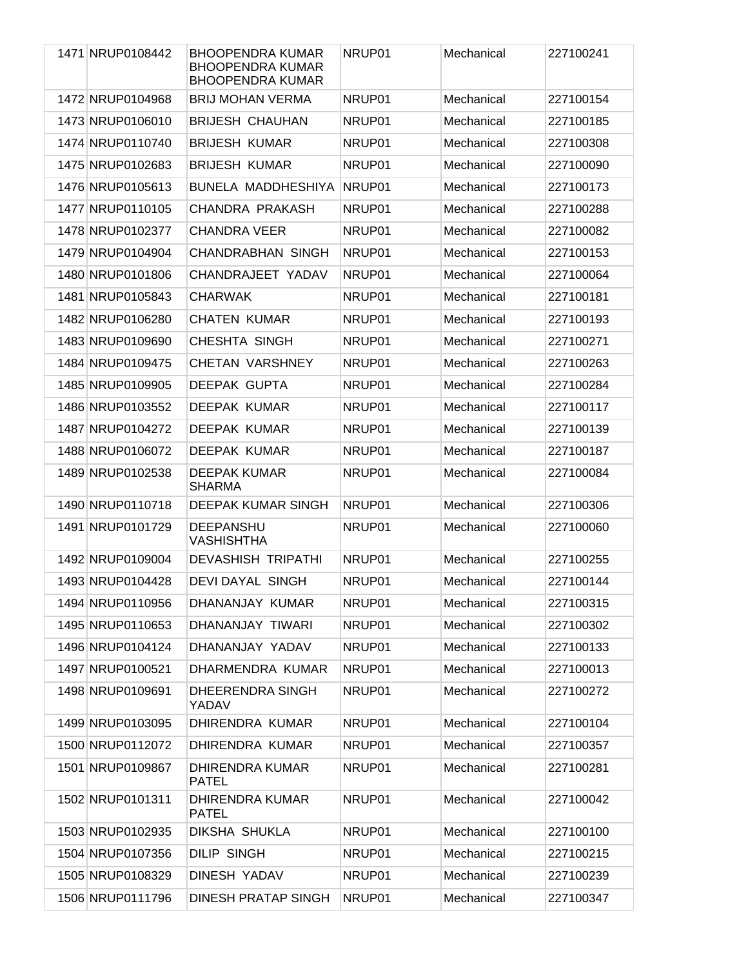| 1471 NRUP0108442 | <b>BHOOPENDRA KUMAR</b><br><b>BHOOPENDRA KUMAR</b><br><b>BHOOPENDRA KUMAR</b> | NRUP01 | Mechanical | 227100241 |
|------------------|-------------------------------------------------------------------------------|--------|------------|-----------|
| 1472 NRUP0104968 | <b>BRIJ MOHAN VERMA</b>                                                       | NRUP01 | Mechanical | 227100154 |
| 1473 NRUP0106010 | <b>BRIJESH CHAUHAN</b>                                                        | NRUP01 | Mechanical | 227100185 |
| 1474 NRUP0110740 | <b>BRIJESH KUMAR</b>                                                          | NRUP01 | Mechanical | 227100308 |
| 1475 NRUP0102683 | <b>BRIJESH KUMAR</b>                                                          | NRUP01 | Mechanical | 227100090 |
| 1476 NRUP0105613 | BUNELA MADDHESHIYA                                                            | NRUP01 | Mechanical | 227100173 |
| 1477 NRUP0110105 | CHANDRA PRAKASH                                                               | NRUP01 | Mechanical | 227100288 |
| 1478 NRUP0102377 | <b>CHANDRA VEER</b>                                                           | NRUP01 | Mechanical | 227100082 |
| 1479 NRUP0104904 | <b>CHANDRABHAN SINGH</b>                                                      | NRUP01 | Mechanical | 227100153 |
| 1480 NRUP0101806 | CHANDRAJEET YADAV                                                             | NRUP01 | Mechanical | 227100064 |
| 1481 NRUP0105843 | <b>CHARWAK</b>                                                                | NRUP01 | Mechanical | 227100181 |
| 1482 NRUP0106280 | <b>CHATEN KUMAR</b>                                                           | NRUP01 | Mechanical | 227100193 |
| 1483 NRUP0109690 | <b>CHESHTA SINGH</b>                                                          | NRUP01 | Mechanical | 227100271 |
| 1484 NRUP0109475 | <b>CHETAN VARSHNEY</b>                                                        | NRUP01 | Mechanical | 227100263 |
| 1485 NRUP0109905 | DEEPAK GUPTA                                                                  | NRUP01 | Mechanical | 227100284 |
| 1486 NRUP0103552 | DEEPAK KUMAR                                                                  | NRUP01 | Mechanical | 227100117 |
| 1487 NRUP0104272 | <b>DEEPAK KUMAR</b>                                                           | NRUP01 | Mechanical | 227100139 |
| 1488 NRUP0106072 | DEEPAK KUMAR                                                                  | NRUP01 | Mechanical | 227100187 |
| 1489 NRUP0102538 | <b>DEEPAK KUMAR</b><br><b>SHARMA</b>                                          | NRUP01 | Mechanical | 227100084 |
| 1490 NRUP0110718 | <b>DEEPAK KUMAR SINGH</b>                                                     | NRUP01 | Mechanical | 227100306 |
| 1491 NRUP0101729 | <b>DEEPANSHU</b><br><b>VASHISHTHA</b>                                         | NRUP01 | Mechanical | 227100060 |
| 1492 NRUP0109004 | <b>DEVASHISH TRIPATHI</b>                                                     | NRUP01 | Mechanical | 227100255 |
| 1493 NRUP0104428 | <b>DEVI DAYAL SINGH</b>                                                       | NRUP01 | Mechanical | 227100144 |
| 1494 NRUP0110956 | DHANANJAY KUMAR                                                               | NRUP01 | Mechanical | 227100315 |
| 1495 NRUP0110653 | DHANANJAY TIWARI                                                              | NRUP01 | Mechanical | 227100302 |
| 1496 NRUP0104124 | DHANANJAY YADAV                                                               | NRUP01 | Mechanical | 227100133 |
| 1497 NRUP0100521 | DHARMENDRA KUMAR                                                              | NRUP01 | Mechanical | 227100013 |
| 1498 NRUP0109691 | DHEERENDRA SINGH<br>YADAV                                                     | NRUP01 | Mechanical | 227100272 |
| 1499 NRUP0103095 | <b>DHIRENDRA KUMAR</b>                                                        | NRUP01 | Mechanical | 227100104 |
| 1500 NRUP0112072 | <b>DHIRENDRA KUMAR</b>                                                        | NRUP01 | Mechanical | 227100357 |
| 1501 NRUP0109867 | <b>DHIRENDRA KUMAR</b><br><b>PATEL</b>                                        | NRUP01 | Mechanical | 227100281 |
| 1502 NRUP0101311 | <b>DHIRENDRA KUMAR</b><br><b>PATEL</b>                                        | NRUP01 | Mechanical | 227100042 |
| 1503 NRUP0102935 | <b>DIKSHA SHUKLA</b>                                                          | NRUP01 | Mechanical | 227100100 |
| 1504 NRUP0107356 | <b>DILIP SINGH</b>                                                            | NRUP01 | Mechanical | 227100215 |
| 1505 NRUP0108329 | DINESH YADAV                                                                  | NRUP01 | Mechanical | 227100239 |
| 1506 NRUP0111796 | <b>DINESH PRATAP SINGH</b>                                                    | NRUP01 | Mechanical | 227100347 |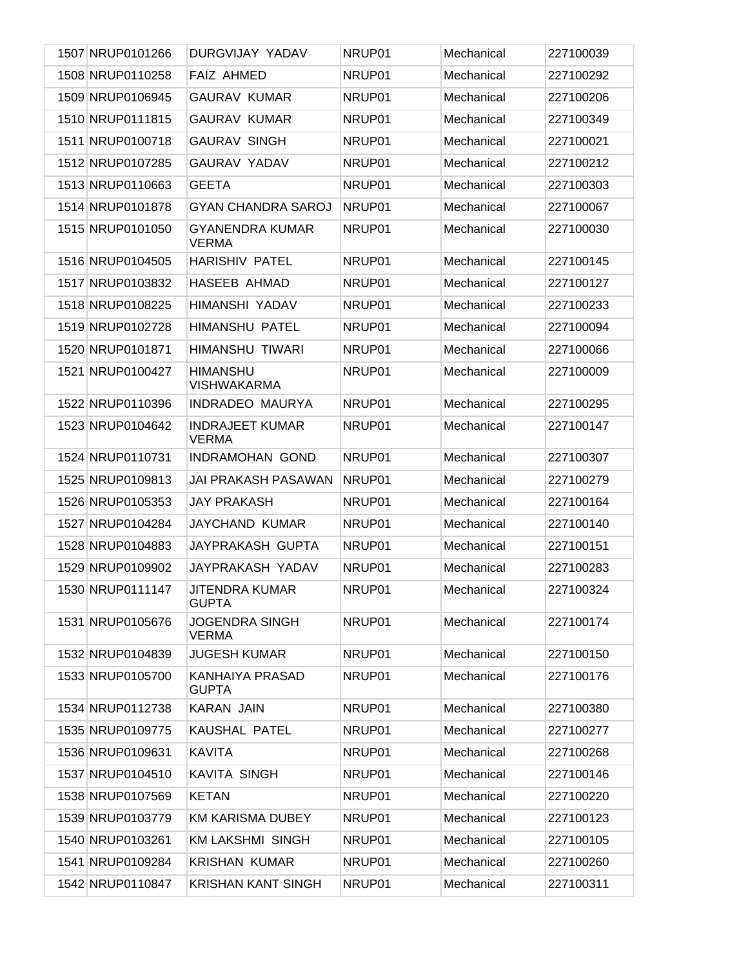| 1507 NRUP0101266 | DURGVIJAY YADAV                        | NRUP01 | Mechanical | 227100039 |
|------------------|----------------------------------------|--------|------------|-----------|
| 1508 NRUP0110258 | <b>FAIZ AHMED</b>                      | NRUP01 | Mechanical | 227100292 |
| 1509 NRUP0106945 | <b>GAURAV KUMAR</b>                    | NRUP01 | Mechanical | 227100206 |
| 1510 NRUP0111815 | <b>GAURAV KUMAR</b>                    | NRUP01 | Mechanical | 227100349 |
| 1511 NRUP0100718 | <b>GAURAV SINGH</b>                    | NRUP01 | Mechanical | 227100021 |
| 1512 NRUP0107285 | <b>GAURAV YADAV</b>                    | NRUP01 | Mechanical | 227100212 |
| 1513 NRUP0110663 | <b>GEETA</b>                           | NRUP01 | Mechanical | 227100303 |
| 1514 NRUP0101878 | <b>GYAN CHANDRA SAROJ</b>              | NRUP01 | Mechanical | 227100067 |
| 1515 NRUP0101050 | <b>GYANENDRA KUMAR</b><br><b>VERMA</b> | NRUP01 | Mechanical | 227100030 |
| 1516 NRUP0104505 | <b>HARISHIV PATEL</b>                  | NRUP01 | Mechanical | 227100145 |
| 1517 NRUP0103832 | HASEEB AHMAD                           | NRUP01 | Mechanical | 227100127 |
| 1518 NRUP0108225 | HIMANSHI YADAV                         | NRUP01 | Mechanical | 227100233 |
| 1519 NRUP0102728 | <b>HIMANSHU PATEL</b>                  | NRUP01 | Mechanical | 227100094 |
| 1520 NRUP0101871 | HIMANSHU TIWARI                        | NRUP01 | Mechanical | 227100066 |
| 1521 NRUP0100427 | <b>HIMANSHU</b><br><b>VISHWAKARMA</b>  | NRUP01 | Mechanical | 227100009 |
| 1522 NRUP0110396 | INDRADEO MAURYA                        | NRUP01 | Mechanical | 227100295 |
| 1523 NRUP0104642 | <b>INDRAJEET KUMAR</b><br><b>VERMA</b> | NRUP01 | Mechanical | 227100147 |
| 1524 NRUP0110731 | <b>INDRAMOHAN GOND</b>                 | NRUP01 | Mechanical | 227100307 |
| 1525 NRUP0109813 | <b>JAI PRAKASH PASAWAN</b>             | NRUP01 | Mechanical | 227100279 |
| 1526 NRUP0105353 | <b>JAY PRAKASH</b>                     | NRUP01 | Mechanical | 227100164 |
| 1527 NRUP0104284 | <b>JAYCHAND KUMAR</b>                  | NRUP01 | Mechanical | 227100140 |
| 1528 NRUP0104883 | <b>JAYPRAKASH GUPTA</b>                | NRUP01 | Mechanical | 227100151 |
| 1529 NRUP0109902 | JAYPRAKASH YADAV                       | NRUP01 | Mechanical | 227100283 |
| 1530 NRUP0111147 | JITENDRA KUMAR<br><b>GUPTA</b>         | NRUP01 | Mechanical | 227100324 |
| 1531 NRUP0105676 | <b>JOGENDRA SINGH</b><br><b>VERMA</b>  | NRUP01 | Mechanical | 227100174 |
| 1532 NRUP0104839 | <b>JUGESH KUMAR</b>                    | NRUP01 | Mechanical | 227100150 |
| 1533 NRUP0105700 | KANHAIYA PRASAD<br><b>GUPTA</b>        | NRUP01 | Mechanical | 227100176 |
| 1534 NRUP0112738 | <b>KARAN JAIN</b>                      | NRUP01 | Mechanical | 227100380 |
| 1535 NRUP0109775 | <b>KAUSHAL PATEL</b>                   | NRUP01 | Mechanical | 227100277 |
| 1536 NRUP0109631 | <b>KAVITA</b>                          | NRUP01 | Mechanical | 227100268 |
| 1537 NRUP0104510 | <b>KAVITA SINGH</b>                    | NRUP01 | Mechanical | 227100146 |
| 1538 NRUP0107569 | <b>KETAN</b>                           | NRUP01 | Mechanical | 227100220 |
| 1539 NRUP0103779 | <b>KM KARISMA DUBEY</b>                | NRUP01 | Mechanical | 227100123 |
| 1540 NRUP0103261 | <b>KM LAKSHMI SINGH</b>                | NRUP01 | Mechanical | 227100105 |
| 1541 NRUP0109284 | <b>KRISHAN KUMAR</b>                   | NRUP01 | Mechanical | 227100260 |
| 1542 NRUP0110847 | <b>KRISHAN KANT SINGH</b>              | NRUP01 | Mechanical | 227100311 |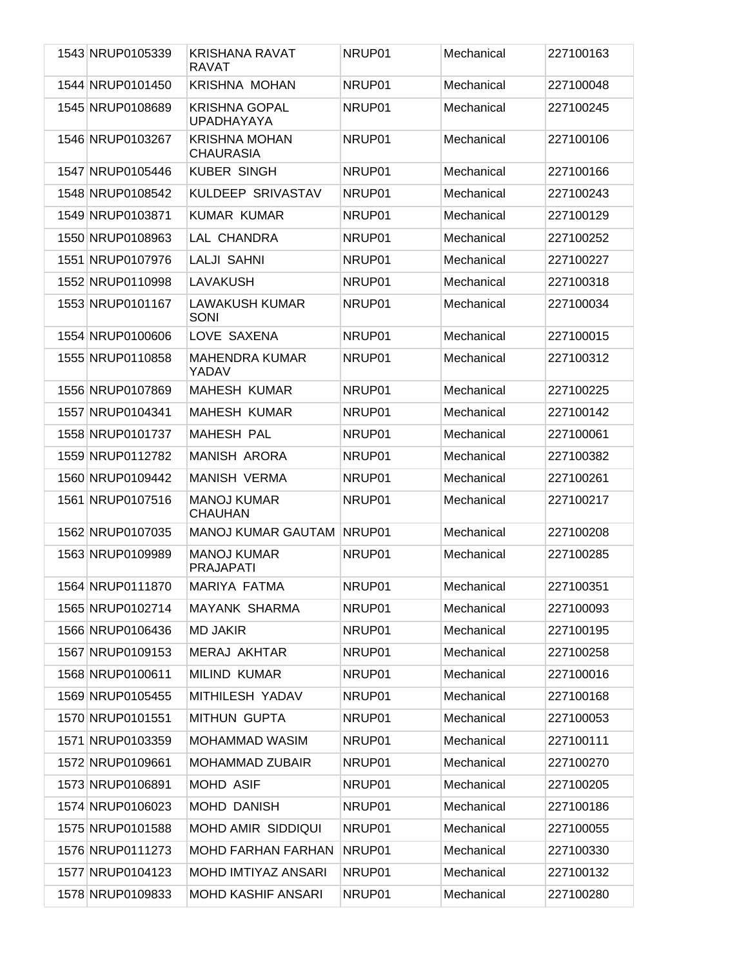| 1543 NRUP0105339 | <b>KRISHANA RAVAT</b><br><b>RAVAT</b>     | NRUP01 | Mechanical | 227100163 |
|------------------|-------------------------------------------|--------|------------|-----------|
| 1544 NRUP0101450 | <b>KRISHNA MOHAN</b>                      | NRUP01 | Mechanical | 227100048 |
| 1545 NRUP0108689 | <b>KRISHNA GOPAL</b><br><b>UPADHAYAYA</b> | NRUP01 | Mechanical | 227100245 |
| 1546 NRUP0103267 | <b>KRISHNA MOHAN</b><br><b>CHAURASIA</b>  | NRUP01 | Mechanical | 227100106 |
| 1547 NRUP0105446 | <b>KUBER SINGH</b>                        | NRUP01 | Mechanical | 227100166 |
| 1548 NRUP0108542 | KULDEEP SRIVASTAV                         | NRUP01 | Mechanical | 227100243 |
| 1549 NRUP0103871 | <b>KUMAR KUMAR</b>                        | NRUP01 | Mechanical | 227100129 |
| 1550 NRUP0108963 | LAL CHANDRA                               | NRUP01 | Mechanical | 227100252 |
| 1551 NRUP0107976 | <b>LALJI SAHNI</b>                        | NRUP01 | Mechanical | 227100227 |
| 1552 NRUP0110998 | LAVAKUSH                                  | NRUP01 | Mechanical | 227100318 |
| 1553 NRUP0101167 | <b>LAWAKUSH KUMAR</b><br><b>SONI</b>      | NRUP01 | Mechanical | 227100034 |
| 1554 NRUP0100606 | LOVE SAXENA                               | NRUP01 | Mechanical | 227100015 |
| 1555 NRUP0110858 | <b>MAHENDRA KUMAR</b><br>YADAV            | NRUP01 | Mechanical | 227100312 |
| 1556 NRUP0107869 | <b>MAHESH KUMAR</b>                       | NRUP01 | Mechanical | 227100225 |
| 1557 NRUP0104341 | <b>MAHESH KUMAR</b>                       | NRUP01 | Mechanical | 227100142 |
| 1558 NRUP0101737 | <b>MAHESH PAL</b>                         | NRUP01 | Mechanical | 227100061 |
| 1559 NRUP0112782 | <b>MANISH ARORA</b>                       | NRUP01 | Mechanical | 227100382 |
| 1560 NRUP0109442 | <b>MANISH VERMA</b>                       | NRUP01 | Mechanical | 227100261 |
| 1561 NRUP0107516 | <b>MANOJ KUMAR</b><br><b>CHAUHAN</b>      | NRUP01 | Mechanical | 227100217 |
| 1562 NRUP0107035 | <b>MANOJ KUMAR GAUTAM</b>                 | NRUP01 | Mechanical | 227100208 |
| 1563 NRUP0109989 | <b>MANOJ KUMAR</b><br><b>PRAJAPATI</b>    | NRUP01 | Mechanical | 227100285 |
| 1564 NRUP0111870 | MARIYA FATMA                              | NRUP01 | Mechanical | 227100351 |
| 1565 NRUP0102714 | <b>MAYANK SHARMA</b>                      | NRUP01 | Mechanical | 227100093 |
| 1566 NRUP0106436 | <b>MD JAKIR</b>                           | NRUP01 | Mechanical | 227100195 |
| 1567 NRUP0109153 | MERAJ AKHTAR                              | NRUP01 | Mechanical | 227100258 |
| 1568 NRUP0100611 | <b>MILIND KUMAR</b>                       | NRUP01 | Mechanical | 227100016 |
| 1569 NRUP0105455 | MITHILESH YADAV                           | NRUP01 | Mechanical | 227100168 |
| 1570 NRUP0101551 | <b>MITHUN GUPTA</b>                       | NRUP01 | Mechanical | 227100053 |
| 1571 NRUP0103359 | <b>MOHAMMAD WASIM</b>                     | NRUP01 | Mechanical | 227100111 |
| 1572 NRUP0109661 | MOHAMMAD ZUBAIR                           | NRUP01 | Mechanical | 227100270 |
| 1573 NRUP0106891 | MOHD ASIF                                 | NRUP01 | Mechanical | 227100205 |
| 1574 NRUP0106023 | <b>MOHD DANISH</b>                        | NRUP01 | Mechanical | 227100186 |
| 1575 NRUP0101588 | MOHD AMIR SIDDIQUI                        | NRUP01 | Mechanical | 227100055 |
| 1576 NRUP0111273 | <b>MOHD FARHAN FARHAN</b>                 | NRUP01 | Mechanical | 227100330 |
| 1577 NRUP0104123 | MOHD IMTIYAZ ANSARI                       | NRUP01 | Mechanical | 227100132 |
| 1578 NRUP0109833 | <b>MOHD KASHIF ANSARI</b>                 | NRUP01 | Mechanical | 227100280 |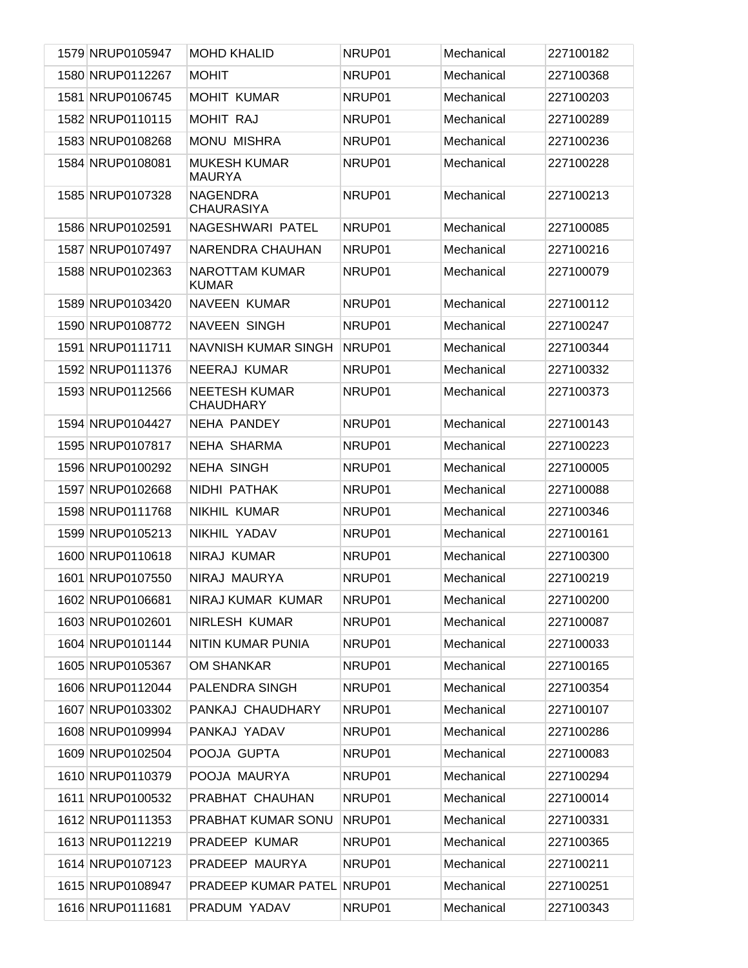| 1579 NRUP0105947 | <b>MOHD KHALID</b>                       | NRUP01 | Mechanical | 227100182 |
|------------------|------------------------------------------|--------|------------|-----------|
| 1580 NRUP0112267 | <b>MOHIT</b>                             | NRUP01 | Mechanical | 227100368 |
| 1581 NRUP0106745 | <b>MOHIT KUMAR</b>                       | NRUP01 | Mechanical | 227100203 |
| 1582 NRUP0110115 | MOHIT RAJ                                | NRUP01 | Mechanical | 227100289 |
| 1583 NRUP0108268 | <b>MONU MISHRA</b>                       | NRUP01 | Mechanical | 227100236 |
| 1584 NRUP0108081 | <b>MUKESH KUMAR</b><br><b>MAURYA</b>     | NRUP01 | Mechanical | 227100228 |
| 1585 NRUP0107328 | <b>NAGENDRA</b><br><b>CHAURASIYA</b>     | NRUP01 | Mechanical | 227100213 |
| 1586 NRUP0102591 | NAGESHWARI PATEL                         | NRUP01 | Mechanical | 227100085 |
| 1587 NRUP0107497 | NARENDRA CHAUHAN                         | NRUP01 | Mechanical | 227100216 |
| 1588 NRUP0102363 | <b>NAROTTAM KUMAR</b><br><b>KUMAR</b>    | NRUP01 | Mechanical | 227100079 |
| 1589 NRUP0103420 | NAVEEN KUMAR                             | NRUP01 | Mechanical | 227100112 |
| 1590 NRUP0108772 | <b>NAVEEN SINGH</b>                      | NRUP01 | Mechanical | 227100247 |
| 1591 NRUP0111711 | NAVNISH KUMAR SINGH                      | NRUP01 | Mechanical | 227100344 |
| 1592 NRUP0111376 | NEERAJ KUMAR                             | NRUP01 | Mechanical | 227100332 |
| 1593 NRUP0112566 | <b>NEETESH KUMAR</b><br><b>CHAUDHARY</b> | NRUP01 | Mechanical | 227100373 |
| 1594 NRUP0104427 | <b>NEHA PANDEY</b>                       | NRUP01 | Mechanical | 227100143 |
| 1595 NRUP0107817 | NEHA SHARMA                              | NRUP01 | Mechanical | 227100223 |
| 1596 NRUP0100292 | <b>NEHA SINGH</b>                        | NRUP01 | Mechanical | 227100005 |
| 1597 NRUP0102668 | NIDHI PATHAK                             | NRUP01 | Mechanical | 227100088 |
| 1598 NRUP0111768 | NIKHIL KUMAR                             | NRUP01 | Mechanical | 227100346 |
| 1599 NRUP0105213 | NIKHIL YADAV                             | NRUP01 | Mechanical | 227100161 |
| 1600 NRUP0110618 | NIRAJ KUMAR                              | NRUP01 | Mechanical | 227100300 |
| 1601 NRUP0107550 | NIRAJ MAURYA                             | NRUP01 | Mechanical | 227100219 |
| 1602 NRUP0106681 | NIRAJ KUMAR KUMAR                        | NRUP01 | Mechanical | 227100200 |
| 1603 NRUP0102601 | NIRLESH KUMAR                            | NRUP01 | Mechanical | 227100087 |
| 1604 NRUP0101144 | NITIN KUMAR PUNIA                        | NRUP01 | Mechanical | 227100033 |
| 1605 NRUP0105367 | OM SHANKAR                               | NRUP01 | Mechanical | 227100165 |
| 1606 NRUP0112044 | PALENDRA SINGH                           | NRUP01 | Mechanical | 227100354 |
| 1607 NRUP0103302 | PANKAJ CHAUDHARY                         | NRUP01 | Mechanical | 227100107 |
| 1608 NRUP0109994 | PANKAJ YADAV                             | NRUP01 | Mechanical | 227100286 |
| 1609 NRUP0102504 | POOJA GUPTA                              | NRUP01 | Mechanical | 227100083 |
| 1610 NRUP0110379 | POOJA MAURYA                             | NRUP01 | Mechanical | 227100294 |
| 1611 NRUP0100532 | PRABHAT CHAUHAN                          | NRUP01 | Mechanical | 227100014 |
| 1612 NRUP0111353 | PRABHAT KUMAR SONU                       | NRUP01 | Mechanical | 227100331 |
| 1613 NRUP0112219 | PRADEEP KUMAR                            | NRUP01 | Mechanical | 227100365 |
| 1614 NRUP0107123 | PRADEEP MAURYA                           | NRUP01 | Mechanical | 227100211 |
| 1615 NRUP0108947 | <b>PRADEEP KUMAR PATEL NRUP01</b>        |        | Mechanical | 227100251 |
| 1616 NRUP0111681 | PRADUM YADAV                             | NRUP01 | Mechanical | 227100343 |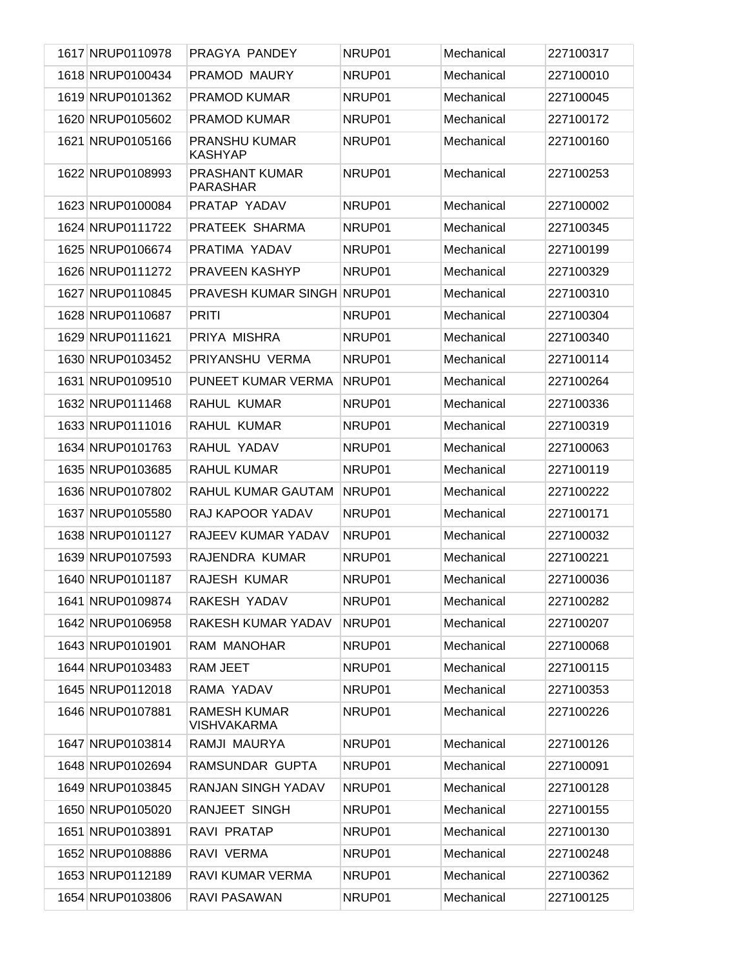| 1617 NRUP0110978 | PRAGYA PANDEY                             | NRUP01 | Mechanical | 227100317 |
|------------------|-------------------------------------------|--------|------------|-----------|
| 1618 NRUP0100434 | PRAMOD MAURY                              | NRUP01 | Mechanical | 227100010 |
| 1619 NRUP0101362 | <b>PRAMOD KUMAR</b>                       | NRUP01 | Mechanical | 227100045 |
| 1620 NRUP0105602 | <b>PRAMOD KUMAR</b>                       | NRUP01 | Mechanical | 227100172 |
| 1621 NRUP0105166 | PRANSHU KUMAR<br><b>KASHYAP</b>           | NRUP01 | Mechanical | 227100160 |
| 1622 NRUP0108993 | PRASHANT KUMAR<br><b>PARASHAR</b>         | NRUP01 | Mechanical | 227100253 |
| 1623 NRUP0100084 | PRATAP YADAV                              | NRUP01 | Mechanical | 227100002 |
| 1624 NRUP0111722 | PRATEEK SHARMA                            | NRUP01 | Mechanical | 227100345 |
| 1625 NRUP0106674 | PRATIMA YADAV                             | NRUP01 | Mechanical | 227100199 |
| 1626 NRUP0111272 | <b>PRAVEEN KASHYP</b>                     | NRUP01 | Mechanical | 227100329 |
| 1627 NRUP0110845 | <b>PRAVESH KUMAR SINGH NRUP01</b>         |        | Mechanical | 227100310 |
| 1628 NRUP0110687 | <b>PRITI</b>                              | NRUP01 | Mechanical | 227100304 |
| 1629 NRUP0111621 | PRIYA MISHRA                              | NRUP01 | Mechanical | 227100340 |
| 1630 NRUP0103452 | PRIYANSHU VERMA                           | NRUP01 | Mechanical | 227100114 |
| 1631 NRUP0109510 | PUNEET KUMAR VERMA                        | NRUP01 | Mechanical | 227100264 |
| 1632 NRUP0111468 | RAHUL KUMAR                               | NRUP01 | Mechanical | 227100336 |
| 1633 NRUP0111016 | RAHUL KUMAR                               | NRUP01 | Mechanical | 227100319 |
| 1634 NRUP0101763 | RAHUL YADAV                               | NRUP01 | Mechanical | 227100063 |
| 1635 NRUP0103685 | <b>RAHUL KUMAR</b>                        | NRUP01 | Mechanical | 227100119 |
| 1636 NRUP0107802 | RAHUL KUMAR GAUTAM                        | NRUP01 | Mechanical | 227100222 |
| 1637 NRUP0105580 | RAJ KAPOOR YADAV                          | NRUP01 | Mechanical | 227100171 |
| 1638 NRUP0101127 | RAJEEV KUMAR YADAV                        | NRUP01 | Mechanical | 227100032 |
| 1639 NRUP0107593 | RAJENDRA KUMAR                            | NRUP01 | Mechanical | 227100221 |
| 1640 NRUP0101187 | RAJESH KUMAR                              | NRUP01 | Mechanical | 227100036 |
| 1641 NRUP0109874 | RAKESH YADAV                              | NRUP01 | Mechanical | 227100282 |
| 1642 NRUP0106958 | RAKESH KUMAR YADAV                        | NRUP01 | Mechanical | 227100207 |
| 1643 NRUP0101901 | RAM MANOHAR                               | NRUP01 | Mechanical | 227100068 |
| 1644 NRUP0103483 | RAM JEET                                  | NRUP01 | Mechanical | 227100115 |
| 1645 NRUP0112018 | RAMA YADAV                                | NRUP01 | Mechanical | 227100353 |
| 1646 NRUP0107881 | <b>RAMESH KUMAR</b><br><b>VISHVAKARMA</b> | NRUP01 | Mechanical | 227100226 |
| 1647 NRUP0103814 | RAMJI MAURYA                              | NRUP01 | Mechanical | 227100126 |
| 1648 NRUP0102694 | RAMSUNDAR GUPTA                           | NRUP01 | Mechanical | 227100091 |
| 1649 NRUP0103845 | RANJAN SINGH YADAV                        | NRUP01 | Mechanical | 227100128 |
| 1650 NRUP0105020 | RANJEET SINGH                             | NRUP01 | Mechanical | 227100155 |
| 1651 NRUP0103891 | RAVI PRATAP                               | NRUP01 | Mechanical | 227100130 |
| 1652 NRUP0108886 | RAVI VERMA                                | NRUP01 | Mechanical | 227100248 |
| 1653 NRUP0112189 | RAVI KUMAR VERMA                          | NRUP01 | Mechanical | 227100362 |
| 1654 NRUP0103806 | RAVI PASAWAN                              | NRUP01 | Mechanical | 227100125 |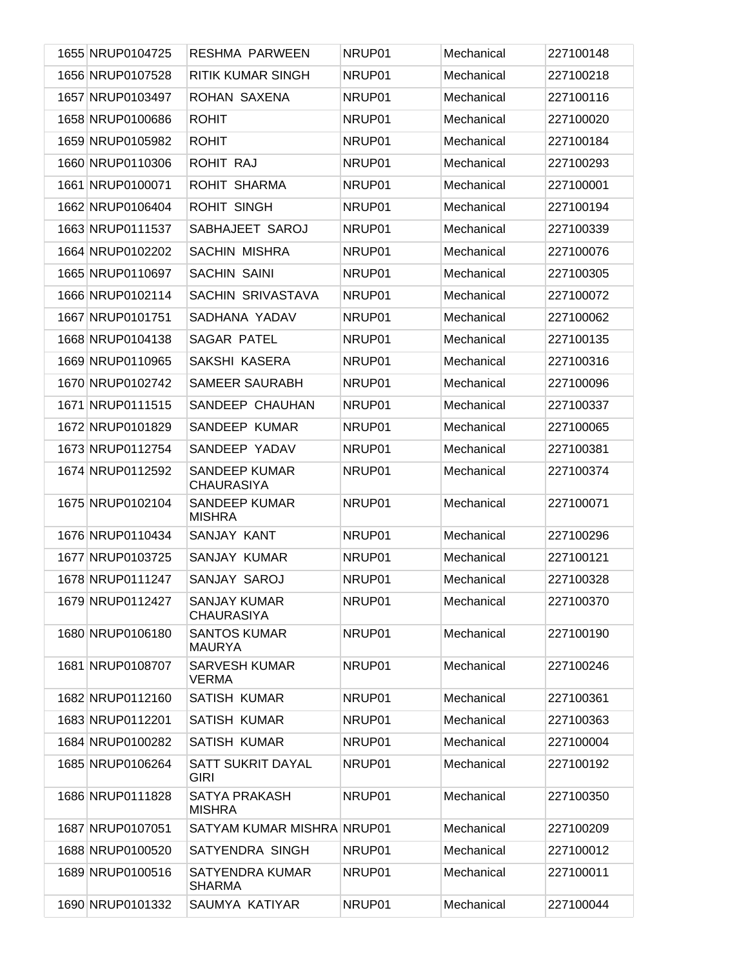| 1655 NRUP0104725 | <b>RESHMA PARWEEN</b>                     | NRUP01 | Mechanical | 227100148 |
|------------------|-------------------------------------------|--------|------------|-----------|
| 1656 NRUP0107528 | <b>RITIK KUMAR SINGH</b>                  | NRUP01 | Mechanical | 227100218 |
| 1657 NRUP0103497 | ROHAN SAXENA                              | NRUP01 | Mechanical | 227100116 |
| 1658 NRUP0100686 | <b>ROHIT</b>                              | NRUP01 | Mechanical | 227100020 |
| 1659 NRUP0105982 | <b>ROHIT</b>                              | NRUP01 | Mechanical | 227100184 |
| 1660 NRUP0110306 | ROHIT RAJ                                 | NRUP01 | Mechanical | 227100293 |
| 1661 NRUP0100071 | ROHIT SHARMA                              | NRUP01 | Mechanical | 227100001 |
| 1662 NRUP0106404 | <b>ROHIT SINGH</b>                        | NRUP01 | Mechanical | 227100194 |
| 1663 NRUP0111537 | SABHAJEET SAROJ                           | NRUP01 | Mechanical | 227100339 |
| 1664 NRUP0102202 | SACHIN MISHRA                             | NRUP01 | Mechanical | 227100076 |
| 1665 NRUP0110697 | <b>SACHIN SAINI</b>                       | NRUP01 | Mechanical | 227100305 |
| 1666 NRUP0102114 | SACHIN SRIVASTAVA                         | NRUP01 | Mechanical | 227100072 |
| 1667 NRUP0101751 | SADHANA YADAV                             | NRUP01 | Mechanical | 227100062 |
| 1668 NRUP0104138 | <b>SAGAR PATEL</b>                        | NRUP01 | Mechanical | 227100135 |
| 1669 NRUP0110965 | SAKSHI KASERA                             | NRUP01 | Mechanical | 227100316 |
| 1670 NRUP0102742 | <b>SAMEER SAURABH</b>                     | NRUP01 | Mechanical | 227100096 |
| 1671 NRUP0111515 | SANDEEP CHAUHAN                           | NRUP01 | Mechanical | 227100337 |
| 1672 NRUP0101829 | SANDEEP KUMAR                             | NRUP01 | Mechanical | 227100065 |
| 1673 NRUP0112754 | SANDEEP YADAV                             | NRUP01 | Mechanical | 227100381 |
| 1674 NRUP0112592 | <b>SANDEEP KUMAR</b><br><b>CHAURASIYA</b> | NRUP01 | Mechanical | 227100374 |
| 1675 NRUP0102104 | <b>SANDEEP KUMAR</b><br><b>MISHRA</b>     | NRUP01 | Mechanical | 227100071 |
| 1676 NRUP0110434 | SANJAY KANT                               | NRUP01 | Mechanical | 227100296 |
| 1677 NRUP0103725 | SANJAY KUMAR                              | NRUP01 | Mechanical | 227100121 |
| 1678 NRUP0111247 | SANJAY SAROJ                              | NRUP01 | Mechanical | 227100328 |
| 1679 NRUP0112427 | <b>SANJAY KUMAR</b><br><b>CHAURASIYA</b>  | NRUP01 | Mechanical | 227100370 |
| 1680 NRUP0106180 | <b>SANTOS KUMAR</b><br><b>MAURYA</b>      | NRUP01 | Mechanical | 227100190 |
| 1681 NRUP0108707 | <b>SARVESH KUMAR</b><br><b>VERMA</b>      | NRUP01 | Mechanical | 227100246 |
| 1682 NRUP0112160 | <b>SATISH KUMAR</b>                       | NRUP01 | Mechanical | 227100361 |
| 1683 NRUP0112201 | <b>SATISH KUMAR</b>                       | NRUP01 | Mechanical | 227100363 |
| 1684 NRUP0100282 | <b>SATISH KUMAR</b>                       | NRUP01 | Mechanical | 227100004 |
| 1685 NRUP0106264 | SATT SUKRIT DAYAL<br><b>GIRI</b>          | NRUP01 | Mechanical | 227100192 |
| 1686 NRUP0111828 | SATYA PRAKASH<br><b>MISHRA</b>            | NRUP01 | Mechanical | 227100350 |
| 1687 NRUP0107051 | SATYAM KUMAR MISHRA NRUP01                |        | Mechanical | 227100209 |
| 1688 NRUP0100520 | SATYENDRA SINGH                           | NRUP01 | Mechanical | 227100012 |
| 1689 NRUP0100516 | SATYENDRA KUMAR<br><b>SHARMA</b>          | NRUP01 | Mechanical | 227100011 |
| 1690 NRUP0101332 | SAUMYA KATIYAR                            | NRUP01 | Mechanical | 227100044 |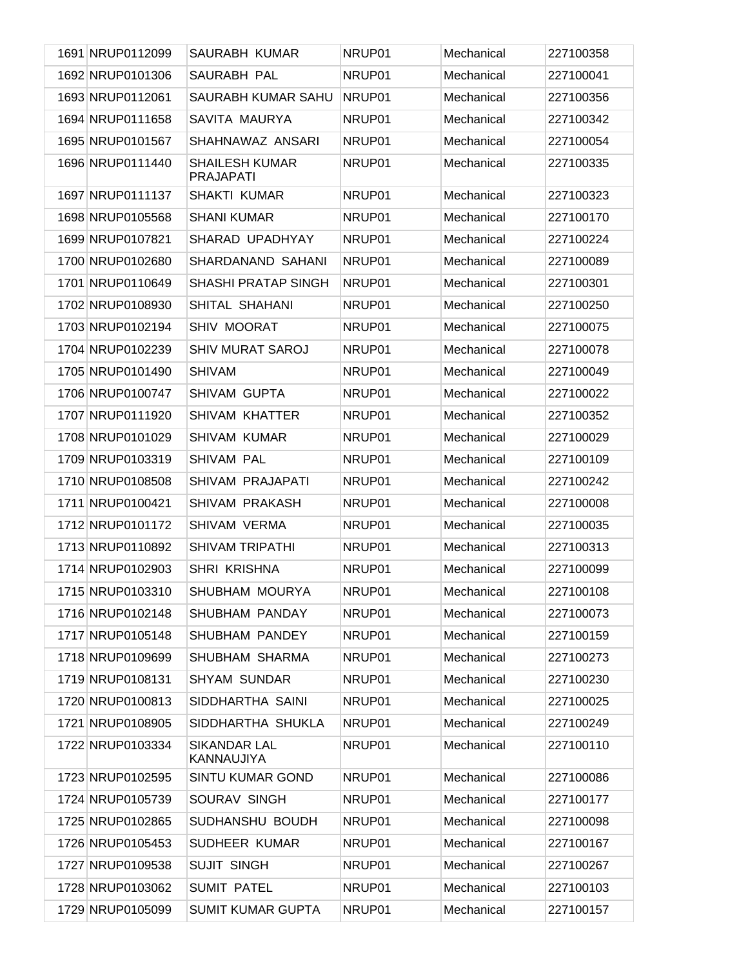| 1691 NRUP0112099 | <b>SAURABH KUMAR</b>                      | NRUP01 | Mechanical | 227100358 |
|------------------|-------------------------------------------|--------|------------|-----------|
| 1692 NRUP0101306 | SAURABH PAL                               | NRUP01 | Mechanical | 227100041 |
| 1693 NRUP0112061 | SAURABH KUMAR SAHU                        | NRUP01 | Mechanical | 227100356 |
| 1694 NRUP0111658 | SAVITA MAURYA                             | NRUP01 | Mechanical | 227100342 |
| 1695 NRUP0101567 | SHAHNAWAZ ANSARI                          | NRUP01 | Mechanical | 227100054 |
| 1696 NRUP0111440 | <b>SHAILESH KUMAR</b><br><b>PRAJAPATI</b> | NRUP01 | Mechanical | 227100335 |
| 1697 NRUP0111137 | SHAKTI KUMAR                              | NRUP01 | Mechanical | 227100323 |
| 1698 NRUP0105568 | <b>SHANI KUMAR</b>                        | NRUP01 | Mechanical | 227100170 |
| 1699 NRUP0107821 | SHARAD UPADHYAY                           | NRUP01 | Mechanical | 227100224 |
| 1700 NRUP0102680 | SHARDANAND SAHANI                         | NRUP01 | Mechanical | 227100089 |
| 1701 NRUP0110649 | <b>SHASHI PRATAP SINGH</b>                | NRUP01 | Mechanical | 227100301 |
| 1702 NRUP0108930 | SHITAL SHAHANI                            | NRUP01 | Mechanical | 227100250 |
| 1703 NRUP0102194 | <b>SHIV MOORAT</b>                        | NRUP01 | Mechanical | 227100075 |
| 1704 NRUP0102239 | <b>SHIV MURAT SAROJ</b>                   | NRUP01 | Mechanical | 227100078 |
| 1705 NRUP0101490 | <b>SHIVAM</b>                             | NRUP01 | Mechanical | 227100049 |
| 1706 NRUP0100747 | SHIVAM GUPTA                              | NRUP01 | Mechanical | 227100022 |
| 1707 NRUP0111920 | <b>SHIVAM KHATTER</b>                     | NRUP01 | Mechanical | 227100352 |
| 1708 NRUP0101029 | <b>SHIVAM KUMAR</b>                       | NRUP01 | Mechanical | 227100029 |
| 1709 NRUP0103319 | SHIVAM PAL                                | NRUP01 | Mechanical | 227100109 |
| 1710 NRUP0108508 | SHIVAM PRAJAPATI                          | NRUP01 | Mechanical | 227100242 |
| 1711 NRUP0100421 | SHIVAM PRAKASH                            | NRUP01 | Mechanical | 227100008 |
| 1712 NRUP0101172 | SHIVAM VERMA                              | NRUP01 | Mechanical | 227100035 |
| 1713 NRUP0110892 | <b>SHIVAM TRIPATHI</b>                    | NRUP01 | Mechanical | 227100313 |
| 1714 NRUP0102903 | SHRI KRISHNA                              | NRUP01 | Mechanical | 227100099 |
| 1715 NRUP0103310 | SHUBHAM MOURYA                            | NRUP01 | Mechanical | 227100108 |
| 1716 NRUP0102148 | <b>SHUBHAM PANDAY</b>                     | NRUP01 | Mechanical | 227100073 |
| 1717 NRUP0105148 | SHUBHAM PANDEY                            | NRUP01 | Mechanical | 227100159 |
| 1718 NRUP0109699 | SHUBHAM SHARMA                            | NRUP01 | Mechanical | 227100273 |
| 1719 NRUP0108131 | <b>SHYAM SUNDAR</b>                       | NRUP01 | Mechanical | 227100230 |
| 1720 NRUP0100813 | SIDDHARTHA SAINI                          | NRUP01 | Mechanical | 227100025 |
| 1721 NRUP0108905 | SIDDHARTHA SHUKLA                         | NRUP01 | Mechanical | 227100249 |
| 1722 NRUP0103334 | <b>SIKANDAR LAL</b><br>KANNAUJIYA         | NRUP01 | Mechanical | 227100110 |
| 1723 NRUP0102595 | <b>SINTU KUMAR GOND</b>                   | NRUP01 | Mechanical | 227100086 |
| 1724 NRUP0105739 | SOURAV SINGH                              | NRUP01 | Mechanical | 227100177 |
| 1725 NRUP0102865 | SUDHANSHU BOUDH                           | NRUP01 | Mechanical | 227100098 |
| 1726 NRUP0105453 | SUDHEER KUMAR                             | NRUP01 | Mechanical | 227100167 |
| 1727 NRUP0109538 | <b>SUJIT SINGH</b>                        | NRUP01 | Mechanical | 227100267 |
| 1728 NRUP0103062 | <b>SUMIT PATEL</b>                        | NRUP01 | Mechanical | 227100103 |
| 1729 NRUP0105099 | <b>SUMIT KUMAR GUPTA</b>                  | NRUP01 | Mechanical | 227100157 |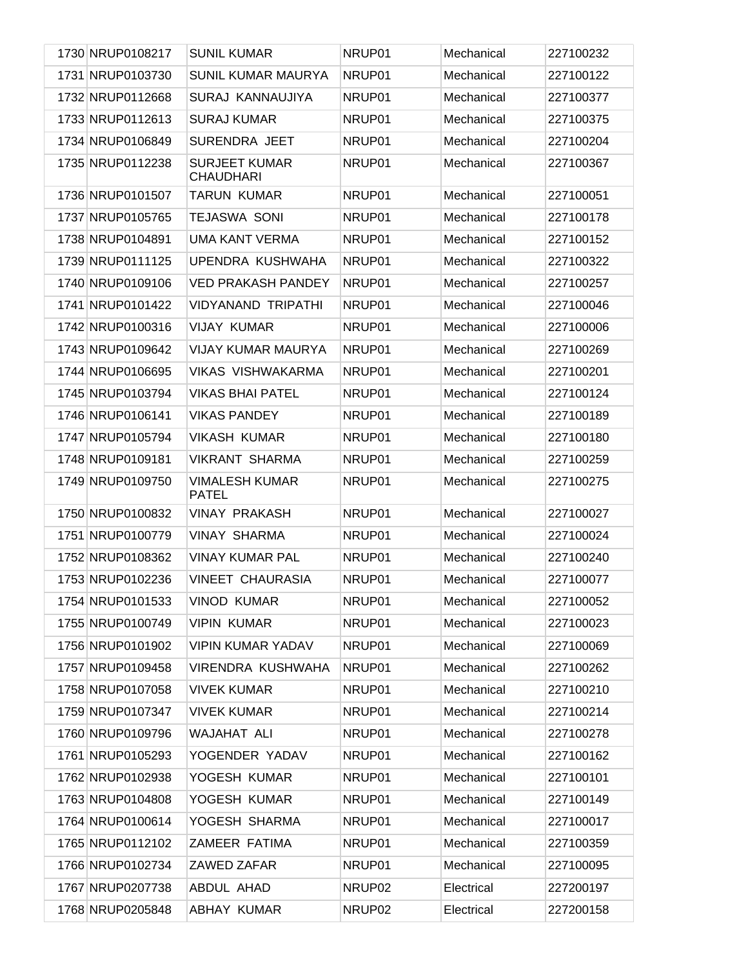| 1730 NRUP0108217 | <b>SUNIL KUMAR</b>                       | NRUP01 | Mechanical | 227100232 |
|------------------|------------------------------------------|--------|------------|-----------|
| 1731 NRUP0103730 | <b>SUNIL KUMAR MAURYA</b>                | NRUP01 | Mechanical | 227100122 |
| 1732 NRUP0112668 | SURAJ KANNAUJIYA                         | NRUP01 | Mechanical | 227100377 |
| 1733 NRUP0112613 | <b>SURAJ KUMAR</b>                       | NRUP01 | Mechanical | 227100375 |
| 1734 NRUP0106849 | SURENDRA JEET                            | NRUP01 | Mechanical | 227100204 |
| 1735 NRUP0112238 | <b>SURJEET KUMAR</b><br><b>CHAUDHARI</b> | NRUP01 | Mechanical | 227100367 |
| 1736 NRUP0101507 | <b>TARUN KUMAR</b>                       | NRUP01 | Mechanical | 227100051 |
| 1737 NRUP0105765 | <b>TEJASWA SONI</b>                      | NRUP01 | Mechanical | 227100178 |
| 1738 NRUP0104891 | <b>UMA KANT VERMA</b>                    | NRUP01 | Mechanical | 227100152 |
| 1739 NRUP0111125 | UPENDRA KUSHWAHA                         | NRUP01 | Mechanical | 227100322 |
| 1740 NRUP0109106 | <b>VED PRAKASH PANDEY</b>                | NRUP01 | Mechanical | 227100257 |
| 1741 NRUP0101422 | <b>VIDYANAND TRIPATHI</b>                | NRUP01 | Mechanical | 227100046 |
| 1742 NRUP0100316 | <b>VIJAY KUMAR</b>                       | NRUP01 | Mechanical | 227100006 |
| 1743 NRUP0109642 | <b>VIJAY KUMAR MAURYA</b>                | NRUP01 | Mechanical | 227100269 |
| 1744 NRUP0106695 | <b>VIKAS VISHWAKARMA</b>                 | NRUP01 | Mechanical | 227100201 |
| 1745 NRUP0103794 | <b>VIKAS BHAI PATEL</b>                  | NRUP01 | Mechanical | 227100124 |
| 1746 NRUP0106141 | <b>VIKAS PANDEY</b>                      | NRUP01 | Mechanical | 227100189 |
| 1747 NRUP0105794 | <b>VIKASH KUMAR</b>                      | NRUP01 | Mechanical | 227100180 |
| 1748 NRUP0109181 | <b>VIKRANT SHARMA</b>                    | NRUP01 | Mechanical | 227100259 |
| 1749 NRUP0109750 | <b>VIMALESH KUMAR</b><br><b>PATEL</b>    | NRUP01 | Mechanical | 227100275 |
| 1750 NRUP0100832 | <b>VINAY PRAKASH</b>                     | NRUP01 | Mechanical | 227100027 |
| 1751 NRUP0100779 | <b>VINAY SHARMA</b>                      | NRUP01 | Mechanical | 227100024 |
| 1752 NRUP0108362 | <b>VINAY KUMAR PAL</b>                   | NRUP01 | Mechanical | 227100240 |
| 1753 NRUP0102236 | <b>VINEET CHAURASIA</b>                  | NRUP01 | Mechanical | 227100077 |
| 1754 NRUP0101533 | <b>VINOD KUMAR</b>                       | NRUP01 | Mechanical | 227100052 |
| 1755 NRUP0100749 | <b>VIPIN KUMAR</b>                       | NRUP01 | Mechanical | 227100023 |
| 1756 NRUP0101902 | <b>VIPIN KUMAR YADAV</b>                 | NRUP01 | Mechanical | 227100069 |
| 1757 NRUP0109458 | VIRENDRA KUSHWAHA                        | NRUP01 | Mechanical | 227100262 |
| 1758 NRUP0107058 | <b>VIVEK KUMAR</b>                       | NRUP01 | Mechanical | 227100210 |
| 1759 NRUP0107347 | <b>VIVEK KUMAR</b>                       | NRUP01 | Mechanical | 227100214 |
| 1760 NRUP0109796 | <b>WAJAHAT ALI</b>                       | NRUP01 | Mechanical | 227100278 |
| 1761 NRUP0105293 | YOGENDER YADAV                           | NRUP01 | Mechanical | 227100162 |
| 1762 NRUP0102938 | YOGESH KUMAR                             | NRUP01 | Mechanical | 227100101 |
| 1763 NRUP0104808 | YOGESH KUMAR                             | NRUP01 | Mechanical | 227100149 |
| 1764 NRUP0100614 | YOGESH SHARMA                            | NRUP01 | Mechanical | 227100017 |
| 1765 NRUP0112102 | ZAMEER FATIMA                            | NRUP01 | Mechanical | 227100359 |
| 1766 NRUP0102734 | ZAWED ZAFAR                              | NRUP01 | Mechanical | 227100095 |
| 1767 NRUP0207738 | ABDUL AHAD                               | NRUP02 | Electrical | 227200197 |
| 1768 NRUP0205848 | <b>ABHAY KUMAR</b>                       | NRUP02 | Electrical | 227200158 |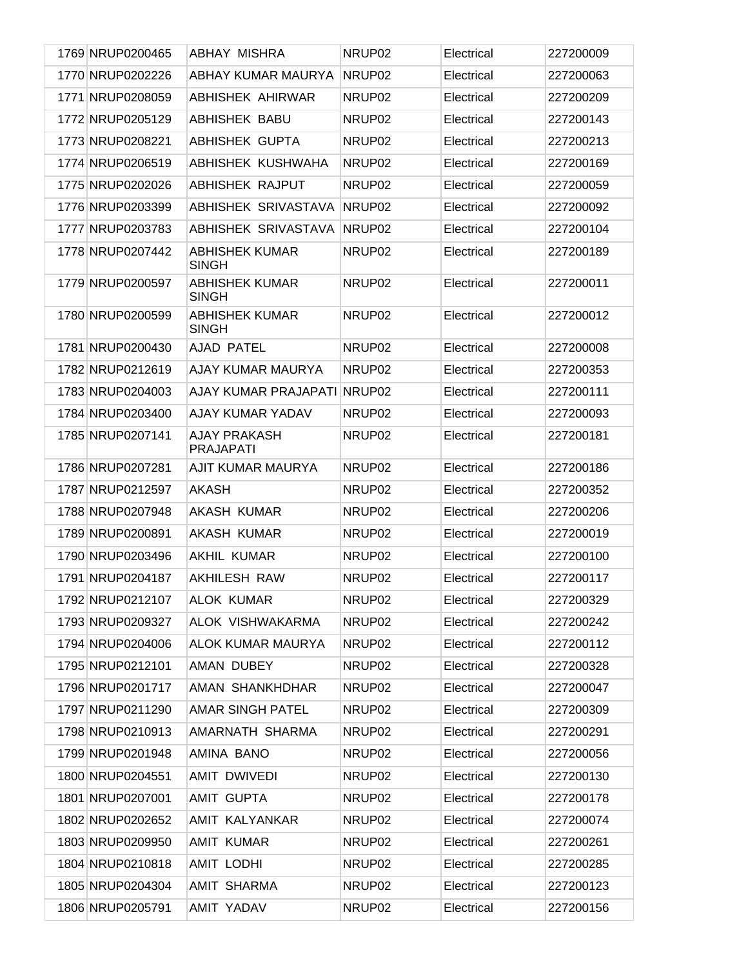| 1769 NRUP0200465 | ABHAY MISHRA                            | NRUP <sub>02</sub> | Electrical | 227200009 |
|------------------|-----------------------------------------|--------------------|------------|-----------|
| 1770 NRUP0202226 | ABHAY KUMAR MAURYA                      | NRUP <sub>02</sub> | Electrical | 227200063 |
| 1771 NRUP0208059 | ABHISHEK AHIRWAR                        | NRUP02             | Electrical | 227200209 |
| 1772 NRUP0205129 | ABHISHEK BABU                           | NRUP02             | Electrical | 227200143 |
| 1773 NRUP0208221 | ABHISHEK GUPTA                          | NRUP02             | Electrical | 227200213 |
| 1774 NRUP0206519 | ABHISHEK KUSHWAHA                       | NRUP <sub>02</sub> | Electrical | 227200169 |
| 1775 NRUP0202026 | <b>ABHISHEK RAJPUT</b>                  | NRUP <sub>02</sub> | Electrical | 227200059 |
| 1776 NRUP0203399 | ABHISHEK SRIVASTAVA                     | NRUP <sub>02</sub> | Electrical | 227200092 |
| 1777 NRUP0203783 | ABHISHEK SRIVASTAVA                     | NRUP <sub>02</sub> | Electrical | 227200104 |
| 1778 NRUP0207442 | <b>ABHISHEK KUMAR</b><br><b>SINGH</b>   | NRUP02             | Electrical | 227200189 |
| 1779 NRUP0200597 | <b>ABHISHEK KUMAR</b><br><b>SINGH</b>   | NRUP02             | Electrical | 227200011 |
| 1780 NRUP0200599 | <b>ABHISHEK KUMAR</b><br><b>SINGH</b>   | NRUP <sub>02</sub> | Electrical | 227200012 |
| 1781 NRUP0200430 | AJAD PATEL                              | NRUP <sub>02</sub> | Electrical | 227200008 |
| 1782 NRUP0212619 | AJAY KUMAR MAURYA                       | NRUP <sub>02</sub> | Electrical | 227200353 |
| 1783 NRUP0204003 | AJAY KUMAR PRAJAPATI                    | NRUP02             | Electrical | 227200111 |
| 1784 NRUP0203400 | AJAY KUMAR YADAV                        | NRUP02             | Electrical | 227200093 |
| 1785 NRUP0207141 | <b>AJAY PRAKASH</b><br><b>PRAJAPATI</b> | NRUP02             | Electrical | 227200181 |
| 1786 NRUP0207281 | AJIT KUMAR MAURYA                       | NRUP <sub>02</sub> | Electrical | 227200186 |
| 1787 NRUP0212597 | <b>AKASH</b>                            | NRUP02             | Electrical | 227200352 |
| 1788 NRUP0207948 | <b>AKASH KUMAR</b>                      | NRUP <sub>02</sub> | Electrical | 227200206 |
| 1789 NRUP0200891 | <b>AKASH KUMAR</b>                      | NRUP02             | Electrical | 227200019 |
| 1790 NRUP0203496 | <b>AKHIL KUMAR</b>                      | NRUP02             | Electrical | 227200100 |
| 1791 NRUP0204187 | <b>AKHILESH RAW</b>                     | NRUP <sub>02</sub> | Electrical | 227200117 |
| 1792 NRUP0212107 | <b>ALOK KUMAR</b>                       | NRUP02             | Electrical | 227200329 |
| 1793 NRUP0209327 | ALOK VISHWAKARMA                        | NRUP <sub>02</sub> | Electrical | 227200242 |
| 1794 NRUP0204006 | <b>ALOK KUMAR MAURYA</b>                | NRUP02             | Electrical | 227200112 |
| 1795 NRUP0212101 | AMAN DUBEY                              | NRUP02             | Electrical | 227200328 |
| 1796 NRUP0201717 | AMAN SHANKHDHAR                         | NRUP02             | Electrical | 227200047 |
| 1797 NRUP0211290 | <b>AMAR SINGH PATEL</b>                 | NRUP02             | Electrical | 227200309 |
| 1798 NRUP0210913 | AMARNATH SHARMA                         | NRUP02             | Electrical | 227200291 |
| 1799 NRUP0201948 | AMINA BANO                              | NRUP02             | Electrical | 227200056 |
| 1800 NRUP0204551 | AMIT DWIVEDI                            | NRUP02             | Electrical | 227200130 |
| 1801 NRUP0207001 | AMIT GUPTA                              | NRUP02             | Electrical | 227200178 |
| 1802 NRUP0202652 | AMIT KALYANKAR                          | NRUP02             | Electrical | 227200074 |
| 1803 NRUP0209950 | AMIT KUMAR                              | NRUP02             | Electrical | 227200261 |
| 1804 NRUP0210818 | <b>AMIT LODHI</b>                       | NRUP02             | Electrical | 227200285 |
| 1805 NRUP0204304 | <b>AMIT SHARMA</b>                      | NRUP02             | Electrical | 227200123 |
| 1806 NRUP0205791 | AMIT YADAV                              | NRUP02             | Electrical | 227200156 |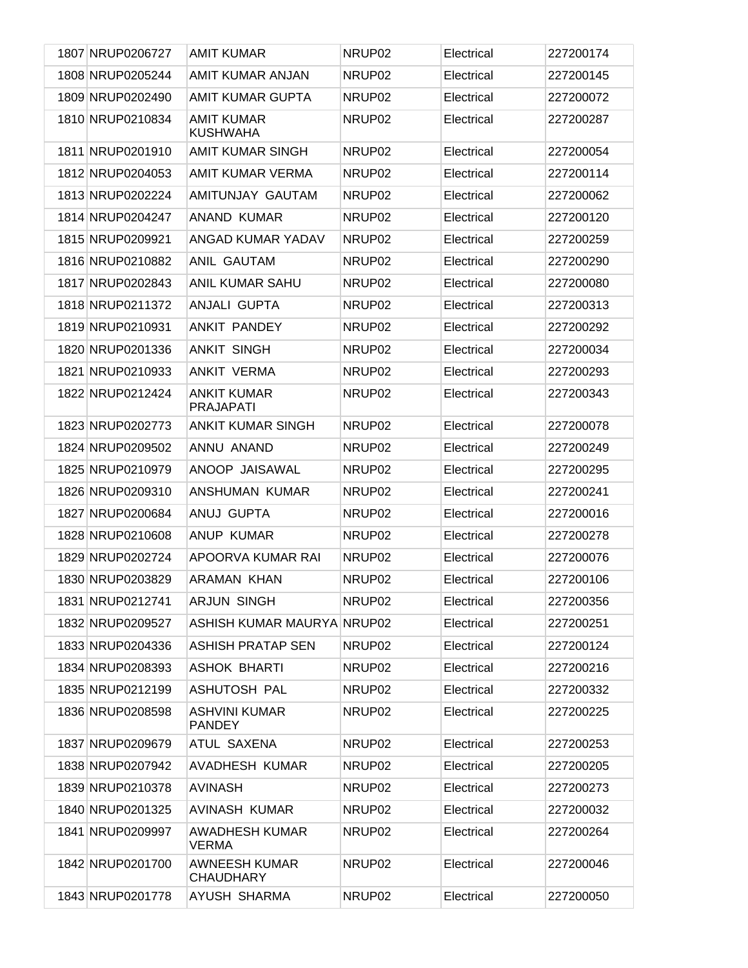| 1807 NRUP0206727 | <b>AMIT KUMAR</b>                        | NRUP <sub>02</sub> | Electrical | 227200174 |
|------------------|------------------------------------------|--------------------|------------|-----------|
| 1808 NRUP0205244 | AMIT KUMAR ANJAN                         | NRUP02             | Electrical | 227200145 |
| 1809 NRUP0202490 | AMIT KUMAR GUPTA                         | NRUP02             | Electrical | 227200072 |
| 1810 NRUP0210834 | <b>AMIT KUMAR</b><br><b>KUSHWAHA</b>     | NRUP02             | Electrical | 227200287 |
| 1811 NRUP0201910 | <b>AMIT KUMAR SINGH</b>                  | NRUP <sub>02</sub> | Electrical | 227200054 |
| 1812 NRUP0204053 | AMIT KUMAR VERMA                         | NRUP02             | Electrical | 227200114 |
| 1813 NRUP0202224 | AMITUNJAY GAUTAM                         | NRUP <sub>02</sub> | Electrical | 227200062 |
| 1814 NRUP0204247 | <b>ANAND KUMAR</b>                       | NRUP <sub>02</sub> | Electrical | 227200120 |
| 1815 NRUP0209921 | ANGAD KUMAR YADAV                        | NRUP <sub>02</sub> | Electrical | 227200259 |
| 1816 NRUP0210882 | ANIL GAUTAM                              | NRUP <sub>02</sub> | Electrical | 227200290 |
| 1817 NRUP0202843 | <b>ANIL KUMAR SAHU</b>                   | NRUP <sub>02</sub> | Electrical | 227200080 |
| 1818 NRUP0211372 | <b>ANJALI GUPTA</b>                      | NRUP <sub>02</sub> | Electrical | 227200313 |
| 1819 NRUP0210931 | ANKIT PANDEY                             | NRUP <sub>02</sub> | Electrical | 227200292 |
| 1820 NRUP0201336 | <b>ANKIT SINGH</b>                       | NRUP <sub>02</sub> | Electrical | 227200034 |
| 1821 NRUP0210933 | ANKIT VERMA                              | NRUP <sub>02</sub> | Electrical | 227200293 |
| 1822 NRUP0212424 | <b>ANKIT KUMAR</b><br><b>PRAJAPATI</b>   | NRUP02             | Electrical | 227200343 |
| 1823 NRUP0202773 | <b>ANKIT KUMAR SINGH</b>                 | NRUP <sub>02</sub> | Electrical | 227200078 |
| 1824 NRUP0209502 | ANNU ANAND                               | NRUP02             | Electrical | 227200249 |
| 1825 NRUP0210979 | ANOOP JAISAWAL                           | NRUP <sub>02</sub> | Electrical | 227200295 |
| 1826 NRUP0209310 | ANSHUMAN KUMAR                           | NRUP02             | Electrical | 227200241 |
| 1827 NRUP0200684 | ANUJ GUPTA                               | NRUP02             | Electrical | 227200016 |
| 1828 NRUP0210608 | <b>ANUP KUMAR</b>                        | NRUP02             | Electrical | 227200278 |
| 1829 NRUP0202724 | APOORVA KUMAR RAI                        | NRUP <sub>02</sub> | Electrical | 227200076 |
| 1830 NRUP0203829 | ARAMAN KHAN                              | NRUP <sub>02</sub> | Electrical | 227200106 |
| 1831 NRUP0212741 | <b>ARJUN SINGH</b>                       | NRUP <sub>02</sub> | Electrical | 227200356 |
| 1832 NRUP0209527 | ASHISH KUMAR MAURYA NRUP02               |                    | Electrical | 227200251 |
| 1833 NRUP0204336 | ASHISH PRATAP SEN                        | NRUP02             | Electrical | 227200124 |
| 1834 NRUP0208393 | <b>ASHOK BHARTI</b>                      | NRUP <sub>02</sub> | Electrical | 227200216 |
| 1835 NRUP0212199 | ASHUTOSH PAL                             | NRUP02             | Electrical | 227200332 |
| 1836 NRUP0208598 | <b>ASHVINI KUMAR</b><br><b>PANDEY</b>    | NRUP02             | Electrical | 227200225 |
| 1837 NRUP0209679 | ATUL SAXENA                              | NRUP <sub>02</sub> | Electrical | 227200253 |
| 1838 NRUP0207942 | <b>AVADHESH KUMAR</b>                    | NRUP02             | Electrical | 227200205 |
| 1839 NRUP0210378 | AVINASH                                  | NRUP02             | Electrical | 227200273 |
| 1840 NRUP0201325 | AVINASH KUMAR                            | NRUP <sub>02</sub> | Electrical | 227200032 |
| 1841 NRUP0209997 | <b>AWADHESH KUMAR</b><br><b>VERMA</b>    | NRUP02             | Electrical | 227200264 |
| 1842 NRUP0201700 | <b>AWNEESH KUMAR</b><br><b>CHAUDHARY</b> | NRUP02             | Electrical | 227200046 |
| 1843 NRUP0201778 | AYUSH SHARMA                             | NRUP02             | Electrical | 227200050 |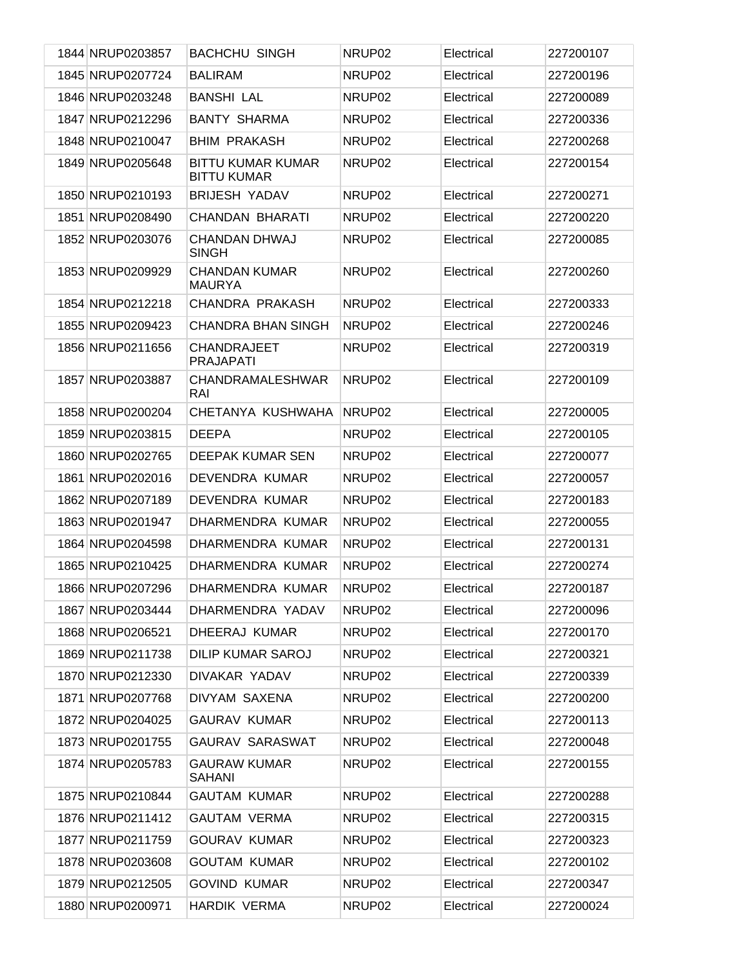| 1844 NRUP0203857 | <b>BACHCHU SINGH</b>                           | NRUP <sub>02</sub> | Electrical | 227200107 |
|------------------|------------------------------------------------|--------------------|------------|-----------|
| 1845 NRUP0207724 | <b>BALIRAM</b>                                 | NRUP02             | Electrical | 227200196 |
| 1846 NRUP0203248 | <b>BANSHI LAL</b>                              | NRUP02             | Electrical | 227200089 |
| 1847 NRUP0212296 | <b>BANTY SHARMA</b>                            | NRUP <sub>02</sub> | Electrical | 227200336 |
| 1848 NRUP0210047 | <b>BHIM PRAKASH</b>                            | NRUP02             | Electrical | 227200268 |
| 1849 NRUP0205648 | <b>BITTU KUMAR KUMAR</b><br><b>BITTU KUMAR</b> | NRUP02             | Electrical | 227200154 |
| 1850 NRUP0210193 | <b>BRIJESH YADAV</b>                           | NRUP02             | Electrical | 227200271 |
| 1851 NRUP0208490 | <b>CHANDAN BHARATI</b>                         | NRUP02             | Electrical | 227200220 |
| 1852 NRUP0203076 | <b>CHANDAN DHWAJ</b><br><b>SINGH</b>           | NRUP02             | Electrical | 227200085 |
| 1853 NRUP0209929 | <b>CHANDAN KUMAR</b><br><b>MAURYA</b>          | NRUP02             | Electrical | 227200260 |
| 1854 NRUP0212218 | CHANDRA PRAKASH                                | NRUP <sub>02</sub> | Electrical | 227200333 |
| 1855 NRUP0209423 | <b>CHANDRA BHAN SINGH</b>                      | NRUP <sub>02</sub> | Electrical | 227200246 |
| 1856 NRUP0211656 | <b>CHANDRAJEET</b><br><b>PRAJAPATI</b>         | NRUP02             | Electrical | 227200319 |
| 1857 NRUP0203887 | CHANDRAMALESHWAR<br>RAI                        | NRUP <sub>02</sub> | Electrical | 227200109 |
| 1858 NRUP0200204 | CHETANYA KUSHWAHA                              | NRUP02             | Electrical | 227200005 |
| 1859 NRUP0203815 | <b>DEEPA</b>                                   | NRUP02             | Electrical | 227200105 |
| 1860 NRUP0202765 | DEEPAK KUMAR SEN                               | NRUP02             | Electrical | 227200077 |
| 1861 NRUP0202016 | DEVENDRA KUMAR                                 | NRUP02             | Electrical | 227200057 |
| 1862 NRUP0207189 | DEVENDRA KUMAR                                 | NRUP02             | Electrical | 227200183 |
| 1863 NRUP0201947 | DHARMENDRA KUMAR                               | NRUP02             | Electrical | 227200055 |
| 1864 NRUP0204598 | DHARMENDRA KUMAR                               | NRUP <sub>02</sub> | Electrical | 227200131 |
| 1865 NRUP0210425 | DHARMENDRA KUMAR                               | NRUP02             | Electrical | 227200274 |
| 1866 NRUP0207296 | DHARMENDRA KUMAR                               | NRUP02             | Electrical | 227200187 |
| 1867 NRUP0203444 | DHARMENDRA YADAV                               | NRUP <sub>02</sub> | Electrical | 227200096 |
| 1868 NRUP0206521 | DHEERAJ KUMAR                                  | NRUP02             | Electrical | 227200170 |
| 1869 NRUP0211738 | <b>DILIP KUMAR SAROJ</b>                       | NRUP02             | Electrical | 227200321 |
| 1870 NRUP0212330 | DIVAKAR YADAV                                  | NRUP02             | Electrical | 227200339 |
| 1871 NRUP0207768 | DIVYAM SAXENA                                  | NRUP02             | Electrical | 227200200 |
| 1872 NRUP0204025 | <b>GAURAV KUMAR</b>                            | NRUP02             | Electrical | 227200113 |
| 1873 NRUP0201755 | <b>GAURAV SARASWAT</b>                         | NRUP02             | Electrical | 227200048 |
| 1874 NRUP0205783 | <b>GAURAW KUMAR</b><br><b>SAHANI</b>           | NRUP02             | Electrical | 227200155 |
| 1875 NRUP0210844 | <b>GAUTAM KUMAR</b>                            | NRUP02             | Electrical | 227200288 |
| 1876 NRUP0211412 | <b>GAUTAM VERMA</b>                            | NRUP02             | Electrical | 227200315 |
| 1877 NRUP0211759 | <b>GOURAV KUMAR</b>                            | NRUP02             | Electrical | 227200323 |
| 1878 NRUP0203608 | <b>GOUTAM KUMAR</b>                            | NRUP02             | Electrical | 227200102 |
| 1879 NRUP0212505 | <b>GOVIND KUMAR</b>                            | NRUP02             | Electrical | 227200347 |
| 1880 NRUP0200971 | <b>HARDIK VERMA</b>                            | NRUP02             | Electrical | 227200024 |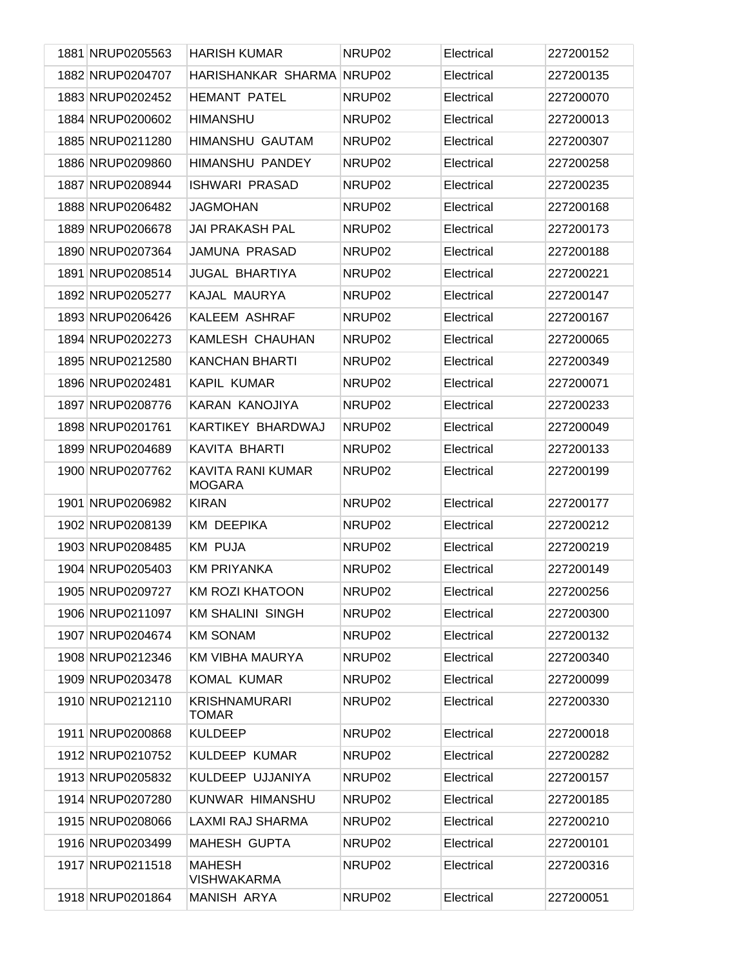| 1881 NRUP0205563 | <b>HARISH KUMAR</b>                       | NRUP <sub>02</sub> | Electrical | 227200152 |
|------------------|-------------------------------------------|--------------------|------------|-----------|
| 1882 NRUP0204707 | HARISHANKAR SHARMA NRUP02                 |                    | Electrical | 227200135 |
| 1883 NRUP0202452 | <b>HEMANT PATEL</b>                       | NRUP02             | Electrical | 227200070 |
| 1884 NRUP0200602 | <b>HIMANSHU</b>                           | NRUP <sub>02</sub> | Electrical | 227200013 |
| 1885 NRUP0211280 | <b>HIMANSHU GAUTAM</b>                    | NRUP02             | Electrical | 227200307 |
| 1886 NRUP0209860 | <b>HIMANSHU PANDEY</b>                    | NRUP <sub>02</sub> | Electrical | 227200258 |
| 1887 NRUP0208944 | <b>ISHWARI PRASAD</b>                     | NRUP02             | Electrical | 227200235 |
| 1888 NRUP0206482 | <b>JAGMOHAN</b>                           | NRUP02             | Electrical | 227200168 |
| 1889 NRUP0206678 | <b>JAI PRAKASH PAL</b>                    | NRUP02             | Electrical | 227200173 |
| 1890 NRUP0207364 | <b>JAMUNA PRASAD</b>                      | NRUP <sub>02</sub> | Electrical | 227200188 |
| 1891 NRUP0208514 | <b>JUGAL BHARTIYA</b>                     | NRUP02             | Electrical | 227200221 |
| 1892 NRUP0205277 | KAJAL MAURYA                              | NRUP <sub>02</sub> | Electrical | 227200147 |
| 1893 NRUP0206426 | KALEEM ASHRAF                             | NRUP <sub>02</sub> | Electrical | 227200167 |
| 1894 NRUP0202273 | KAMLESH CHAUHAN                           | NRUP <sub>02</sub> | Electrical | 227200065 |
| 1895 NRUP0212580 | <b>KANCHAN BHARTI</b>                     | NRUP02             | Electrical | 227200349 |
| 1896 NRUP0202481 | <b>KAPIL KUMAR</b>                        | NRUP <sub>02</sub> | Electrical | 227200071 |
| 1897 NRUP0208776 | KARAN KANOJIYA                            | NRUP02             | Electrical | 227200233 |
| 1898 NRUP0201761 | KARTIKEY BHARDWAJ                         | NRUP <sub>02</sub> | Electrical | 227200049 |
| 1899 NRUP0204689 | KAVITA BHARTI                             | NRUP02             | Electrical | 227200133 |
| 1900 NRUP0207762 | <b>KAVITA RANI KUMAR</b><br><b>MOGARA</b> | NRUP <sub>02</sub> | Electrical | 227200199 |
| 1901 NRUP0206982 | <b>KIRAN</b>                              | NRUP <sub>02</sub> | Electrical | 227200177 |
| 1902 NRUP0208139 | <b>KM DEEPIKA</b>                         | NRUP <sub>02</sub> | Electrical | 227200212 |
| 1903 NRUP0208485 | <b>KM PUJA</b>                            | NRUP <sub>02</sub> | Electrical | 227200219 |
| 1904 NRUP0205403 | <b>KM PRIYANKA</b>                        | NRUP02             | Electrical | 227200149 |
| 1905 NRUP0209727 | <b>KM ROZI KHATOON</b>                    | NRUP02             | Electrical | 227200256 |
| 1906 NRUP0211097 | <b>KM SHALINI SINGH</b>                   | NRUP <sub>02</sub> | Electrical | 227200300 |
| 1907 NRUP0204674 | <b>KM SONAM</b>                           | NRUP <sub>02</sub> | Electrical | 227200132 |
| 1908 NRUP0212346 | <b>KM VIBHA MAURYA</b>                    | NRUP <sub>02</sub> | Electrical | 227200340 |
| 1909 NRUP0203478 | <b>KOMAL KUMAR</b>                        | NRUP <sub>02</sub> | Electrical | 227200099 |
| 1910 NRUP0212110 | <b>KRISHNAMURARI</b><br><b>TOMAR</b>      | NRUP02             | Electrical | 227200330 |
| 1911 NRUP0200868 | <b>KULDEEP</b>                            | NRUP <sub>02</sub> | Electrical | 227200018 |
| 1912 NRUP0210752 | KULDEEP KUMAR                             | NRUP02             | Electrical | 227200282 |
| 1913 NRUP0205832 | KULDEEP UJJANIYA                          | NRUP <sub>02</sub> | Electrical | 227200157 |
| 1914 NRUP0207280 | KUNWAR HIMANSHU                           | NRUP02             | Electrical | 227200185 |
| 1915 NRUP0208066 | LAXMI RAJ SHARMA                          | NRUP02             | Electrical | 227200210 |
| 1916 NRUP0203499 | <b>MAHESH GUPTA</b>                       | NRUP02             | Electrical | 227200101 |
| 1917 NRUP0211518 | <b>MAHESH</b><br><b>VISHWAKARMA</b>       | NRUP <sub>02</sub> | Electrical | 227200316 |
| 1918 NRUP0201864 | MANISH ARYA                               | NRUP02             | Electrical | 227200051 |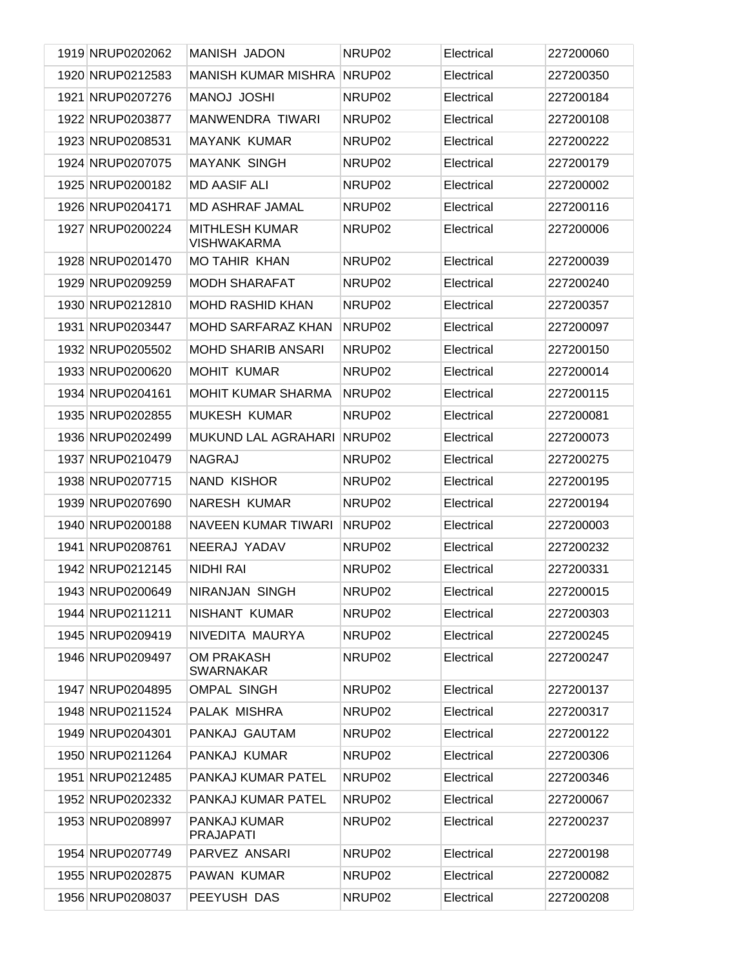| 1919 NRUP0202062 | <b>MANISH JADON</b>                         | NRUP <sub>02</sub> | Electrical | 227200060 |
|------------------|---------------------------------------------|--------------------|------------|-----------|
| 1920 NRUP0212583 | <b>MANISH KUMAR MISHRA</b>                  | NRUP02             | Electrical | 227200350 |
| 1921 NRUP0207276 | <b>MANOJ JOSHI</b>                          | NRUP02             | Electrical | 227200184 |
| 1922 NRUP0203877 | <b>MANWENDRA TIWARI</b>                     | NRUP <sub>02</sub> | Electrical | 227200108 |
| 1923 NRUP0208531 | <b>MAYANK KUMAR</b>                         | NRUP <sub>02</sub> | Electrical | 227200222 |
| 1924 NRUP0207075 | <b>MAYANK SINGH</b>                         | NRUP <sub>02</sub> | Electrical | 227200179 |
| 1925 NRUP0200182 | <b>MD AASIF ALI</b>                         | NRUP02             | Electrical | 227200002 |
| 1926 NRUP0204171 | <b>MD ASHRAF JAMAL</b>                      | NRUP <sub>02</sub> | Electrical | 227200116 |
| 1927 NRUP0200224 | <b>MITHLESH KUMAR</b><br><b>VISHWAKARMA</b> | NRUP <sub>02</sub> | Electrical | 227200006 |
| 1928 NRUP0201470 | <b>MO TAHIR KHAN</b>                        | NRUP <sub>02</sub> | Electrical | 227200039 |
| 1929 NRUP0209259 | <b>MODH SHARAFAT</b>                        | NRUP <sub>02</sub> | Electrical | 227200240 |
| 1930 NRUP0212810 | <b>MOHD RASHID KHAN</b>                     | NRUP <sub>02</sub> | Electrical | 227200357 |
| 1931 NRUP0203447 | MOHD SARFARAZ KHAN                          | NRUP <sub>02</sub> | Electrical | 227200097 |
| 1932 NRUP0205502 | <b>MOHD SHARIB ANSARI</b>                   | NRUP <sub>02</sub> | Electrical | 227200150 |
| 1933 NRUP0200620 | <b>MOHIT KUMAR</b>                          | NRUP <sub>02</sub> | Electrical | 227200014 |
| 1934 NRUP0204161 | <b>MOHIT KUMAR SHARMA</b>                   | NRUP <sub>02</sub> | Electrical | 227200115 |
| 1935 NRUP0202855 | <b>MUKESH KUMAR</b>                         | NRUP <sub>02</sub> | Electrical | 227200081 |
| 1936 NRUP0202499 | MUKUND LAL AGRAHARI                         | NRUP <sub>02</sub> | Electrical | 227200073 |
| 1937 NRUP0210479 | <b>NAGRAJ</b>                               | NRUP <sub>02</sub> | Electrical | 227200275 |
| 1938 NRUP0207715 | <b>NAND KISHOR</b>                          | NRUP <sub>02</sub> | Electrical | 227200195 |
| 1939 NRUP0207690 | <b>NARESH KUMAR</b>                         | NRUP <sub>02</sub> | Electrical | 227200194 |
| 1940 NRUP0200188 | <b>NAVEEN KUMAR TIWARI</b>                  | NRUP02             | Electrical | 227200003 |
| 1941 NRUP0208761 | NEERAJ YADAV                                | NRUP02             | Electrical | 227200232 |
| 1942 NRUP0212145 | <b>NIDHI RAI</b>                            | NRUP <sub>02</sub> | Electrical | 227200331 |
| 1943 NRUP0200649 | <b>NIRANJAN SINGH</b>                       | NRUP02             | Electrical | 227200015 |
| 1944 NRUP0211211 | NISHANT KUMAR                               | NRUP <sub>02</sub> | Electrical | 227200303 |
| 1945 NRUP0209419 | NIVEDITA MAURYA                             | NRUP <sub>02</sub> | Electrical | 227200245 |
| 1946 NRUP0209497 | <b>OM PRAKASH</b><br><b>SWARNAKAR</b>       | NRUP <sub>02</sub> | Electrical | 227200247 |
| 1947 NRUP0204895 | <b>OMPAL SINGH</b>                          | NRUP02             | Electrical | 227200137 |
| 1948 NRUP0211524 | PALAK MISHRA                                | NRUP02             | Electrical | 227200317 |
| 1949 NRUP0204301 | PANKAJ GAUTAM                               | NRUP <sub>02</sub> | Electrical | 227200122 |
| 1950 NRUP0211264 | PANKAJ KUMAR                                | NRUP02             | Electrical | 227200306 |
| 1951 NRUP0212485 | PANKAJ KUMAR PATEL                          | NRUP <sub>02</sub> | Electrical | 227200346 |
| 1952 NRUP0202332 | PANKAJ KUMAR PATEL                          | NRUP02             | Electrical | 227200067 |
| 1953 NRUP0208997 | PANKAJ KUMAR<br><b>PRAJAPATI</b>            | NRUP <sub>02</sub> | Electrical | 227200237 |
| 1954 NRUP0207749 | PARVEZ ANSARI                               | NRUP02             | Electrical | 227200198 |
| 1955 NRUP0202875 | PAWAN KUMAR                                 | NRUP02             | Electrical | 227200082 |
| 1956 NRUP0208037 | PEEYUSH DAS                                 | NRUP02             | Electrical | 227200208 |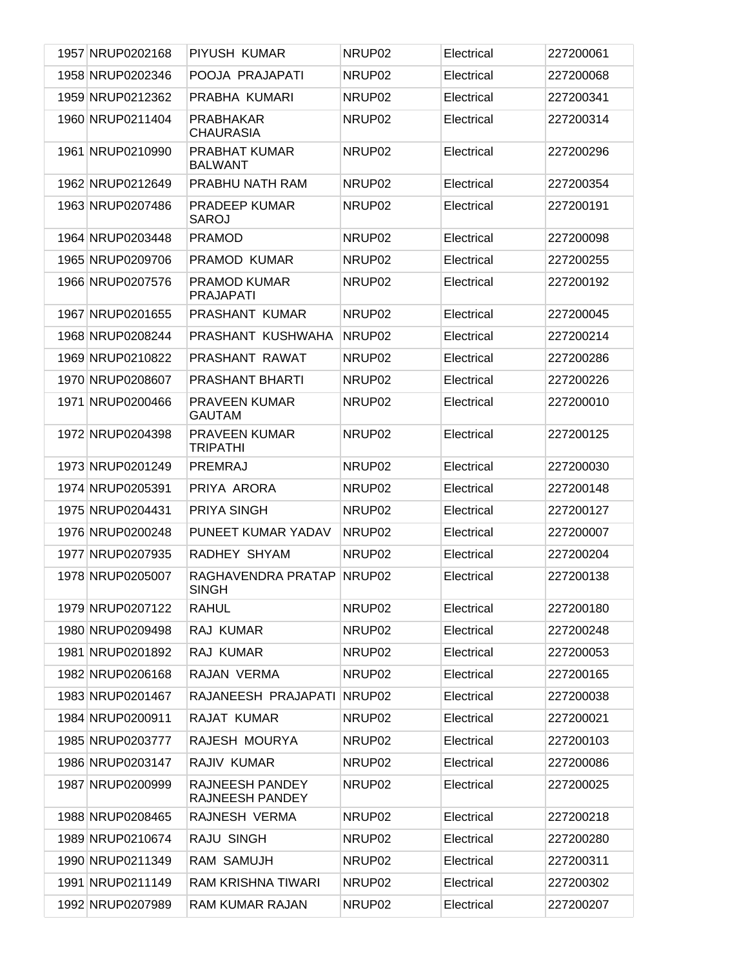| 1957 NRUP0202168 | PIYUSH KUMAR                            | NRUP <sub>02</sub> | Electrical | 227200061 |
|------------------|-----------------------------------------|--------------------|------------|-----------|
| 1958 NRUP0202346 | POOJA PRAJAPATI                         | NRUP02             | Electrical | 227200068 |
| 1959 NRUP0212362 | PRABHA KUMARI                           | NRUP02             | Electrical | 227200341 |
| 1960 NRUP0211404 | <b>PRABHAKAR</b><br><b>CHAURASIA</b>    | NRUP <sub>02</sub> | Electrical | 227200314 |
| 1961 NRUP0210990 | PRABHAT KUMAR<br><b>BALWANT</b>         | NRUP <sub>02</sub> | Electrical | 227200296 |
| 1962 NRUP0212649 | PRABHU NATH RAM                         | NRUP <sub>02</sub> | Electrical | 227200354 |
| 1963 NRUP0207486 | <b>PRADEEP KUMAR</b><br><b>SAROJ</b>    | NRUP <sub>02</sub> | Electrical | 227200191 |
| 1964 NRUP0203448 | <b>PRAMOD</b>                           | NRUP <sub>02</sub> | Electrical | 227200098 |
| 1965 NRUP0209706 | PRAMOD KUMAR                            | NRUP <sub>02</sub> | Electrical | 227200255 |
| 1966 NRUP0207576 | PRAMOD KUMAR<br><b>PRAJAPATI</b>        | NRUP <sub>02</sub> | Electrical | 227200192 |
| 1967 NRUP0201655 | PRASHANT KUMAR                          | NRUP <sub>02</sub> | Electrical | 227200045 |
| 1968 NRUP0208244 | PRASHANT KUSHWAHA                       | NRUP <sub>02</sub> | Electrical | 227200214 |
| 1969 NRUP0210822 | PRASHANT RAWAT                          | NRUP <sub>02</sub> | Electrical | 227200286 |
| 1970 NRUP0208607 | <b>PRASHANT BHARTI</b>                  | NRUP <sub>02</sub> | Electrical | 227200226 |
| 1971 NRUP0200466 | PRAVEEN KUMAR<br><b>GAUTAM</b>          | NRUP <sub>02</sub> | Electrical | 227200010 |
| 1972 NRUP0204398 | <b>PRAVEEN KUMAR</b><br><b>TRIPATHI</b> | NRUP <sub>02</sub> | Electrical | 227200125 |
| 1973 NRUP0201249 | PREMRAJ                                 | NRUP <sub>02</sub> | Electrical | 227200030 |
| 1974 NRUP0205391 | PRIYA ARORA                             | NRUP <sub>02</sub> | Electrical | 227200148 |
| 1975 NRUP0204431 | PRIYA SINGH                             | NRUP <sub>02</sub> | Electrical | 227200127 |
| 1976 NRUP0200248 | PUNEET KUMAR YADAV                      | NRUP02             | Electrical | 227200007 |
| 1977 NRUP0207935 | RADHEY SHYAM                            | NRUP <sub>02</sub> | Electrical | 227200204 |
| 1978 NRUP0205007 | RAGHAVENDRA PRATAP<br><b>SINGH</b>      | NRUP <sub>02</sub> | Electrical | 227200138 |
| 1979 NRUP0207122 | RAHUL                                   | NRUP02             | Electrical | 227200180 |
| 1980 NRUP0209498 | RAJ KUMAR                               | NRUP02             | Electrical | 227200248 |
| 1981 NRUP0201892 | RAJ KUMAR                               | NRUP02             | Electrical | 227200053 |
| 1982 NRUP0206168 | RAJAN VERMA                             | NRUP02             | Electrical | 227200165 |
| 1983 NRUP0201467 | RAJANEESH PRAJAPATI                     | NRUP <sub>02</sub> | Electrical | 227200038 |
| 1984 NRUP0200911 | RAJAT KUMAR                             | NRUP02             | Electrical | 227200021 |
| 1985 NRUP0203777 | RAJESH MOURYA                           | NRUP02             | Electrical | 227200103 |
| 1986 NRUP0203147 | RAJIV KUMAR                             | NRUP02             | Electrical | 227200086 |
| 1987 NRUP0200999 | RAJNEESH PANDEY<br>RAJNEESH PANDEY      | NRUP02             | Electrical | 227200025 |
| 1988 NRUP0208465 | RAJNESH VERMA                           | NRUP02             | Electrical | 227200218 |
| 1989 NRUP0210674 | RAJU SINGH                              | NRUP02             | Electrical | 227200280 |
| 1990 NRUP0211349 | RAM SAMUJH                              | NRUP02             | Electrical | 227200311 |
| 1991 NRUP0211149 | RAM KRISHNA TIWARI                      | NRUP02             | Electrical | 227200302 |
| 1992 NRUP0207989 | RAM KUMAR RAJAN                         | NRUP02             | Electrical | 227200207 |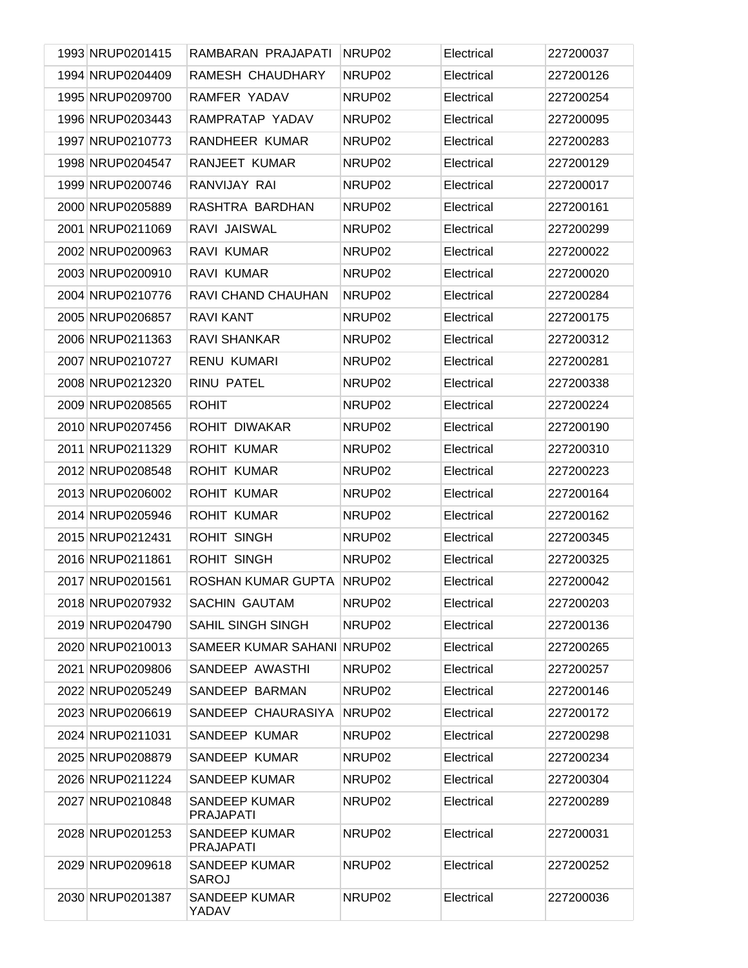| 1993 NRUP0201415 | RAMBARAN PRAJAPATI                       | NRUP02             | Electrical | 227200037 |
|------------------|------------------------------------------|--------------------|------------|-----------|
| 1994 NRUP0204409 | RAMESH CHAUDHARY                         | NRUP02             | Electrical | 227200126 |
| 1995 NRUP0209700 | RAMFER YADAV                             | NRUP02             | Electrical | 227200254 |
| 1996 NRUP0203443 | RAMPRATAP YADAV                          | NRUP02             | Electrical | 227200095 |
| 1997 NRUP0210773 | RANDHEER KUMAR                           | NRUP02             | Electrical | 227200283 |
| 1998 NRUP0204547 | RANJEET KUMAR                            | NRUP02             | Electrical | 227200129 |
| 1999 NRUP0200746 | RANVIJAY RAI                             | NRUP02             | Electrical | 227200017 |
| 2000 NRUP0205889 | RASHTRA BARDHAN                          | NRUP02             | Electrical | 227200161 |
| 2001 NRUP0211069 | RAVI JAISWAL                             | NRUP02             | Electrical | 227200299 |
| 2002 NRUP0200963 | RAVI KUMAR                               | NRUP02             | Electrical | 227200022 |
| 2003 NRUP0200910 | RAVI KUMAR                               | NRUP02             | Electrical | 227200020 |
| 2004 NRUP0210776 | RAVI CHAND CHAUHAN                       | NRUP02             | Electrical | 227200284 |
| 2005 NRUP0206857 | <b>RAVI KANT</b>                         | NRUP02             | Electrical | 227200175 |
| 2006 NRUP0211363 | <b>RAVI SHANKAR</b>                      | NRUP02             | Electrical | 227200312 |
| 2007 NRUP0210727 | <b>RENU KUMARI</b>                       | NRUP02             | Electrical | 227200281 |
| 2008 NRUP0212320 | RINU PATEL                               | NRUP02             | Electrical | 227200338 |
| 2009 NRUP0208565 | <b>ROHIT</b>                             | NRUP02             | Electrical | 227200224 |
| 2010 NRUP0207456 | ROHIT DIWAKAR                            | NRUP02             | Electrical | 227200190 |
| 2011 NRUP0211329 | <b>ROHIT KUMAR</b>                       | NRUP02             | Electrical | 227200310 |
| 2012 NRUP0208548 | <b>ROHIT KUMAR</b>                       | NRUP02             | Electrical | 227200223 |
| 2013 NRUP0206002 | <b>ROHIT KUMAR</b>                       | NRUP02             | Electrical | 227200164 |
| 2014 NRUP0205946 | <b>ROHIT KUMAR</b>                       | NRUP02             | Electrical | 227200162 |
| 2015 NRUP0212431 | <b>ROHIT SINGH</b>                       | NRUP02             | Electrical | 227200345 |
| 2016 NRUP0211861 | <b>ROHIT SINGH</b>                       | NRUP02             | Electrical | 227200325 |
| 2017 NRUP0201561 | ROSHAN KUMAR GUPTA                       | NRUP02             | Electrical | 227200042 |
| 2018 NRUP0207932 | <b>SACHIN GAUTAM</b>                     | NRUP <sub>02</sub> | Electrical | 227200203 |
| 2019 NRUP0204790 | <b>SAHIL SINGH SINGH</b>                 | NRUP02             | Electrical | 227200136 |
| 2020 NRUP0210013 | SAMEER KUMAR SAHANI NRUP02               |                    | Electrical | 227200265 |
| 2021 NRUP0209806 | SANDEEP AWASTHI                          | NRUP02             | Electrical | 227200257 |
| 2022 NRUP0205249 | SANDEEP BARMAN                           | NRUP <sub>02</sub> | Electrical | 227200146 |
| 2023 NRUP0206619 | SANDEEP CHAURASIYA                       | NRUP <sub>02</sub> | Electrical | 227200172 |
| 2024 NRUP0211031 | SANDEEP KUMAR                            | NRUP02             | Electrical | 227200298 |
| 2025 NRUP0208879 | SANDEEP KUMAR                            | NRUP02             | Electrical | 227200234 |
| 2026 NRUP0211224 | <b>SANDEEP KUMAR</b>                     | NRUP02             | Electrical | 227200304 |
| 2027 NRUP0210848 | <b>SANDEEP KUMAR</b><br><b>PRAJAPATI</b> | NRUP02             | Electrical | 227200289 |
| 2028 NRUP0201253 | <b>SANDEEP KUMAR</b><br><b>PRAJAPATI</b> | NRUP <sub>02</sub> | Electrical | 227200031 |
| 2029 NRUP0209618 | <b>SANDEEP KUMAR</b><br><b>SAROJ</b>     | NRUP02             | Electrical | 227200252 |
| 2030 NRUP0201387 | <b>SANDEEP KUMAR</b><br>YADAV            | NRUP02             | Electrical | 227200036 |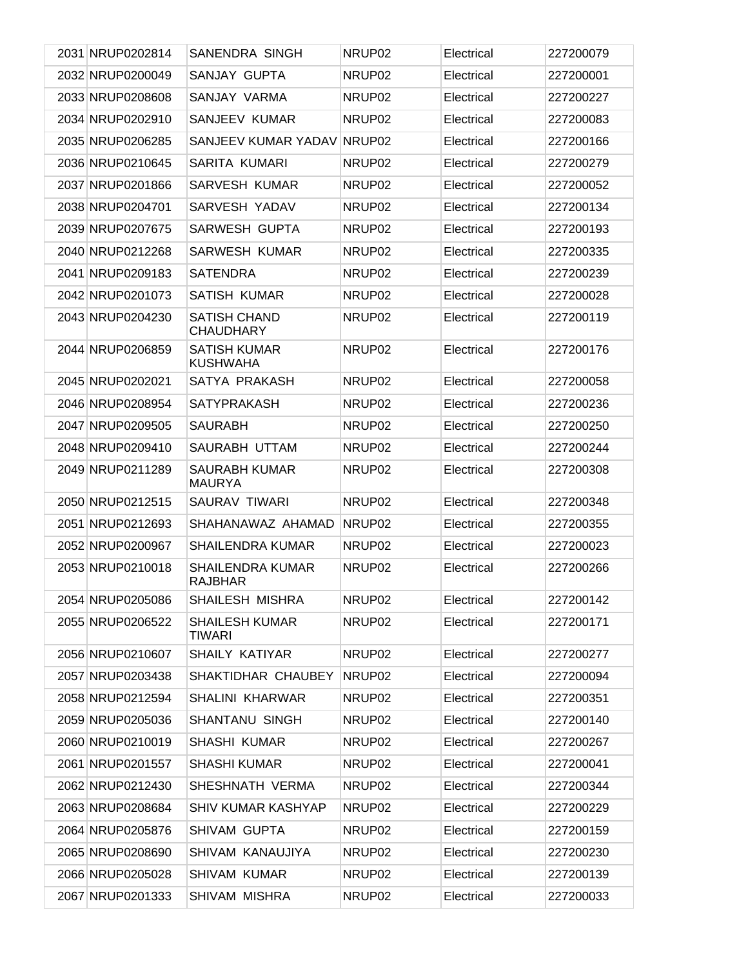| 2031 NRUP0202814 | SANENDRA SINGH                            | NRUP <sub>02</sub> | Electrical | 227200079 |
|------------------|-------------------------------------------|--------------------|------------|-----------|
| 2032 NRUP0200049 | SANJAY GUPTA                              | NRUP <sub>02</sub> | Electrical | 227200001 |
| 2033 NRUP0208608 | SANJAY VARMA                              | NRUP <sub>02</sub> | Electrical | 227200227 |
| 2034 NRUP0202910 | SANJEEV KUMAR                             | NRUP <sub>02</sub> | Electrical | 227200083 |
| 2035 NRUP0206285 | SANJEEV KUMAR YADAV                       | NRUP02             | Electrical | 227200166 |
| 2036 NRUP0210645 | SARITA KUMARI                             | NRUP <sub>02</sub> | Electrical | 227200279 |
| 2037 NRUP0201866 | <b>SARVESH KUMAR</b>                      | NRUP <sub>02</sub> | Electrical | 227200052 |
| 2038 NRUP0204701 | SARVESH YADAV                             | NRUP <sub>02</sub> | Electrical | 227200134 |
| 2039 NRUP0207675 | SARWESH GUPTA                             | NRUP <sub>02</sub> | Electrical | 227200193 |
| 2040 NRUP0212268 | SARWESH KUMAR                             | NRUP <sub>02</sub> | Electrical | 227200335 |
| 2041 NRUP0209183 | <b>SATENDRA</b>                           | NRUP <sub>02</sub> | Electrical | 227200239 |
| 2042 NRUP0201073 | <b>SATISH KUMAR</b>                       | NRUP <sub>02</sub> | Electrical | 227200028 |
| 2043 NRUP0204230 | <b>SATISH CHAND</b><br><b>CHAUDHARY</b>   | NRUP <sub>02</sub> | Electrical | 227200119 |
| 2044 NRUP0206859 | <b>SATISH KUMAR</b><br><b>KUSHWAHA</b>    | NRUP <sub>02</sub> | Electrical | 227200176 |
| 2045 NRUP0202021 | SATYA PRAKASH                             | NRUP <sub>02</sub> | Electrical | 227200058 |
| 2046 NRUP0208954 | <b>SATYPRAKASH</b>                        | NRUP02             | Electrical | 227200236 |
| 2047 NRUP0209505 | <b>SAURABH</b>                            | NRUP <sub>02</sub> | Electrical | 227200250 |
| 2048 NRUP0209410 | SAURABH UTTAM                             | NRUP <sub>02</sub> | Electrical | 227200244 |
| 2049 NRUP0211289 | <b>SAURABH KUMAR</b><br><b>MAURYA</b>     | NRUP <sub>02</sub> | Electrical | 227200308 |
| 2050 NRUP0212515 | SAURAV TIWARI                             | NRUP <sub>02</sub> | Electrical | 227200348 |
| 2051 NRUP0212693 | SHAHANAWAZ AHAMAD                         | NRUP <sub>02</sub> | Electrical | 227200355 |
| 2052 NRUP0200967 | <b>SHAILENDRA KUMAR</b>                   | NRUP <sub>02</sub> | Electrical | 227200023 |
| 2053 NRUP0210018 | <b>SHAILENDRA KUMAR</b><br><b>RAJBHAR</b> | NRUP <sub>02</sub> | Electrical | 227200266 |
| 2054 NRUP0205086 | SHAILESH MISHRA                           | NRUP02             | Electrical | 227200142 |
| 2055 NRUP0206522 | <b>SHAILESH KUMAR</b><br>TIWARI           | NRUP <sub>02</sub> | Electrical | 227200171 |
| 2056 NRUP0210607 | <b>SHAILY KATIYAR</b>                     | NRUP <sub>02</sub> | Electrical | 227200277 |
| 2057 NRUP0203438 | SHAKTIDHAR CHAUBEY                        | NRUP <sub>02</sub> | Electrical | 227200094 |
| 2058 NRUP0212594 | <b>SHALINI KHARWAR</b>                    | NRUP <sub>02</sub> | Electrical | 227200351 |
| 2059 NRUP0205036 | SHANTANU SINGH                            | NRUP <sub>02</sub> | Electrical | 227200140 |
| 2060 NRUP0210019 | SHASHI KUMAR                              | NRUP <sub>02</sub> | Electrical | 227200267 |
| 2061 NRUP0201557 | <b>SHASHI KUMAR</b>                       | NRUP <sub>02</sub> | Electrical | 227200041 |
| 2062 NRUP0212430 | SHESHNATH VERMA                           | NRUP <sub>02</sub> | Electrical | 227200344 |
| 2063 NRUP0208684 | <b>SHIV KUMAR KASHYAP</b>                 | NRUP <sub>02</sub> | Electrical | 227200229 |
| 2064 NRUP0205876 | SHIVAM GUPTA                              | NRUP <sub>02</sub> | Electrical | 227200159 |
| 2065 NRUP0208690 | SHIVAM KANAUJIYA                          | NRUP <sub>02</sub> | Electrical | 227200230 |
| 2066 NRUP0205028 | SHIVAM KUMAR                              | NRUP <sub>02</sub> | Electrical | 227200139 |
| 2067 NRUP0201333 | SHIVAM MISHRA                             | NRUP <sub>02</sub> | Electrical | 227200033 |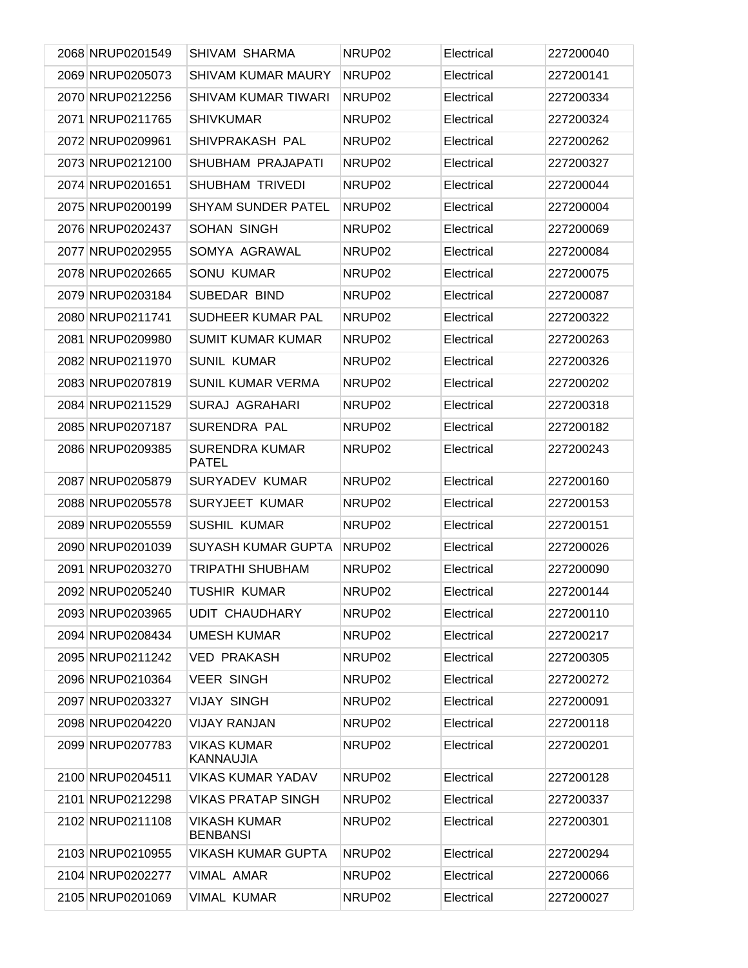| 2068 NRUP0201549 | SHIVAM SHARMA                          | NRUP <sub>02</sub> | Electrical | 227200040 |
|------------------|----------------------------------------|--------------------|------------|-----------|
| 2069 NRUP0205073 | <b>SHIVAM KUMAR MAURY</b>              | NRUP02             | Electrical | 227200141 |
| 2070 NRUP0212256 | <b>SHIVAM KUMAR TIWARI</b>             | NRUP <sub>02</sub> | Electrical | 227200334 |
| 2071 NRUP0211765 | <b>SHIVKUMAR</b>                       | NRUP <sub>02</sub> | Electrical | 227200324 |
| 2072 NRUP0209961 | SHIVPRAKASH PAL                        | NRUP <sub>02</sub> | Electrical | 227200262 |
| 2073 NRUP0212100 | SHUBHAM PRAJAPATI                      | NRUP <sub>02</sub> | Electrical | 227200327 |
| 2074 NRUP0201651 | <b>SHUBHAM TRIVEDI</b>                 | NRUP <sub>02</sub> | Electrical | 227200044 |
| 2075 NRUP0200199 | <b>SHYAM SUNDER PATEL</b>              | NRUP <sub>02</sub> | Electrical | 227200004 |
| 2076 NRUP0202437 | SOHAN SINGH                            | NRUP <sub>02</sub> | Electrical | 227200069 |
| 2077 NRUP0202955 | SOMYA AGRAWAL                          | NRUP <sub>02</sub> | Electrical | 227200084 |
| 2078 NRUP0202665 | <b>SONU KUMAR</b>                      | NRUP <sub>02</sub> | Electrical | 227200075 |
| 2079 NRUP0203184 | SUBEDAR BIND                           | NRUP <sub>02</sub> | Electrical | 227200087 |
| 2080 NRUP0211741 | SUDHEER KUMAR PAL                      | NRUP <sub>02</sub> | Electrical | 227200322 |
| 2081 NRUP0209980 | <b>SUMIT KUMAR KUMAR</b>               | NRUP <sub>02</sub> | Electrical | 227200263 |
| 2082 NRUP0211970 | <b>SUNIL KUMAR</b>                     | NRUP <sub>02</sub> | Electrical | 227200326 |
| 2083 NRUP0207819 | <b>SUNIL KUMAR VERMA</b>               | NRUP <sub>02</sub> | Electrical | 227200202 |
| 2084 NRUP0211529 | SURAJ AGRAHARI                         | NRUP <sub>02</sub> | Electrical | 227200318 |
| 2085 NRUP0207187 | <b>SURENDRA PAL</b>                    | NRUP <sub>02</sub> | Electrical | 227200182 |
| 2086 NRUP0209385 | <b>SURENDRA KUMAR</b><br><b>PATEL</b>  | NRUP <sub>02</sub> | Electrical | 227200243 |
| 2087 NRUP0205879 | <b>SURYADEV KUMAR</b>                  | NRUP <sub>02</sub> | Electrical | 227200160 |
| 2088 NRUP0205578 | SURYJEET KUMAR                         | NRUP <sub>02</sub> | Electrical | 227200153 |
| 2089 NRUP0205559 | <b>SUSHIL KUMAR</b>                    | NRUP02             | Electrical | 227200151 |
| 2090 NRUP0201039 | <b>SUYASH KUMAR GUPTA</b>              | NRUP <sub>02</sub> | Electrical | 227200026 |
| 2091 NRUP0203270 | <b>TRIPATHI SHUBHAM</b>                | NRUP <sub>02</sub> | Electrical | 227200090 |
| 2092 NRUP0205240 | <b>TUSHIR KUMAR</b>                    | NRUP02             | Electrical | 227200144 |
| 2093 NRUP0203965 | <b>UDIT CHAUDHARY</b>                  | NRUP <sub>02</sub> | Electrical | 227200110 |
| 2094 NRUP0208434 | <b>UMESH KUMAR</b>                     | NRUP <sub>02</sub> | Electrical | 227200217 |
| 2095 NRUP0211242 | <b>VED PRAKASH</b>                     | NRUP <sub>02</sub> | Electrical | 227200305 |
| 2096 NRUP0210364 | <b>VEER SINGH</b>                      | NRUP02             | Electrical | 227200272 |
| 2097 NRUP0203327 | <b>VIJAY SINGH</b>                     | NRUP <sub>02</sub> | Electrical | 227200091 |
| 2098 NRUP0204220 | <b>VIJAY RANJAN</b>                    | NRUP02             | Electrical | 227200118 |
| 2099 NRUP0207783 | <b>VIKAS KUMAR</b><br>KANNAUJIA        | NRUP <sub>02</sub> | Electrical | 227200201 |
| 2100 NRUP0204511 | <b>VIKAS KUMAR YADAV</b>               | NRUP <sub>02</sub> | Electrical | 227200128 |
| 2101 NRUP0212298 | VIKAS PRATAP SINGH                     | NRUP <sub>02</sub> | Electrical | 227200337 |
| 2102 NRUP0211108 | <b>VIKASH KUMAR</b><br><b>BENBANSI</b> | NRUP <sub>02</sub> | Electrical | 227200301 |
| 2103 NRUP0210955 | <b>VIKASH KUMAR GUPTA</b>              | NRUP02             | Electrical | 227200294 |
| 2104 NRUP0202277 | <b>VIMAL AMAR</b>                      | NRUP <sub>02</sub> | Electrical | 227200066 |
| 2105 NRUP0201069 | <b>VIMAL KUMAR</b>                     | NRUP <sub>02</sub> | Electrical | 227200027 |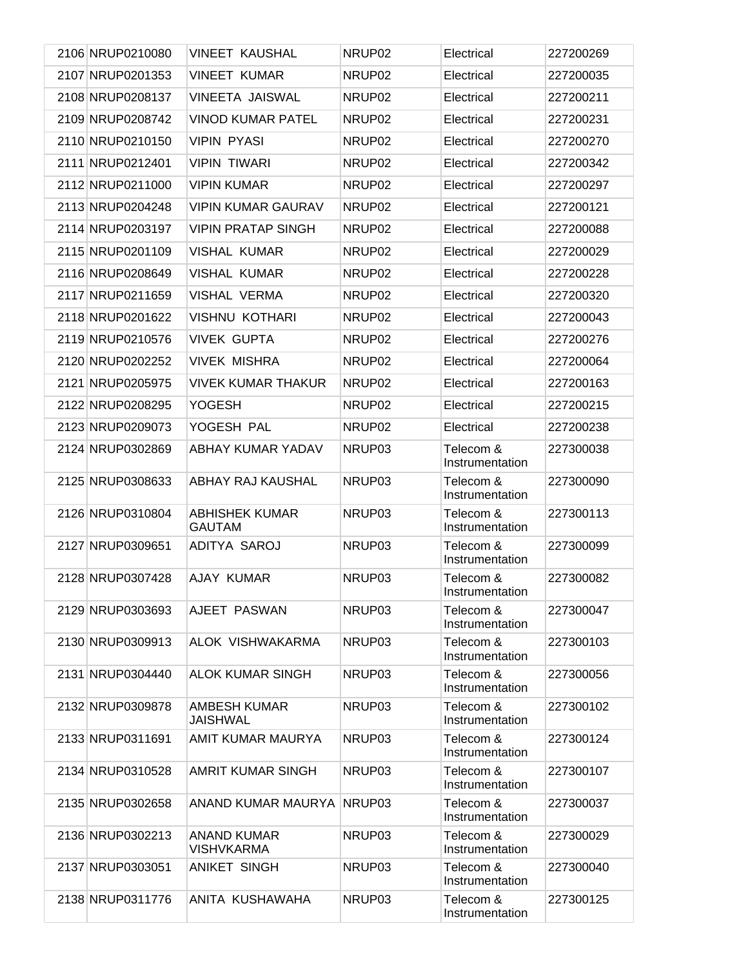| 2106 NRUP0210080 | <b>VINEET KAUSHAL</b>                   | NRUP <sub>02</sub> | Electrical                   | 227200269 |
|------------------|-----------------------------------------|--------------------|------------------------------|-----------|
| 2107 NRUP0201353 | <b>VINEET KUMAR</b>                     | NRUP <sub>02</sub> | Electrical                   | 227200035 |
| 2108 NRUP0208137 | VINEETA JAISWAL                         | NRUP02             | Electrical                   | 227200211 |
| 2109 NRUP0208742 | VINOD KUMAR PATEL                       | NRUP02             | Electrical                   | 227200231 |
| 2110 NRUP0210150 | <b>VIPIN PYASI</b>                      | NRUP02             | Electrical                   | 227200270 |
| 2111 NRUP0212401 | <b>VIPIN TIWARI</b>                     | NRUP02             | Electrical                   | 227200342 |
| 2112 NRUP0211000 | <b>VIPIN KUMAR</b>                      | NRUP02             | Electrical                   | 227200297 |
| 2113 NRUP0204248 | <b>VIPIN KUMAR GAURAV</b>               | NRUP02             | Electrical                   | 227200121 |
| 2114 NRUP0203197 | <b>VIPIN PRATAP SINGH</b>               | NRUP02             | Electrical                   | 227200088 |
| 2115 NRUP0201109 | VISHAL KUMAR                            | NRUP <sub>02</sub> | Electrical                   | 227200029 |
| 2116 NRUP0208649 | <b>VISHAL KUMAR</b>                     | NRUP02             | Electrical                   | 227200228 |
| 2117 NRUP0211659 | <b>VISHAL VERMA</b>                     | NRUP <sub>02</sub> | Electrical                   | 227200320 |
| 2118 NRUP0201622 | VISHNU KOTHARI                          | NRUP <sub>02</sub> | Electrical                   | 227200043 |
| 2119 NRUP0210576 | <b>VIVEK GUPTA</b>                      | NRUP02             | Electrical                   | 227200276 |
| 2120 NRUP0202252 | <b>VIVEK MISHRA</b>                     | NRUP02             | Electrical                   | 227200064 |
| 2121 NRUP0205975 | VIVEK KUMAR THAKUR                      | NRUP <sub>02</sub> | Electrical                   | 227200163 |
| 2122 NRUP0208295 | <b>YOGESH</b>                           | NRUP02             | Electrical                   | 227200215 |
| 2123 NRUP0209073 | YOGESH PAL                              | NRUP02             | Electrical                   | 227200238 |
| 2124 NRUP0302869 | ABHAY KUMAR YADAV                       | NRUP03             | Telecom &<br>Instrumentation | 227300038 |
| 2125 NRUP0308633 | ABHAY RAJ KAUSHAL                       | NRUP03             | Telecom &<br>Instrumentation | 227300090 |
| 2126 NRUP0310804 | ABHISHEK KUMAR<br><b>GAUTAM</b>         | NRUP03             | Telecom &<br>Instrumentation | 227300113 |
| 2127 NRUP0309651 | ADITYA SAROJ                            | NRUP03             | Telecom &<br>Instrumentation | 227300099 |
| 2128 NRUP0307428 | AJAY KUMAR                              | NRUP03             | Telecom &<br>Instrumentation | 227300082 |
| 2129 NRUP0303693 | AJEET PASWAN                            | NRUP03             | Telecom &<br>Instrumentation | 227300047 |
| 2130 NRUP0309913 | ALOK VISHWAKARMA                        | NRUP03             | Telecom &<br>Instrumentation | 227300103 |
| 2131 NRUP0304440 | <b>ALOK KUMAR SINGH</b>                 | NRUP03             | Telecom &<br>Instrumentation | 227300056 |
| 2132 NRUP0309878 | <b>AMBESH KUMAR</b><br>JAISHWAL         | NRUP03             | Telecom &<br>Instrumentation | 227300102 |
| 2133 NRUP0311691 | AMIT KUMAR MAURYA                       | NRUP03             | Telecom &<br>Instrumentation | 227300124 |
| 2134 NRUP0310528 | AMRIT KUMAR SINGH                       | NRUP03             | Telecom &<br>Instrumentation | 227300107 |
| 2135 NRUP0302658 | ANAND KUMAR MAURYA                      | NRUP03             | Telecom &<br>Instrumentation | 227300037 |
| 2136 NRUP0302213 | <b>ANAND KUMAR</b><br><b>VISHVKARMA</b> | NRUP03             | Telecom &<br>Instrumentation | 227300029 |
| 2137 NRUP0303051 | <b>ANIKET SINGH</b>                     | NRUP03             | Telecom &<br>Instrumentation | 227300040 |
| 2138 NRUP0311776 | ANITA KUSHAWAHA                         | NRUP03             | Telecom &<br>Instrumentation | 227300125 |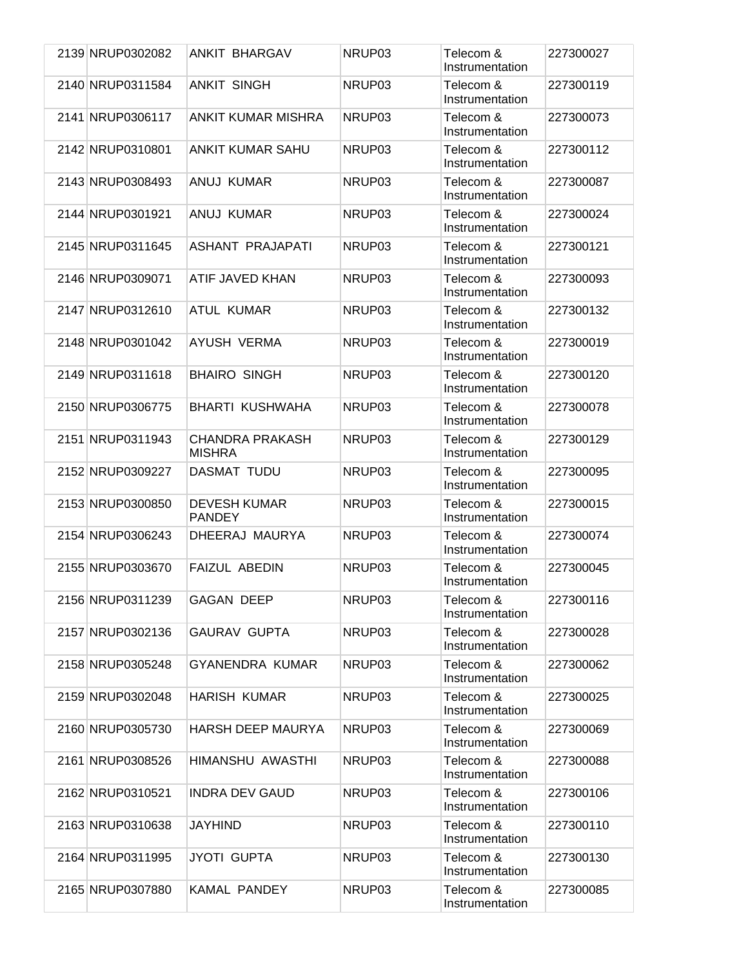| 2139 NRUP0302082 | <b>ANKIT BHARGAV</b>                    | NRUP03             | Telecom &<br>Instrumentation | 227300027 |
|------------------|-----------------------------------------|--------------------|------------------------------|-----------|
| 2140 NRUP0311584 | <b>ANKIT SINGH</b>                      | NRUP <sub>03</sub> | Telecom &<br>Instrumentation | 227300119 |
| 2141 NRUP0306117 | ANKIT KUMAR MISHRA                      | NRUP03             | Telecom &<br>Instrumentation | 227300073 |
| 2142 NRUP0310801 | <b>ANKIT KUMAR SAHU</b>                 | NRUP03             | Telecom &<br>Instrumentation | 227300112 |
| 2143 NRUP0308493 | ANUJ KUMAR                              | NRUP <sub>03</sub> | Telecom &<br>Instrumentation | 227300087 |
| 2144 NRUP0301921 | ANUJ KUMAR                              | NRUP03             | Telecom &<br>Instrumentation | 227300024 |
| 2145 NRUP0311645 | ASHANT PRAJAPATI                        | NRUP03             | Telecom &<br>Instrumentation | 227300121 |
| 2146 NRUP0309071 | ATIF JAVED KHAN                         | NRUP03             | Telecom &<br>Instrumentation | 227300093 |
| 2147 NRUP0312610 | <b>ATUL KUMAR</b>                       | NRUP03             | Telecom &<br>Instrumentation | 227300132 |
| 2148 NRUP0301042 | AYUSH VERMA                             | NRUP03             | Telecom &<br>Instrumentation | 227300019 |
| 2149 NRUP0311618 | <b>BHAIRO SINGH</b>                     | NRUP03             | Telecom &<br>Instrumentation | 227300120 |
| 2150 NRUP0306775 | <b>BHARTI KUSHWAHA</b>                  | NRUP03             | Telecom &<br>Instrumentation | 227300078 |
| 2151 NRUP0311943 | <b>CHANDRA PRAKASH</b><br><b>MISHRA</b> | NRUP03             | Telecom &<br>Instrumentation | 227300129 |
| 2152 NRUP0309227 | DASMAT TUDU                             | NRUP03             | Telecom &<br>Instrumentation | 227300095 |
| 2153 NRUP0300850 | <b>DEVESH KUMAR</b><br><b>PANDEY</b>    | NRUP03             | Telecom &<br>Instrumentation | 227300015 |
| 2154 NRUP0306243 | DHEERAJ MAURYA                          | NRUP03             | Telecom &<br>Instrumentation | 227300074 |
| 2155 NRUP0303670 | <b>FAIZUL ABEDIN</b>                    | NRUP03             | Telecom &<br>Instrumentation | 227300045 |
| 2156 NRUP0311239 | <b>GAGAN DEEP</b>                       | NRUP03             | Telecom &<br>Instrumentation | 227300116 |
| 2157 NRUP0302136 | <b>GAURAV GUPTA</b>                     | NRUP03             | Telecom &<br>Instrumentation | 227300028 |
| 2158 NRUP0305248 | <b>GYANENDRA KUMAR</b>                  | NRUP03             | Telecom &<br>Instrumentation | 227300062 |
| 2159 NRUP0302048 | <b>HARISH KUMAR</b>                     | NRUP03             | Telecom &<br>Instrumentation | 227300025 |
| 2160 NRUP0305730 | <b>HARSH DEEP MAURYA</b>                | NRUP03             | Telecom &<br>Instrumentation | 227300069 |
| 2161 NRUP0308526 | HIMANSHU AWASTHI                        | NRUP03             | Telecom &<br>Instrumentation | 227300088 |
| 2162 NRUP0310521 | <b>INDRA DEV GAUD</b>                   | NRUP03             | Telecom &<br>Instrumentation | 227300106 |
| 2163 NRUP0310638 | <b>JAYHIND</b>                          | NRUP03             | Telecom &<br>Instrumentation | 227300110 |
| 2164 NRUP0311995 | <b>JYOTI GUPTA</b>                      | NRUP03             | Telecom &<br>Instrumentation | 227300130 |
| 2165 NRUP0307880 | KAMAL PANDEY                            | NRUP03             | Telecom &<br>Instrumentation | 227300085 |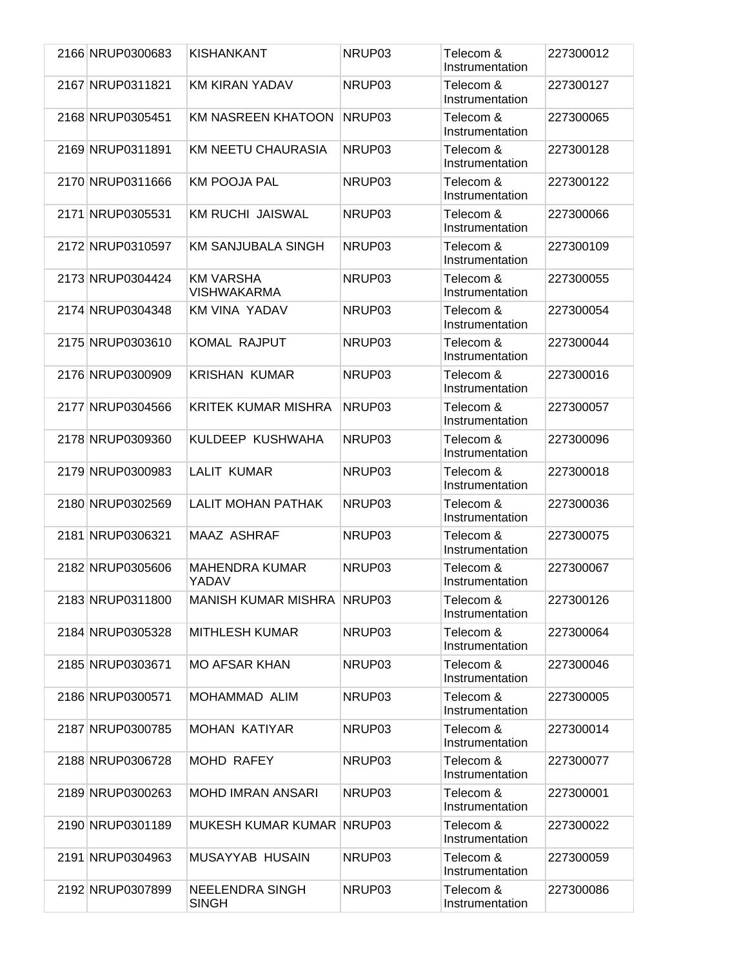| 2166 NRUP0300683 | <b>KISHANKANT</b>                      | NRUP03 | Telecom &<br>Instrumentation | 227300012 |
|------------------|----------------------------------------|--------|------------------------------|-----------|
| 2167 NRUP0311821 | <b>KM KIRAN YADAV</b>                  | NRUP03 | Telecom &<br>Instrumentation | 227300127 |
| 2168 NRUP0305451 | <b>KM NASREEN KHATOON</b>              | NRUP03 | Telecom &<br>Instrumentation | 227300065 |
| 2169 NRUP0311891 | KM NEETU CHAURASIA                     | NRUP03 | Telecom &<br>Instrumentation | 227300128 |
| 2170 NRUP0311666 | <b>KM POOJA PAL</b>                    | NRUP03 | Telecom &<br>Instrumentation | 227300122 |
| 2171 NRUP0305531 | <b>KM RUCHI JAISWAL</b>                | NRUP03 | Telecom &<br>Instrumentation | 227300066 |
| 2172 NRUP0310597 | <b>KM SANJUBALA SINGH</b>              | NRUP03 | Telecom &<br>Instrumentation | 227300109 |
| 2173 NRUP0304424 | <b>KM VARSHA</b><br><b>VISHWAKARMA</b> | NRUP03 | Telecom &<br>Instrumentation | 227300055 |
| 2174 NRUP0304348 | <b>KM VINA YADAV</b>                   | NRUP03 | Telecom &<br>Instrumentation | 227300054 |
| 2175 NRUP0303610 | <b>KOMAL RAJPUT</b>                    | NRUP03 | Telecom &<br>Instrumentation | 227300044 |
| 2176 NRUP0300909 | <b>KRISHAN KUMAR</b>                   | NRUP03 | Telecom &<br>Instrumentation | 227300016 |
| 2177 NRUP0304566 | <b>KRITEK KUMAR MISHRA</b>             | NRUP03 | Telecom &<br>Instrumentation | 227300057 |
| 2178 NRUP0309360 | KULDEEP KUSHWAHA                       | NRUP03 | Telecom &<br>Instrumentation | 227300096 |
| 2179 NRUP0300983 | <b>LALIT KUMAR</b>                     | NRUP03 | Telecom &<br>Instrumentation | 227300018 |
| 2180 NRUP0302569 | <b>LALIT MOHAN PATHAK</b>              | NRUP03 | Telecom &<br>Instrumentation | 227300036 |
| 2181 NRUP0306321 | <b>MAAZ ASHRAF</b>                     | NRUP03 | Telecom &<br>Instrumentation | 227300075 |
| 2182 NRUP0305606 | <b>MAHENDRA KUMAR</b><br>YADAV         | NRUP03 | Telecom &<br>Instrumentation | 227300067 |
| 2183 NRUP0311800 | <b>MANISH KUMAR MISHRA NRUP03</b>      |        | Telecom &<br>Instrumentation | 227300126 |
| 2184 NRUP0305328 | <b>MITHLESH KUMAR</b>                  | NRUP03 | Telecom &<br>Instrumentation | 227300064 |
| 2185 NRUP0303671 | <b>MO AFSAR KHAN</b>                   | NRUP03 | Telecom &<br>Instrumentation | 227300046 |
| 2186 NRUP0300571 | MOHAMMAD ALIM                          | NRUP03 | Telecom &<br>Instrumentation | 227300005 |
| 2187 NRUP0300785 | <b>MOHAN KATIYAR</b>                   | NRUP03 | Telecom &<br>Instrumentation | 227300014 |
| 2188 NRUP0306728 | MOHD RAFEY                             | NRUP03 | Telecom &<br>Instrumentation | 227300077 |
| 2189 NRUP0300263 | <b>MOHD IMRAN ANSARI</b>               | NRUP03 | Telecom &<br>Instrumentation | 227300001 |
| 2190 NRUP0301189 | MUKESH KUMAR KUMAR NRUP03              |        | Telecom &<br>Instrumentation | 227300022 |
| 2191 NRUP0304963 | <b>MUSAYYAB HUSAIN</b>                 | NRUP03 | Telecom &<br>Instrumentation | 227300059 |
| 2192 NRUP0307899 | <b>NEELENDRA SINGH</b><br><b>SINGH</b> | NRUP03 | Telecom &<br>Instrumentation | 227300086 |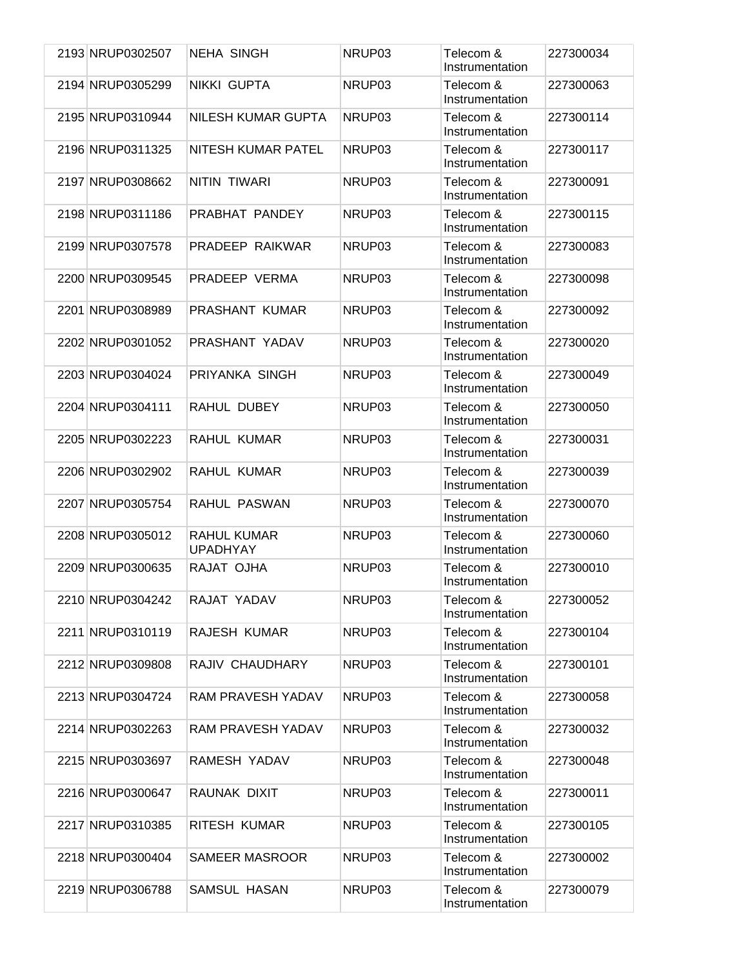| 2193 NRUP0302507 | <b>NEHA SINGH</b>              | NRUP03 | Telecom &<br>Instrumentation | 227300034 |
|------------------|--------------------------------|--------|------------------------------|-----------|
| 2194 NRUP0305299 | NIKKI GUPTA                    | NRUP03 | Telecom &<br>Instrumentation | 227300063 |
| 2195 NRUP0310944 | <b>NILESH KUMAR GUPTA</b>      | NRUP03 | Telecom &<br>Instrumentation | 227300114 |
| 2196 NRUP0311325 | NITESH KUMAR PATEL             | NRUP03 | Telecom &<br>Instrumentation | 227300117 |
| 2197 NRUP0308662 | <b>NITIN TIWARI</b>            | NRUP03 | Telecom &<br>Instrumentation | 227300091 |
| 2198 NRUP0311186 | PRABHAT PANDEY                 | NRUP03 | Telecom &<br>Instrumentation | 227300115 |
| 2199 NRUP0307578 | PRADEEP RAIKWAR                | NRUP03 | Telecom &<br>Instrumentation | 227300083 |
| 2200 NRUP0309545 | PRADEEP VERMA                  | NRUP03 | Telecom &<br>Instrumentation | 227300098 |
| 2201 NRUP0308989 | PRASHANT KUMAR                 | NRUP03 | Telecom &<br>Instrumentation | 227300092 |
| 2202 NRUP0301052 | PRASHANT YADAV                 | NRUP03 | Telecom &<br>Instrumentation | 227300020 |
| 2203 NRUP0304024 | PRIYANKA SINGH                 | NRUP03 | Telecom &<br>Instrumentation | 227300049 |
| 2204 NRUP0304111 | RAHUL DUBEY                    | NRUP03 | Telecom &<br>Instrumentation | 227300050 |
| 2205 NRUP0302223 | RAHUL KUMAR                    | NRUP03 | Telecom &<br>Instrumentation | 227300031 |
| 2206 NRUP0302902 | RAHUL KUMAR                    | NRUP03 | Telecom &<br>Instrumentation | 227300039 |
| 2207 NRUP0305754 | RAHUL PASWAN                   | NRUP03 | Telecom &<br>Instrumentation | 227300070 |
| 2208 NRUP0305012 | RAHUL KUMAR<br><b>UPADHYAY</b> | NRUP03 | Telecom &<br>Instrumentation | 227300060 |
| 2209 NRUP0300635 | RAJAT OJHA                     | NRUP03 | Telecom &<br>Instrumentation | 227300010 |
| 2210 NRUP0304242 | RAJAT YADAV                    | NRUP03 | Telecom &<br>Instrumentation | 227300052 |
| 2211 NRUP0310119 | RAJESH KUMAR                   | NRUP03 | Telecom &<br>Instrumentation | 227300104 |
| 2212 NRUP0309808 | RAJIV CHAUDHARY                | NRUP03 | Telecom &<br>Instrumentation | 227300101 |
| 2213 NRUP0304724 | RAM PRAVESH YADAV              | NRUP03 | Telecom &<br>Instrumentation | 227300058 |
| 2214 NRUP0302263 | <b>RAM PRAVESH YADAV</b>       | NRUP03 | Telecom &<br>Instrumentation | 227300032 |
| 2215 NRUP0303697 | RAMESH YADAV                   | NRUP03 | Telecom &<br>Instrumentation | 227300048 |
| 2216 NRUP0300647 | RAUNAK DIXIT                   | NRUP03 | Telecom &<br>Instrumentation | 227300011 |
| 2217 NRUP0310385 | RITESH KUMAR                   | NRUP03 | Telecom &<br>Instrumentation | 227300105 |
| 2218 NRUP0300404 | SAMEER MASROOR                 | NRUP03 | Telecom &<br>Instrumentation | 227300002 |
| 2219 NRUP0306788 | SAMSUL HASAN                   | NRUP03 | Telecom &<br>Instrumentation | 227300079 |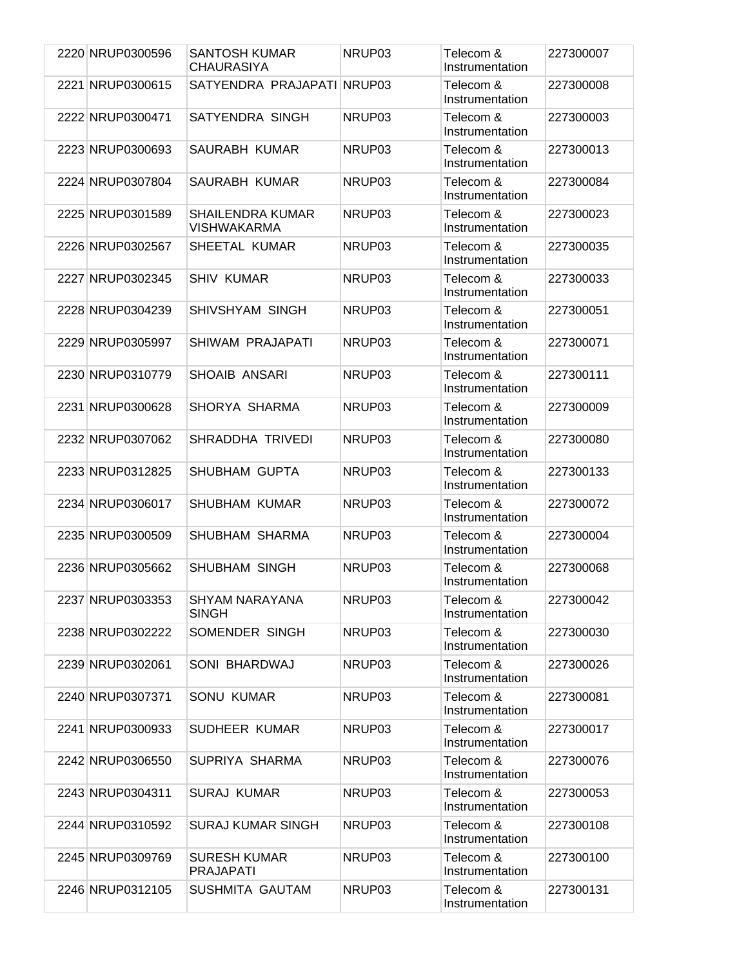| 2220 NRUP0300596 | <b>SANTOSH KUMAR</b><br><b>CHAURASIYA</b> | NRUP03 | Telecom &<br>Instrumentation | 227300007 |
|------------------|-------------------------------------------|--------|------------------------------|-----------|
| 2221 NRUP0300615 | SATYENDRA PRAJAPATI NRUP03                |        | Telecom &<br>Instrumentation | 227300008 |
| 2222 NRUP0300471 | SATYENDRA SINGH                           | NRUP03 | Telecom &<br>Instrumentation | 227300003 |
| 2223 NRUP0300693 | SAURABH KUMAR                             | NRUP03 | Telecom &<br>Instrumentation | 227300013 |
| 2224 NRUP0307804 | SAURABH KUMAR                             | NRUP03 | Telecom &<br>Instrumentation | 227300084 |
| 2225 NRUP0301589 | <b>SHAILENDRA KUMAR</b><br>VISHWAKARMA    | NRUP03 | Telecom &<br>Instrumentation | 227300023 |
| 2226 NRUP0302567 | SHEETAL KUMAR                             | NRUP03 | Telecom &<br>Instrumentation | 227300035 |
| 2227 NRUP0302345 | <b>SHIV KUMAR</b>                         | NRUP03 | Telecom &<br>Instrumentation | 227300033 |
| 2228 NRUP0304239 | SHIVSHYAM SINGH                           | NRUP03 | Telecom &<br>Instrumentation | 227300051 |
| 2229 NRUP0305997 | SHIWAM PRAJAPATI                          | NRUP03 | Telecom &<br>Instrumentation | 227300071 |
| 2230 NRUP0310779 | SHOAIB ANSARI                             | NRUP03 | Telecom &<br>Instrumentation | 227300111 |
| 2231 NRUP0300628 | SHORYA SHARMA                             | NRUP03 | Telecom &<br>Instrumentation | 227300009 |
| 2232 NRUP0307062 | SHRADDHA TRIVEDI                          | NRUP03 | Telecom &<br>Instrumentation | 227300080 |
| 2233 NRUP0312825 | SHUBHAM GUPTA                             | NRUP03 | Telecom &<br>Instrumentation | 227300133 |
| 2234 NRUP0306017 | SHUBHAM KUMAR                             | NRUP03 | Telecom &<br>Instrumentation | 227300072 |
| 2235 NRUP0300509 | SHUBHAM SHARMA                            | NRUP03 | Telecom &<br>Instrumentation | 227300004 |
| 2236 NRUP0305662 | SHUBHAM SINGH                             | NRUP03 | Telecom &<br>Instrumentation | 227300068 |
| 2237 NRUP0303353 | <b>SHYAM NARAYANA</b><br><b>SINGH</b>     | NRUP03 | Telecom &<br>Instrumentation | 227300042 |
| 2238 NRUP0302222 | SOMENDER SINGH                            | NRUP03 | Telecom &<br>Instrumentation | 227300030 |
| 2239 NRUP0302061 | SONI BHARDWAJ                             | NRUP03 | Telecom &<br>Instrumentation | 227300026 |
| 2240 NRUP0307371 | <b>SONU KUMAR</b>                         | NRUP03 | Telecom &<br>Instrumentation | 227300081 |
| 2241 NRUP0300933 | SUDHEER KUMAR                             | NRUP03 | Telecom &<br>Instrumentation | 227300017 |
| 2242 NRUP0306550 | SUPRIYA SHARMA                            | NRUP03 | Telecom &<br>Instrumentation | 227300076 |
| 2243 NRUP0304311 | <b>SURAJ KUMAR</b>                        | NRUP03 | Telecom &<br>Instrumentation | 227300053 |
| 2244 NRUP0310592 | <b>SURAJ KUMAR SINGH</b>                  | NRUP03 | Telecom &<br>Instrumentation | 227300108 |
| 2245 NRUP0309769 | <b>SURESH KUMAR</b><br><b>PRAJAPATI</b>   | NRUP03 | Telecom &<br>Instrumentation | 227300100 |
| 2246 NRUP0312105 | SUSHMITA GAUTAM                           | NRUP03 | Telecom &<br>Instrumentation | 227300131 |